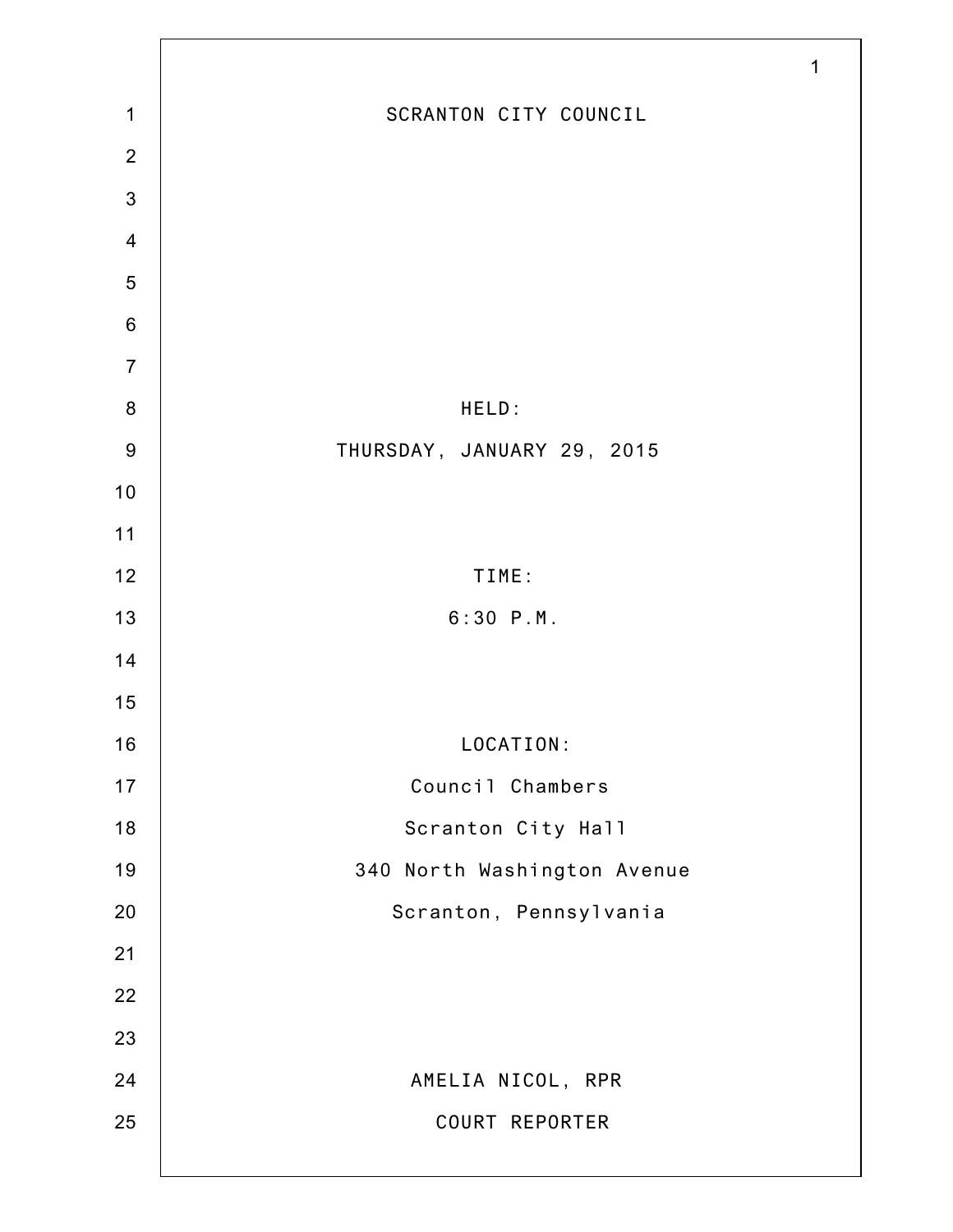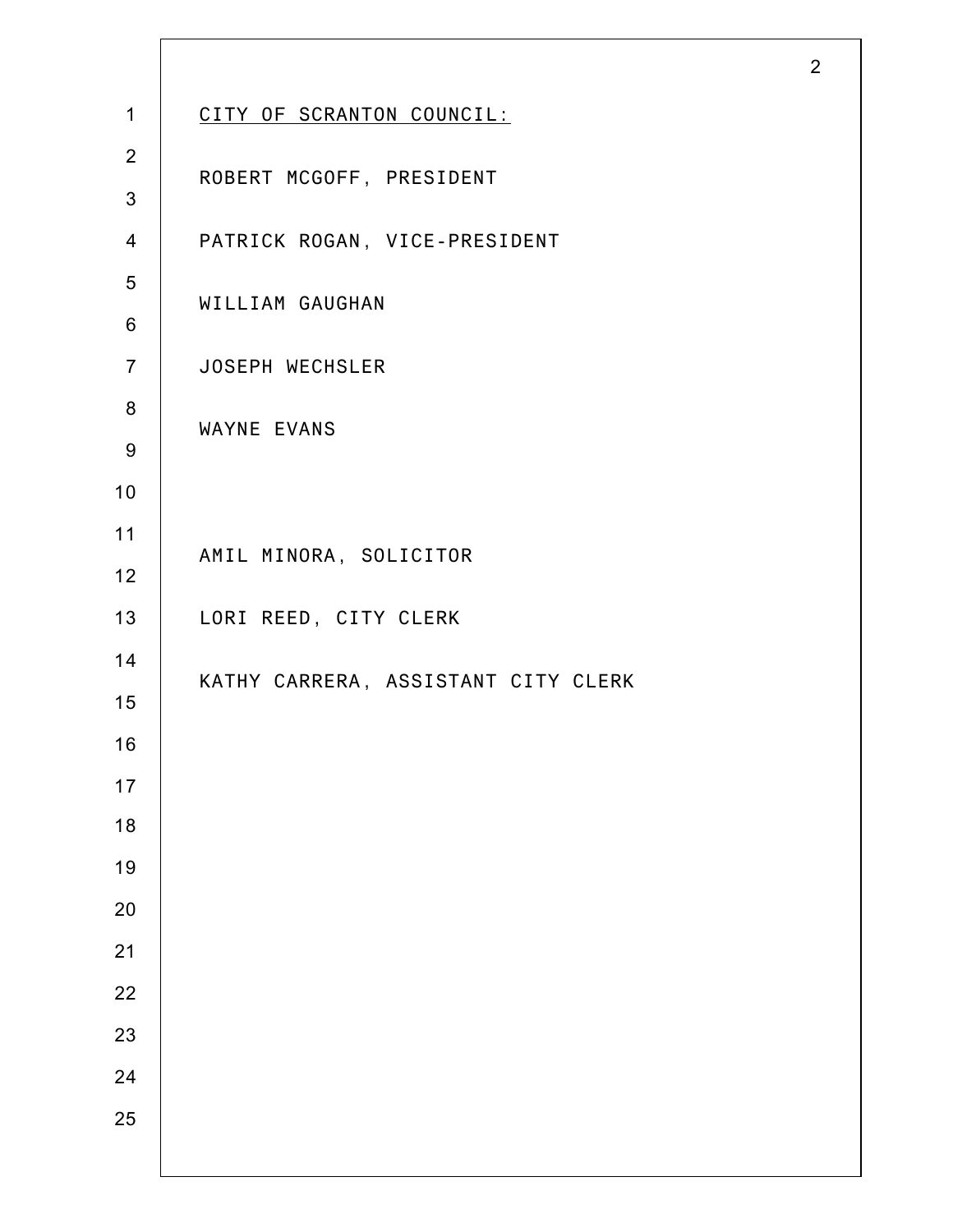| $\mathbf{1}$   | CITY OF SCRANTON COUNCIL:           |
|----------------|-------------------------------------|
| $\overline{2}$ | ROBERT MCGOFF, PRESIDENT            |
| $\mathbf{3}$   |                                     |
| $\overline{4}$ | PATRICK ROGAN, VICE-PRESIDENT       |
| 5              | WILLIAM GAUGHAN                     |
| 6              |                                     |
| $\overline{7}$ | <b>JOSEPH WECHSLER</b>              |
| 8              | WAYNE EVANS                         |
| 9              |                                     |
| 10             |                                     |
| 11             | AMIL MINORA, SOLICITOR              |
| 12             |                                     |
| 13             | LORI REED, CITY CLERK               |
| 14             | KATHY CARRERA, ASSISTANT CITY CLERK |
| 15             |                                     |
| 16             |                                     |
| 17             |                                     |
| 18             |                                     |
| 19             |                                     |
| 20             |                                     |
| 21             |                                     |
| 22             |                                     |
| 23             |                                     |
| 24             |                                     |
| 25             |                                     |
|                |                                     |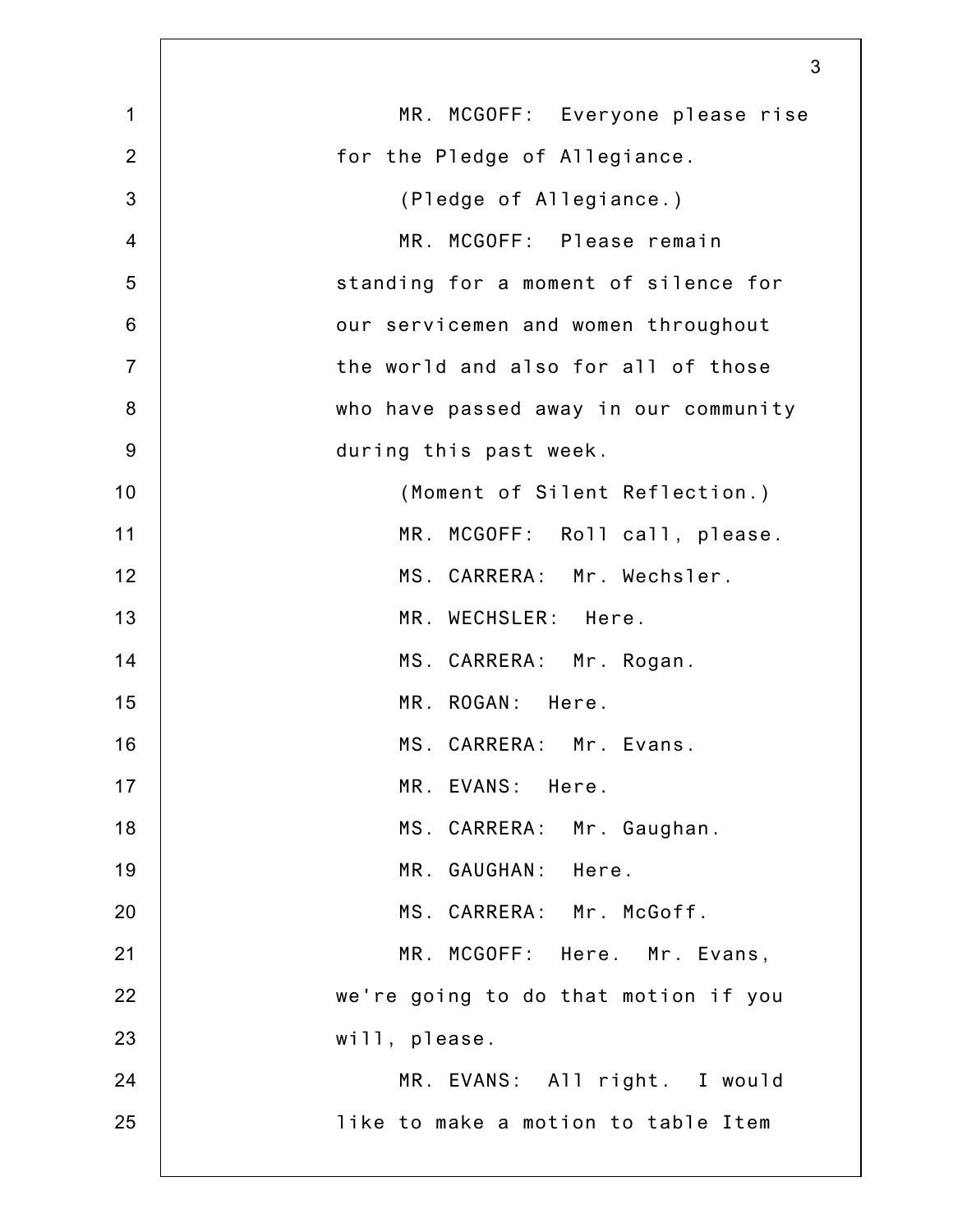|                 | 3                                     |
|-----------------|---------------------------------------|
| $\mathbf 1$     | MR. MCGOFF: Everyone please rise      |
| $\overline{2}$  | for the Pledge of Allegiance.         |
| 3               | (Pledge of Allegiance.)               |
| $\overline{4}$  | MR. MCGOFF: Please remain             |
| 5               | standing for a moment of silence for  |
| $6\phantom{1}6$ | our servicemen and women throughout   |
| $\overline{7}$  | the world and also for all of those   |
| 8               | who have passed away in our community |
| $9$             | during this past week.                |
| 10              | (Moment of Silent Reflection.)        |
| 11              | MR. MCGOFF: Roll call, please.        |
| 12              | MS. CARRERA: Mr. Wechsler.            |
| 13              | MR. WECHSLER: Here.                   |
| 14              | MS. CARRERA: Mr. Rogan.               |
| 15              | MR. ROGAN: Here.                      |
| 16              | MS. CARRERA: Mr. Evans.               |
| 17              | MR. EVANS: Here.                      |
| 18              | MS. CARRERA: Mr. Gaughan.             |
| 19              | MR. GAUGHAN: Here.                    |
| 20              | MS. CARRERA: Mr. McGoff.              |
| 21              | MR. MCGOFF: Here. Mr. Evans,          |
| 22              | we're going to do that motion if you  |
| 23              | will, please.                         |
| 24              | MR. EVANS: All right. I would         |
| 25              | like to make a motion to table Item   |
|                 |                                       |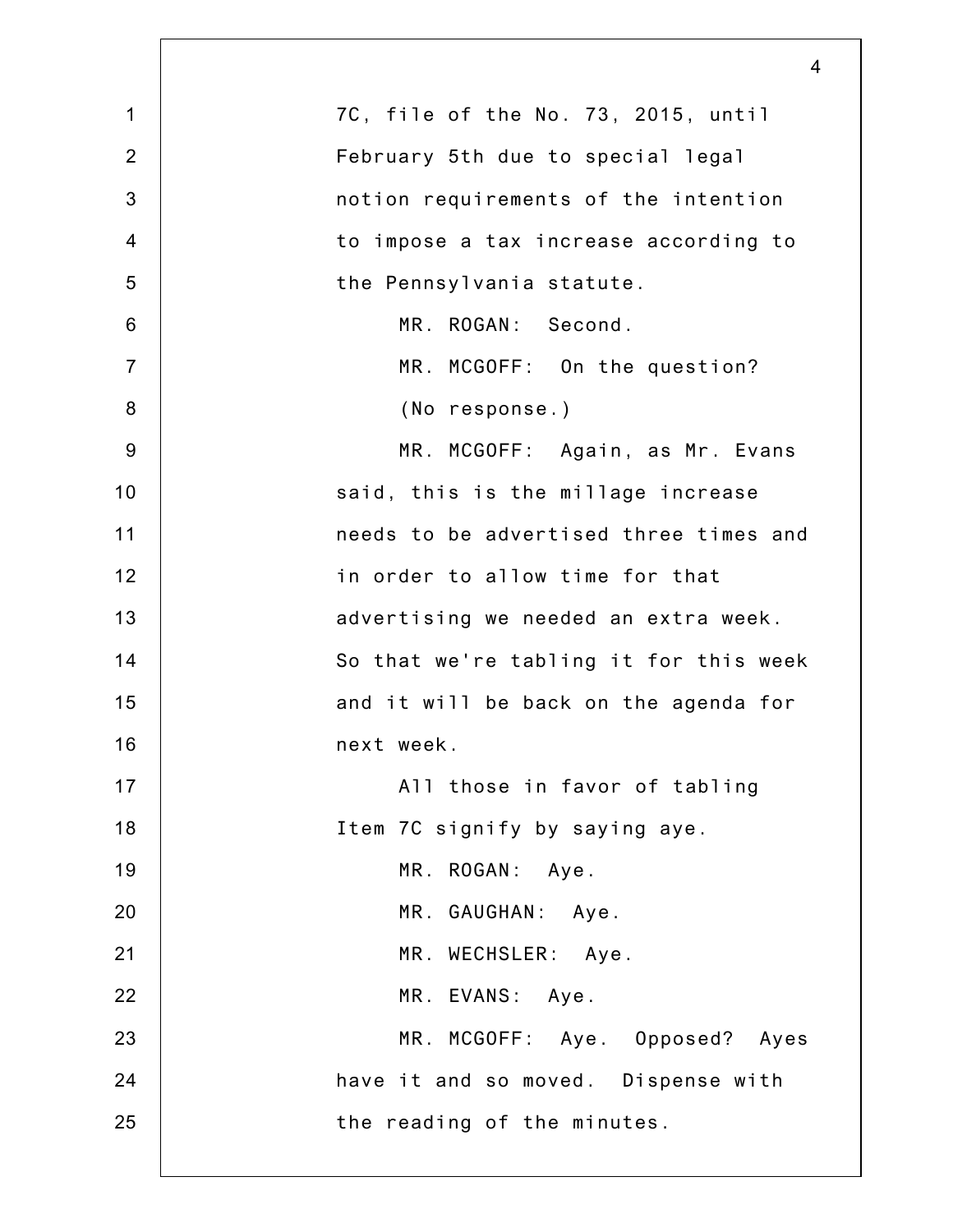|                 | $\overline{4}$                         |
|-----------------|----------------------------------------|
| $\mathbf 1$     | 7C, file of the No. 73, 2015, until    |
| $\overline{2}$  | February 5th due to special legal      |
| 3               | notion requirements of the intention   |
| $\overline{4}$  | to impose a tax increase according to  |
| 5               | the Pennsylvania statute.              |
| $6\phantom{1}6$ | MR. ROGAN: Second.                     |
| $\overline{7}$  | MR. MCGOFF: On the question?           |
| $\bf 8$         | (No response.)                         |
| $9\,$           | MR. MCGOFF: Again, as Mr. Evans        |
| 10              | said, this is the millage increase     |
| 11              | needs to be advertised three times and |
| 12              | in order to allow time for that        |
| 13              | advertising we needed an extra week.   |
| 14              | So that we're tabling it for this week |
| 15              | and it will be back on the agenda for  |
| 16              | next week.                             |
| 17              | All those in favor of tabling          |
| 18              | Item 7C signify by saying aye.         |
| 19              | MR. ROGAN: Aye.                        |
| 20              | MR. GAUGHAN: Aye.                      |
| 21              | MR. WECHSLER: Aye.                     |
| 22              | MR. EVANS: Aye.                        |
| 23              | MR. MCGOFF: Aye. Opposed? Ayes         |
| 24              | have it and so moved. Dispense with    |
| 25              | the reading of the minutes.            |
|                 |                                        |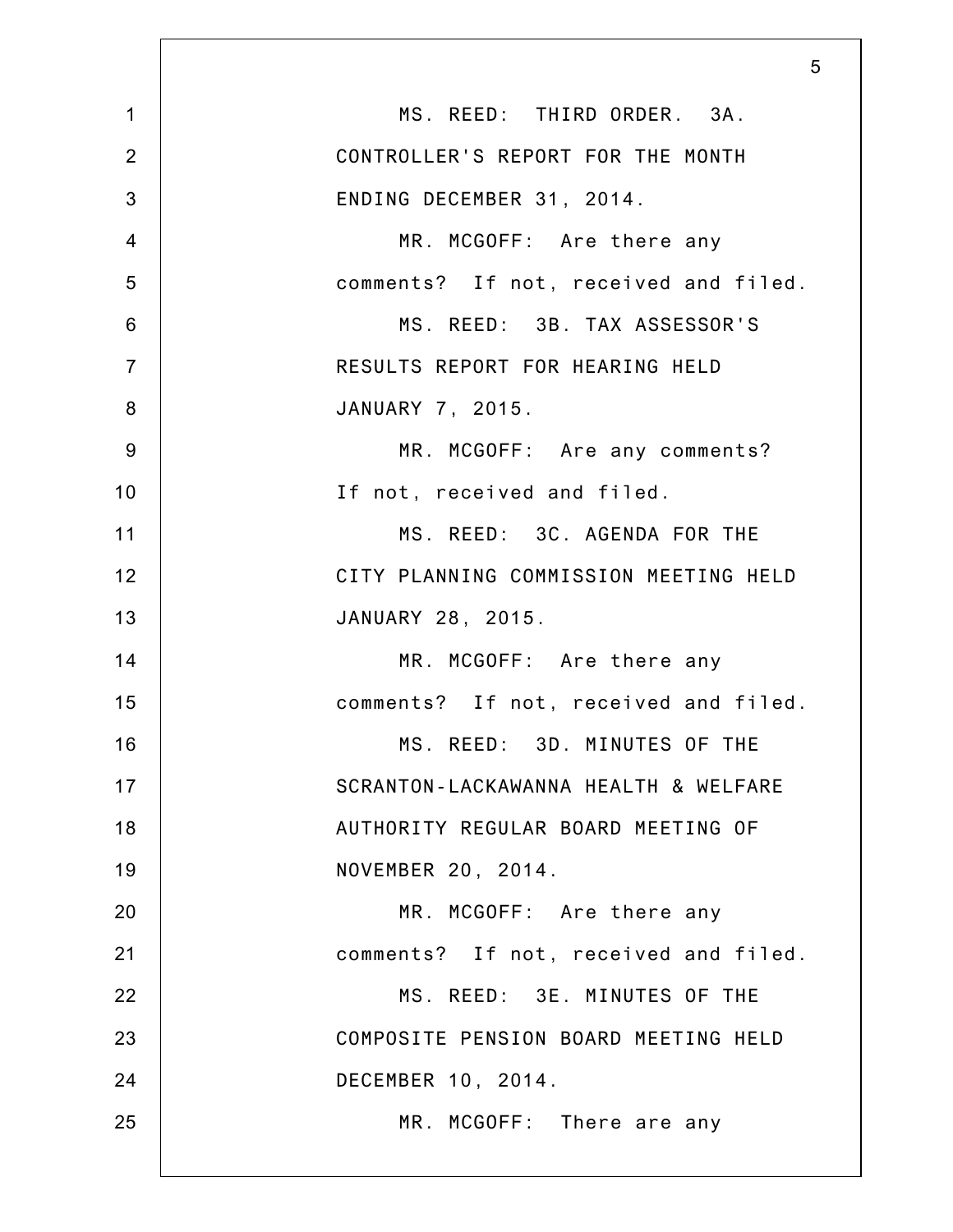|                | 5                                     |
|----------------|---------------------------------------|
| $\mathbf 1$    | MS. REED: THIRD ORDER. 3A.            |
| $\overline{2}$ | CONTROLLER'S REPORT FOR THE MONTH     |
| 3              | ENDING DECEMBER 31, 2014.             |
| $\overline{4}$ | MR. MCGOFF: Are there any             |
| 5              | comments? If not, received and filed. |
| 6              | MS. REED: 3B. TAX ASSESSOR'S          |
| $\overline{7}$ | RESULTS REPORT FOR HEARING HELD       |
| 8              | JANUARY 7, 2015.                      |
| $9\,$          | MR. MCGOFF: Are any comments?         |
| 10             | If not, received and filed.           |
| 11             | MS. REED: 3C. AGENDA FOR THE          |
| 12             | CITY PLANNING COMMISSION MEETING HELD |
| 13             | JANUARY 28, 2015.                     |
| 14             | MR. MCGOFF: Are there any             |
| 15             | comments? If not, received and filed. |
| 16             | MS. REED: 3D. MINUTES OF THE          |
| 17             | SCRANTON-LACKAWANNA HEALTH & WELFARE  |
| 18             | AUTHORITY REGULAR BOARD MEETING OF    |
| 19             | NOVEMBER 20, 2014.                    |
| 20             | MR. MCGOFF: Are there any             |
| 21             | comments? If not, received and filed. |
| 22             | MS. REED: 3E. MINUTES OF THE          |
| 23             | COMPOSITE PENSION BOARD MEETING HELD  |
| 24             | DECEMBER 10, 2014.                    |
| 25             | MR. MCGOFF: There are any             |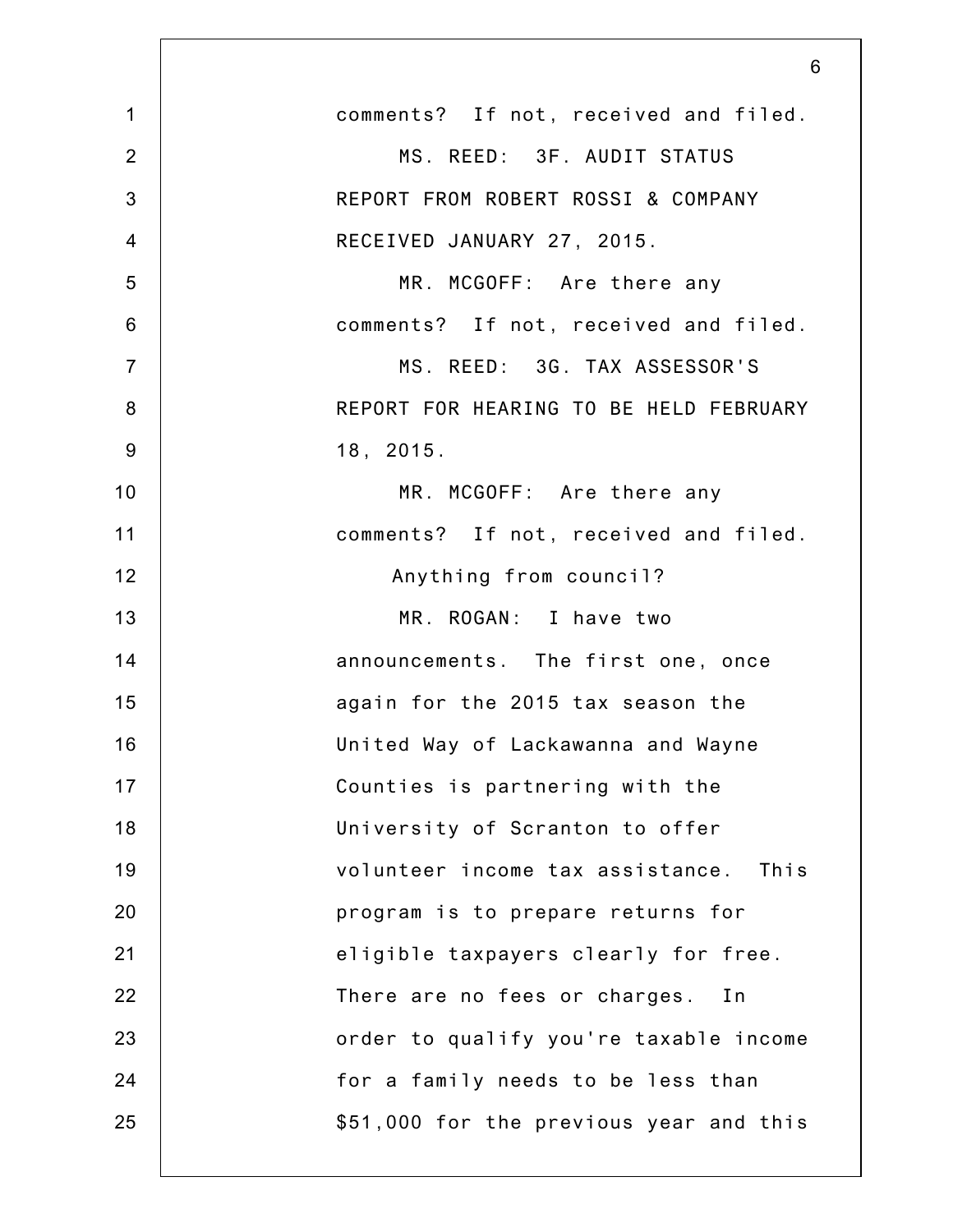|                | 6                                        |
|----------------|------------------------------------------|
| $\mathbf 1$    | comments? If not, received and filed.    |
| $\overline{2}$ | MS. REED: 3F. AUDIT STATUS               |
| 3              | REPORT FROM ROBERT ROSSI & COMPANY       |
| $\overline{4}$ | RECEIVED JANUARY 27, 2015.               |
| 5              | MR. MCGOFF: Are there any                |
| 6              | comments? If not, received and filed.    |
| $\overline{7}$ | MS. REED: 3G. TAX ASSESSOR'S             |
| 8              | REPORT FOR HEARING TO BE HELD FEBRUARY   |
| $9\,$          | 18, 2015.                                |
| 10             | MR. MCGOFF: Are there any                |
| 11             | comments? If not, received and filed.    |
| 12             | Anything from council?                   |
| 13             | MR. ROGAN: I have two                    |
| 14             | announcements. The first one, once       |
| 15             | again for the 2015 tax season the        |
| 16             | United Way of Lackawanna and Wayne       |
| 17             | Counties is partnering with the          |
| 18             | University of Scranton to offer          |
| 19             | volunteer income tax assistance.<br>This |
| 20             | program is to prepare returns for        |
| 21             | eligible taxpayers clearly for free.     |
| 22             | There are no fees or charges. In         |
| 23             | order to qualify you're taxable income   |
| 24             | for a family needs to be less than       |
| 25             | \$51,000 for the previous year and this  |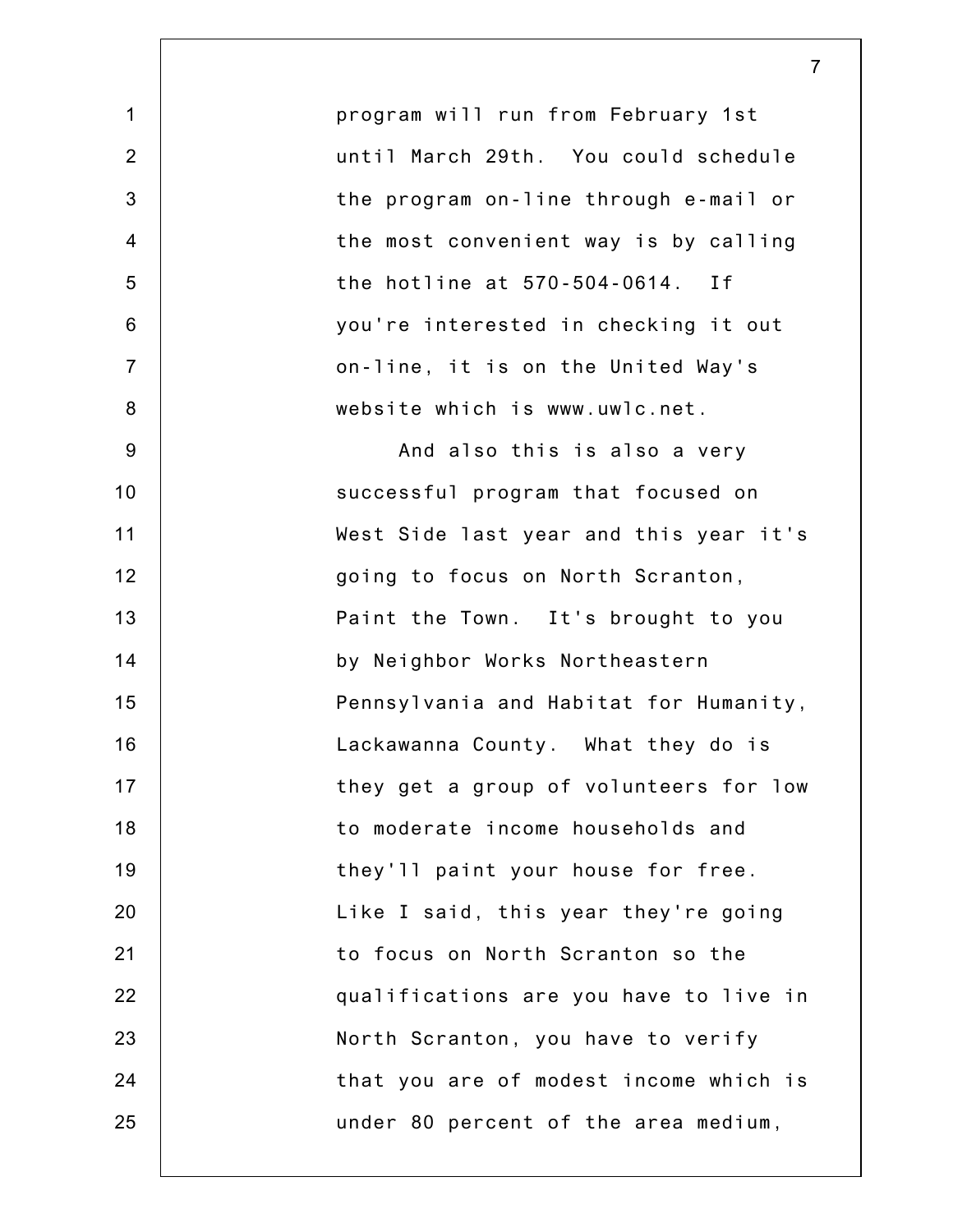1 2 3 4 5 6 7 8 9 10 11 12 13 14 15 16 17 18 19 20 21 22 23 24 25 program will run from February 1st until March 29th. You could schedule the program on-line through e-mail or the most convenient way is by calling the hotline at 570-504-0614. If you're interested in checking it out on-line, it is on the United Way's website which is www.uwlc.net. And also this is also a very successful program that focused on West Side last year and this year it's going to focus on North Scranton, Paint the Town. It's brought to you by Neighbor Works Northeastern Pennsylvania and Habitat for Humanity, Lackawanna County. What they do is they get a group of volunteers for low to moderate income households and they'll paint your house for free. Like I said, this year they're going to focus on North Scranton so the qualifications are you have to live in North Scranton, you have to verify that you are of modest income which is under 80 percent of the area medium,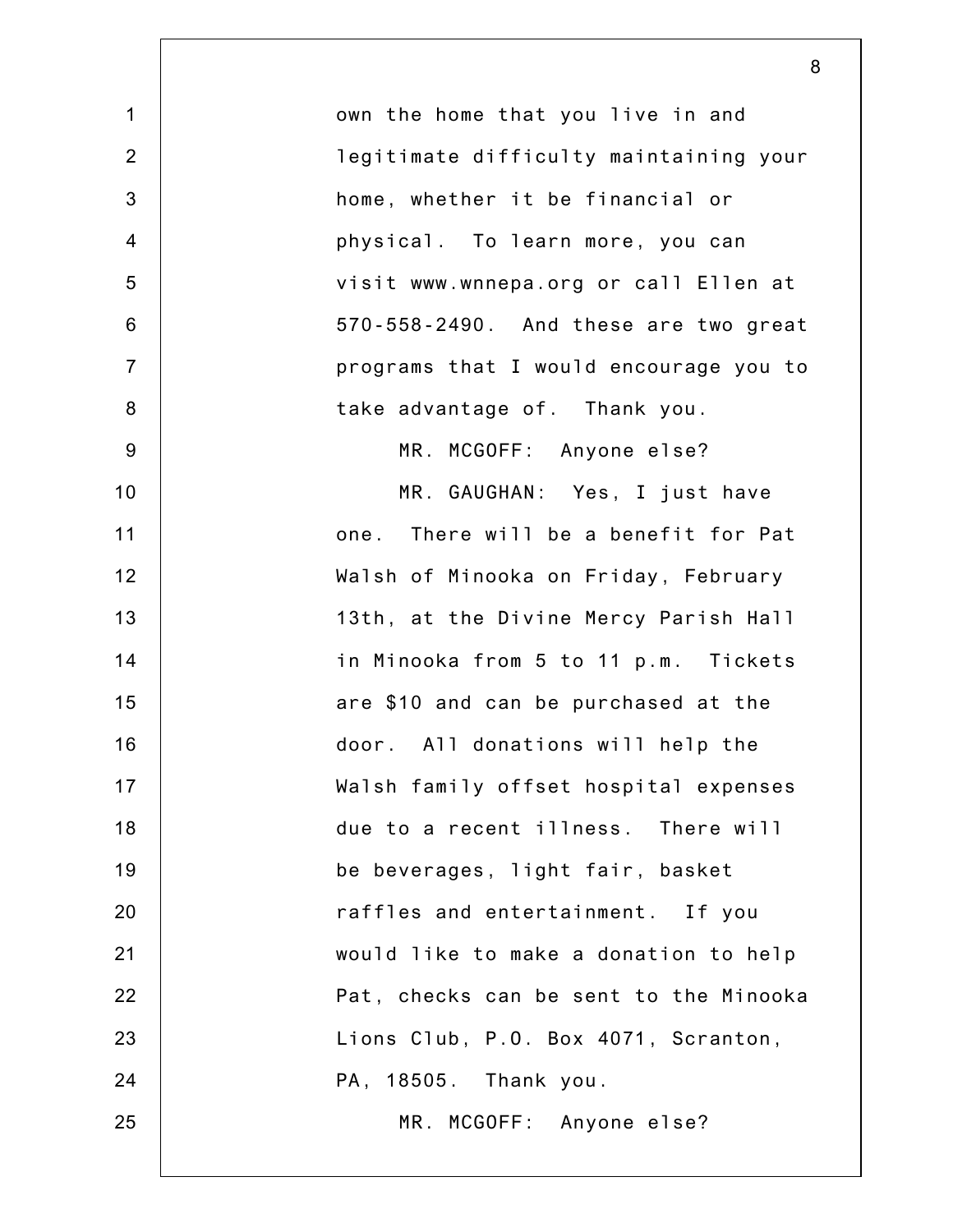| $\mathbf 1$     | own the home that you live in and      |
|-----------------|----------------------------------------|
| $\overline{2}$  | legitimate difficulty maintaining your |
| 3               | home, whether it be financial or       |
| $\overline{4}$  | physical. To learn more, you can       |
| 5               | visit www.wnnepa.org or call Ellen at  |
| $6\phantom{1}6$ | 570-558-2490. And these are two great  |
| $\overline{7}$  | programs that I would encourage you to |
| 8               | take advantage of. Thank you.          |
| $9\,$           | MR. MCGOFF: Anyone else?               |
| 10              | MR. GAUGHAN: Yes, I just have          |
| 11              | one. There will be a benefit for Pat   |
| 12              | Walsh of Minooka on Friday, February   |
| 13              | 13th, at the Divine Mercy Parish Hall  |
| 14              | in Minooka from 5 to 11 p.m. Tickets   |
| 15              | are \$10 and can be purchased at the   |
| 16              | door. All donations will help the      |
| 17              | Walsh family offset hospital expenses  |
| 18              | due to a recent illness. There will    |
| 19              | be beverages, light fair, basket       |
| 20              | raffles and entertainment. If you      |
| 21              | would like to make a donation to help  |
| 22              | Pat, checks can be sent to the Minooka |
| 23              | Lions Club, P.O. Box 4071, Scranton,   |
| 24              | PA, 18505. Thank you.                  |
| 25              | MR. MCGOFF: Anyone else?               |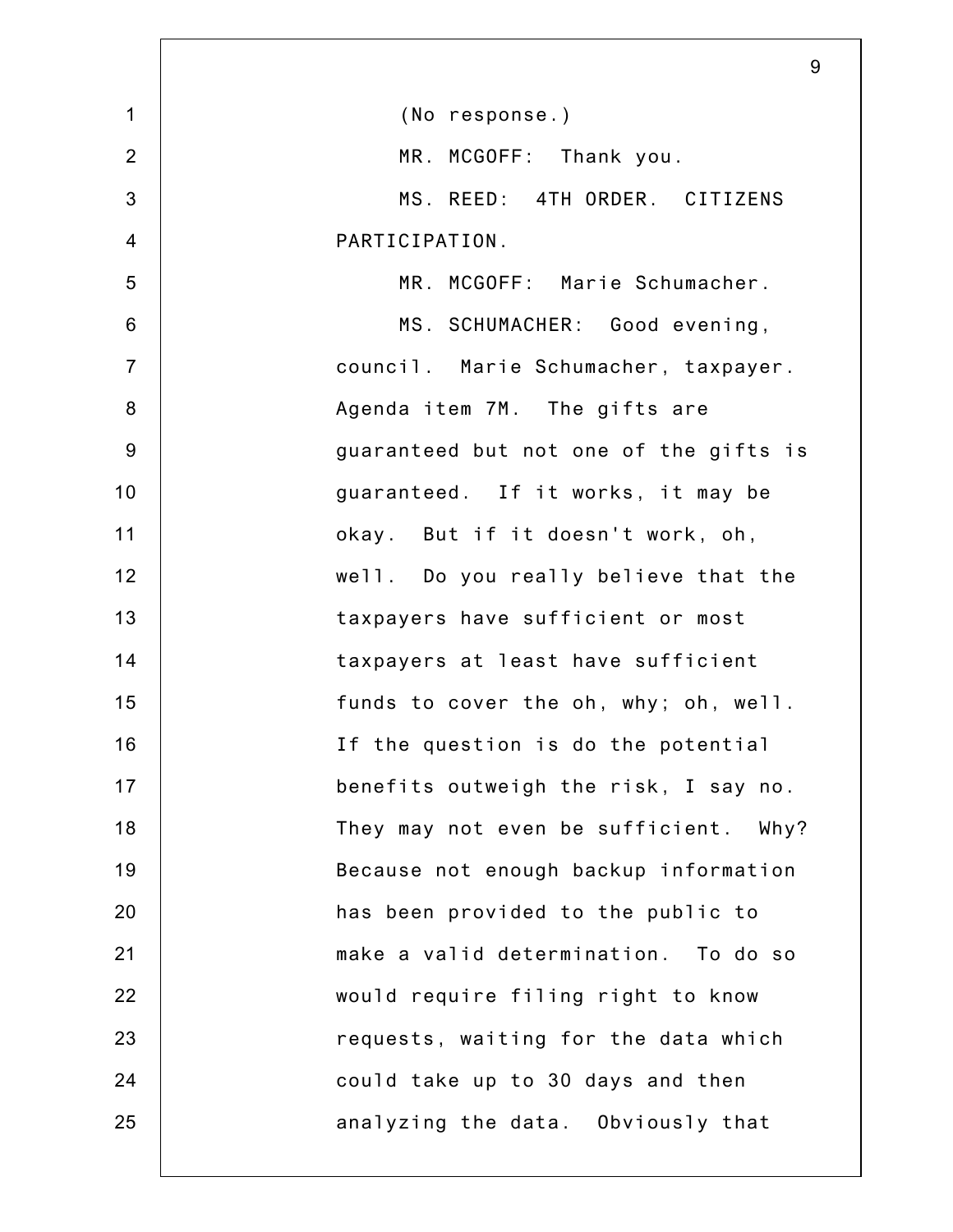|                | 9                                      |
|----------------|----------------------------------------|
| $\mathbf{1}$   | (No response.)                         |
| $\overline{2}$ | MR. MCGOFF: Thank you.                 |
| 3              | MS. REED: 4TH ORDER. CITIZENS          |
| $\overline{4}$ | PARTICIPATION.                         |
| 5              | MR. MCGOFF: Marie Schumacher.          |
| $6\phantom{1}$ | MS. SCHUMACHER: Good evening,          |
| $\overline{7}$ | council. Marie Schumacher, taxpayer.   |
| 8              | Agenda item 7M. The gifts are          |
| $9\,$          | guaranteed but not one of the gifts is |
| 10             | guaranteed. If it works, it may be     |
| 11             | okay. But if it doesn't work, oh,      |
| 12             | well. Do you really believe that the   |
| 13             | taxpayers have sufficient or most      |
| 14             | taxpayers at least have sufficient     |
| 15             | funds to cover the oh, why; oh, well.  |
| 16             | If the question is do the potential    |
| 17             | benefits outweigh the risk, I say no.  |
| 18             | They may not even be sufficient. Why?  |
| 19             | Because not enough backup information  |
| 20             | has been provided to the public to     |
| 21             | make a valid determination. To do so   |
| 22             | would require filing right to know     |
| 23             | requests, waiting for the data which   |
| 24             | could take up to 30 days and then      |
| 25             | analyzing the data. Obviously that     |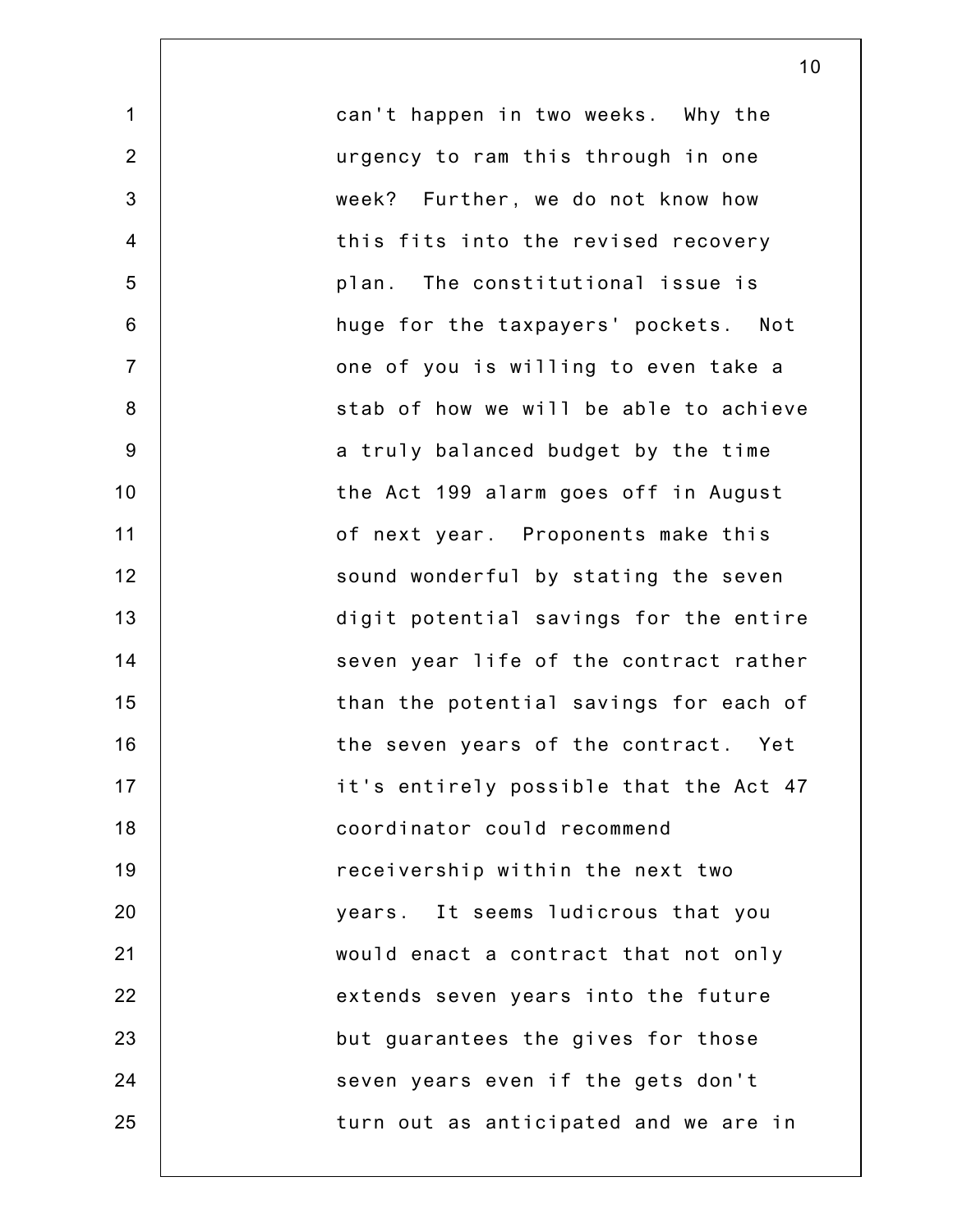1 2 3 4 5 6 7 8 9 10 11 12 13 14 15 16 17 18 19 20 21 22 23 24 25 can't happen in two weeks. Why the urgency to ram this through in one week? Further, we do not know how this fits into the revised recovery plan. The constitutional issue is huge for the taxpayers' pockets. Not one of you is willing to even take a stab of how we will be able to achieve a truly balanced budget by the time the Act 199 alarm goes off in August of next year. Proponents make this sound wonderful by stating the seven digit potential savings for the entire seven year life of the contract rather than the potential savings for each of the seven years of the contract. Yet it's entirely possible that the Act 47 coordinator could recommend receivership within the next two years. It seems ludicrous that you would enact a contract that not only extends seven years into the future but guarantees the gives for those seven years even if the gets don't turn out as anticipated and we are in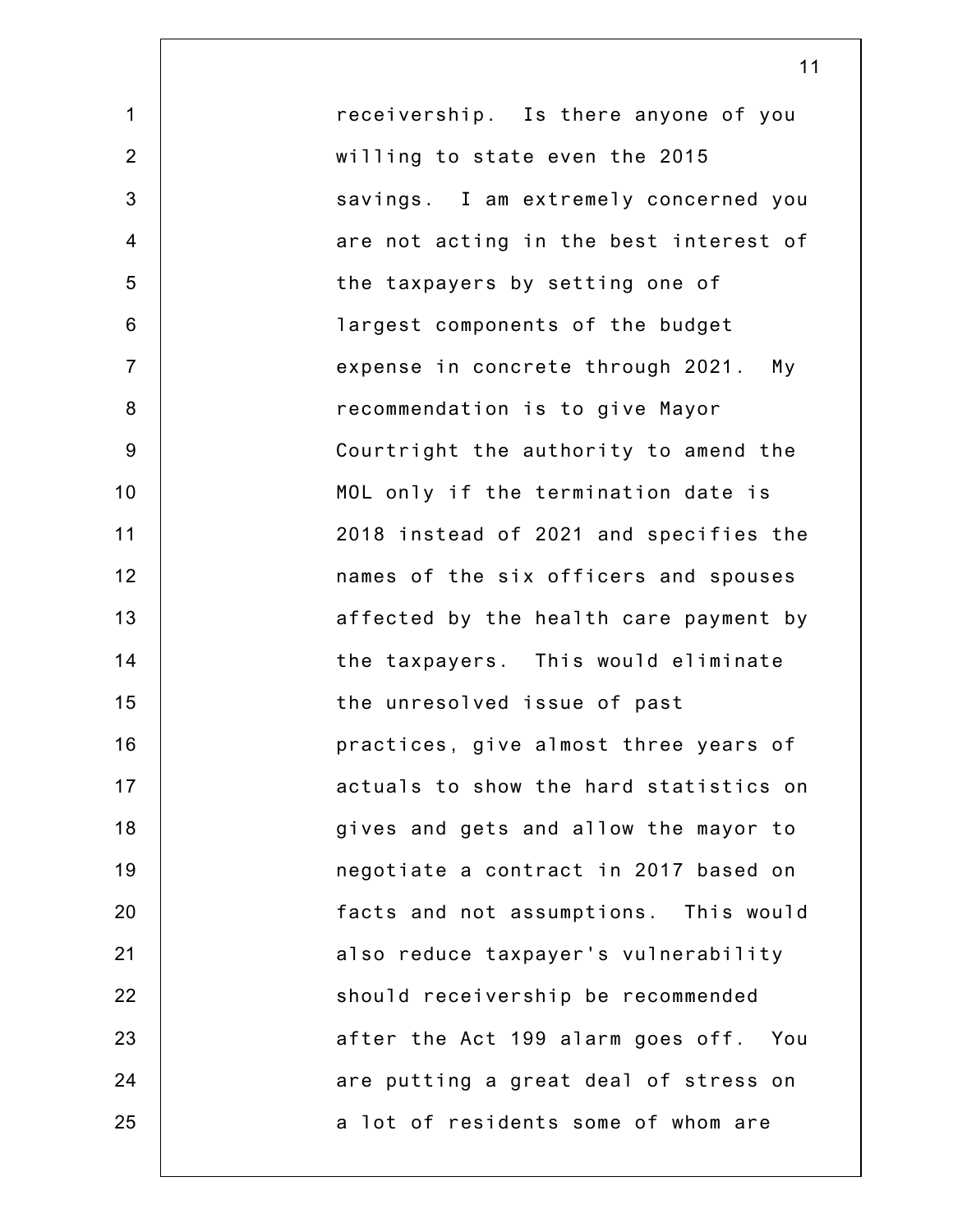1 2 3 4 5 6 7 8 9 10 11 12 13 14 15 16 17 18 19 20 21 22 23 24 25 receivership. Is there anyone of you willing to state even the 2015 savings. I am extremely concerned you are not acting in the best interest of the taxpayers by setting one of largest components of the budget expense in concrete through 2021. My recommendation is to give Mayor Courtright the authority to amend the MOL only if the termination date is 2018 instead of 2021 and specifies the names of the six officers and spouses affected by the health care payment by the taxpayers. This would eliminate the unresolved issue of past practices, give almost three years of actuals to show the hard statistics on gives and gets and allow the mayor to negotiate a contract in 2017 based on facts and not assumptions. This would also reduce taxpayer's vulnerability should receivership be recommended after the Act 199 alarm goes off. You are putting a great deal of stress on a lot of residents some of whom are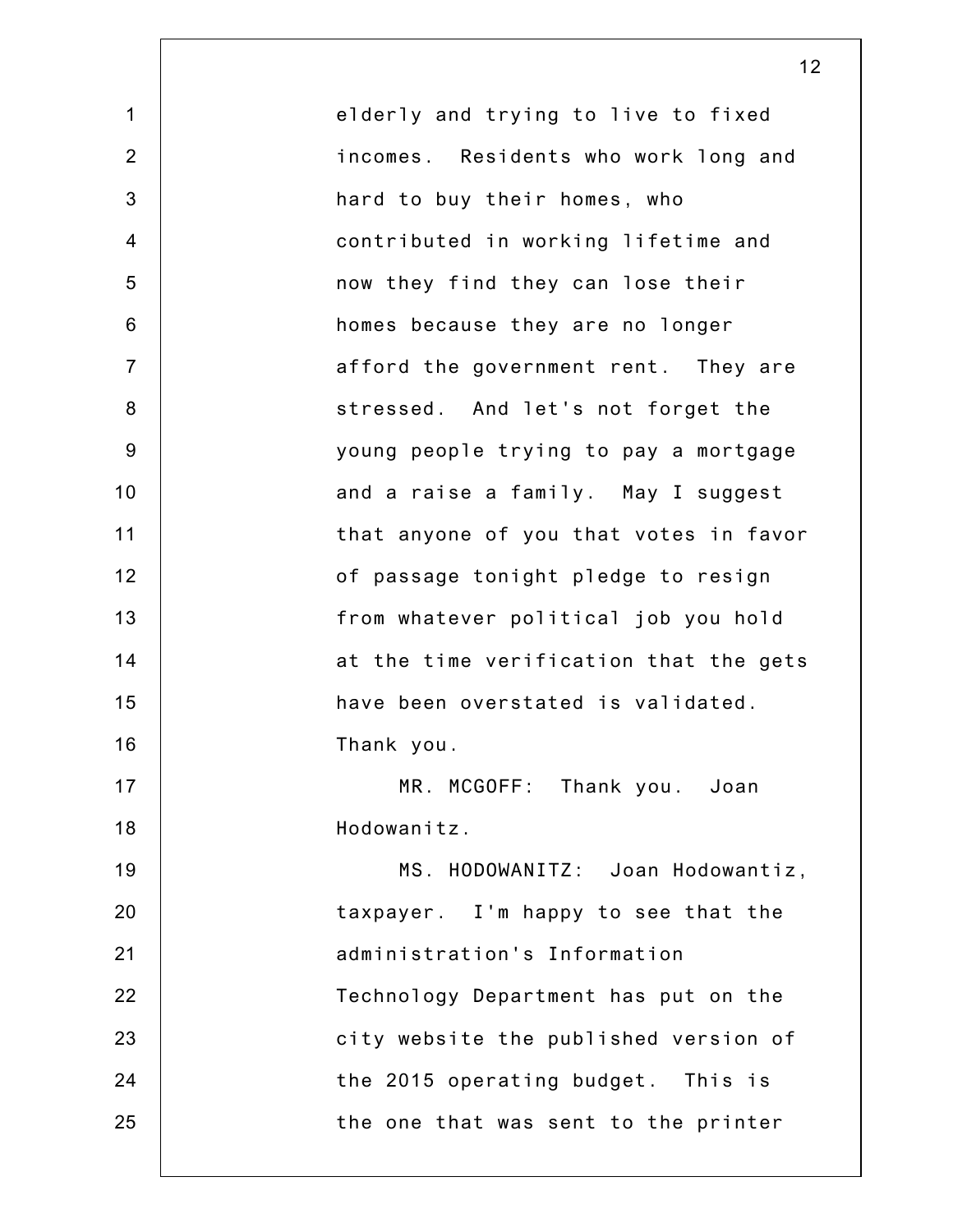1 2 3 4 5 6 7 8 9 10 11 12 13 14 15 16 17 18 19 20 21 22 23 24 25 elderly and trying to live to fixed incomes. Residents who work long and hard to buy their homes, who contributed in working lifetime and now they find they can lose their homes because they are no longer afford the government rent. They are stressed. And let's not forget the young people trying to pay a mortgage and a raise a family. May I suggest that anyone of you that votes in favor of passage tonight pledge to resign from whatever political job you hold at the time verification that the gets have been overstated is validated. Thank you. MR. MCGOFF: Thank you. Joan Hodowanitz. MS. HODOWANITZ: Joan Hodowantiz, taxpayer. I'm happy to see that the administration's Information Technology Department has put on the city website the published version of the 2015 operating budget. This is the one that was sent to the printer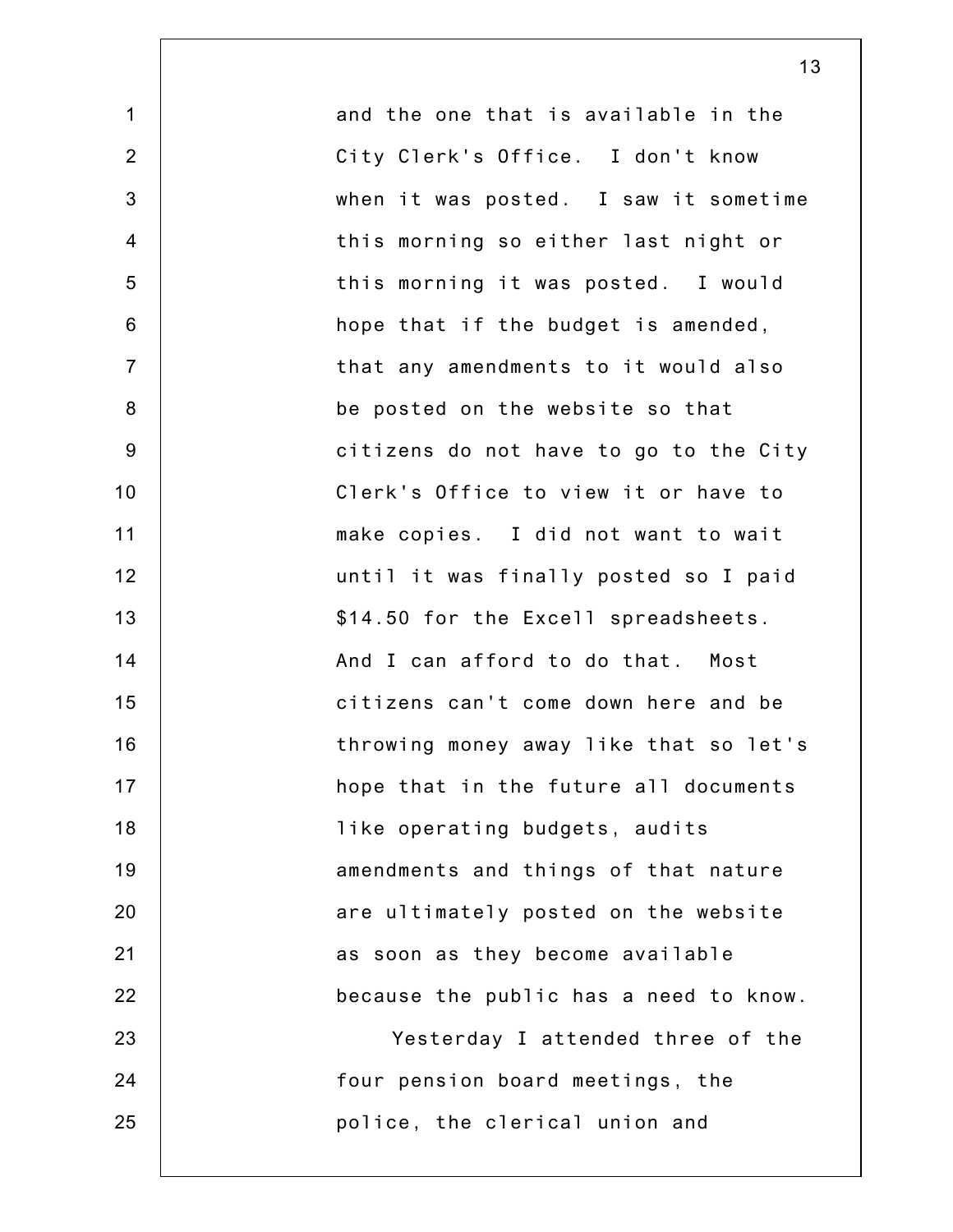1 2 3 4 5 6 7 8 9 10 11 12 13 14 15 16 17 18 19 20 21 22 23 24 25 and the one that is available in the City Clerk's Office. I don't know when it was posted. I saw it sometime this morning so either last night or this morning it was posted. I would hope that if the budget is amended, that any amendments to it would also be posted on the website so that citizens do not have to go to the City Clerk's Office to view it or have to make copies. I did not want to wait until it was finally posted so I paid \$14.50 for the Excell spreadsheets. And I can afford to do that. Most citizens can't come down here and be throwing money away like that so let's hope that in the future all documents like operating budgets, audits amendments and things of that nature are ultimately posted on the website as soon as they become available because the public has a need to know. Yesterday I attended three of the four pension board meetings, the police, the clerical union and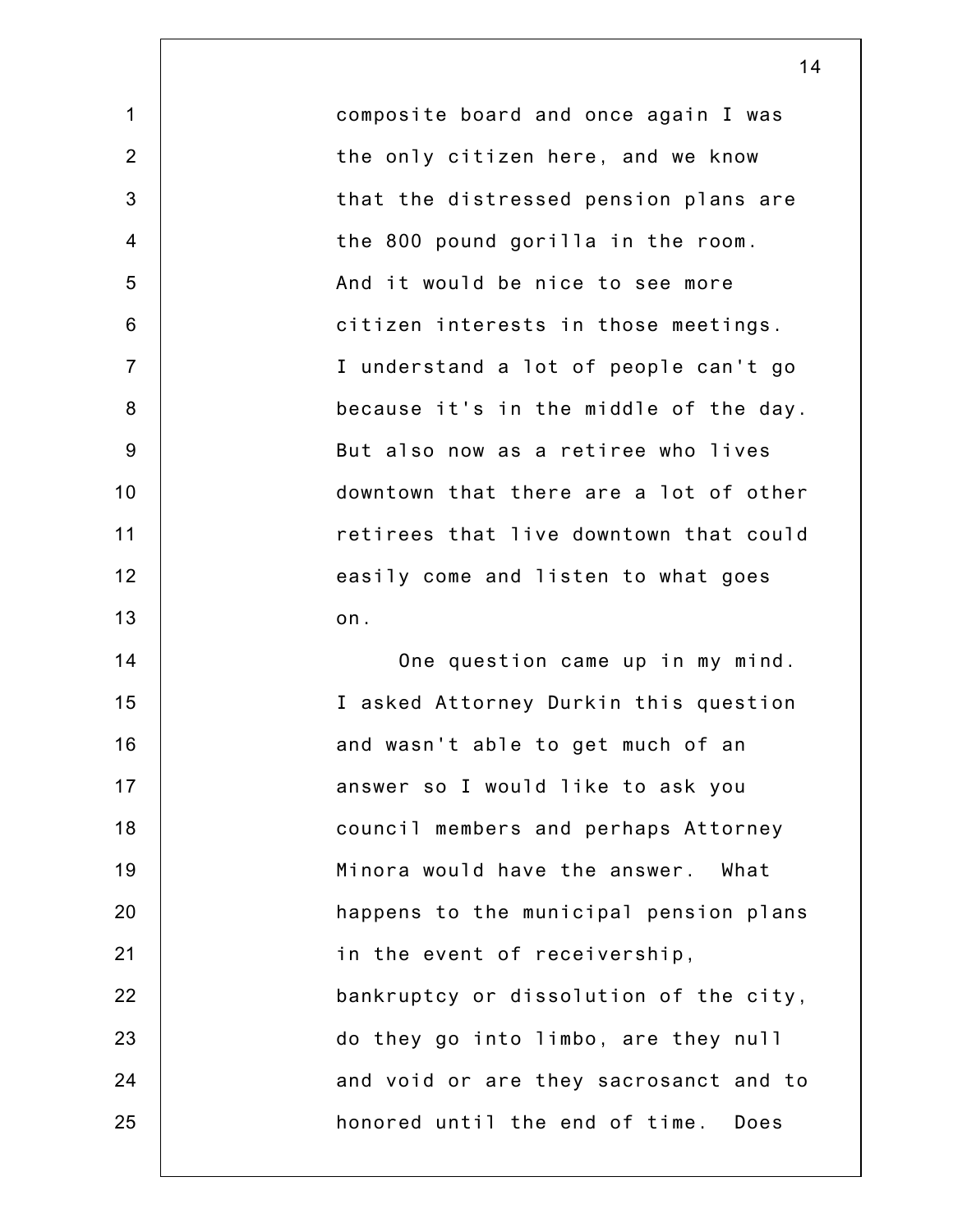1 2 3 4 5 6 7 8 9 10 11 12 13 14 15 16 17 18 19 20 21 22 23 24 25 composite board and once again I was the only citizen here, and we know that the distressed pension plans are the 800 pound gorilla in the room. And it would be nice to see more citizen interests in those meetings. I understand a lot of people can't go because it's in the middle of the day. But also now as a retiree who lives downtown that there are a lot of other retirees that live downtown that could easily come and listen to what goes on. One question came up in my mind. I asked Attorney Durkin this question and wasn't able to get much of an answer so I would like to ask you council members and perhaps Attorney Minora would have the answer. What happens to the municipal pension plans in the event of receivership, bankruptcy or dissolution of the city, do they go into limbo, are they null and void or are they sacrosanct and to honored until the end of time. Does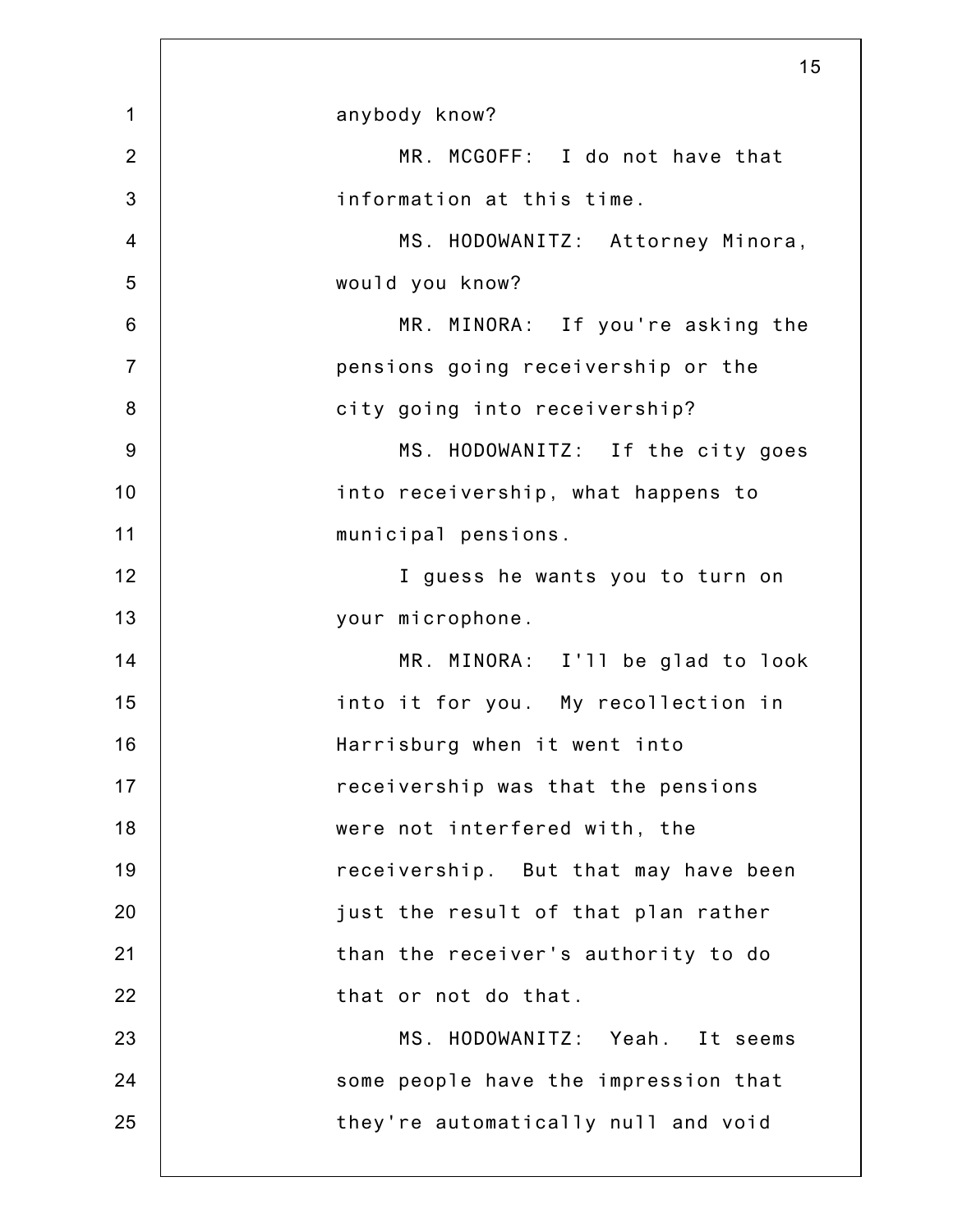|                 | 15                                   |
|-----------------|--------------------------------------|
| $\mathbf 1$     | anybody know?                        |
| $\overline{2}$  | MR. MCGOFF: I do not have that       |
| 3               | information at this time.            |
| $\overline{4}$  | MS. HODOWANITZ: Attorney Minora,     |
| 5               | would you know?                      |
| $6\phantom{1}6$ | MR. MINORA: If you're asking the     |
| $\overline{7}$  | pensions going receivership or the   |
| $\bf 8$         | city going into receivership?        |
| $9$             | MS. HODOWANITZ: If the city goes     |
| 10              | into receivership, what happens to   |
| 11              | municipal pensions.                  |
| 12              | I guess he wants you to turn on      |
| 13              | your microphone.                     |
| 14              | MR. MINORA: I'll be glad to look     |
| 15              | into it for you. My recollection in  |
| 16              | Harrisburg when it went into         |
| 17              | receivership was that the pensions   |
| 18              | were not interfered with, the        |
| 19              | receivership. But that may have been |
| 20              | just the result of that plan rather  |
| 21              | than the receiver's authority to do  |
| 22              | that or not do that.                 |
| 23              | MS. HODOWANITZ: Yeah. It seems       |
| 24              | some people have the impression that |
| 25              | they're automatically null and void  |
|                 |                                      |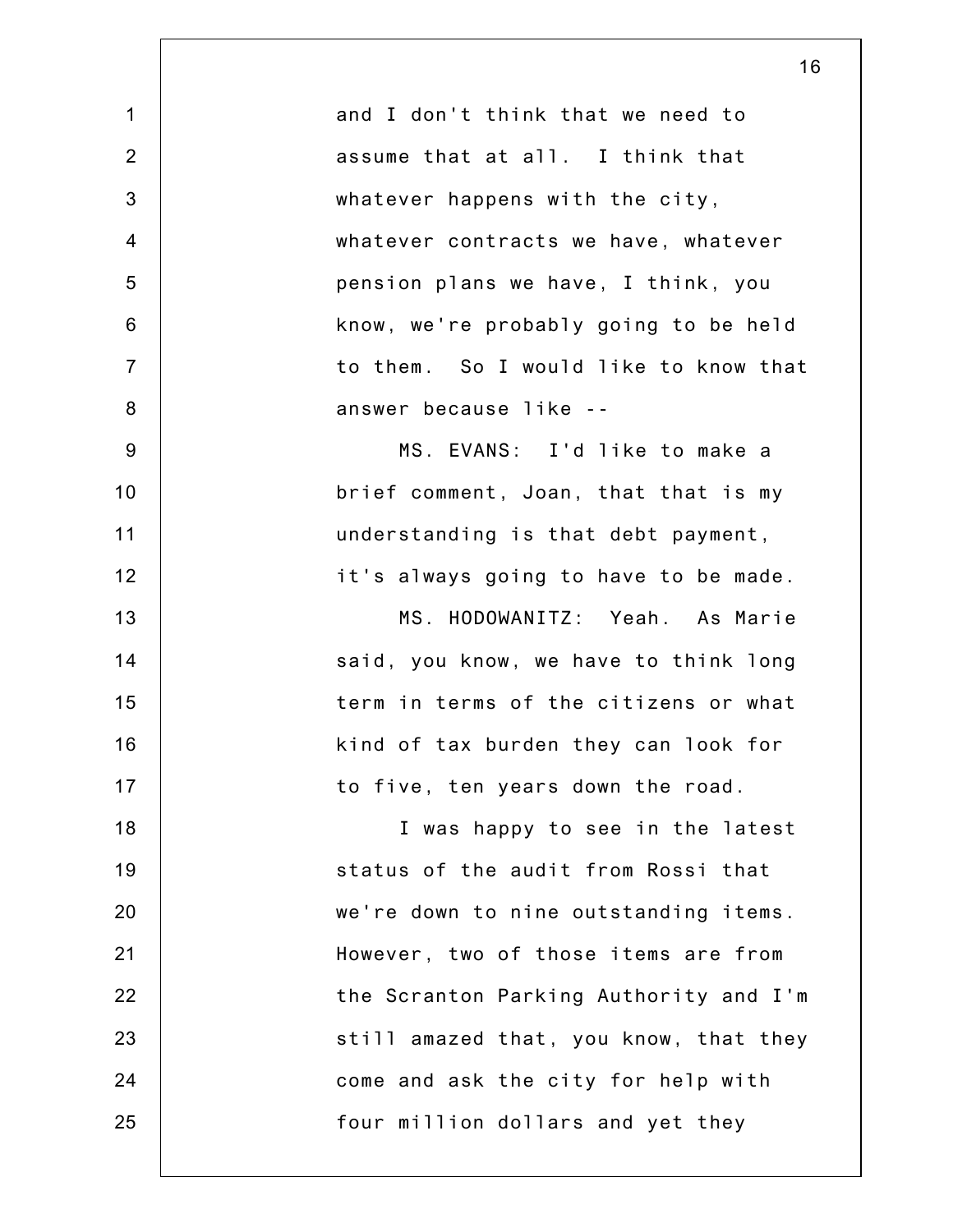| 16                                     |
|----------------------------------------|
| and I don't think that we need to      |
| assume that at all. I think that       |
| whatever happens with the city,        |
| whatever contracts we have, whatever   |
| pension plans we have, I think, you    |
| know, we're probably going to be held  |
| to them. So I would like to know that  |
| answer because like --                 |
| MS. EVANS: I'd like to make a          |
| brief comment, Joan, that that is my   |
| understanding is that debt payment,    |
| it's always going to have to be made.  |
| MS. HODOWANITZ: Yeah. As Marie         |
| said, you know, we have to think long  |
| term in terms of the citizens or what  |
| kind of tax burden they can look for   |
| to five, ten years down the road.      |
| I was happy to see in the latest       |
| status of the audit from Rossi that    |
| we're down to nine outstanding items.  |
| However, two of those items are from   |
| the Scranton Parking Authority and I'm |
| still amazed that, you know, that they |
| come and ask the city for help with    |
| four million dollars and yet they      |
|                                        |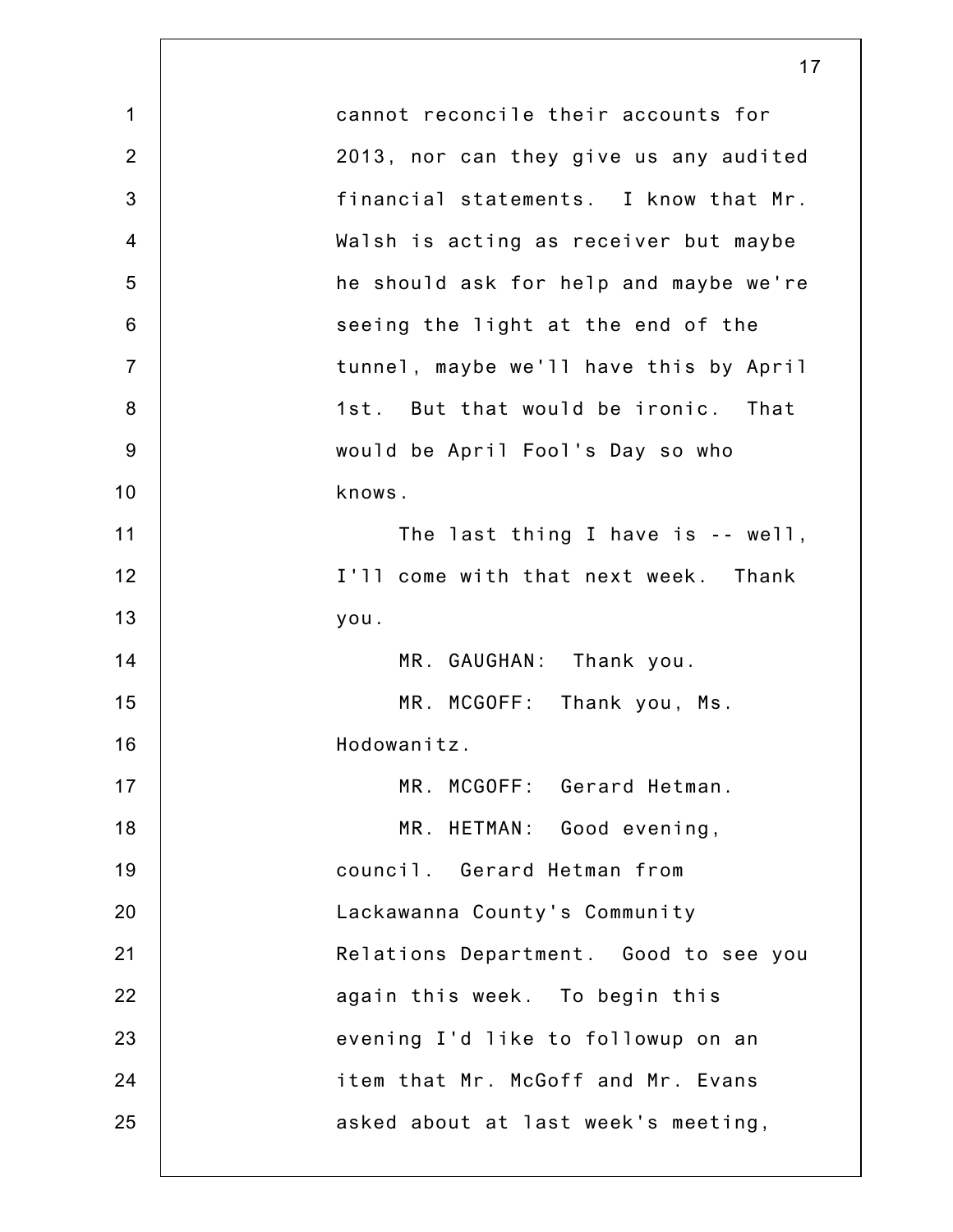|                | 17                                     |
|----------------|----------------------------------------|
| $\mathbf{1}$   | cannot reconcile their accounts for    |
| $\overline{2}$ | 2013, nor can they give us any audited |
| 3              | financial statements. I know that Mr.  |
| $\overline{4}$ | Walsh is acting as receiver but maybe  |
| 5              | he should ask for help and maybe we're |
| $6\phantom{1}$ | seeing the light at the end of the     |
| $\overline{7}$ | tunnel, maybe we'll have this by April |
| 8              | 1st. But that would be ironic. That    |
| 9              | would be April Fool's Day so who       |
| 10             | knows.                                 |
| 11             | The last thing I have is -- well,      |
| 12             | I'll come with that next week. Thank   |
| 13             | you.                                   |
| 14             | MR. GAUGHAN: Thank you.                |
| 15             | MR. MCGOFF: Thank you, Ms.             |
| 16             | Hodowanitz.                            |
| 17             | MR. MCGOFF: Gerard Hetman.             |
| 18             | MR. HETMAN: Good evening,              |
| 19             | council. Gerard Hetman from            |
| 20             | Lackawanna County's Community          |
| 21             | Relations Department. Good to see you  |
| 22             | again this week. To begin this         |
| 23             | evening I'd like to followup on an     |
| 24             | item that Mr. McGoff and Mr. Evans     |
| 25             | asked about at last week's meeting,    |
|                |                                        |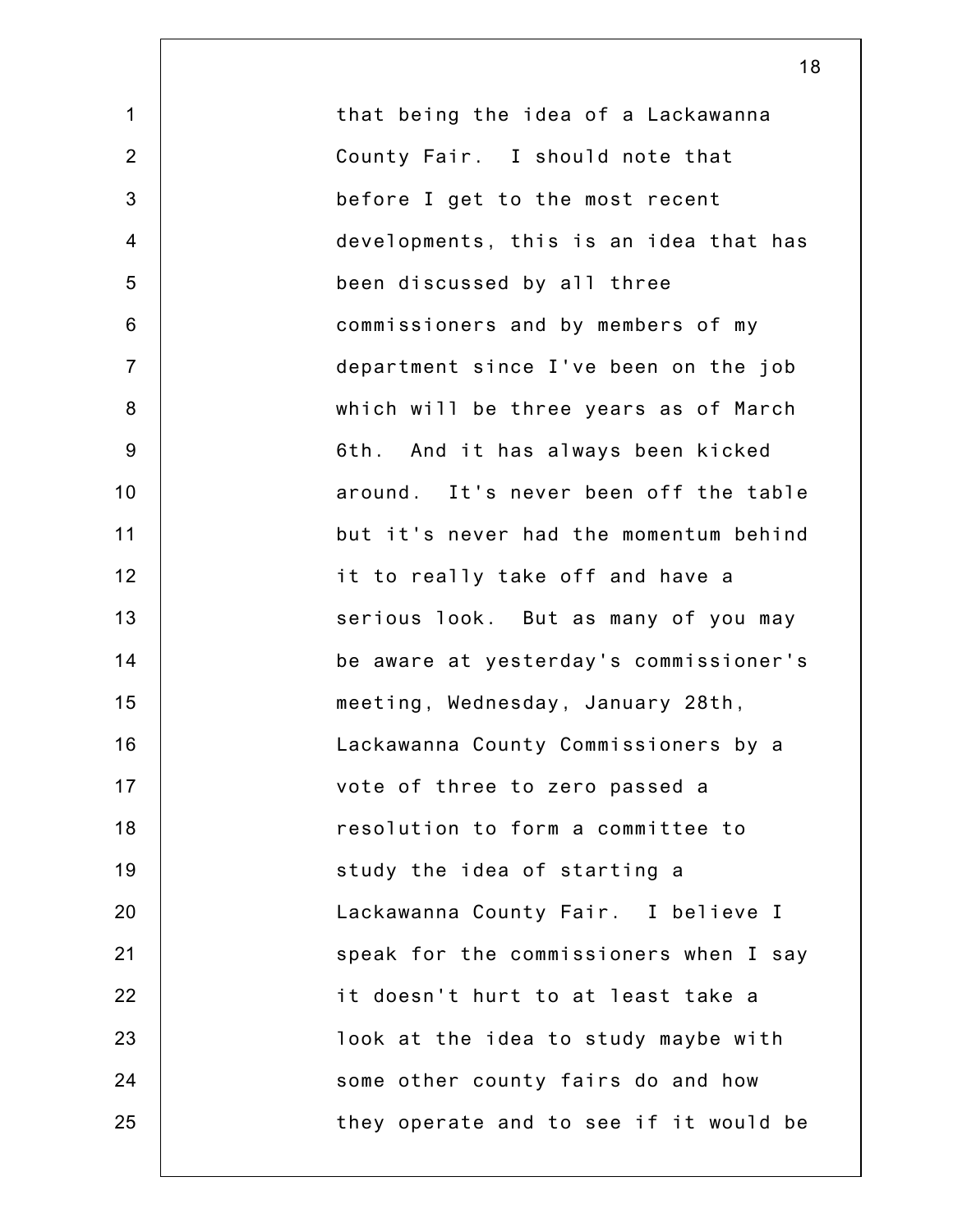1 2 3 4 5 6 7 8 9 10 11 12 13 14 15 16 17 18 19 20 21 22 23 24 25 that being the idea of a Lackawanna County Fair. I should note that before I get to the most recent developments, this is an idea that has been discussed by all three commissioners and by members of my department since I've been on the job which will be three years as of March 6th. And it has always been kicked around. It's never been off the table but it's never had the momentum behind it to really take off and have a serious look. But as many of you may be aware at yesterday's commissioner's meeting, Wednesday, January 28th, Lackawanna County Commissioners by a vote of three to zero passed a resolution to form a committee to study the idea of starting a Lackawanna County Fair. I believe I speak for the commissioners when I say it doesn't hurt to at least take a look at the idea to study maybe with some other county fairs do and how they operate and to see if it would be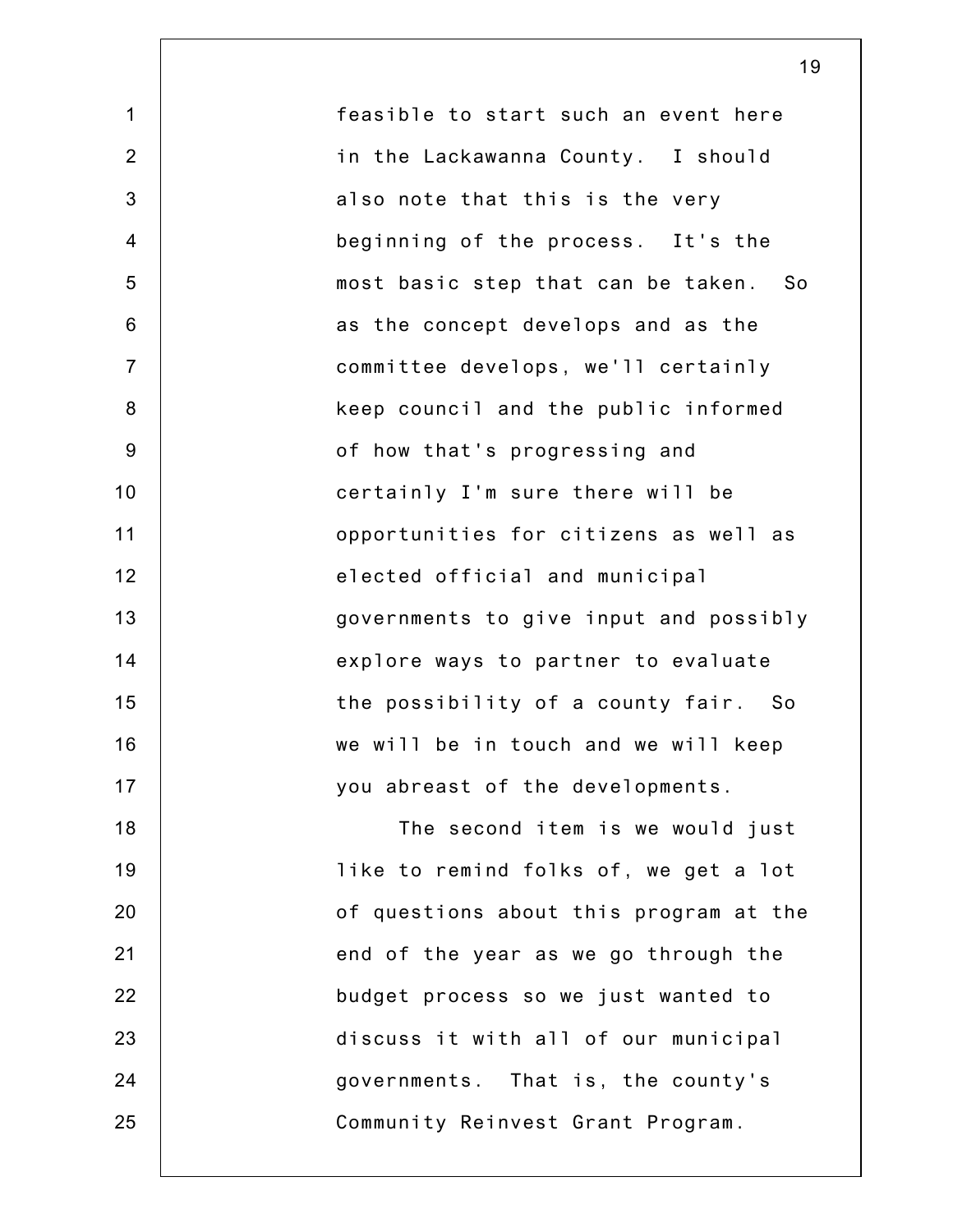1 2 3 4 5 6 7 8 9 10 11 12 13 14 15 16 17 18 19 20 21 22 23 24 25 feasible to start such an event here in the Lackawanna County. I should also note that this is the very beginning of the process. It's the most basic step that can be taken. So as the concept develops and as the committee develops, we'll certainly keep council and the public informed of how that's progressing and certainly I'm sure there will be opportunities for citizens as well as elected official and municipal governments to give input and possibly explore ways to partner to evaluate the possibility of a county fair. So we will be in touch and we will keep you abreast of the developments. The second item is we would just like to remind folks of, we get a lot of questions about this program at the end of the year as we go through the budget process so we just wanted to discuss it with all of our municipal governments. That is, the county's Community Reinvest Grant Program.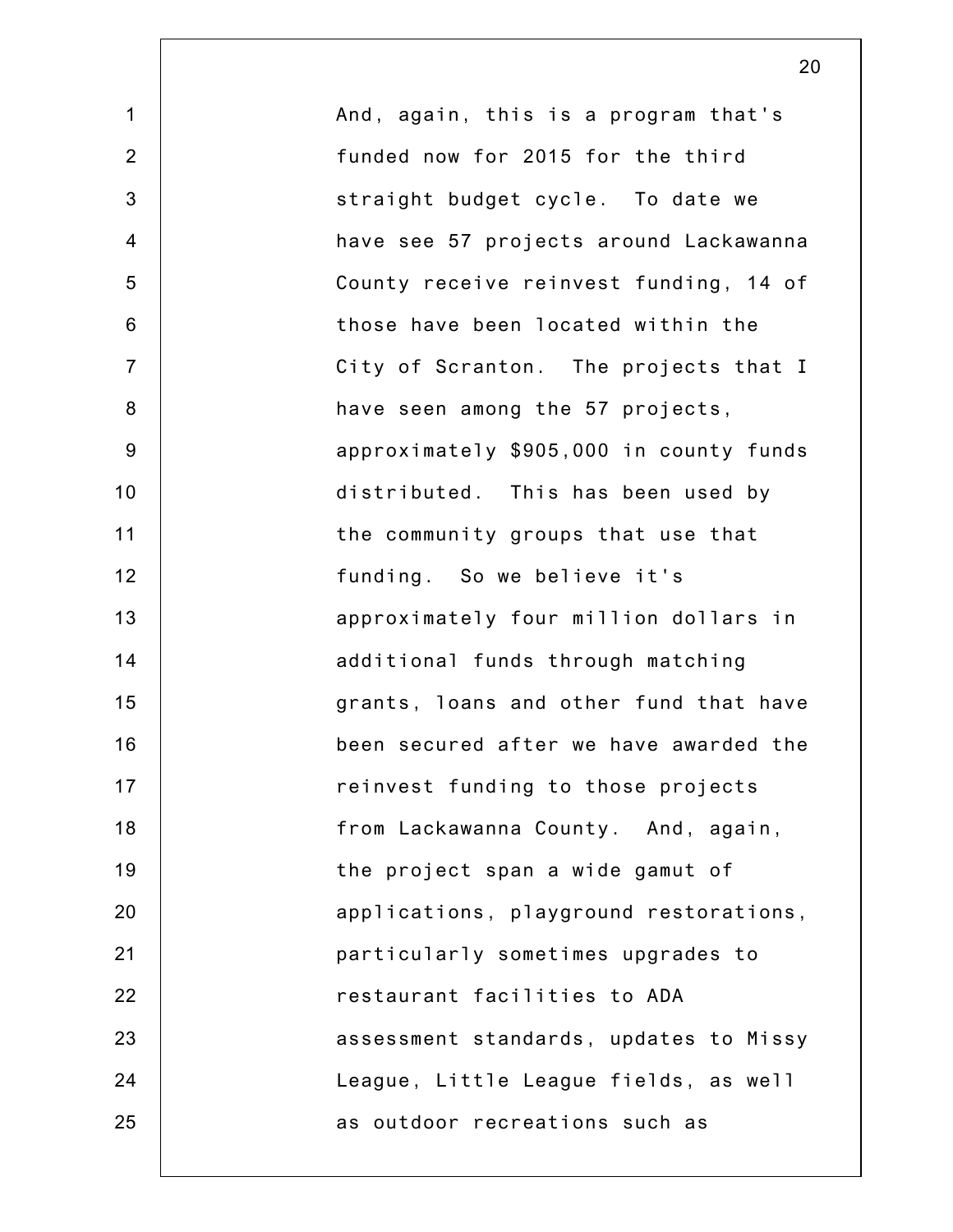| $\mathbf 1$      | And, again, this is a program that's    |
|------------------|-----------------------------------------|
| $\overline{2}$   | funded now for 2015 for the third       |
| 3                | straight budget cycle. To date we       |
| $\overline{4}$   | have see 57 projects around Lackawanna  |
| 5                | County receive reinvest funding, 14 of  |
| $6\phantom{1}$   | those have been located within the      |
| $\overline{7}$   | City of Scranton. The projects that I   |
| 8                | have seen among the 57 projects,        |
| $\boldsymbol{9}$ | approximately \$905,000 in county funds |
| 10               | distributed. This has been used by      |
| 11               | the community groups that use that      |
| 12               | funding. So we believe it's             |
| 13               | approximately four million dollars in   |
| 14               | additional funds through matching       |
| 15               | grants, loans and other fund that have  |
| 16               | been secured after we have awarded the  |
| 17               | reinvest funding to those projects      |
| 18               | from Lackawanna County. And, again,     |
| 19               | the project span a wide gamut of        |
| 20               | applications, playground restorations,  |
| 21               | particularly sometimes upgrades to      |
| 22               | restaurant facilities to ADA            |
| 23               | assessment standards, updates to Missy  |
| 24               | League, Little League fields, as well   |
| 25               | as outdoor recreations such as          |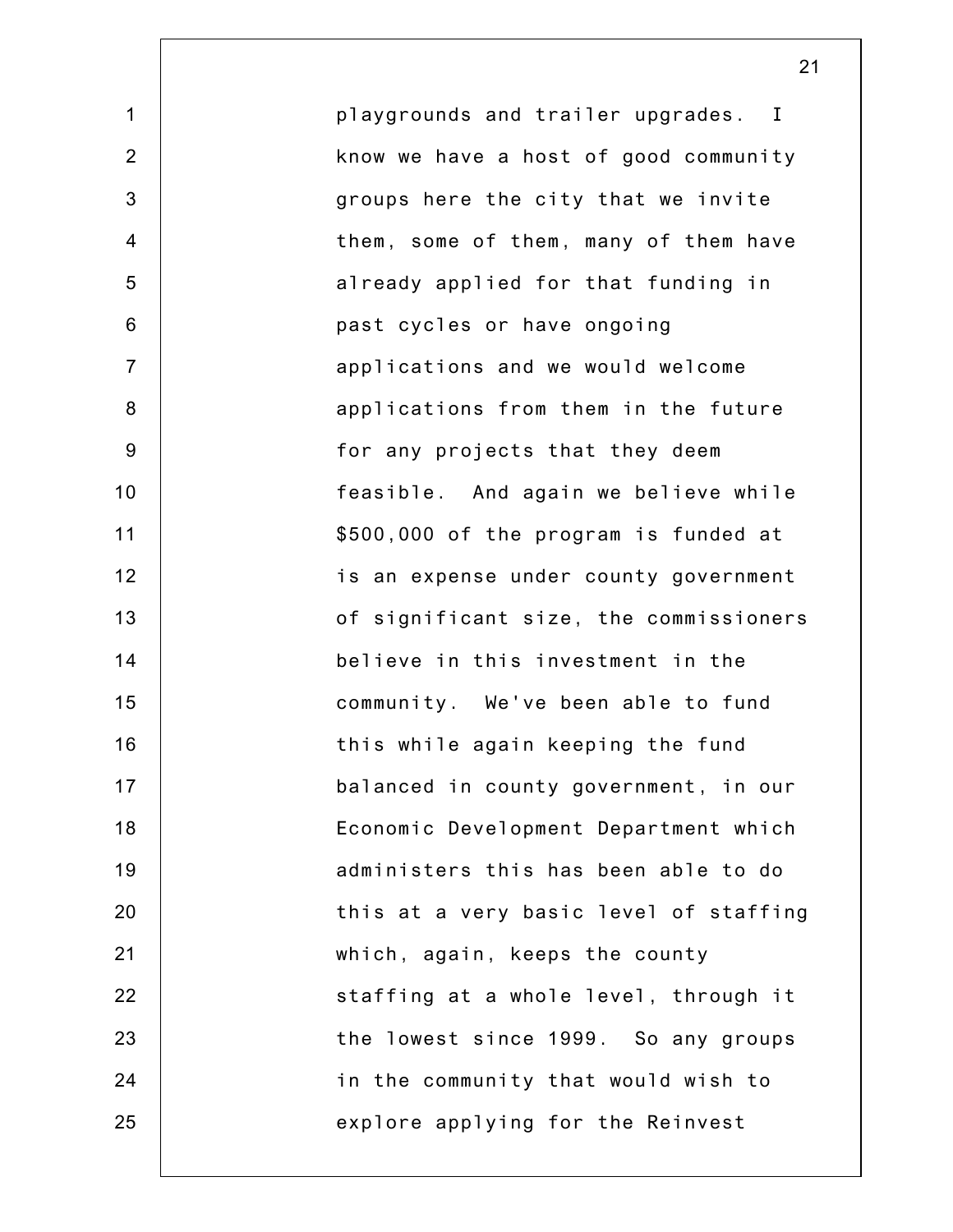1 2 3 4 5 6 7 8 9 10 11 12 13 14 15 16 17 18 19 20 21 22 23 24 25 playgrounds and trailer upgrades. I know we have a host of good community groups here the city that we invite them, some of them, many of them have already applied for that funding in past cycles or have ongoing applications and we would welcome applications from them in the future for any projects that they deem feasible. And again we believe while \$500,000 of the program is funded at is an expense under county government of significant size, the commissioners believe in this investment in the community. We've been able to fund this while again keeping the fund balanced in county government, in our Economic Development Department which administers this has been able to do this at a very basic level of staffing which, again, keeps the county staffing at a whole level, through it the lowest since 1999. So any groups in the community that would wish to explore applying for the Reinvest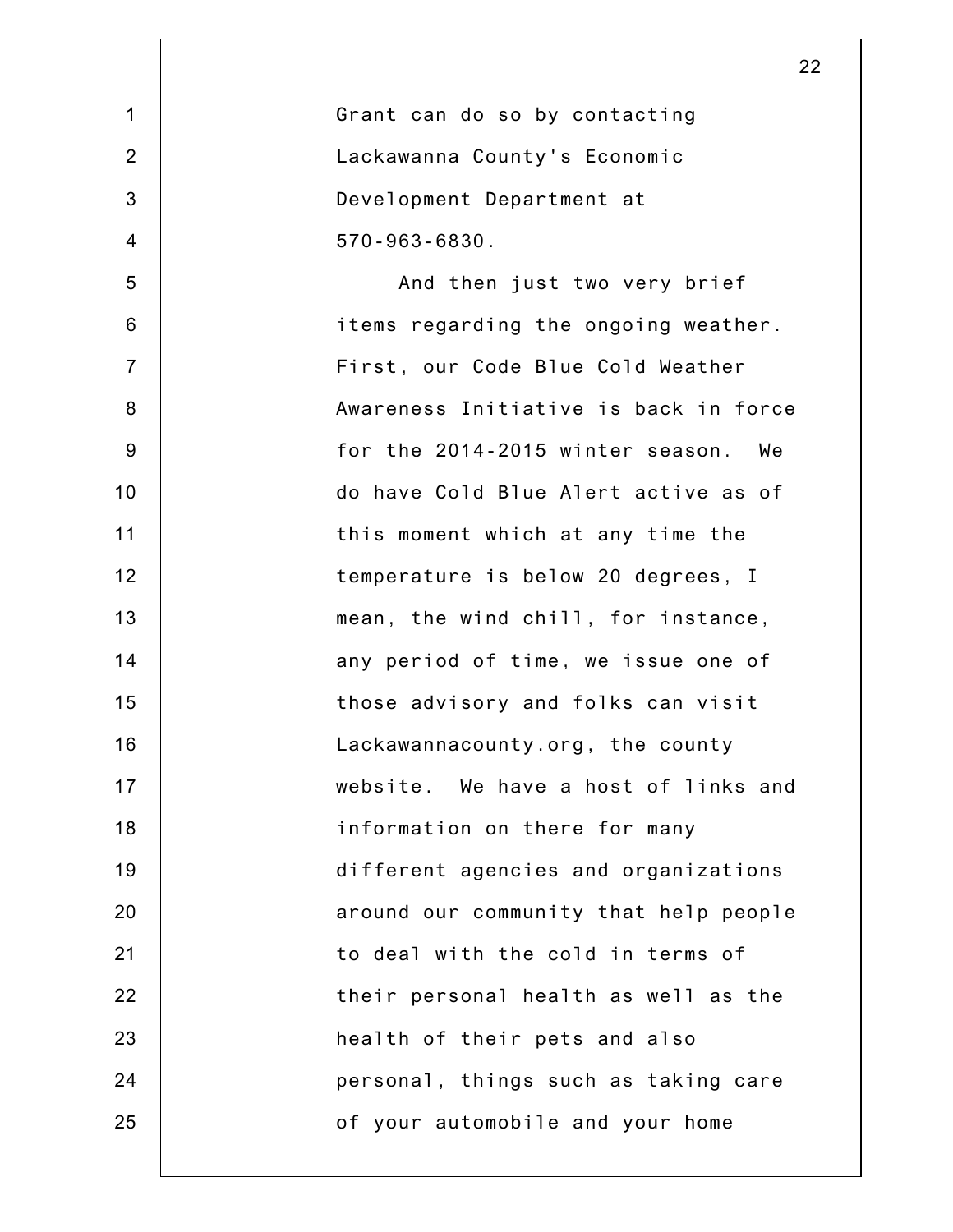| Grant can do so by contacting         |
|---------------------------------------|
| Lackawanna County's Economic          |
| Development Department at             |
| $570 - 963 - 6830$ .                  |
| And then just two very brief          |
| items regarding the ongoing weather.  |
| First, our Code Blue Cold Weather     |
| Awareness Initiative is back in force |
| for the 2014-2015 winter season. We   |
| do have Cold Blue Alert active as of  |
| this moment which at any time the     |
| temperature is below 20 degrees, I    |
| mean, the wind chill, for instance,   |
| any period of time, we issue one of   |
| those advisory and folks can visit    |
| Lackawannacounty.org, the county      |
| website. We have a host of links and  |
| information on there for many         |
| different agencies and organizations  |
| around our community that help people |
| to deal with the cold in terms of     |
| their personal health as well as the  |
| health of their pets and also         |
| personal, things such as taking care  |
| of your automobile and your home      |
|                                       |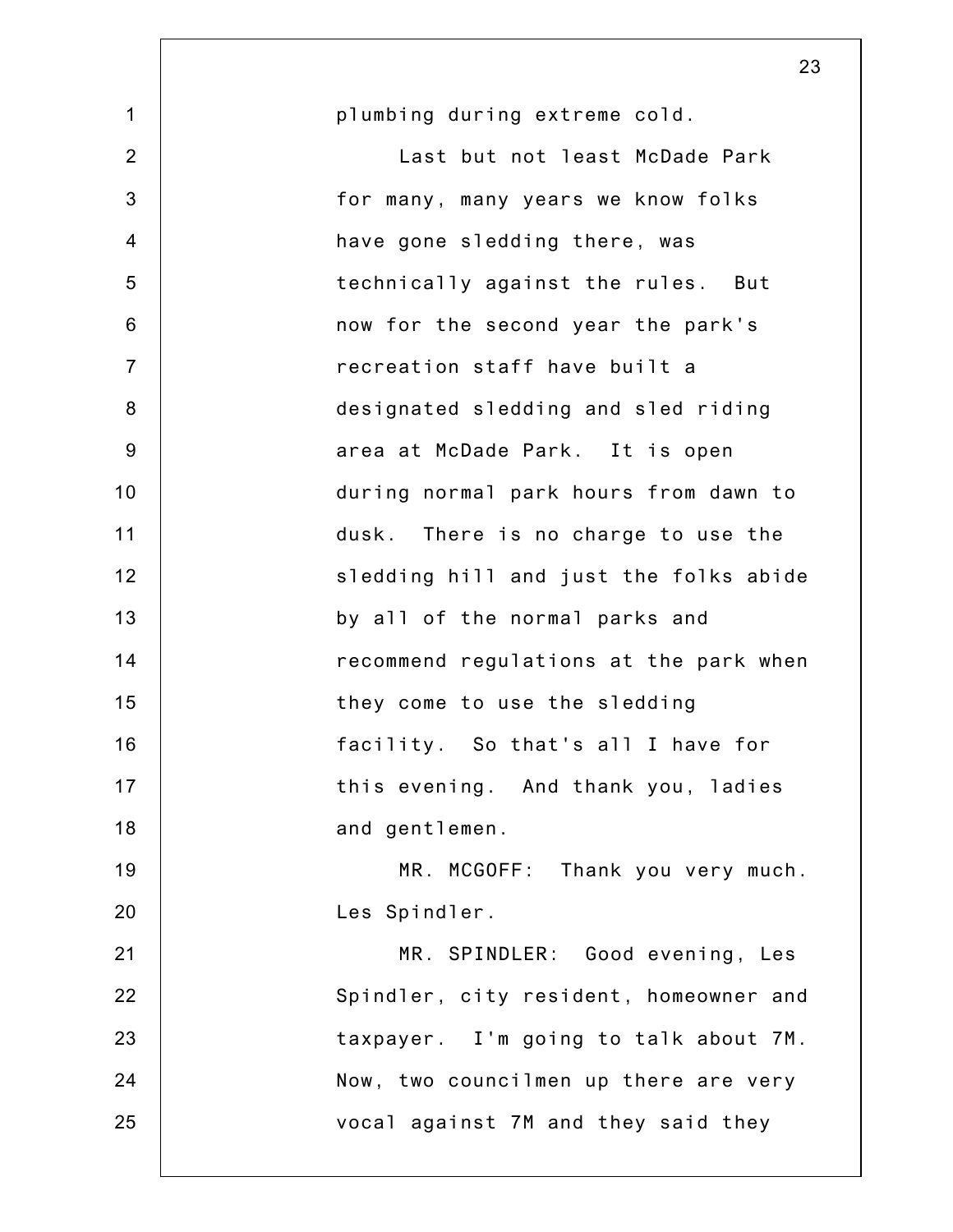|                | 23                                     |
|----------------|----------------------------------------|
| $\mathbf 1$    | plumbing during extreme cold.          |
| $\overline{2}$ | Last but not least McDade Park         |
| 3              | for many, many years we know folks     |
| $\overline{4}$ | have gone sledding there, was          |
| 5              | technically against the rules. But     |
| $6\,$          | now for the second year the park's     |
| $\overline{7}$ | recreation staff have built a          |
| 8              | designated sledding and sled riding    |
| 9              | area at McDade Park. It is open        |
| 10             | during normal park hours from dawn to  |
| 11             | dusk. There is no charge to use the    |
| 12             | sledding hill and just the folks abide |
| 13             | by all of the normal parks and         |
| 14             | recommend regulations at the park when |
| 15             | they come to use the sledding          |
| 16             | facility. So that's all I have for     |
| 17             | this evening. And thank you, ladies    |
| 18             | and gentlemen.                         |
| 19             | MR. MCGOFF: Thank you very much.       |
| 20             | Les Spindler.                          |
| 21             | MR. SPINDLER: Good evening, Les        |
| 22             | Spindler, city resident, homeowner and |
| 23             | taxpayer. I'm going to talk about 7M.  |
| 24             | Now, two councilmen up there are very  |
| 25             | vocal against 7M and they said they    |
|                |                                        |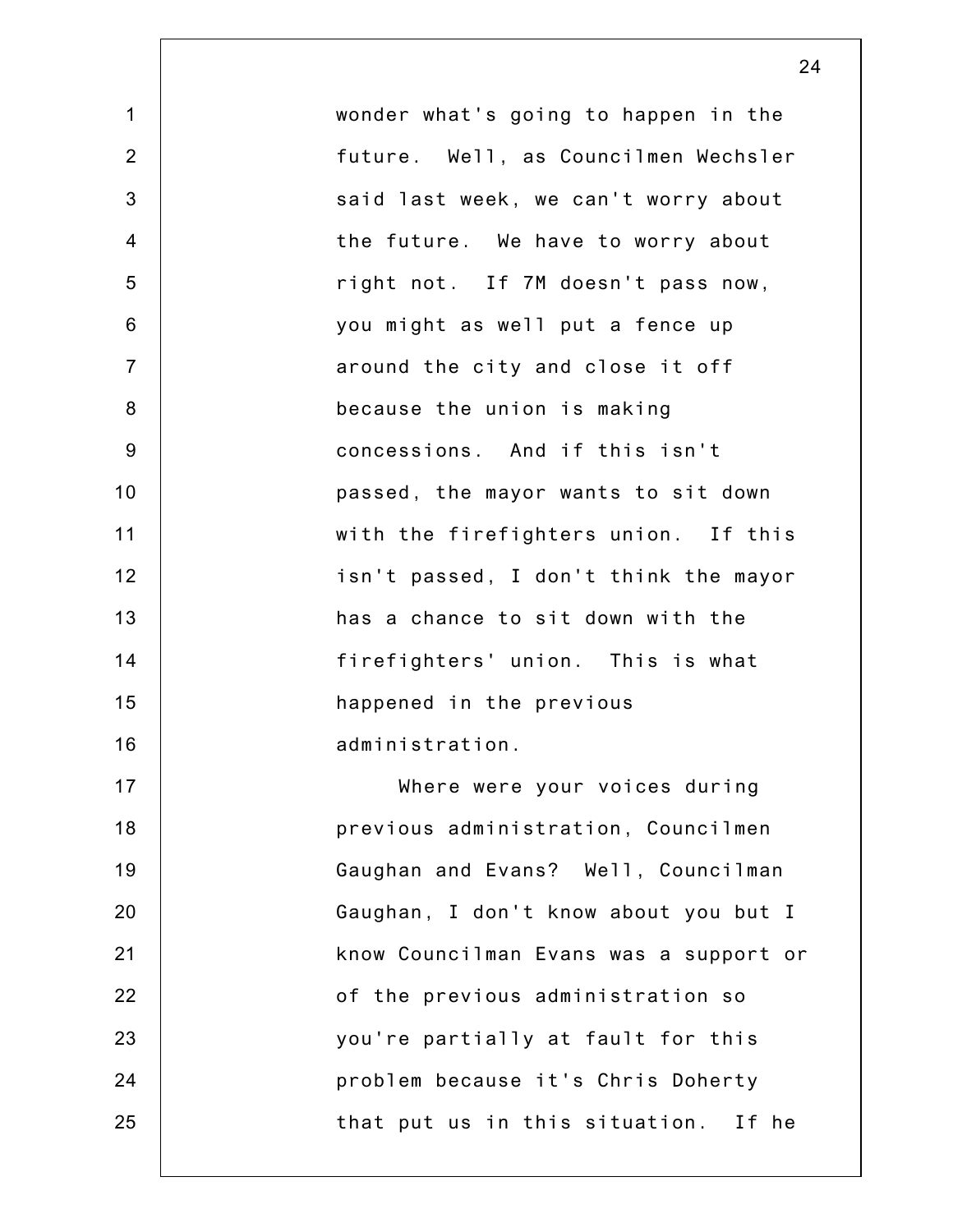1 2 3 4 5 6 7 8 9 10 11 12 13 14 15 16 17 18 19 20 21 22 23 24 25 wonder what's going to happen in the future. Well, as Councilmen Wechsler said last week, we can't worry about the future. We have to worry about right not. If 7M doesn't pass now, you might as well put a fence up around the city and close it off because the union is making concessions. And if this isn't passed, the mayor wants to sit down with the firefighters union. If this isn't passed, I don't think the mayor has a chance to sit down with the firefighters' union. This is what happened in the previous administration. Where were your voices during previous administration, Councilmen Gaughan and Evans? Well, Councilman Gaughan, I don't know about you but I know Councilman Evans was a support or of the previous administration so you're partially at fault for this problem because it's Chris Doherty that put us in this situation. If he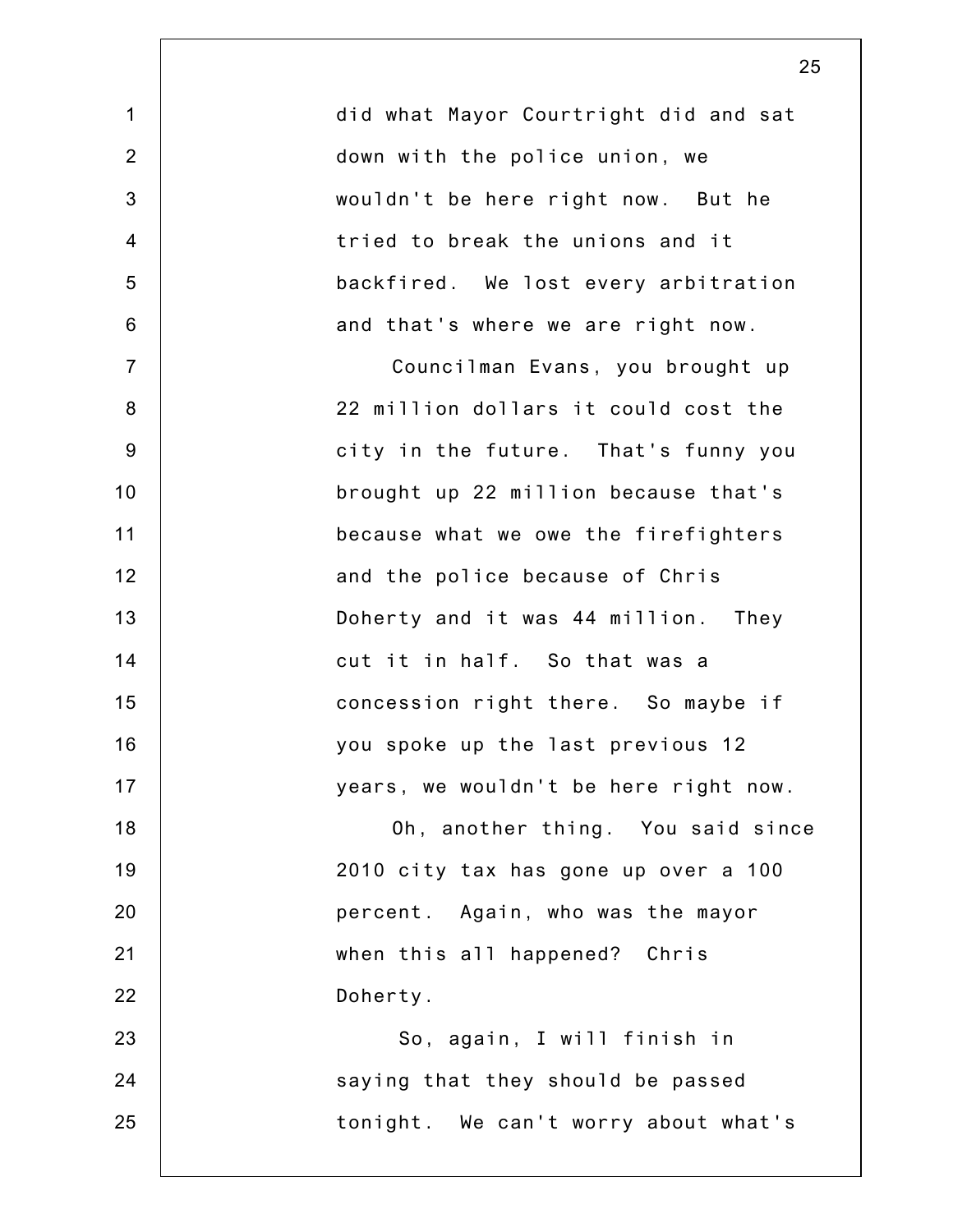| $\mathbf 1$    | did what Mayor Courtright did and sat |
|----------------|---------------------------------------|
| $\overline{2}$ | down with the police union, we        |
| $\mathbf{3}$   | wouldn't be here right now. But he    |
| 4              | tried to break the unions and it      |
| $\sqrt{5}$     | backfired. We lost every arbitration  |
| $\,6$          | and that's where we are right now.    |
| $\overline{7}$ | Councilman Evans, you brought up      |
| $\bf 8$        | 22 million dollars it could cost the  |
| $9\,$          | city in the future. That's funny you  |
| 10             | brought up 22 million because that's  |
| 11             | because what we owe the firefighters  |
| 12             | and the police because of Chris       |
| 13             | Doherty and it was 44 million. They   |
| 14             | cut it in half. So that was a         |
| 15             | concession right there. So maybe if   |
| 16             | you spoke up the last previous 12     |
| 17             | years, we wouldn't be here right now. |
| 18             | Oh, another thing. You said since     |
| 19             | 2010 city tax has gone up over a 100  |
| 20             | percent. Again, who was the mayor     |
| 21             | when this all happened? Chris         |
| 22             | Doherty.                              |
| 23             | So, again, I will finish in           |
| 24             | saying that they should be passed     |
| 25             | tonight. We can't worry about what's  |
|                |                                       |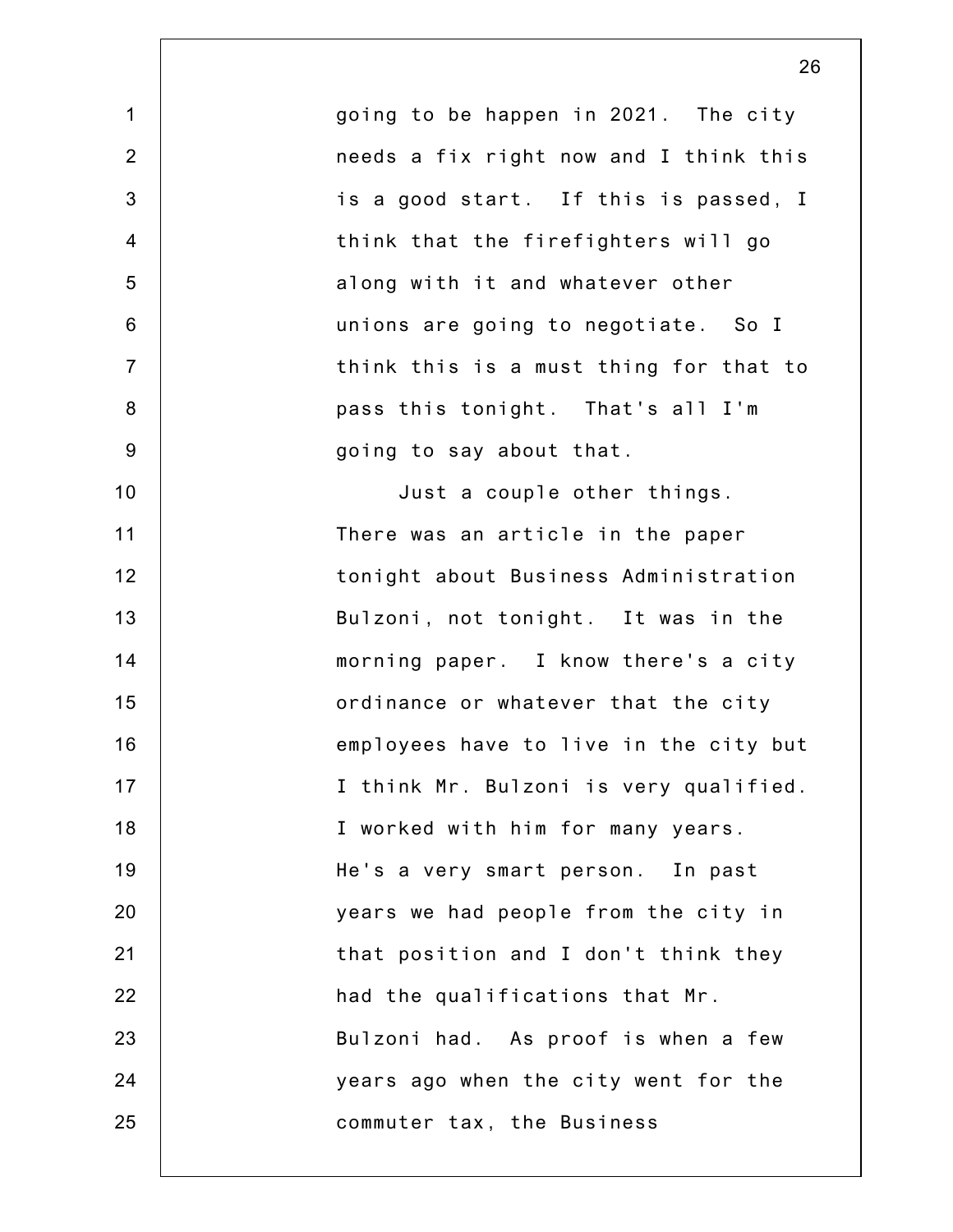1 2 3 4 5 6 7 8 9 10 11 12 13 14 15 16 17 18 19 20 21 22 23 24 25 going to be happen in 2021. The city needs a fix right now and I think this is a good start. If this is passed, I think that the firefighters will go along with it and whatever other unions are going to negotiate. So I think this is a must thing for that to pass this tonight. That's all I'm going to say about that. Just a couple other things. There was an article in the paper tonight about Business Administration Bulzoni, not tonight. It was in the morning paper. I know there's a city ordinance or whatever that the city employees have to live in the city but I think Mr. Bulzoni is very qualified. I worked with him for many years. He's a very smart person. In past years we had people from the city in that position and I don't think they had the qualifications that Mr. Bulzoni had. As proof is when a few years ago when the city went for the commuter tax, the Business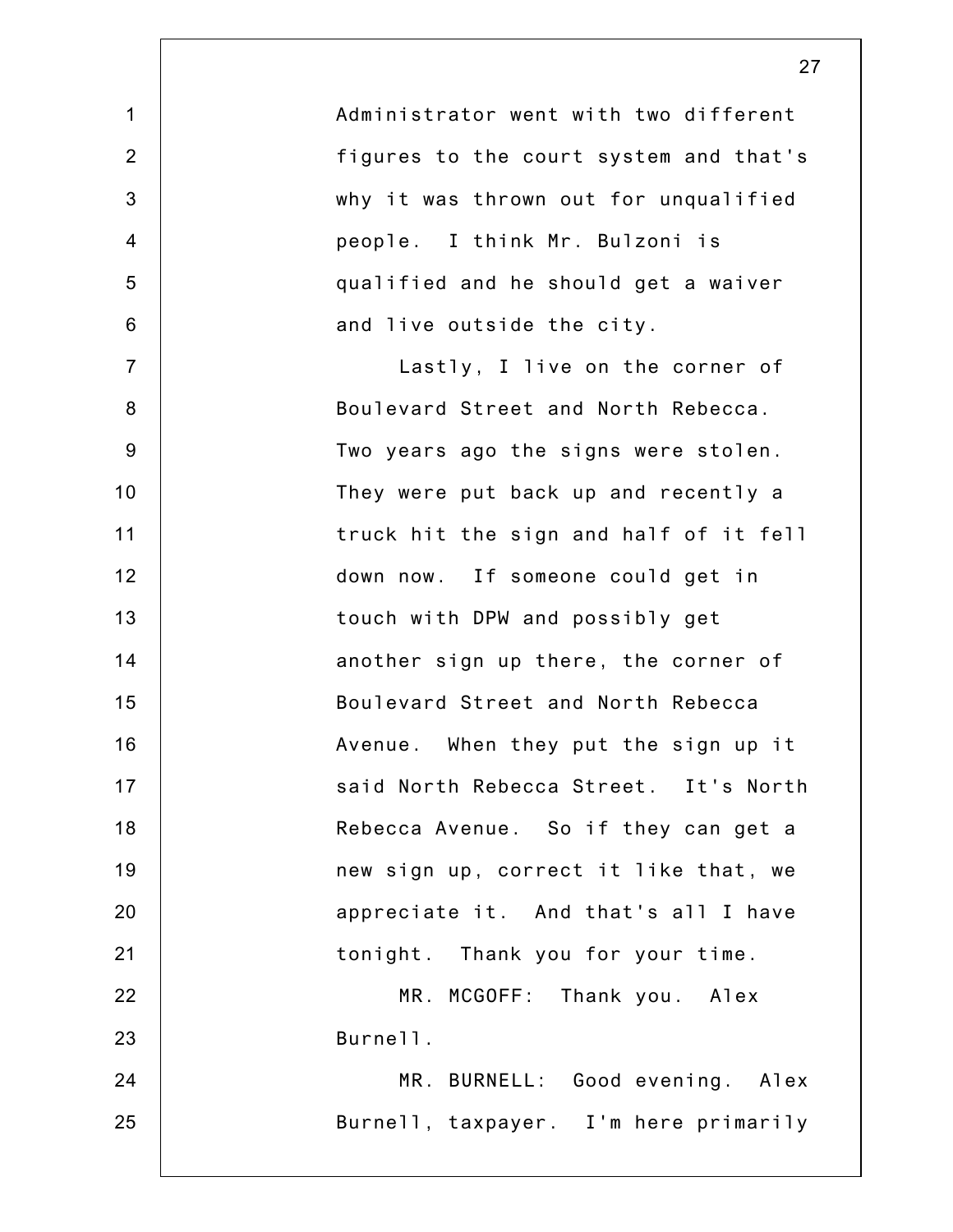| Administrator went with two different  |
|----------------------------------------|
| figures to the court system and that's |
| why it was thrown out for unqualified  |
| people. I think Mr. Bulzoni is         |
| qualified and he should get a waiver   |
| and live outside the city.             |
| Lastly, I live on the corner of        |
| Boulevard Street and North Rebecca.    |
| Two years ago the signs were stolen.   |
| They were put back up and recently a   |
| truck hit the sign and half of it fell |
| down now. If someone could get in      |
| touch with DPW and possibly get        |
| another sign up there, the corner of   |
| Boulevard Street and North Rebecca     |
| Avenue. When they put the sign up it   |
| said North Rebecca Street. It's North  |
| Rebecca Avenue. So if they can get a   |
| new sign up, correct it like that, we  |
| appreciate it. And that's all I have   |
| tonight. Thank you for your time.      |
| MR. MCGOFF: Thank you. Alex            |
| Burnell.                               |
| BURNELL: Good evening. Alex<br>MR.     |
| Burnell, taxpayer. I'm here primarily  |
|                                        |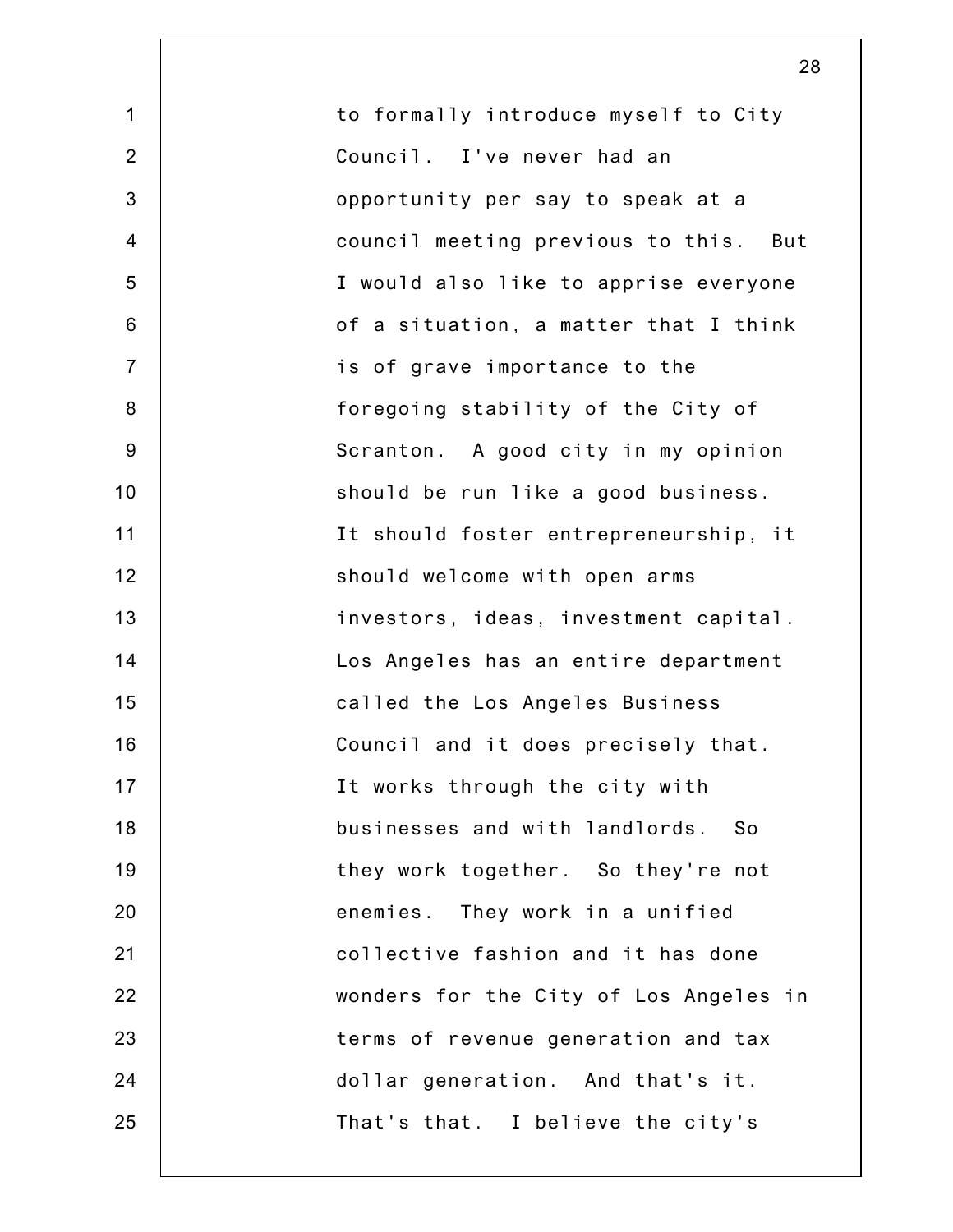1 2 3 4 5 6 7 8 9 10 11 12 13 14 15 16 17 18 19 20 21 22 23 24 25 to formally introduce myself to City Council. I've never had an opportunity per say to speak at a council meeting previous to this. But I would also like to apprise everyone of a situation, a matter that I think is of grave importance to the foregoing stability of the City of Scranton. A good city in my opinion should be run like a good business. It should foster entrepreneurship, it should welcome with open arms investors, ideas, investment capital. Los Angeles has an entire department called the Los Angeles Business Council and it does precisely that. It works through the city with businesses and with landlords. So they work together. So they're not enemies. They work in a unified collective fashion and it has done wonders for the City of Los Angeles in terms of revenue generation and tax dollar generation. And that's it. That's that. I believe the city's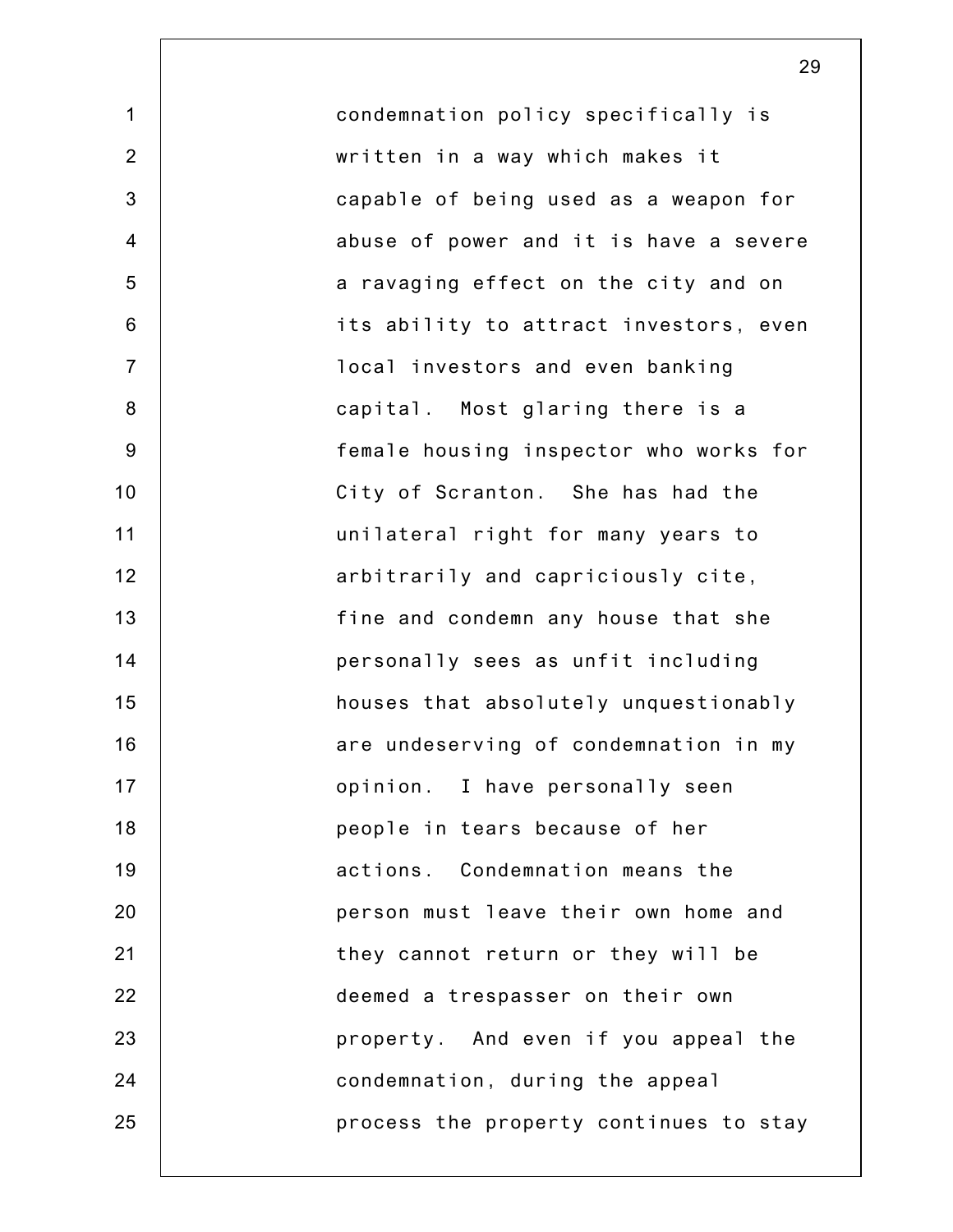1 2 3 4 5 6 7 8 9 10 11 12 13 14 15 16 17 18 19 20 21 22 23 24 25 condemnation policy specifically is written in a way which makes it capable of being used as a weapon for abuse of power and it is have a severe a ravaging effect on the city and on its ability to attract investors, even local investors and even banking capital. Most glaring there is a female housing inspector who works for City of Scranton. She has had the unilateral right for many years to arbitrarily and capriciously cite, fine and condemn any house that she personally sees as unfit including houses that absolutely unquestionably are undeserving of condemnation in my opinion. I have personally seen people in tears because of her actions. Condemnation means the person must leave their own home and they cannot return or they will be deemed a trespasser on their own property. And even if you appeal the condemnation, during the appeal process the property continues to stay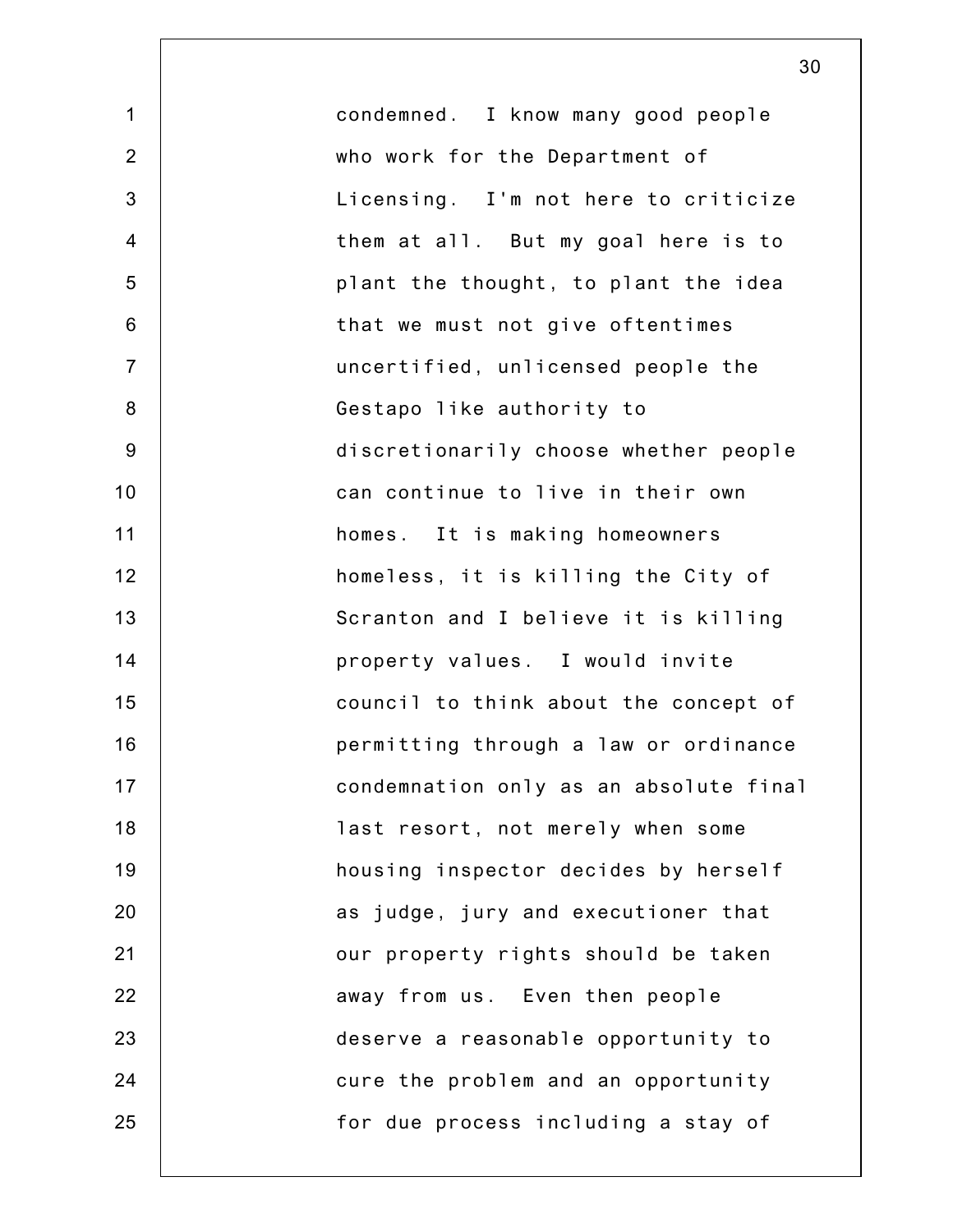1 2 3 4 5 6 7 8 9 10 11 12 13 14 15 16 17 18 19 20 21 22 23 24 25 condemned. I know many good people who work for the Department of Licensing. I'm not here to criticize them at all. But my goal here is to plant the thought, to plant the idea that we must not give oftentimes uncertified, unlicensed people the Gestapo like authority to discretionarily choose whether people can continue to live in their own homes. It is making homeowners homeless, it is killing the City of Scranton and I believe it is killing property values. I would invite council to think about the concept of permitting through a law or ordinance condemnation only as an absolute final last resort, not merely when some housing inspector decides by herself as judge, jury and executioner that our property rights should be taken away from us. Even then people deserve a reasonable opportunity to cure the problem and an opportunity for due process including a stay of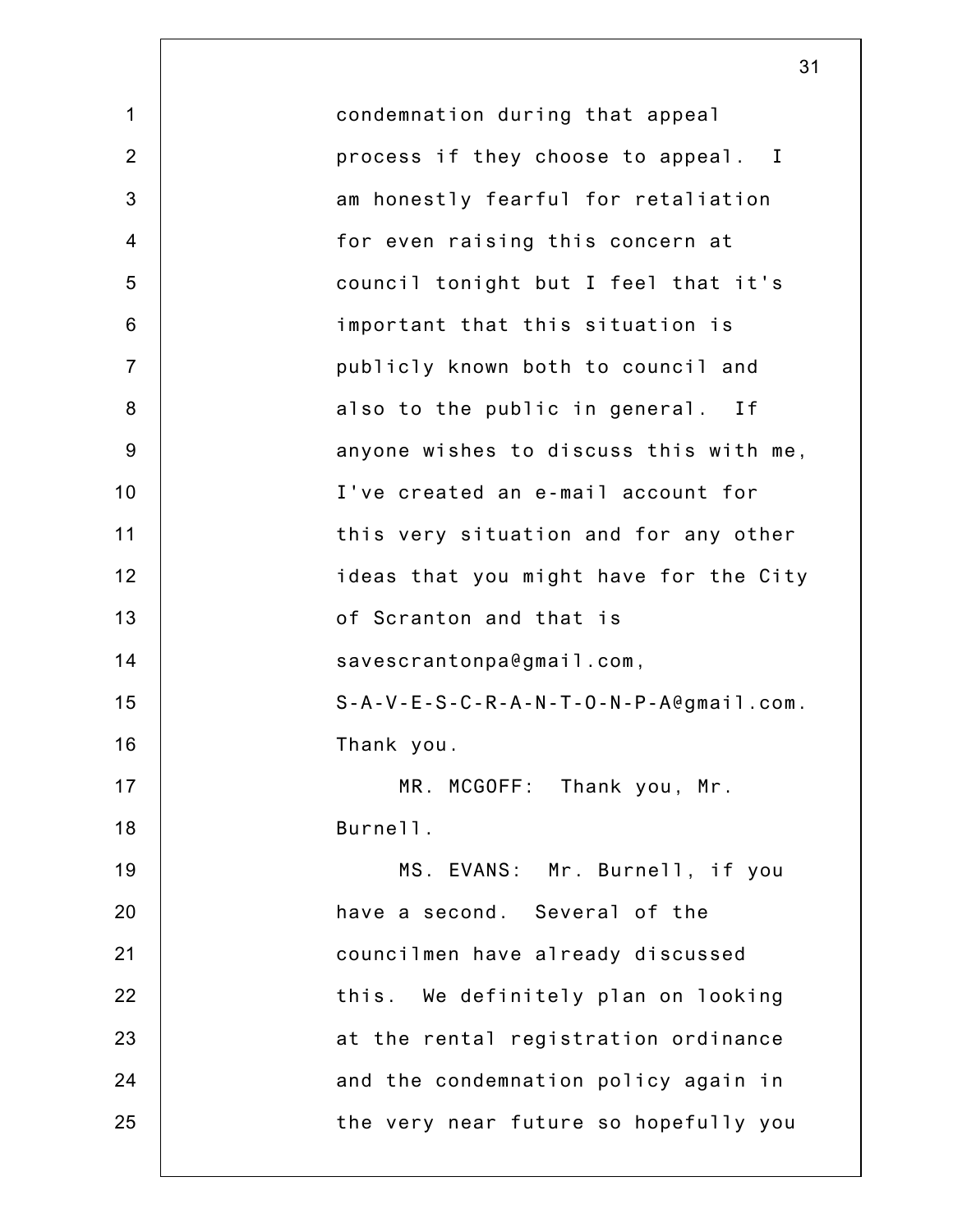|                | 31                                                                  |
|----------------|---------------------------------------------------------------------|
| $\mathbf 1$    | condemnation during that appeal                                     |
| 2              | process if they choose to appeal. I                                 |
| 3              | am honestly fearful for retaliation                                 |
| $\overline{4}$ | for even raising this concern at                                    |
| 5              | council tonight but I feel that it's                                |
| 6              | important that this situation is                                    |
| $\overline{7}$ | publicly known both to council and                                  |
| 8              | also to the public in general. If                                   |
| $9\,$          | anyone wishes to discuss this with me,                              |
| 10             | I've created an e-mail account for                                  |
| 11             | this very situation and for any other                               |
| 12             | ideas that you might have for the City                              |
| 13             | of Scranton and that is                                             |
| 14             | savescrantonpa@gmail.com,                                           |
| 15             | $S - A - V - E - S - C - R - A - N - T - O - N - P - A$ egmail.com. |
| 16             | Thank you.                                                          |
| 17             | MR. MCGOFF: Thank you, Mr.                                          |
| 18             | Burnell.                                                            |
| 19             | MS. EVANS: Mr. Burnell, if you                                      |
| 20             | have a second. Several of the                                       |
| 21             | councilmen have already discussed                                   |
| 22             | this. We definitely plan on looking                                 |
| 23             | at the rental registration ordinance                                |
| 24             | and the condemnation policy again in                                |
| 25             | the very near future so hopefully you                               |
|                |                                                                     |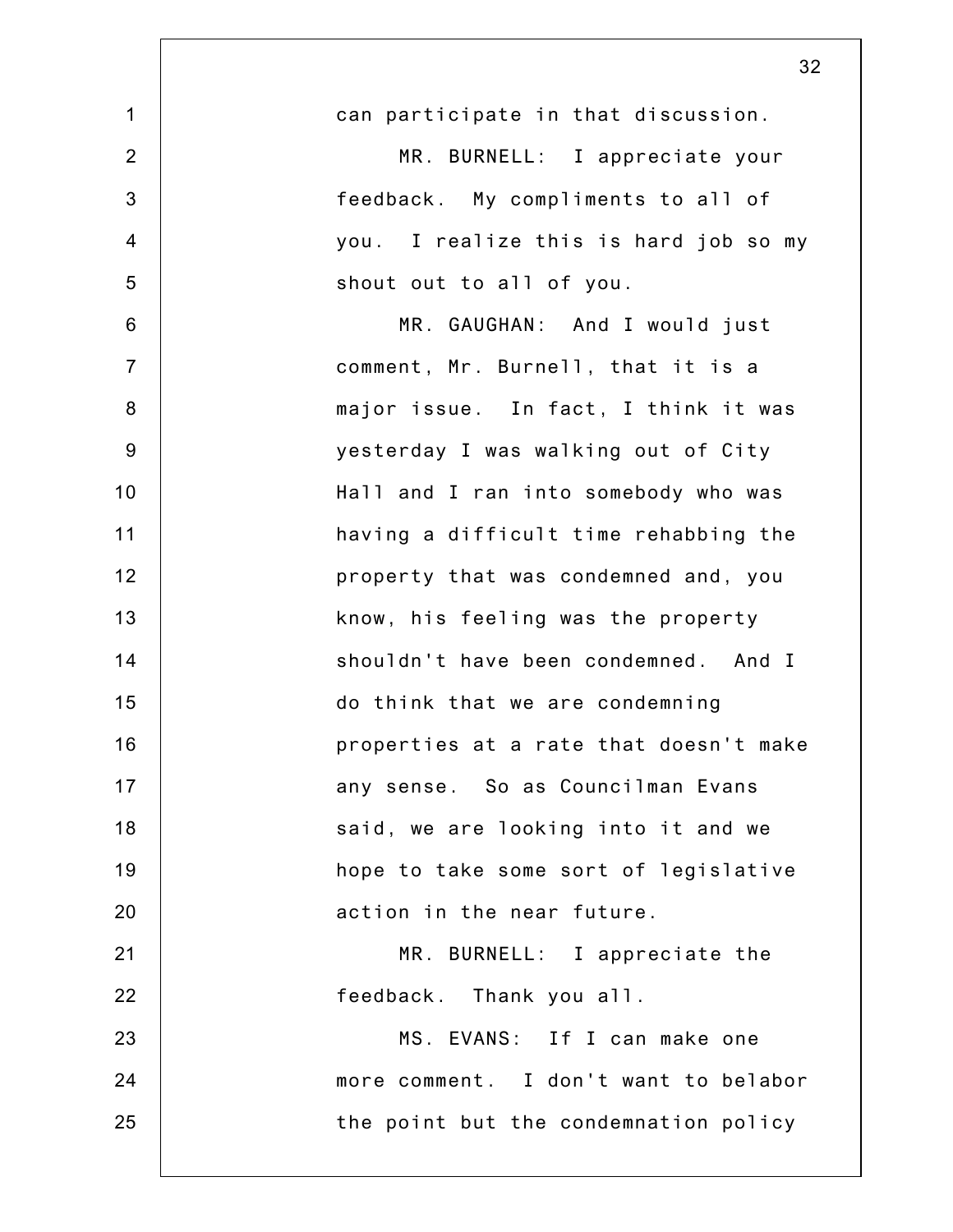|                | 32                                     |
|----------------|----------------------------------------|
| $\mathbf 1$    | can participate in that discussion.    |
| $\overline{2}$ | MR. BURNELL: I appreciate your         |
| 3              | feedback. My compliments to all of     |
| $\overline{4}$ | you. I realize this is hard job so my  |
| 5              | shout out to all of you.               |
| 6              | MR. GAUGHAN: And I would just          |
| $\overline{7}$ | comment, Mr. Burnell, that it is a     |
| 8              | major issue. In fact, I think it was   |
| 9              | yesterday I was walking out of City    |
| 10             | Hall and I ran into somebody who was   |
| 11             | having a difficult time rehabbing the  |
| 12             | property that was condemned and, you   |
| 13             | know, his feeling was the property     |
| 14             | shouldn't have been condemned. And I   |
| 15             | do think that we are condemning        |
| 16             | properties at a rate that doesn't make |
| 17             | any sense. So as Councilman Evans      |
| 18             | said, we are looking into it and we    |
| 19             | hope to take some sort of legislative  |
| 20             | action in the near future.             |
| 21             | MR. BURNELL: I appreciate the          |
| 22             | feedback. Thank you all.               |
| 23             | MS. EVANS: If I can make one           |
| 24             | more comment. I don't want to belabor  |
| 25             | the point but the condemnation policy  |
|                |                                        |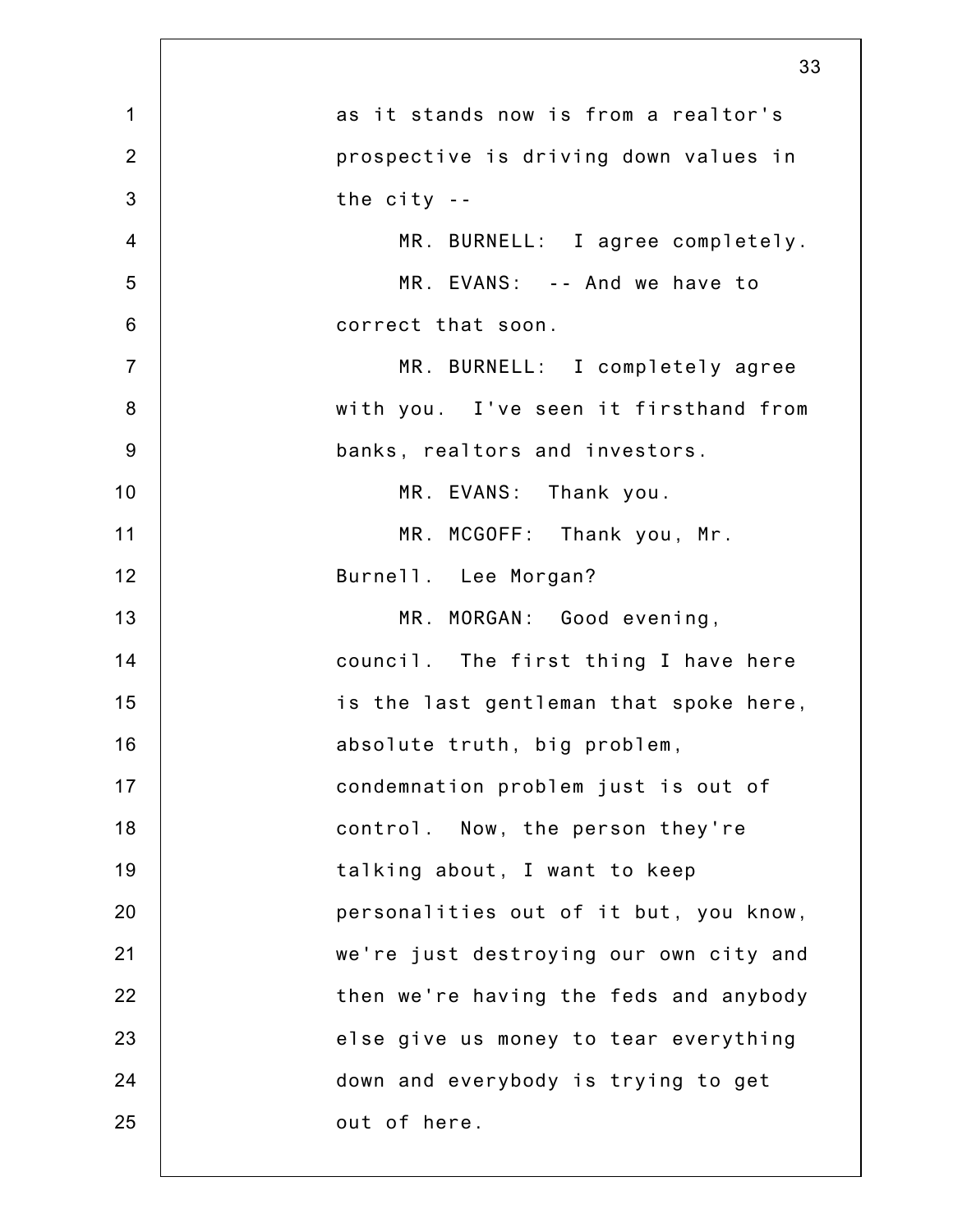|                | 33                                     |
|----------------|----------------------------------------|
| $\mathbf 1$    | as it stands now is from a realtor's   |
| $\overline{2}$ | prospective is driving down values in  |
| 3              | the $city - -$                         |
| $\overline{4}$ | MR. BURNELL: I agree completely.       |
| 5              | MR. EVANS: -- And we have to           |
| $6\phantom{1}$ | correct that soon.                     |
| $\overline{7}$ | MR. BURNELL: I completely agree        |
| $\bf 8$        | with you. I've seen it firsthand from  |
| 9              | banks, realtors and investors.         |
| 10             | MR. EVANS: Thank you.                  |
| 11             | MR. MCGOFF: Thank you, Mr.             |
| 12             | Burnell. Lee Morgan?                   |
| 13             | MR. MORGAN: Good evening,              |
| 14             | council. The first thing I have here   |
| 15             | is the last gentleman that spoke here, |
| 16             | absolute truth, big problem,           |
| 17             | condemnation problem just is out of    |
| 18             | control. Now, the person they're       |
| 19             | talking about, I want to keep          |
| 20             | personalities out of it but, you know, |
| 21             | we're just destroying our own city and |
| 22             | then we're having the feds and anybody |
| 23             | else give us money to tear everything  |
| 24             | down and everybody is trying to get    |
| 25             | out of here.                           |
|                |                                        |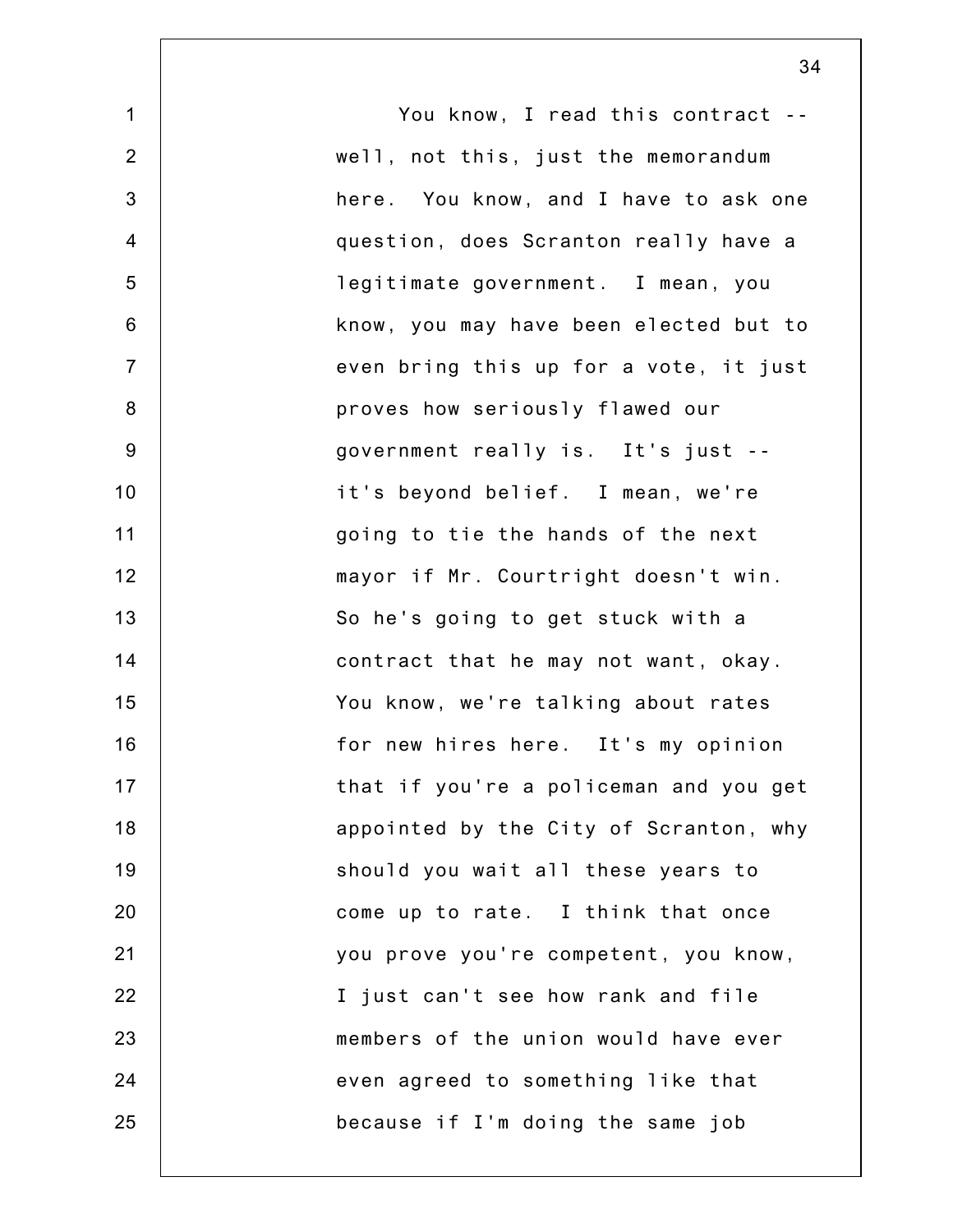| $\mathbf 1$    | You know, I read this contract --      |
|----------------|----------------------------------------|
| $\overline{2}$ | well, not this, just the memorandum    |
| 3              | here. You know, and I have to ask one  |
| $\overline{4}$ | question, does Scranton really have a  |
| 5              | legitimate government. I mean, you     |
| 6              | know, you may have been elected but to |
| $\overline{7}$ | even bring this up for a vote, it just |
| 8              | proves how seriously flawed our        |
| $9\,$          | government really is. It's just --     |
| 10             | it's beyond belief. I mean, we're      |
| 11             | going to tie the hands of the next     |
| 12             | mayor if Mr. Courtright doesn't win.   |
| 13             | So he's going to get stuck with a      |
| 14             | contract that he may not want, okay.   |
| 15             | You know, we're talking about rates    |
| 16             | for new hires here. It's my opinion    |
| 17             | that if you're a policeman and you get |
| 18             | appointed by the City of Scranton, why |
| 19             | should you wait all these years to     |
| 20             | come up to rate. I think that once     |
| 21             | you prove you're competent, you know,  |
| 22             | I just can't see how rank and file     |
| 23             | members of the union would have ever   |
| 24             | even agreed to something like that     |
| 25             | because if I'm doing the same job      |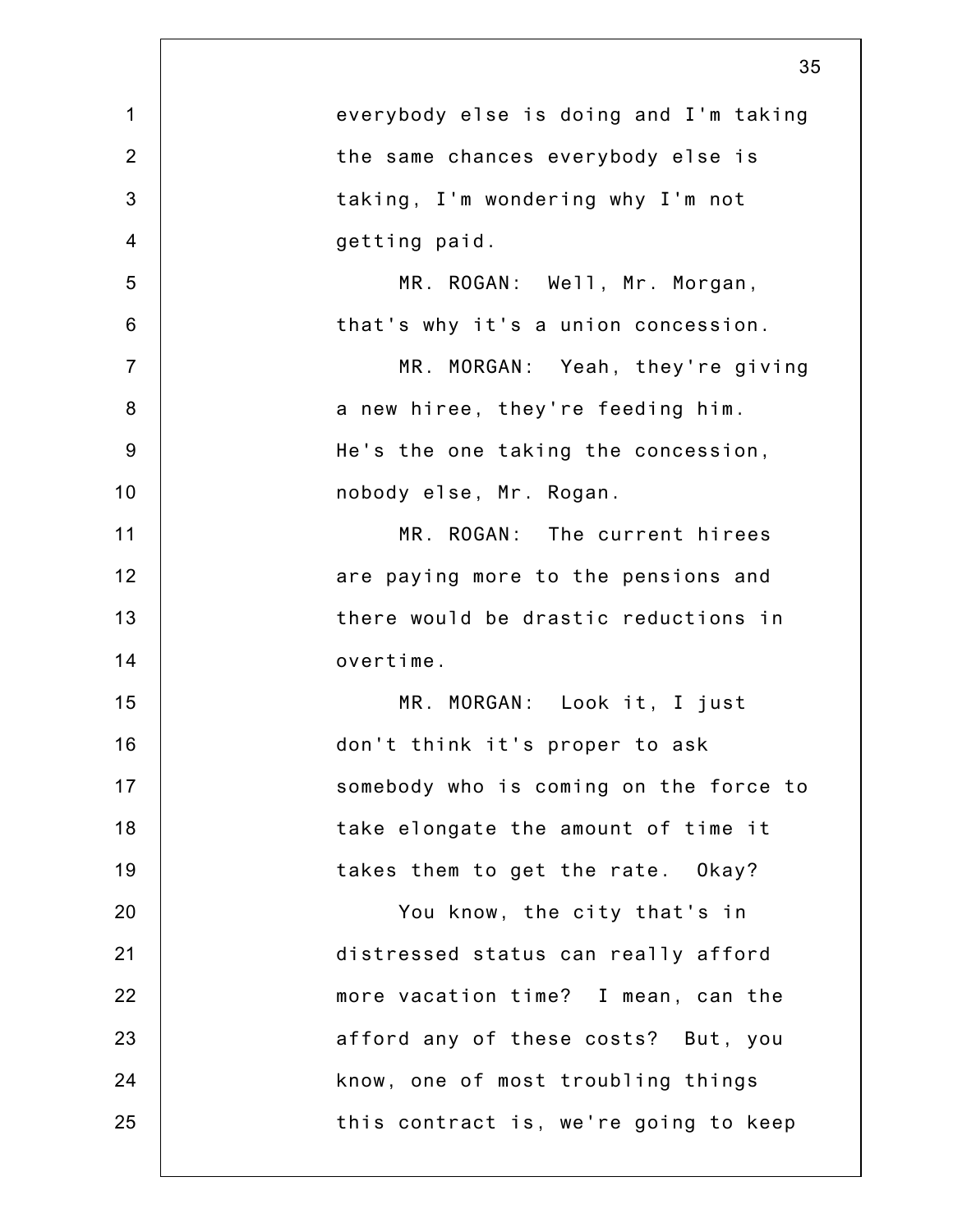|                | 35                                     |
|----------------|----------------------------------------|
| $\mathbf 1$    | everybody else is doing and I'm taking |
| $\overline{2}$ | the same chances everybody else is     |
| 3              | taking, I'm wondering why I'm not      |
| $\overline{4}$ | getting paid.                          |
| 5              | MR. ROGAN: Well, Mr. Morgan,           |
| $6\phantom{1}$ | that's why it's a union concession.    |
| $\overline{7}$ | MR. MORGAN: Yeah, they're giving       |
| $\bf 8$        | a new hiree, they're feeding him.      |
| $9\,$          | He's the one taking the concession,    |
| 10             | nobody else, Mr. Rogan.                |
| 11             | MR. ROGAN: The current hirees          |
| 12             | are paying more to the pensions and    |
| 13             | there would be drastic reductions in   |
| 14             | overtime.                              |
| 15             | MR. MORGAN: Look it, I just            |
| 16             | don't think it's proper to ask         |
| 17             | somebody who is coming on the force to |
| 18             | take elongate the amount of time it    |
| 19             | takes them to get the rate. Okay?      |
| 20             | You know, the city that's in           |
| 21             | distressed status can really afford    |
| 22             | more vacation time? I mean, can the    |
| 23             | afford any of these costs? But, you    |
| 24             | know, one of most troubling things     |
| 25             | this contract is, we're going to keep  |
|                |                                        |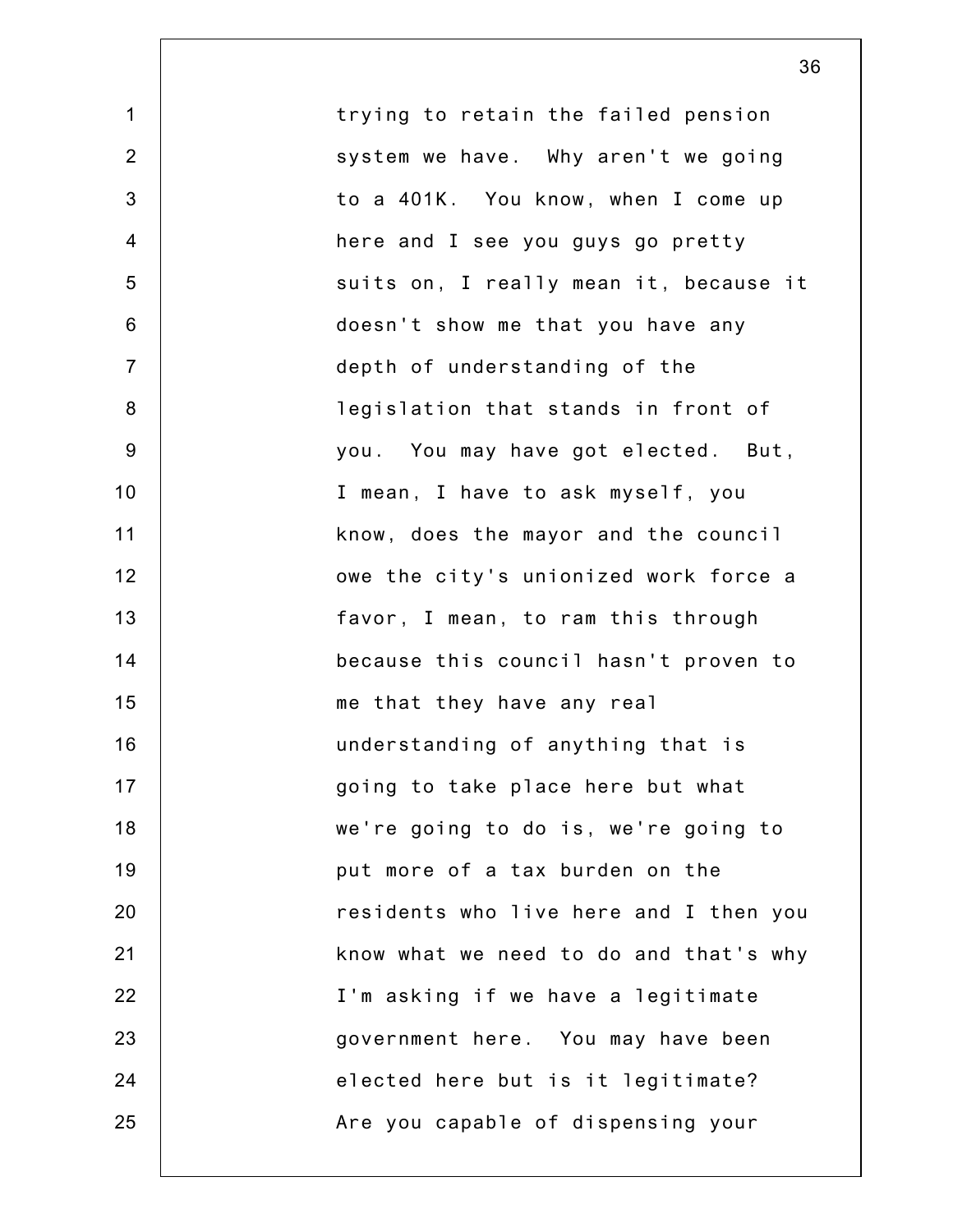1 2 3 4 5 6 7 8 9 10 11 12 13 14 15 16 17 18 19 20 21 22 23 24 25 trying to retain the failed pension system we have. Why aren't we going to a 401K. You know, when I come up here and I see you guys go pretty suits on, I really mean it, because it doesn't show me that you have any depth of understanding of the legislation that stands in front of you. You may have got elected. But, I mean, I have to ask myself, you know, does the mayor and the council owe the city's unionized work force a favor, I mean, to ram this through because this council hasn't proven to me that they have any real understanding of anything that is going to take place here but what we're going to do is, we're going to put more of a tax burden on the residents who live here and I then you know what we need to do and that's why I'm asking if we have a legitimate government here. You may have been elected here but is it legitimate? Are you capable of dispensing your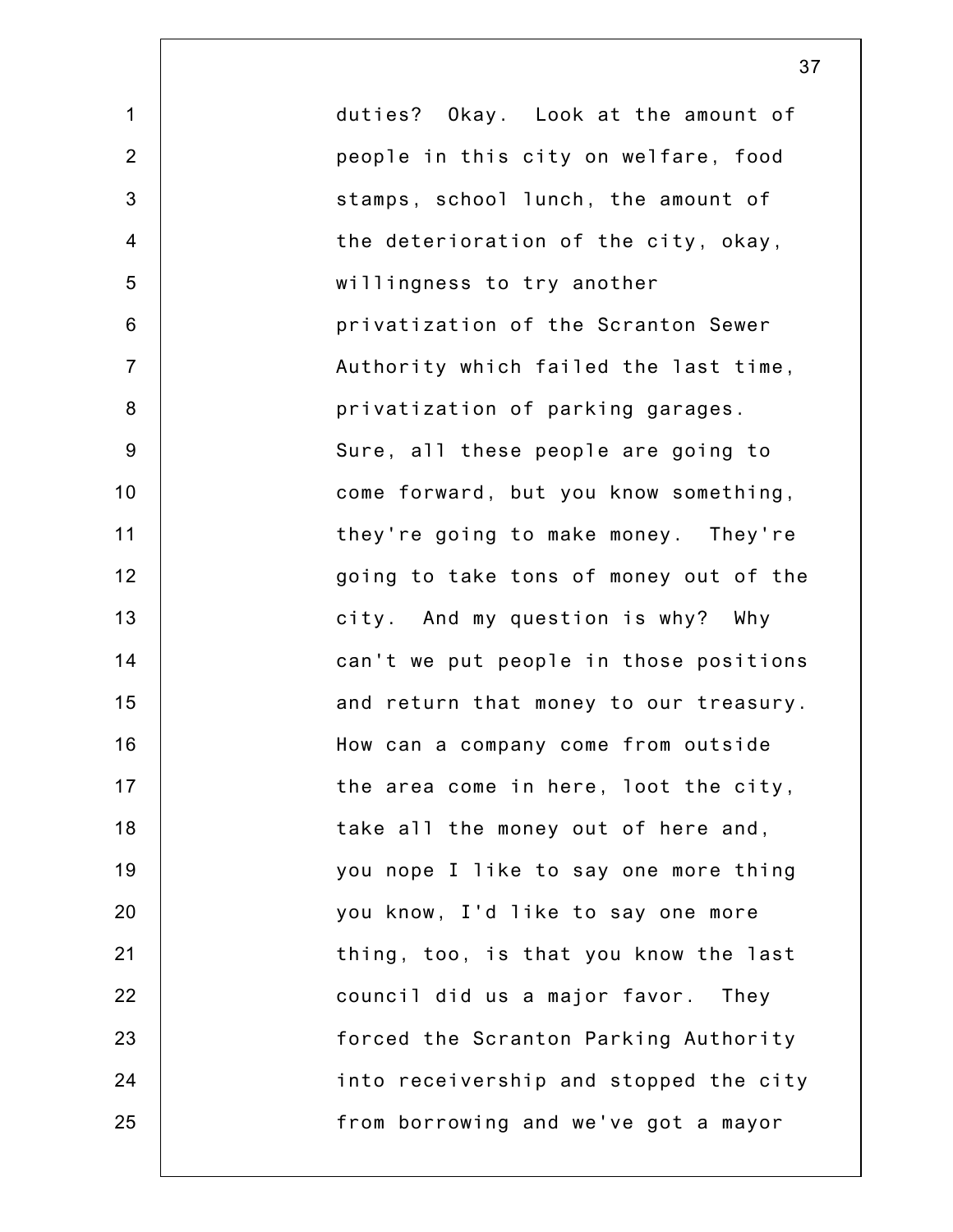1 2 3 4 5 6 7 8 9 10 11 12 13 14 15 16 17 18 19 20 21 22 23 24 25 duties? Okay. Look at the amount of people in this city on welfare, food stamps, school lunch, the amount of the deterioration of the city, okay, willingness to try another privatization of the Scranton Sewer Authority which failed the last time, privatization of parking garages. Sure, all these people are going to come forward, but you know something, they're going to make money. They're going to take tons of money out of the city. And my question is why? Why can't we put people in those positions and return that money to our treasury. How can a company come from outside the area come in here, loot the city, take all the money out of here and, you nope I like to say one more thing you know, I'd like to say one more thing, too, is that you know the last council did us a major favor. They forced the Scranton Parking Authority into receivership and stopped the city from borrowing and we've got a mayor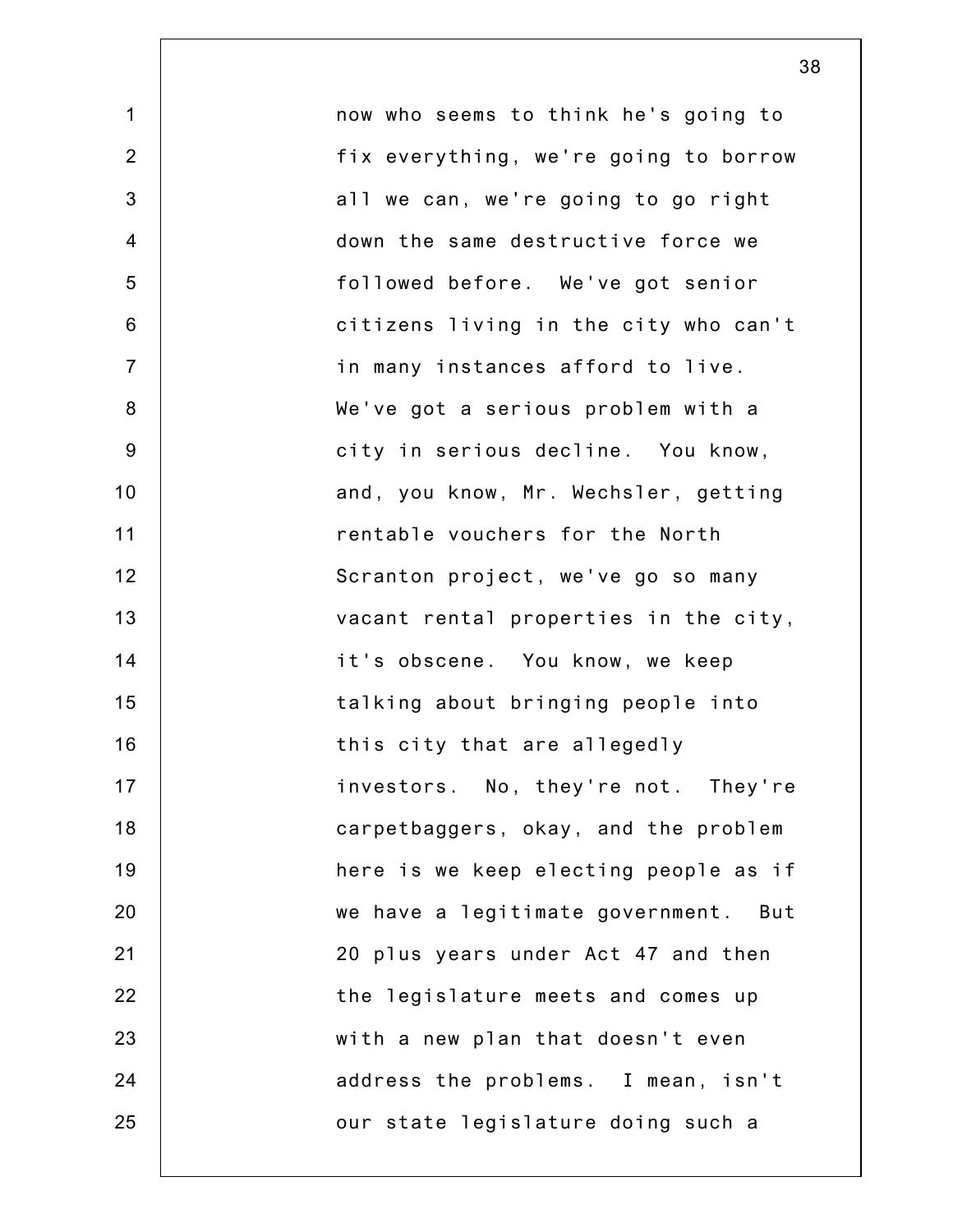1 2 3 4 5 6 7 8 9 10 11 12 13 14 15 16 17 18 19 20 21 22 23 24 25 now who seems to think he's going to fix everything, we're going to borrow all we can, we're going to go right down the same destructive force we followed before. We've got senior citizens living in the city who can't in many instances afford to live. We've got a serious problem with a city in serious decline. You know, and, you know, Mr. Wechsler, getting rentable vouchers for the North Scranton project, we've go so many vacant rental properties in the city, it's obscene. You know, we keep talking about bringing people into this city that are allegedly investors. No, they're not. They're carpetbaggers, okay, and the problem here is we keep electing people as if we have a legitimate government. But 20 plus years under Act 47 and then the legislature meets and comes up with a new plan that doesn't even address the problems. I mean, isn't our state legislature doing such a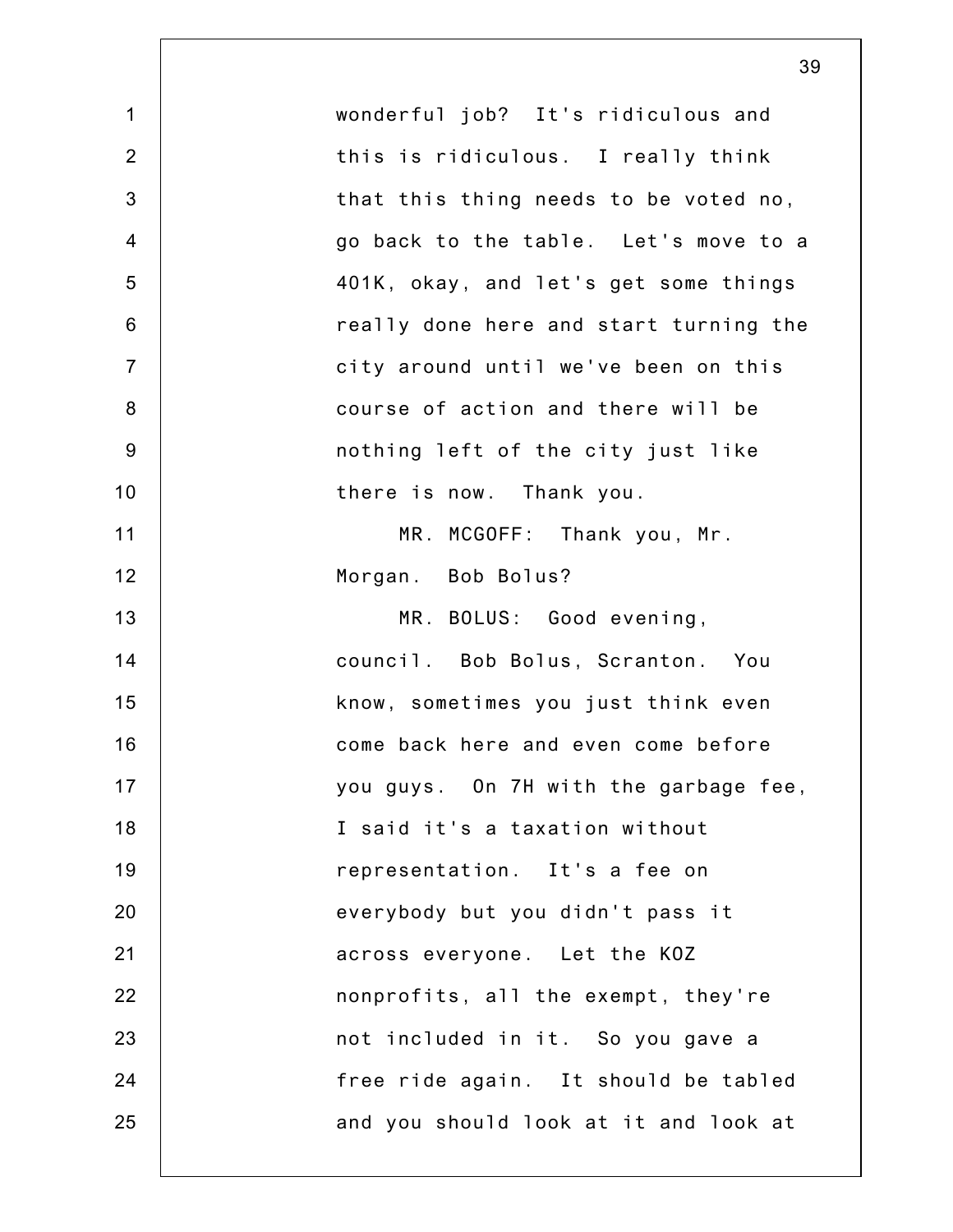|                | 39                                     |
|----------------|----------------------------------------|
| $\mathbf 1$    | wonderful job? It's ridiculous and     |
| $\overline{2}$ | this is ridiculous. I really think     |
| $\mathfrak{B}$ | that this thing needs to be voted no,  |
| $\overline{4}$ | go back to the table. Let's move to a  |
| 5              | 401K, okay, and let's get some things  |
| $6\phantom{1}$ | really done here and start turning the |
| $\overline{7}$ | city around until we've been on this   |
| $\bf 8$        | course of action and there will be     |
| $9\,$          | nothing left of the city just like     |
| 10             | there is now. Thank you.               |
| 11             | MR. MCGOFF: Thank you, Mr.             |
| 12             | Morgan. Bob Bolus?                     |
| 13             | MR. BOLUS: Good evening,               |
| 14             | council. Bob Bolus, Scranton. You      |
| 15             | know, sometimes you just think even    |
| 16             | come back here and even come before    |
| 17             | you guys. On 7H with the garbage fee,  |
| 18             | I said it's a taxation without         |
| 19             | representation. It's a fee on          |
| 20             | everybody but you didn't pass it       |
| 21             | across everyone. Let the KOZ           |
| 22             | nonprofits, all the exempt, they're    |
| 23             | not included in it. So you gave a      |
| 24             | free ride again. It should be tabled   |
| 25             | and you should look at it and look at  |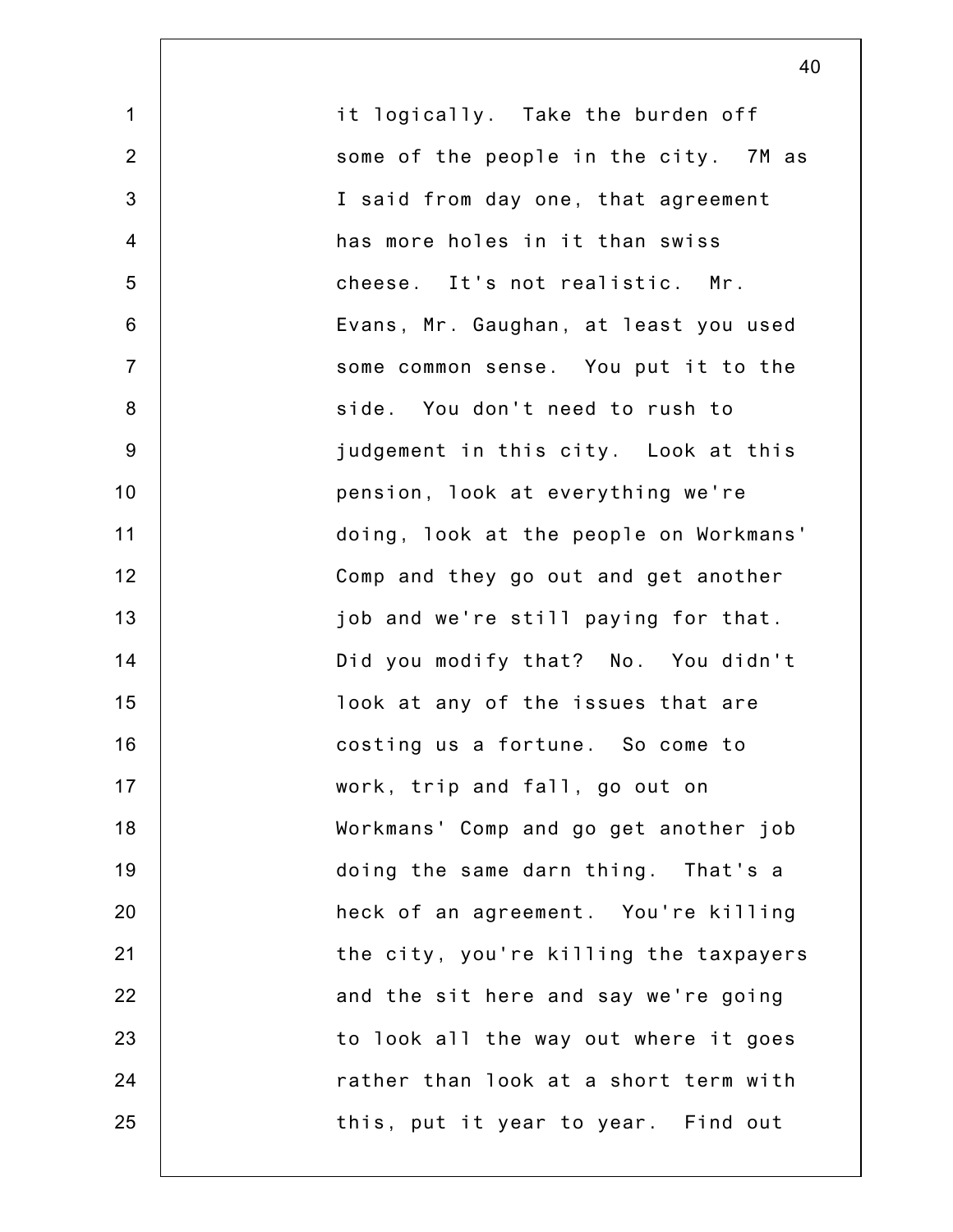1 2 3 4 5 6 7 8 9 10 11 12 13 14 15 16 17 18 19 20 21 22 23 24 25 it logically. Take the burden off some of the people in the city. 7M as I said from day one, that agreement has more holes in it than swiss cheese. It's not realistic. Mr. Evans, Mr. Gaughan, at least you used some common sense. You put it to the side. You don't need to rush to judgement in this city. Look at this pension, look at everything we're doing, look at the people on Workmans' Comp and they go out and get another job and we're still paying for that. Did you modify that? No. You didn't look at any of the issues that are costing us a fortune. So come to work, trip and fall, go out on Workmans' Comp and go get another job doing the same darn thing. That's a heck of an agreement. You're killing the city, you're killing the taxpayers and the sit here and say we're going to look all the way out where it goes rather than look at a short term with this, put it year to year. Find out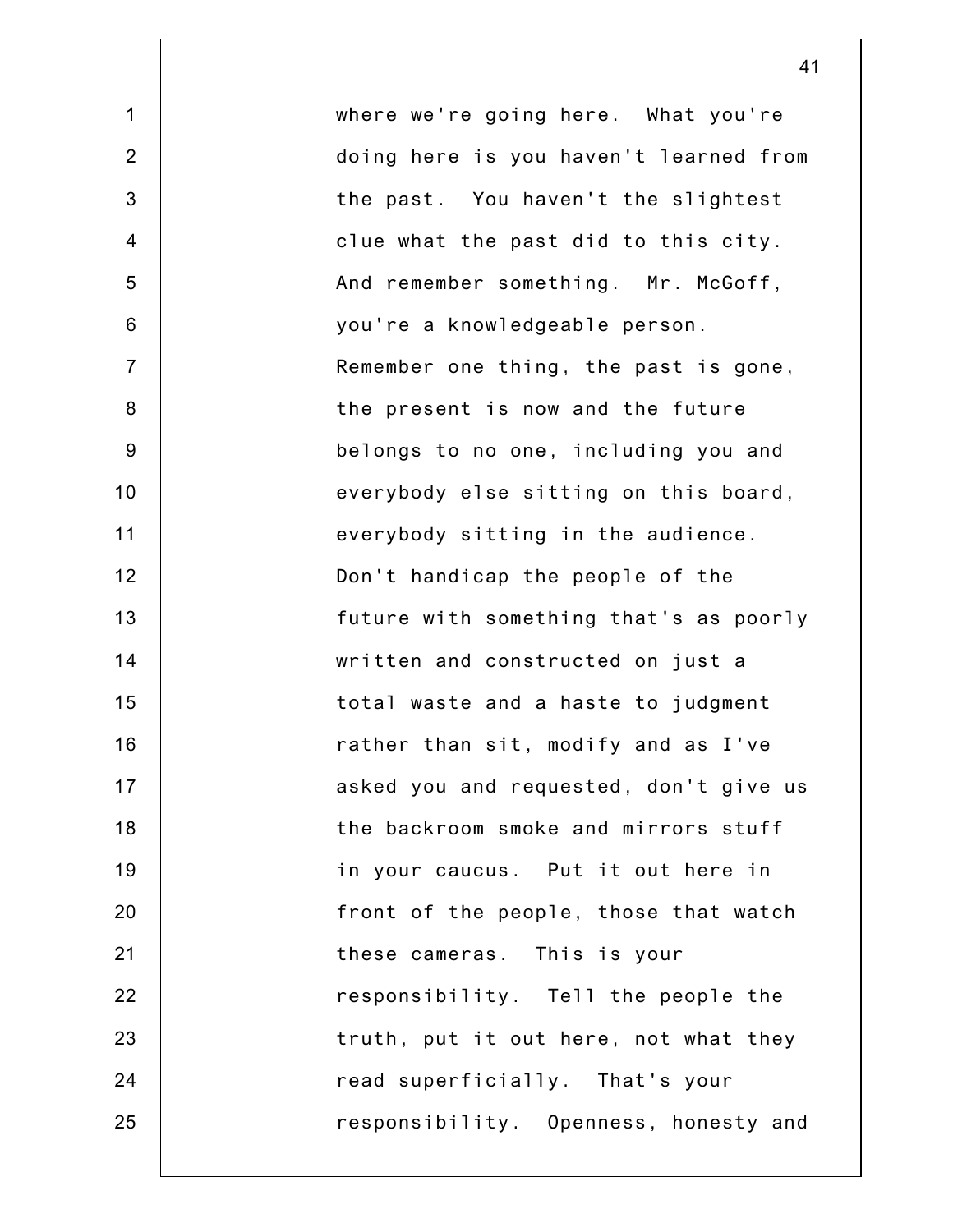1 2 3 4 5 6 7 8 9 10 11 12 13 14 15 16 17 18 19 20 21 22 23 24 25 where we're going here. What you're doing here is you haven't learned from the past. You haven't the slightest clue what the past did to this city. And remember something. Mr. McGoff, you're a knowledgeable person. Remember one thing, the past is gone, the present is now and the future belongs to no one, including you and everybody else sitting on this board, everybody sitting in the audience. Don't handicap the people of the future with something that's as poorly written and constructed on just a total waste and a haste to judgment rather than sit, modify and as I've asked you and requested, don't give us the backroom smoke and mirrors stuff in your caucus. Put it out here in front of the people, those that watch these cameras. This is your responsibility. Tell the people the truth, put it out here, not what they read superficially. That's your responsibility. Openness, honesty and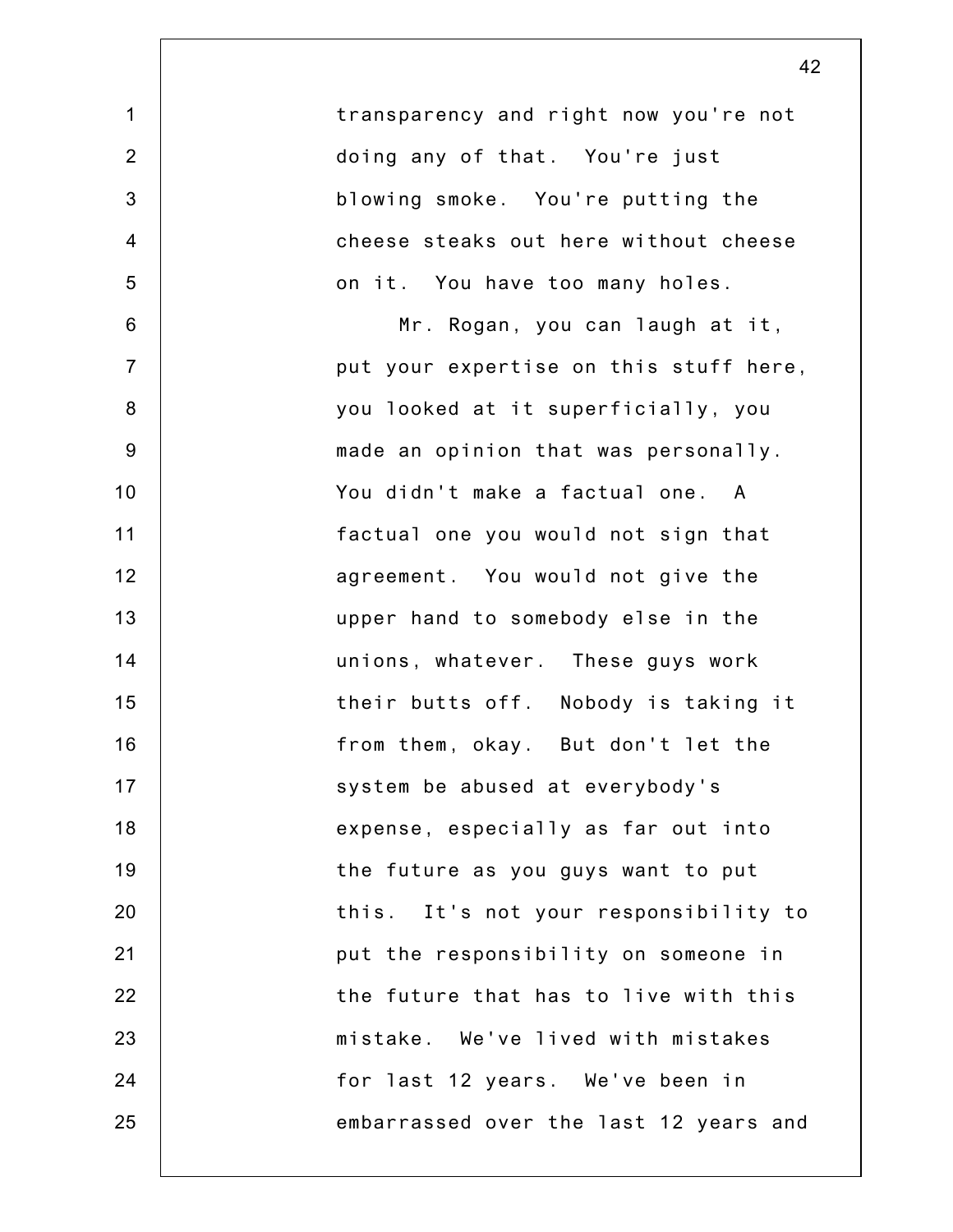| transparency and right now you're not<br>doing any of that. You're just<br>blowing smoke. You're putting the<br>cheese steaks out here without cheese<br>on it. You have too many holes.<br>Mr. Rogan, you can laugh at it,<br>put your expertise on this stuff here,<br>you looked at it superficially, you |
|--------------------------------------------------------------------------------------------------------------------------------------------------------------------------------------------------------------------------------------------------------------------------------------------------------------|
|                                                                                                                                                                                                                                                                                                              |
|                                                                                                                                                                                                                                                                                                              |
|                                                                                                                                                                                                                                                                                                              |
|                                                                                                                                                                                                                                                                                                              |
|                                                                                                                                                                                                                                                                                                              |
|                                                                                                                                                                                                                                                                                                              |
|                                                                                                                                                                                                                                                                                                              |
|                                                                                                                                                                                                                                                                                                              |
| made an opinion that was personally.                                                                                                                                                                                                                                                                         |
| You didn't make a factual one. A                                                                                                                                                                                                                                                                             |
| factual one you would not sign that                                                                                                                                                                                                                                                                          |
| agreement. You would not give the                                                                                                                                                                                                                                                                            |
| upper hand to somebody else in the                                                                                                                                                                                                                                                                           |
| unions, whatever. These guys work                                                                                                                                                                                                                                                                            |
| their butts off. Nobody is taking it                                                                                                                                                                                                                                                                         |
| from them, okay. But don't let the                                                                                                                                                                                                                                                                           |
| system be abused at everybody's                                                                                                                                                                                                                                                                              |
| expense, especially as far out into                                                                                                                                                                                                                                                                          |
| the future as you guys want to put                                                                                                                                                                                                                                                                           |
| this. It's not your responsibility to                                                                                                                                                                                                                                                                        |
| put the responsibility on someone in                                                                                                                                                                                                                                                                         |
| the future that has to live with this                                                                                                                                                                                                                                                                        |
| mistake. We've lived with mistakes                                                                                                                                                                                                                                                                           |
| for last 12 years. We've been in                                                                                                                                                                                                                                                                             |
| embarrassed over the last 12 years and                                                                                                                                                                                                                                                                       |
|                                                                                                                                                                                                                                                                                                              |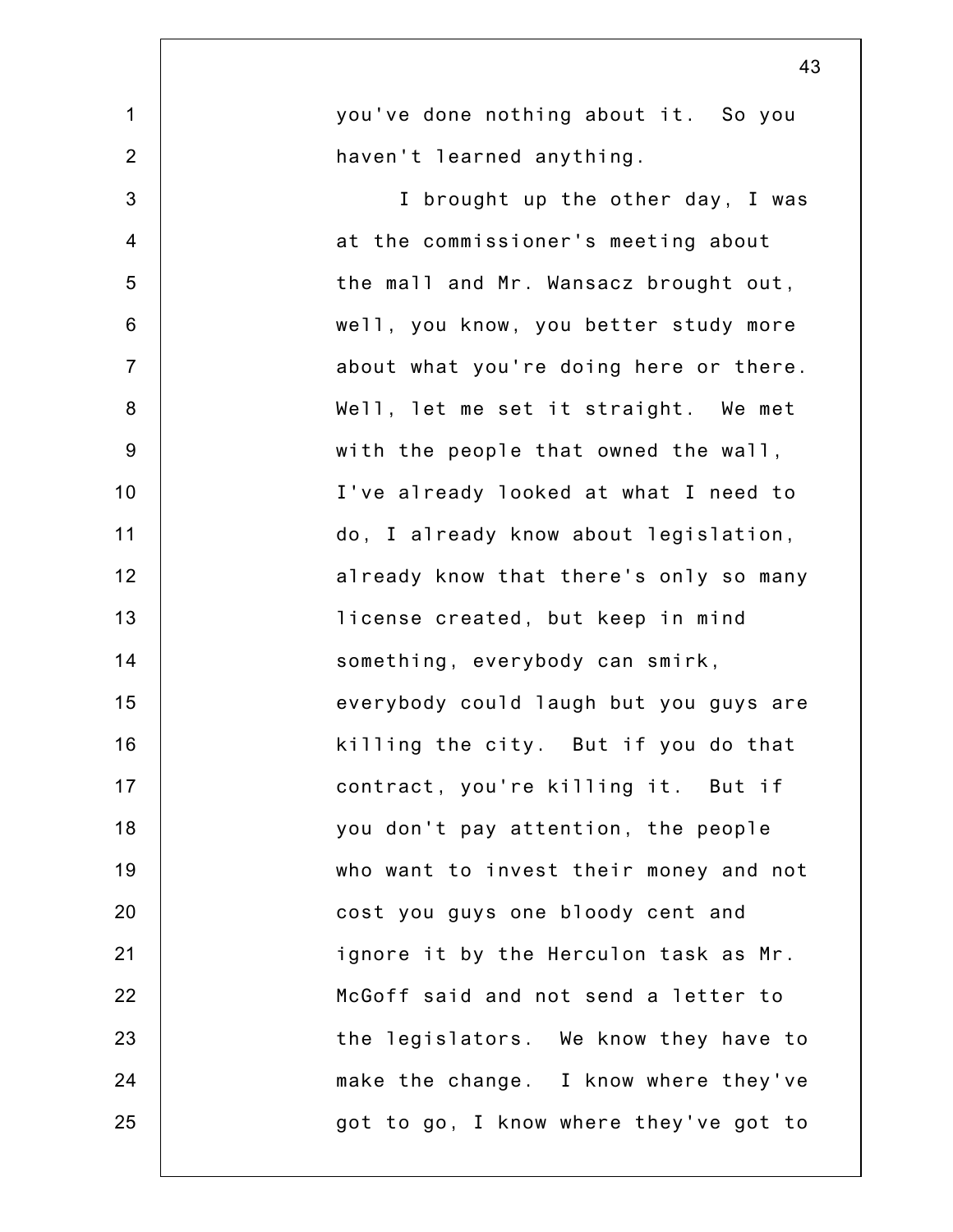|                | 43                                     |
|----------------|----------------------------------------|
| $\mathbf 1$    | you've done nothing about it. So you   |
| $\overline{2}$ | haven't learned anything.              |
| 3              | I brought up the other day, I was      |
| $\overline{4}$ | at the commissioner's meeting about    |
| 5              | the mall and Mr. Wansacz brought out,  |
| 6              | well, you know, you better study more  |
| $\overline{7}$ | about what you're doing here or there. |
| $\bf 8$        | Well, let me set it straight. We met   |
| $9\,$          | with the people that owned the wall,   |
| 10             | I've already looked at what I need to  |
| 11             | do, I already know about legislation,  |
| 12             | already know that there's only so many |
| 13             | license created, but keep in mind      |
| 14             | something, everybody can smirk,        |
| 15             | everybody could laugh but you guys are |
| 16             | killing the city. But if you do that   |
| 17             | contract, you're killing it. But if    |
| 18             | you don't pay attention, the people    |
| 19             | who want to invest their money and not |
| 20             | cost you guys one bloody cent and      |
| 21             | ignore it by the Herculon task as Mr.  |
| 22             | McGoff said and not send a letter to   |
| 23             | the legislators. We know they have to  |
| 24             | make the change. I know where they've  |
| 25             | got to go, I know where they've got to |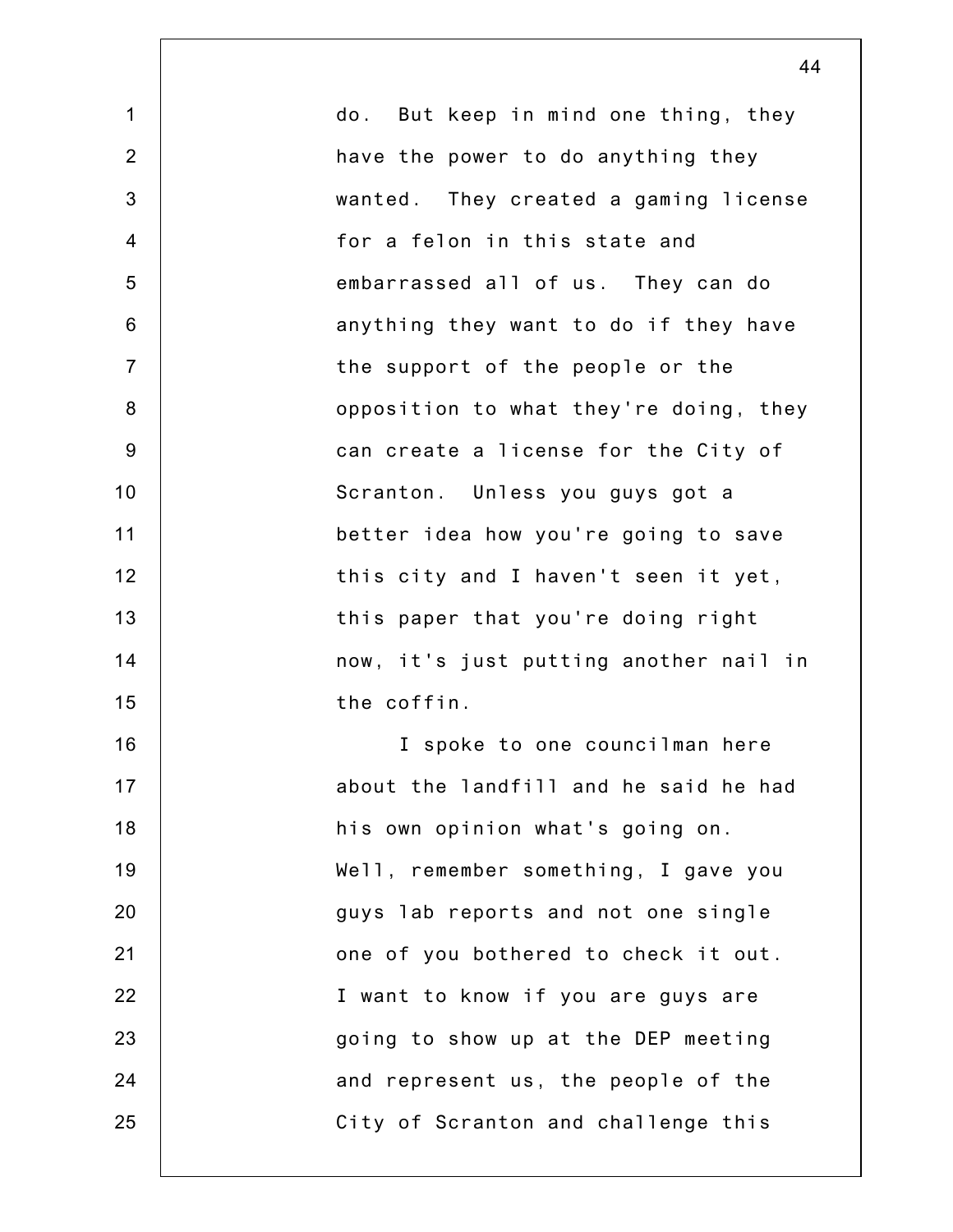1 2 3 4 5 6 7 8 9 10 11 12 13 14 15 16 17 18 19 20 21 22 23 24 25 do. But keep in mind one thing, they have the power to do anything they wanted. They created a gaming license for a felon in this state and embarrassed all of us. They can do anything they want to do if they have the support of the people or the opposition to what they're doing, they can create a license for the City of Scranton. Unless you guys got a better idea how you're going to save this city and I haven't seen it yet, this paper that you're doing right now, it's just putting another nail in the coffin. I spoke to one councilman here about the landfill and he said he had his own opinion what's going on. Well, remember something, I gave you guys lab reports and not one single one of you bothered to check it out. I want to know if you are guys are going to show up at the DEP meeting and represent us, the people of the City of Scranton and challenge this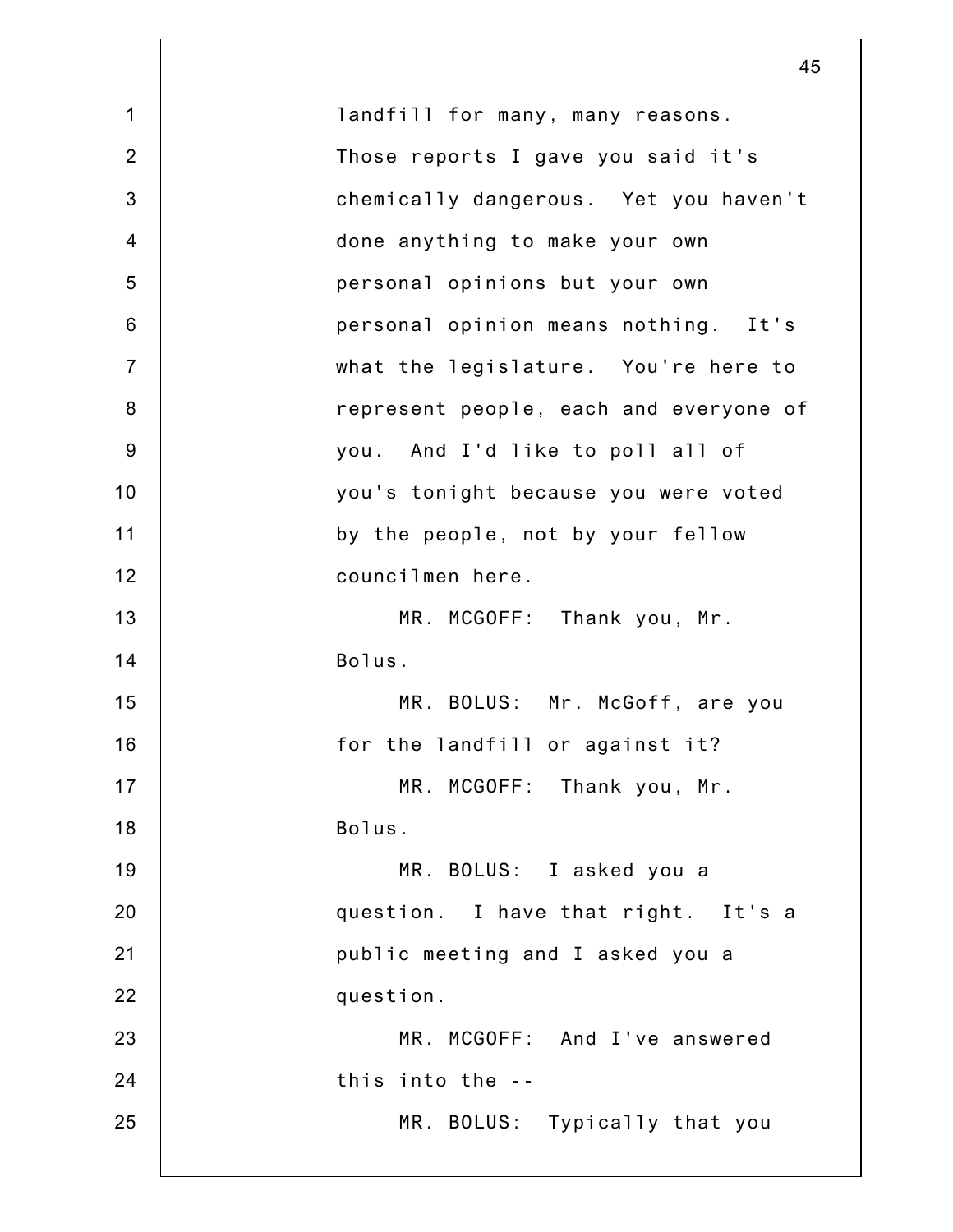|                | 45                                     |
|----------------|----------------------------------------|
| $\mathbf 1$    | landfill for many, many reasons.       |
| $\overline{2}$ | Those reports I gave you said it's     |
| 3              | chemically dangerous. Yet you haven't  |
| $\overline{4}$ | done anything to make your own         |
| 5              | personal opinions but your own         |
| $6\,$          | personal opinion means nothing. It's   |
| $\overline{7}$ | what the legislature. You're here to   |
| $\bf 8$        | represent people, each and everyone of |
| $9\,$          | you. And I'd like to poll all of       |
| 10             | you's tonight because you were voted   |
| 11             | by the people, not by your fellow      |
| 12             | councilmen here.                       |
| 13             | MR. MCGOFF: Thank you, Mr.             |
| 14             | Bolus.                                 |
| 15             | MR. BOLUS: Mr. McGoff, are you         |
| 16             | for the landfill or against it?        |
| 17             | MR. MCGOFF: Thank you, Mr.             |
| 18             | Bolus.                                 |
| 19             | MR. BOLUS: I asked you a               |
| 20             | question. I have that right. It's a    |
| 21             | public meeting and I asked you a       |
| 22             | question.                              |
| 23             | MR. MCGOFF: And I've answered          |
| 24             | this into the --                       |
| 25             | MR. BOLUS: Typically that you          |
|                |                                        |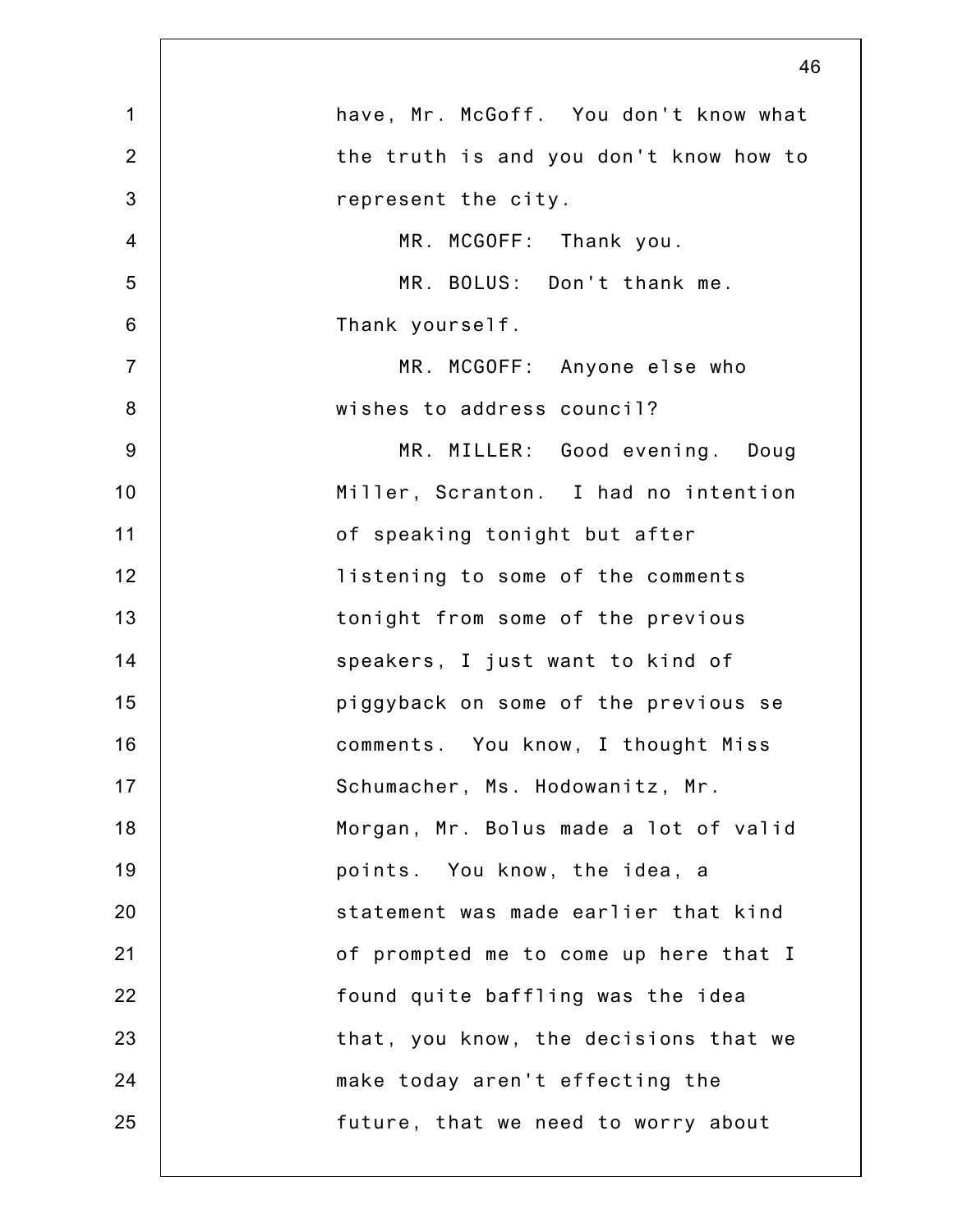|                | 46                                     |
|----------------|----------------------------------------|
| $\mathbf 1$    | have, Mr. McGoff. You don't know what  |
| $\overline{2}$ | the truth is and you don't know how to |
| 3              | represent the city.                    |
| $\overline{4}$ | MR. MCGOFF: Thank you.                 |
| 5              | MR. BOLUS: Don't thank me.             |
| $6\phantom{1}$ | Thank yourself.                        |
| $\overline{7}$ | MR. MCGOFF: Anyone else who            |
| 8              | wishes to address council?             |
| $9\,$          | MR. MILLER: Good evening. Doug         |
| 10             | Miller, Scranton. I had no intention   |
| 11             | of speaking tonight but after          |
| 12             | listening to some of the comments      |
| 13             | tonight from some of the previous      |
| 14             | speakers, I just want to kind of       |
| 15             | piggyback on some of the previous se   |
| 16             | comments. You know, I thought Miss     |
| 17             | Schumacher, Ms. Hodowanitz, Mr.        |
| 18             | Morgan, Mr. Bolus made a lot of valid  |
| 19             | points. You know, the idea, a          |
| 20             | statement was made earlier that kind   |
| 21             | of prompted me to come up here that I  |
| 22             | found quite baffling was the idea      |
| 23             | that, you know, the decisions that we  |
| 24             | make today aren't effecting the        |
| 25             | future, that we need to worry about    |
|                |                                        |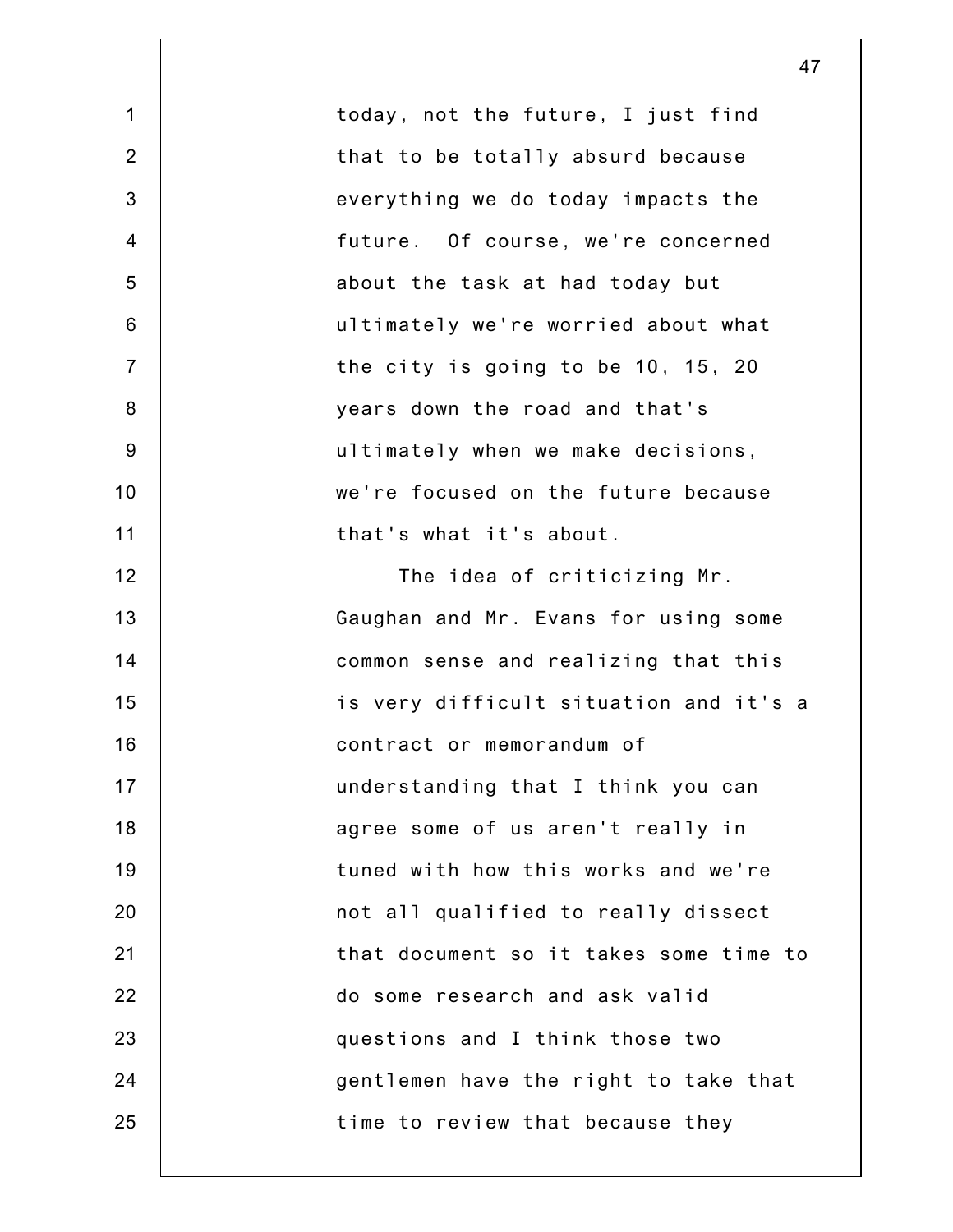|                | 47                                     |
|----------------|----------------------------------------|
| $\mathbf 1$    | today, not the future, I just find     |
| $\overline{2}$ | that to be totally absurd because      |
| 3              | everything we do today impacts the     |
| $\overline{4}$ | future. Of course, we're concerned     |
| 5              | about the task at had today but        |
| $6\phantom{1}$ | ultimately we're worried about what    |
| $\overline{7}$ | the city is going to be 10, 15, 20     |
| $\bf 8$        | years down the road and that's         |
| $9\,$          | ultimately when we make decisions,     |
| 10             | we're focused on the future because    |
| 11             | that's what it's about.                |
| 12             | The idea of criticizing Mr.            |
| 13             | Gaughan and Mr. Evans for using some   |
| 14             | common sense and realizing that this   |
| 15             | is very difficult situation and it's a |
| 16             | contract or memorandum of              |
| 17             | understanding that I think you can     |
| 18             | agree some of us aren't really in      |
| 19             | tuned with how this works and we're    |
| 20             | not all qualified to really dissect    |
| 21             | that document so it takes some time to |
| 22             | do some research and ask valid         |
| 23             | questions and I think those two        |
| 24             | gentlemen have the right to take that  |
| 25             | time to review that because they       |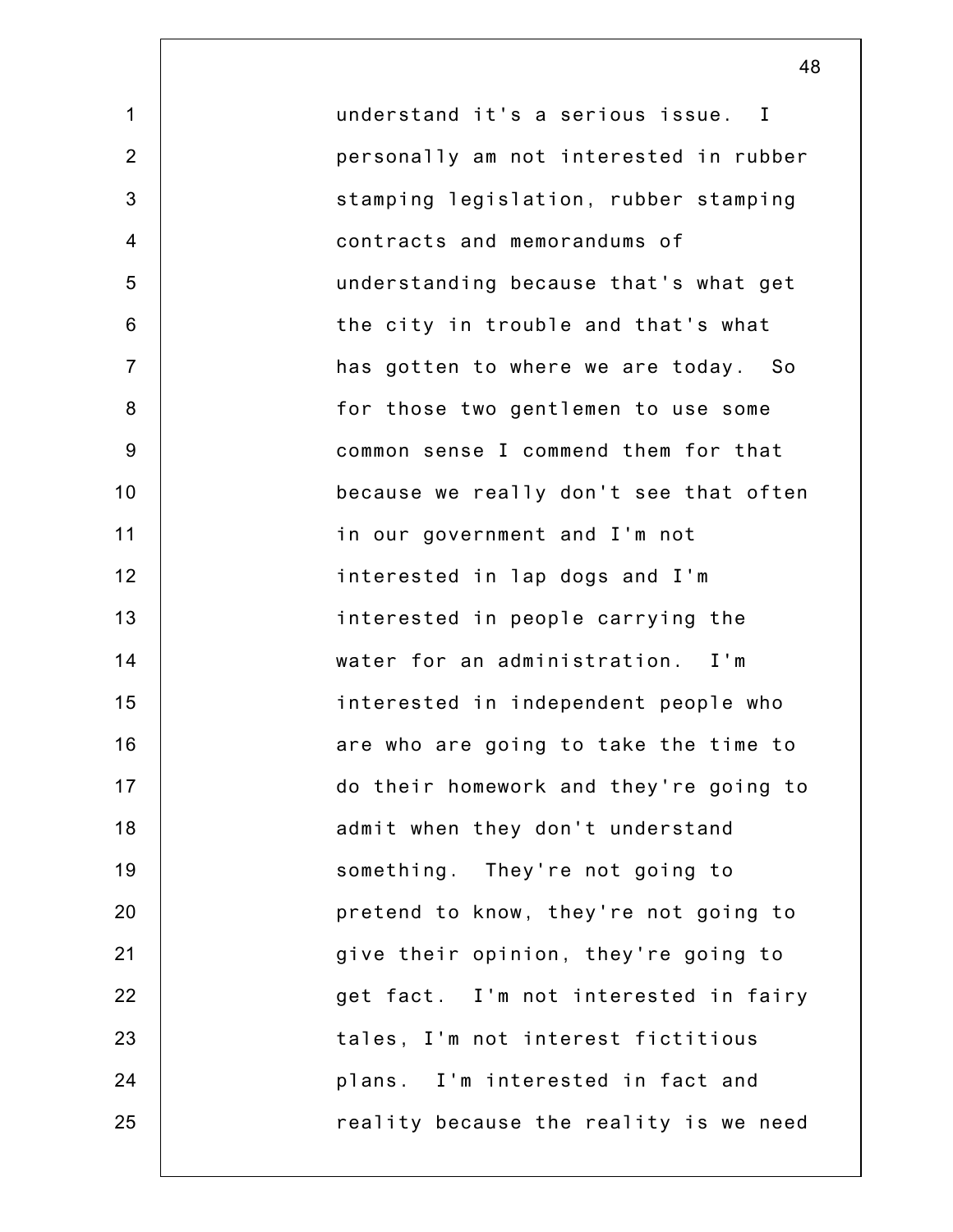1 2 3 4 5 6 7 8 9 10 11 12 13 14 15 16 17 18 19 20 21 22 23 24 25 understand it's a serious issue. I personally am not interested in rubber stamping legislation, rubber stamping contracts and memorandums of understanding because that's what get the city in trouble and that's what has gotten to where we are today. So for those two gentlemen to use some common sense I commend them for that because we really don't see that often in our government and I'm not interested in lap dogs and I'm interested in people carrying the water for an administration. I'm interested in independent people who are who are going to take the time to do their homework and they're going to admit when they don't understand something. They're not going to pretend to know, they're not going to give their opinion, they're going to get fact. I'm not interested in fairy tales, I'm not interest fictitious plans. I'm interested in fact and reality because the reality is we need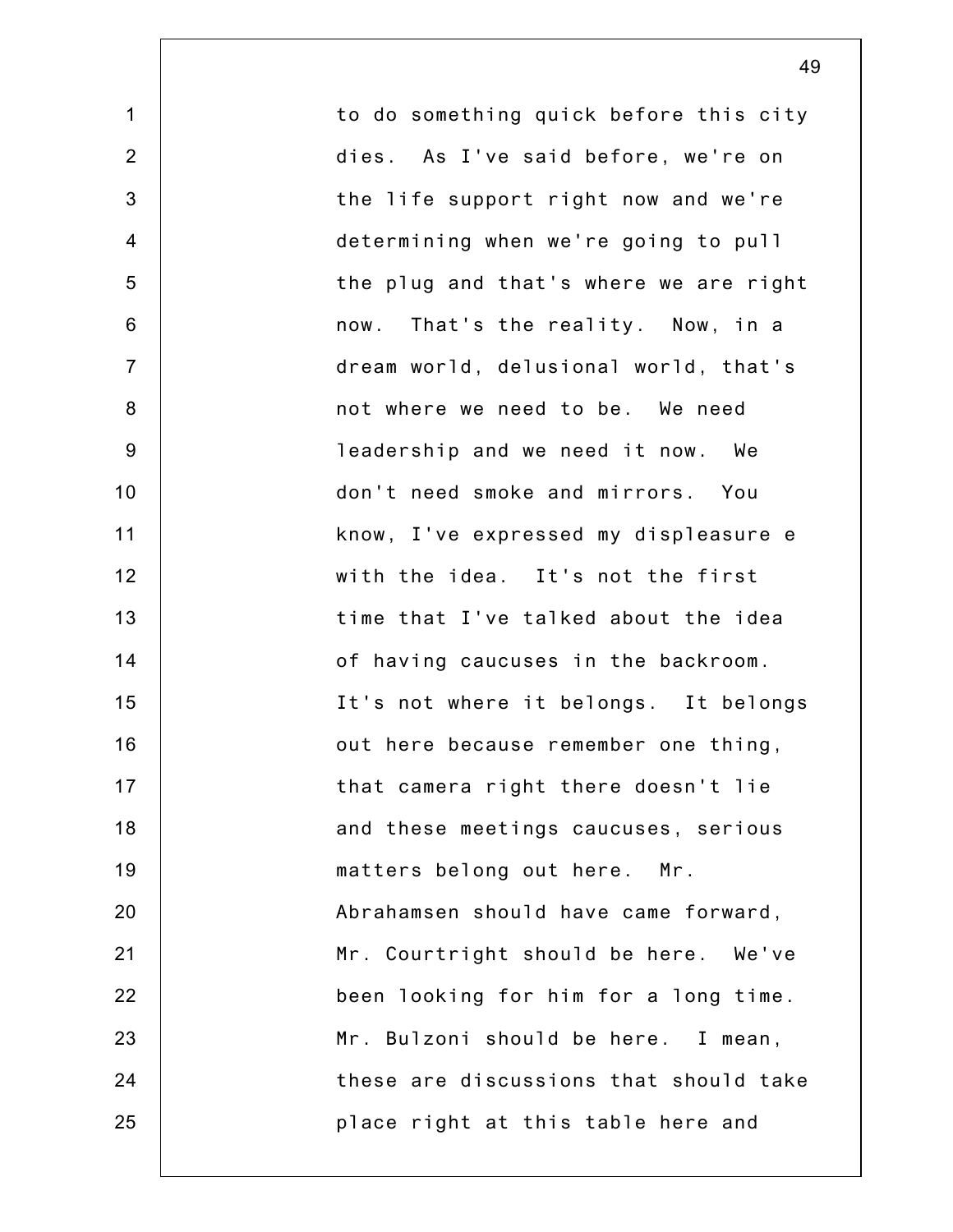1 2 3 4 5 6 7 8 9 10 11 12 13 14 15 16 17 18 19 20 21 22 23 24 25 to do something quick before this city dies. As I've said before, we're on the life support right now and we're determining when we're going to pull the plug and that's where we are right now. That's the reality. Now, in a dream world, delusional world, that's not where we need to be. We need leadership and we need it now. We don't need smoke and mirrors. You know, I've expressed my displeasure e with the idea. It's not the first time that I've talked about the idea of having caucuses in the backroom. It's not where it belongs. It belongs out here because remember one thing, that camera right there doesn't lie and these meetings caucuses, serious matters belong out here. Mr. Abrahamsen should have came forward, Mr. Courtright should be here. We've been looking for him for a long time. Mr. Bulzoni should be here. I mean, these are discussions that should take place right at this table here and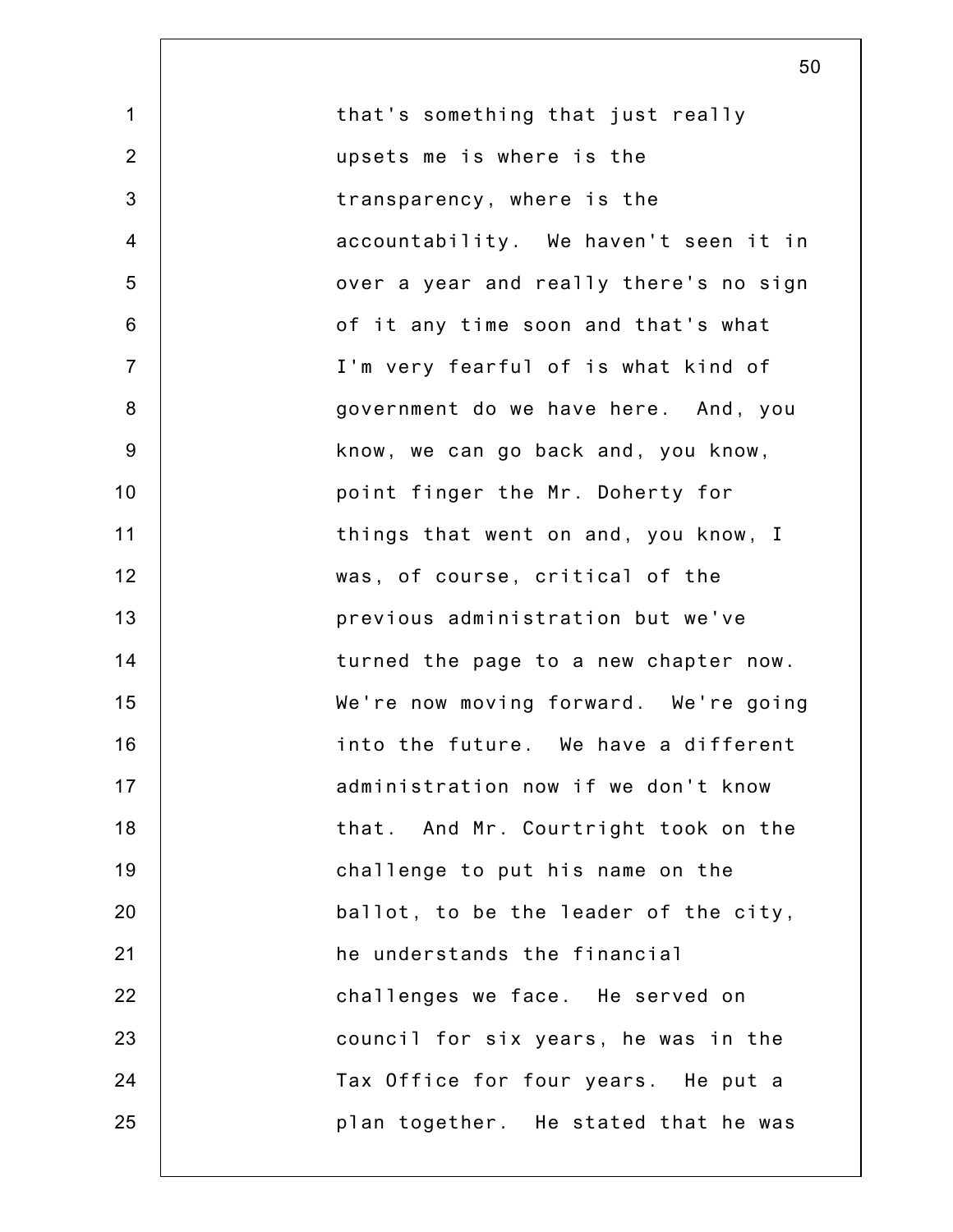| $\mathbf{1}$   | that's something that just really      |
|----------------|----------------------------------------|
| $\overline{2}$ | upsets me is where is the              |
| $\mathbf{3}$   | transparency, where is the             |
| $\overline{4}$ | accountability. We haven't seen it in  |
| 5              | over a year and really there's no sign |
| 6              | of it any time soon and that's what    |
| $\overline{7}$ | I'm very fearful of is what kind of    |
| $\bf 8$        | government do we have here. And, you   |
| $9\,$          | know, we can go back and, you know,    |
| 10             | point finger the Mr. Doherty for       |
| 11             | things that went on and, you know, I   |
| 12             | was, of course, critical of the        |
| 13             | previous administration but we've      |
| 14             | turned the page to a new chapter now.  |
| 15             | We're now moving forward. We're going  |
| 16             | into the future. We have a different   |
| 17             | administration now if we don't know    |
| 18             | that. And Mr. Courtright took on the   |
| 19             | challenge to put his name on the       |
| 20             | ballot, to be the leader of the city,  |
| 21             | he understands the financial           |
| 22             | challenges we face. He served on       |
| 23             | council for six years, he was in the   |
| 24             | Tax Office for four years. He put a    |
| 25             | plan together. He stated that he was   |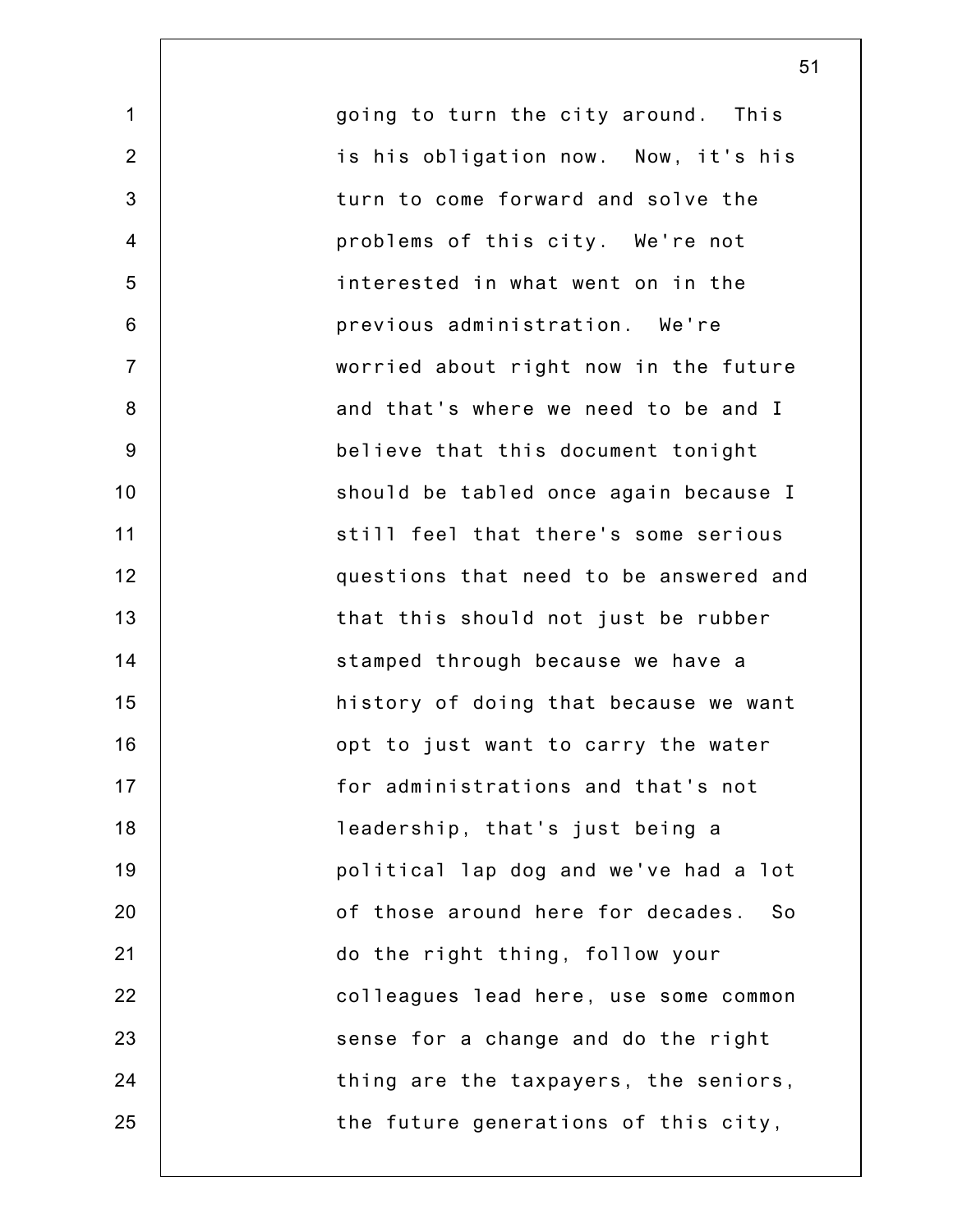going to turn the city around. This is his obligation now. Now, it's his turn to come forward and solve the problems of this city. We're not interested in what went on in the previous administration. We're worried about right now in the future and that's where we need to be and I believe that this document tonight should be tabled once again because I still feel that there's some serious questions that need to be answered and that this should not just be rubber stamped through because we have a history of doing that because we want opt to just want to carry the water for administrations and that's not leadership, that's just being a political lap dog and we've had a lot of those around here for decades. So do the right thing, follow your colleagues lead here, use some common sense for a change and do the right thing are the taxpayers, the seniors, the future generations of this city,

1

2

3

4

5

6

7

8

9

10

11

12

13

14

15

16

17

18

19

20

21

22

23

24

25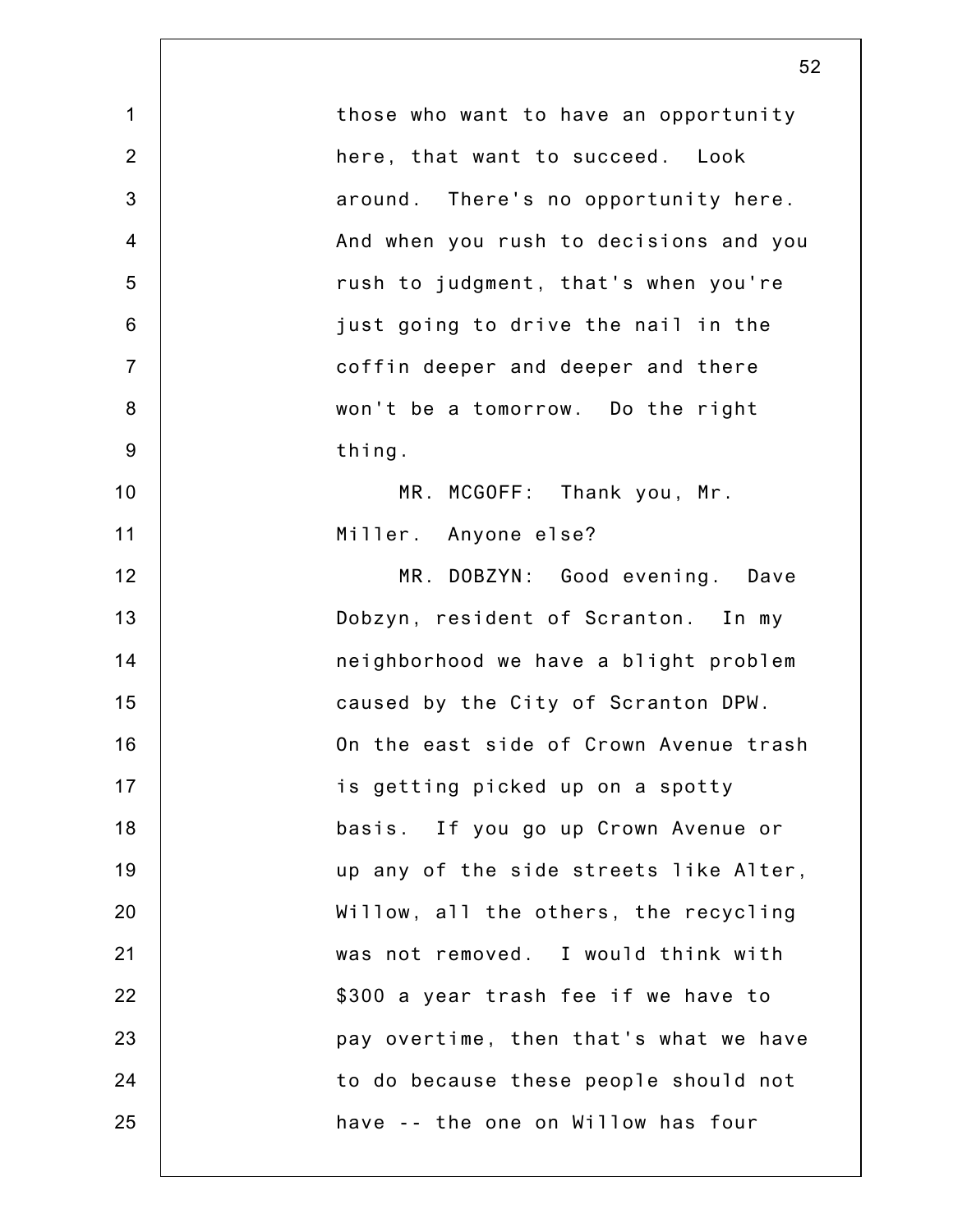| $\mathbf 1$    | those who want to have an opportunity  |
|----------------|----------------------------------------|
| $\overline{2}$ | here, that want to succeed. Look       |
| $\mathfrak{B}$ | around. There's no opportunity here.   |
| $\overline{4}$ | And when you rush to decisions and you |
| 5              | rush to judgment, that's when you're   |
| $\,6$          | just going to drive the nail in the    |
| $\overline{7}$ | coffin deeper and deeper and there     |
| $\bf 8$        | won't be a tomorrow. Do the right      |
| $9\,$          | thing.                                 |
| 10             | MR. MCGOFF: Thank you, Mr.             |
| 11             | Miller. Anyone else?                   |
| 12             | MR. DOBZYN: Good evening. Dave         |
| 13             | Dobzyn, resident of Scranton. In my    |
| 14             | neighborhood we have a blight problem  |
| 15             | caused by the City of Scranton DPW.    |
| 16             | On the east side of Crown Avenue trash |
| 17             | is getting picked up on a spotty       |
| 18             | basis. If you go up Crown Avenue or    |
| 19             | up any of the side streets like Alter, |
| 20             | Willow, all the others, the recycling  |
| 21             | was not removed. I would think with    |
| 22             | \$300 a year trash fee if we have to   |
| 23             | pay overtime, then that's what we have |
| 24             | to do because these people should not  |
| 25             | have -- the one on Willow has four     |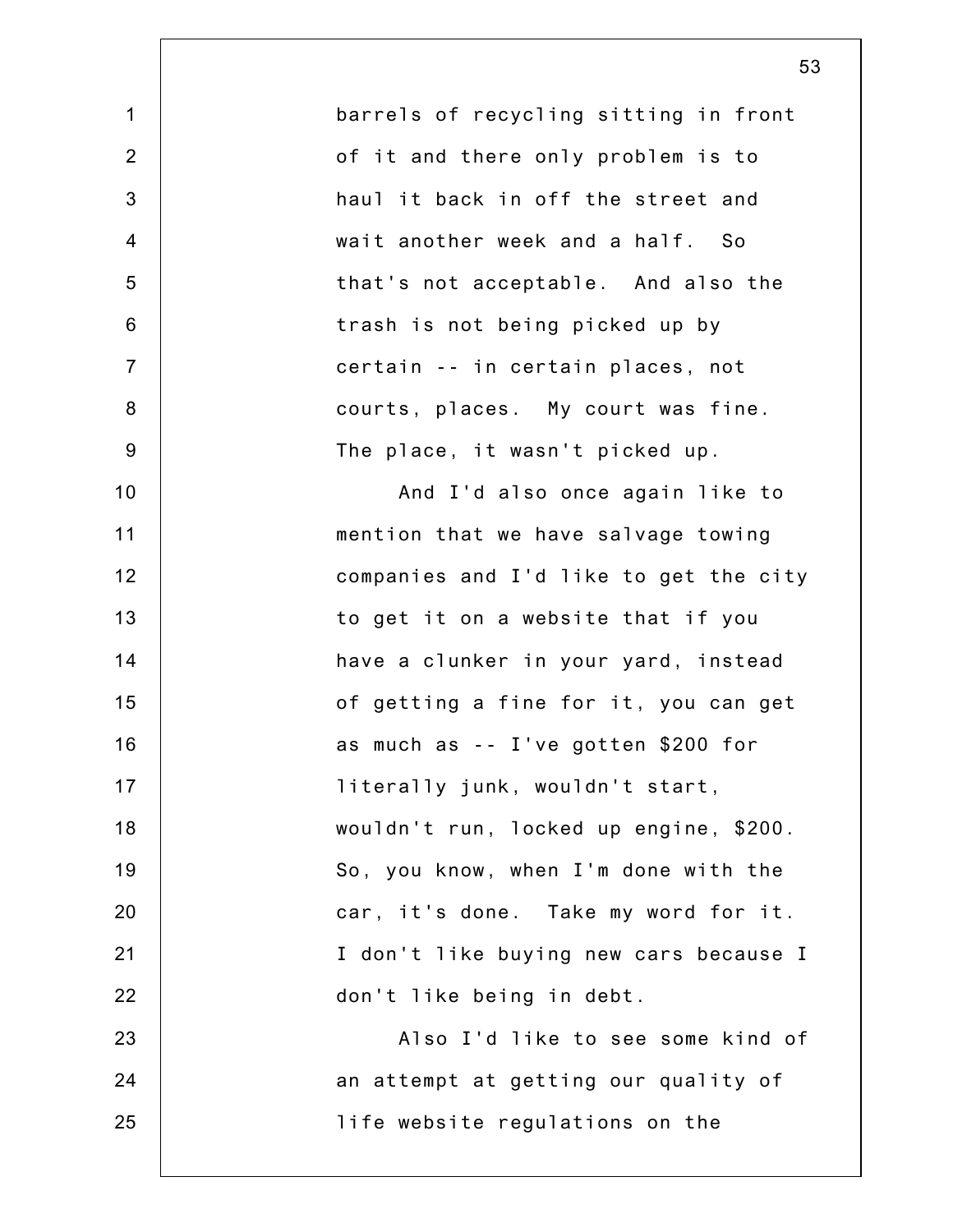|                | 53                                     |
|----------------|----------------------------------------|
| 1              | barrels of recycling sitting in front  |
| $\overline{2}$ | of it and there only problem is to     |
| 3              | haul it back in off the street and     |
| $\overline{4}$ | wait another week and a half. So       |
| 5              | that's not acceptable. And also the    |
| $6\phantom{1}$ | trash is not being picked up by        |
| $\overline{7}$ | certain -- in certain places, not      |
| $\bf 8$        | courts, places. My court was fine.     |
| $9\,$          | The place, it wasn't picked up.        |
| 10             | And I'd also once again like to        |
| 11             | mention that we have salvage towing    |
| 12             | companies and I'd like to get the city |
| 13             | to get it on a website that if you     |
| 14             | have a clunker in your yard, instead   |
| 15             | of getting a fine for it, you can get  |
| 16             | as much as -- I've gotten \$200 for    |
| 17             | literally junk, wouldn't start,        |
| 18             | wouldn't run, locked up engine, \$200. |
| 19             | So, you know, when I'm done with the   |
| 20             | car, it's done. Take my word for it.   |
| 21             | I don't like buying new cars because I |
| 22             | don't like being in debt.              |
| 23             | Also I'd like to see some kind of      |
| 24             | an attempt at getting our quality of   |
| 25             | life website regulations on the        |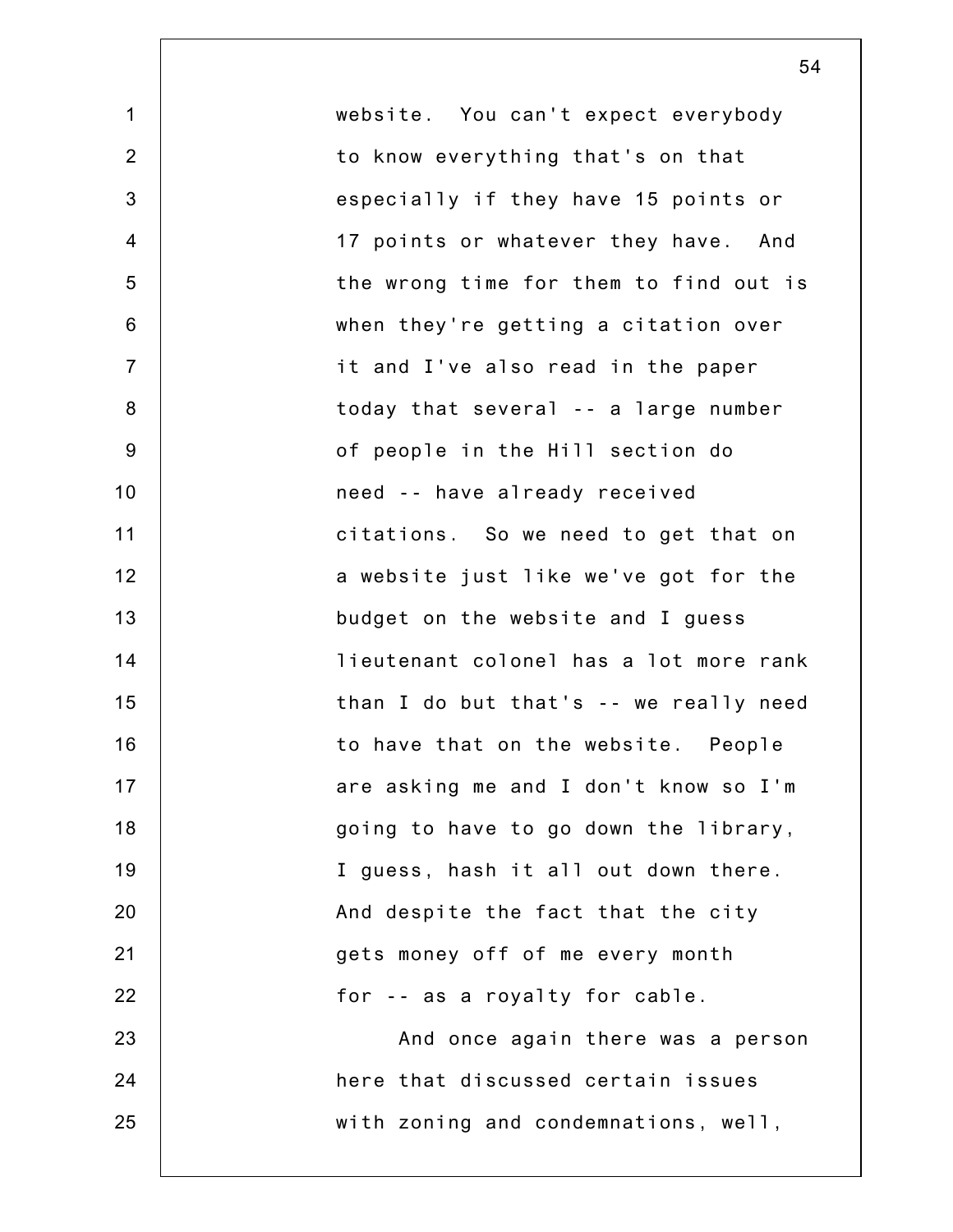| $\mathbf 1$    | website. You can't expect everybody    |
|----------------|----------------------------------------|
| $\overline{2}$ | to know everything that's on that      |
| $\mathbf{3}$   | especially if they have 15 points or   |
| $\overline{4}$ | 17 points or whatever they have. And   |
| 5              | the wrong time for them to find out is |
| $\,6$          | when they're getting a citation over   |
| $\overline{7}$ | it and I've also read in the paper     |
| $\bf 8$        | today that several -- a large number   |
| $9\,$          | of people in the Hill section do       |
| 10             | need -- have already received          |
| 11             | citations. So we need to get that on   |
| 12             | a website just like we've got for the  |
| 13             | budget on the website and I guess      |
| 14             | lieutenant colonel has a lot more rank |
| 15             | than I do but that's -- we really need |
| 16             | to have that on the website. People    |
| 17             | are asking me and I don't know so I'm  |
| 18             | going to have to go down the library,  |
| 19             | I guess, hash it all out down there.   |
| 20             | And despite the fact that the city     |
| 21             | gets money off of me every month       |
| 22             | for -- as a royalty for cable.         |
| 23             | And once again there was a person      |
| 24             | here that discussed certain issues     |
| 25             | with zoning and condemnations, well,   |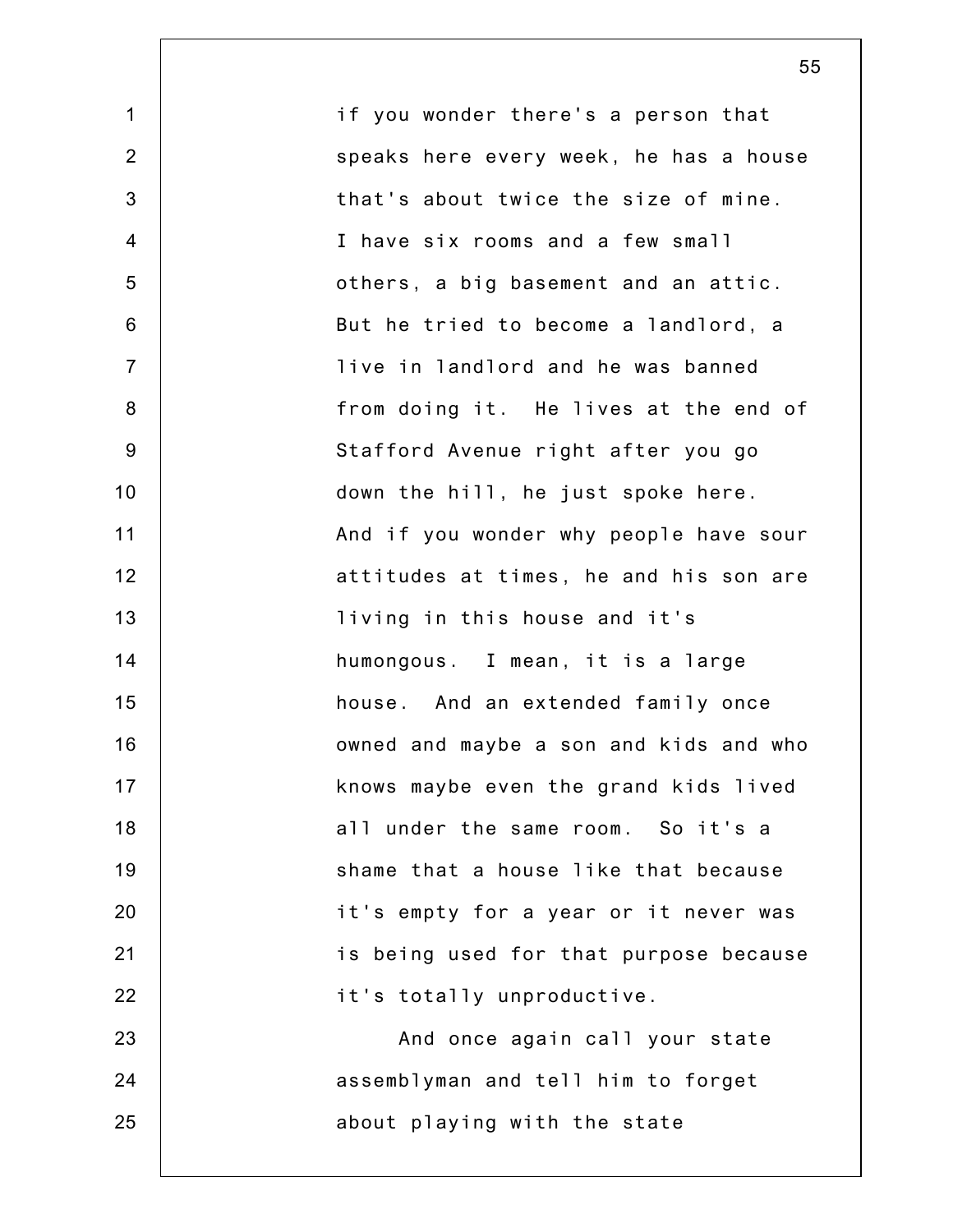| $\mathbf{1}$   | if you wonder there's a person that    |
|----------------|----------------------------------------|
| 2              | speaks here every week, he has a house |
| 3              | that's about twice the size of mine.   |
| $\overline{4}$ | I have six rooms and a few small       |
| 5              | others, a big basement and an attic.   |
| $6\phantom{1}$ | But he tried to become a landlord, a   |
| $\overline{7}$ | live in landlord and he was banned     |
| $\bf 8$        | from doing it. He lives at the end of  |
| 9              | Stafford Avenue right after you go     |
| 10             | down the hill, he just spoke here.     |
| 11             | And if you wonder why people have sour |
| 12             | attitudes at times, he and his son are |
| 13             | living in this house and it's          |
| 14             | humongous. I mean, it is a large       |
| 15             | house. And an extended family once     |
| 16             | owned and maybe a son and kids and who |
| 17             | knows maybe even the grand kids lived  |
| 18             | all under the same room. So it's a     |
| 19             | shame that a house like that because   |
| 20             | it's empty for a year or it never was  |
| 21             | is being used for that purpose because |
| 22             | it's totally unproductive.             |
| 23             | And once again call your state         |
| 24             | assemblyman and tell him to forget     |
| 25             | about playing with the state           |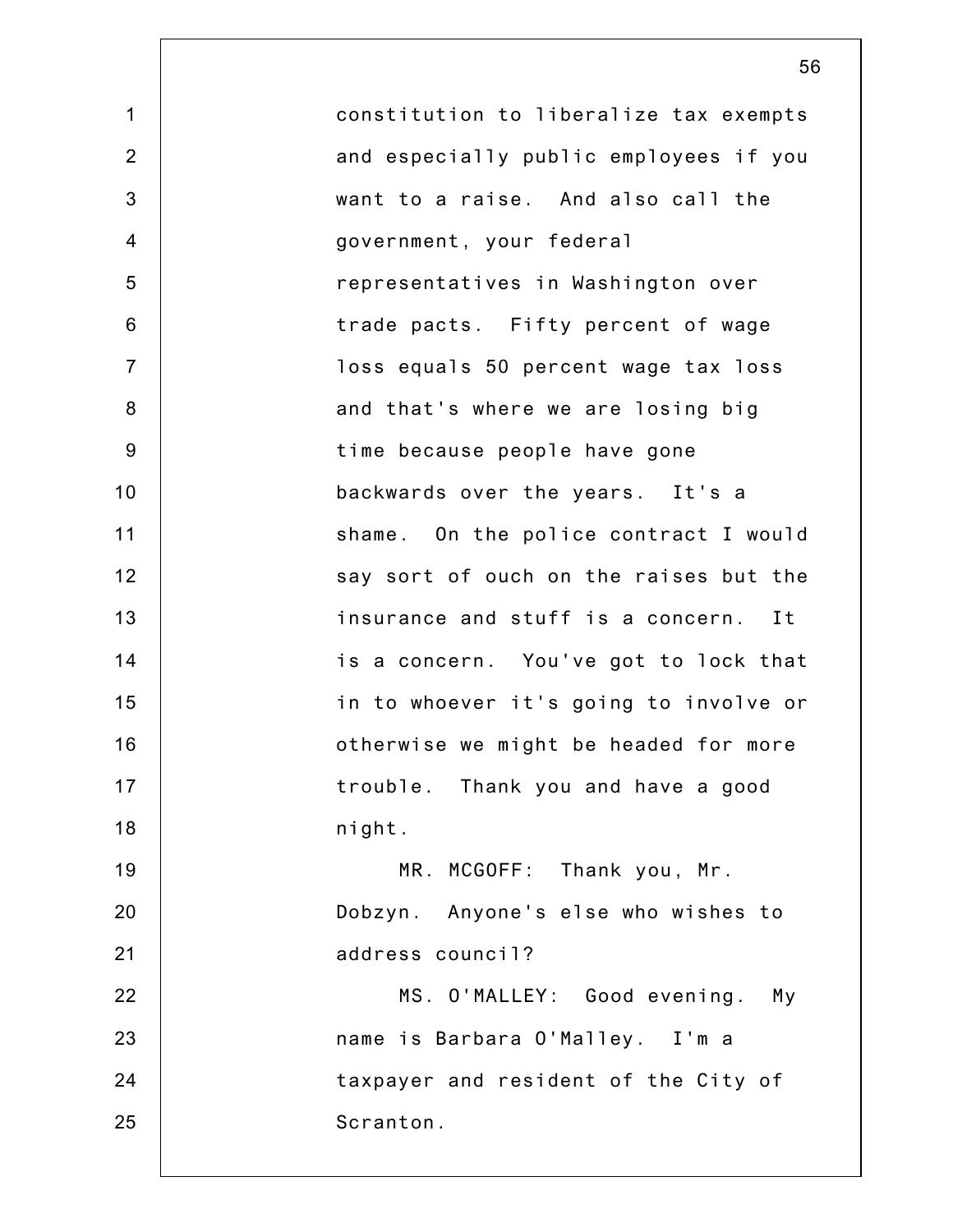1 2 3 4 5 6 7 8 9 10 11 12 13 14 15 16 17 18 19 20 21 22 23 24 25 constitution to liberalize tax exempts and especially public employees if you want to a raise. And also call the government, your federal representatives in Washington over trade pacts. Fifty percent of wage loss equals 50 percent wage tax loss and that's where we are losing big time because people have gone backwards over the years. It's a shame. On the police contract I would say sort of ouch on the raises but the insurance and stuff is a concern. It is a concern. You've got to lock that in to whoever it's going to involve or otherwise we might be headed for more trouble. Thank you and have a good night. MR. MCGOFF: Thank you, Mr. Dobzyn. Anyone's else who wishes to address council? MS. O'MALLEY: Good evening. My name is Barbara O'Malley. I'm a taxpayer and resident of the City of Scranton.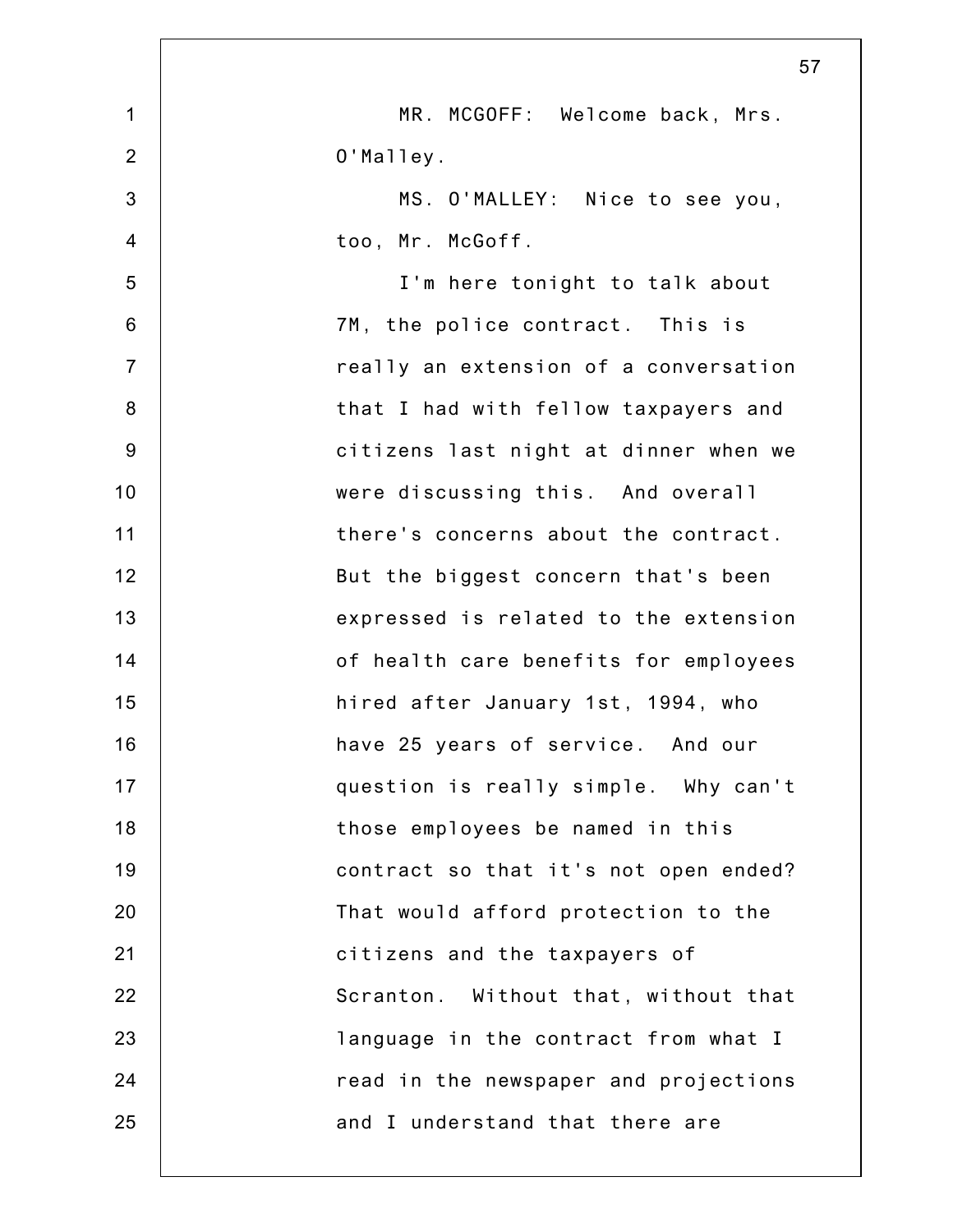|                | 57                                    |
|----------------|---------------------------------------|
| $\mathbf 1$    | MR. MCGOFF: Welcome back, Mrs.        |
| $\overline{2}$ | O'Malley.                             |
| 3              | MS. O'MALLEY: Nice to see you,        |
| $\overline{4}$ | too, Mr. McGoff.                      |
| 5              | I'm here tonight to talk about        |
| $6\phantom{1}$ | 7M, the police contract. This is      |
| $\overline{7}$ | really an extension of a conversation |
| $\bf 8$        | that I had with fellow taxpayers and  |
| $9\,$          | citizens last night at dinner when we |
| 10             | were discussing this. And overall     |
| 11             | there's concerns about the contract.  |
| 12             | But the biggest concern that's been   |
| 13             | expressed is related to the extension |
| 14             | of health care benefits for employees |
| 15             | hired after January 1st, 1994, who    |
| 16             | have 25 years of service. And our     |
| 17             | question is really simple. Why can't  |
| 18             | those employees be named in this      |
| 19             | contract so that it's not open ended? |
| 20             | That would afford protection to the   |
| 21             | citizens and the taxpayers of         |
| 22             | Scranton. Without that, without that  |
| 23             | language in the contract from what I  |
| 24             | read in the newspaper and projections |
| 25             | and I understand that there are       |
|                |                                       |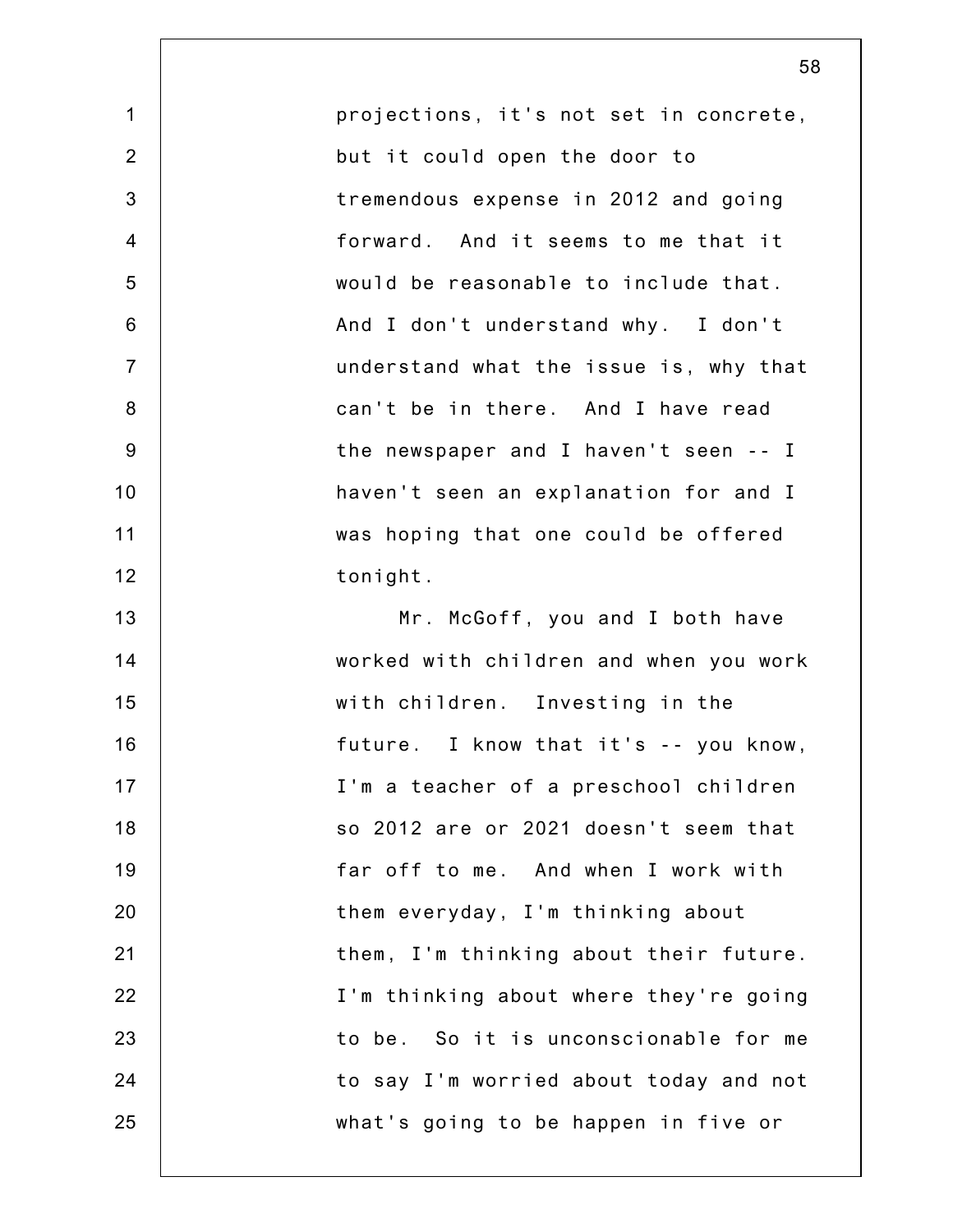| $\mathbf 1$    | projections, it's not set in concrete, |
|----------------|----------------------------------------|
| $\overline{2}$ | but it could open the door to          |
| 3              | tremendous expense in 2012 and going   |
| $\overline{4}$ | forward. And it seems to me that it    |
| 5              | would be reasonable to include that.   |
| 6              | And I don't understand why. I don't    |
| $\overline{7}$ | understand what the issue is, why that |
| 8              | can't be in there. And I have read     |
| 9              | the newspaper and I haven't seen -- I  |
| 10             | haven't seen an explanation for and I  |
| 11             | was hoping that one could be offered   |
| 12             | tonight.                               |
| 13             | Mr. McGoff, you and I both have        |
| 14             | worked with children and when you work |
| 15             | with children. Investing in the        |
| 16             | future. I know that it's -- you know,  |
| 17             | I'm a teacher of a preschool children  |
| 18             | so 2012 are or 2021 doesn't seem that  |
| 19             | far off to me. And when I work with    |
| 20             | them everyday, I'm thinking about      |
| 21             | them, I'm thinking about their future. |
| 22             | I'm thinking about where they're going |
| 23             | to be. So it is unconscionable for me  |
| 24             | to say I'm worried about today and not |
| 25             | what's going to be happen in five or   |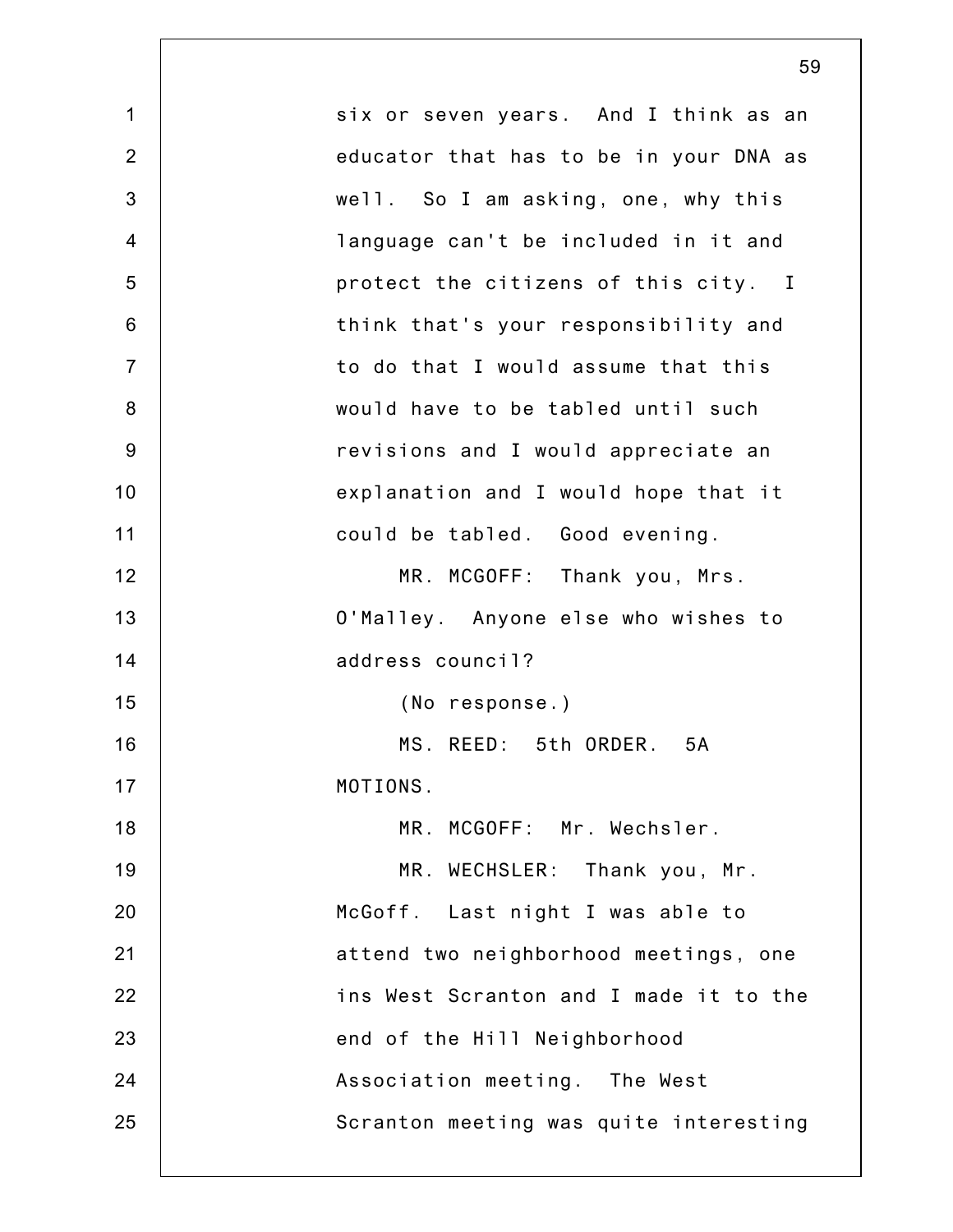|                | 59                                     |
|----------------|----------------------------------------|
| $\mathbf 1$    | six or seven years. And I think as an  |
| $\overline{2}$ | educator that has to be in your DNA as |
| 3              | well. So I am asking, one, why this    |
| $\overline{4}$ | language can't be included in it and   |
| 5              | protect the citizens of this city. I   |
| $6\,$          | think that's your responsibility and   |
| $\overline{7}$ | to do that I would assume that this    |
| 8              | would have to be tabled until such     |
| $9\,$          | revisions and I would appreciate an    |
| 10             | explanation and I would hope that it   |
| 11             | could be tabled. Good evening.         |
| 12             | MR. MCGOFF: Thank you, Mrs.            |
| 13             | O'Malley. Anyone else who wishes to    |
| 14             | address council?                       |
| 15             | (No response.)                         |
| 16             | MS. REED: 5th ORDER.<br>5A             |
| 17             | MOTIONS.                               |
| 18             | MR. MCGOFF: Mr. Wechsler.              |
| 19             | MR. WECHSLER: Thank you, Mr.           |
| 20             | McGoff. Last night I was able to       |
| 21             | attend two neighborhood meetings, one  |
| 22             | ins West Scranton and I made it to the |
| 23             | end of the Hill Neighborhood           |
| 24             | Association meeting. The West          |
| 25             | Scranton meeting was quite interesting |
|                |                                        |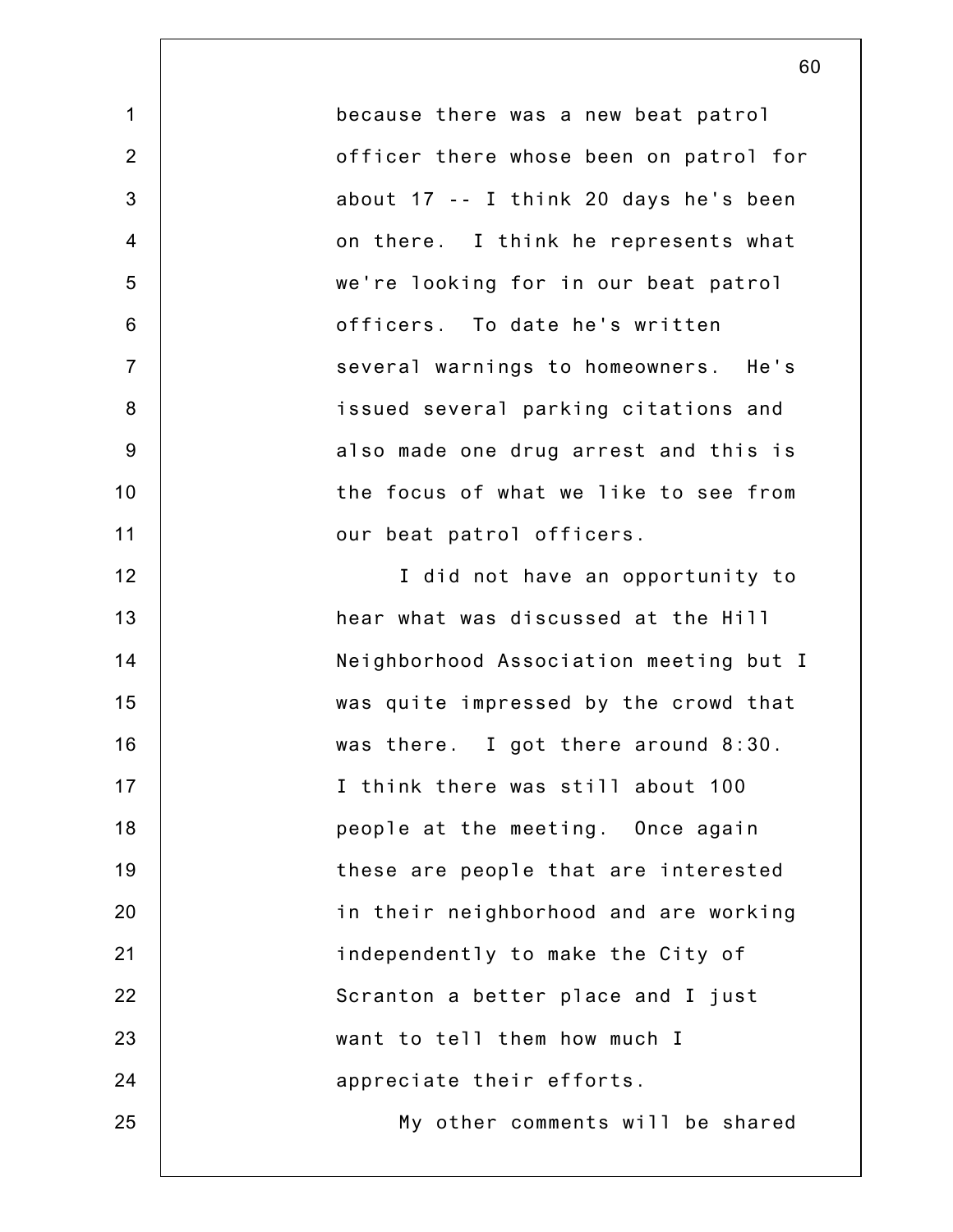because there was a new beat patrol officer there whose been on patrol for about 17 -- I think 20 days he's been on there. I think he represents what we're looking for in our beat patrol officers. To date he's written several warnings to homeowners. He's issued several parking citations and also made one drug arrest and this is the focus of what we like to see from our beat patrol officers. I did not have an opportunity to hear what was discussed at the Hill Neighborhood Association meeting but I was quite impressed by the crowd that was there. I got there around 8:30. I think there was still about 100 people at the meeting. Once again these are people that are interested in their neighborhood and are working independently to make the City of Scranton a better place and I just want to tell them how much I appreciate their efforts. My other comments will be shared

1

2

3

4

5

6

7

8

9

10

11

12

13

14

15

16

17

18

19

20

21

22

23

24

25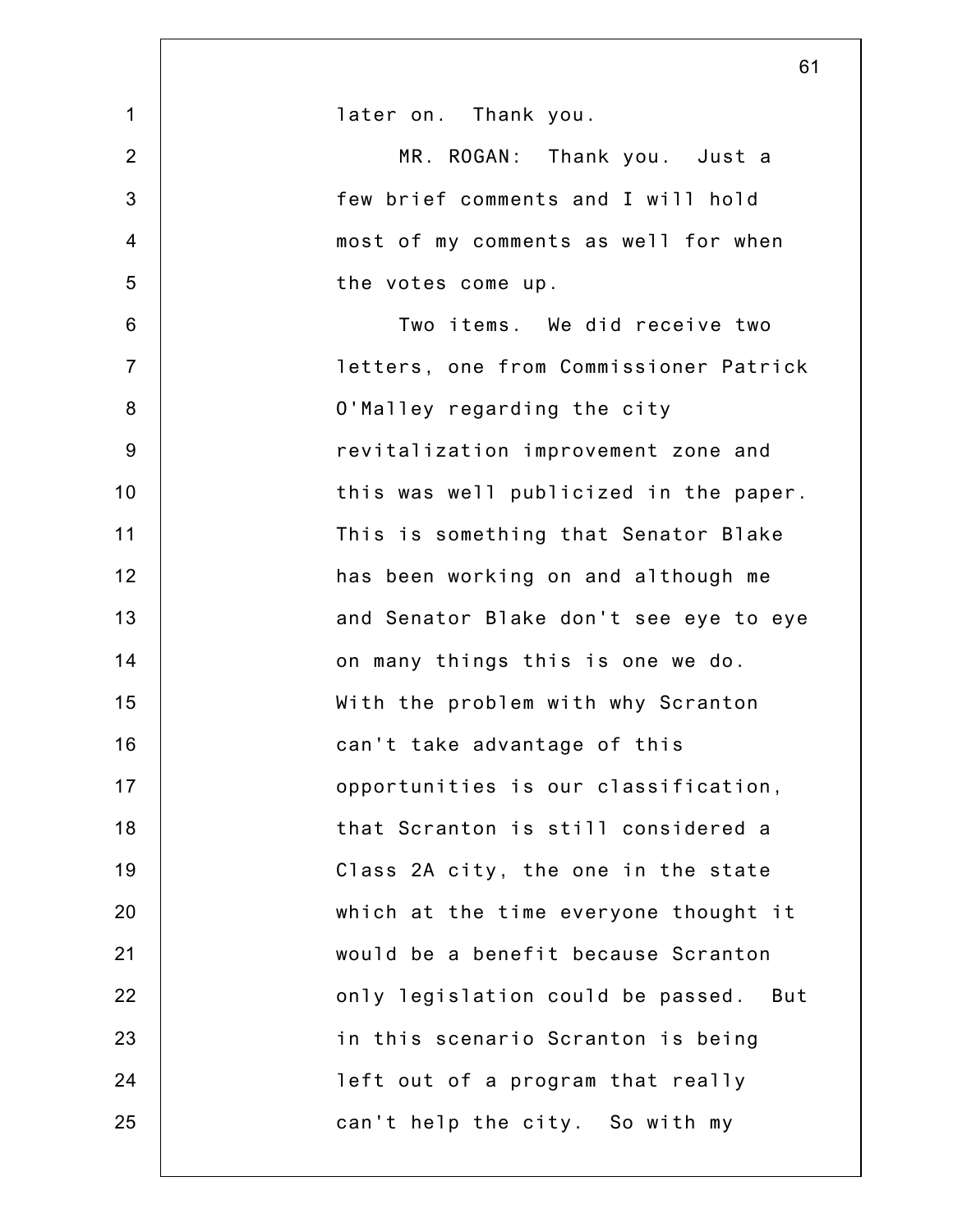|                | 61                                     |
|----------------|----------------------------------------|
| $\mathbf 1$    | later on. Thank you.                   |
| $\overline{2}$ | MR. ROGAN: Thank you. Just a           |
| $\mathbf{3}$   | few brief comments and I will hold     |
| $\overline{4}$ | most of my comments as well for when   |
| 5              | the votes come up.                     |
| $6\phantom{1}$ | Two items. We did receive two          |
| $\overline{7}$ | letters, one from Commissioner Patrick |
| $\bf 8$        | O'Malley regarding the city            |
| $9\,$          | revitalization improvement zone and    |
| 10             | this was well publicized in the paper. |
| 11             | This is something that Senator Blake   |
| 12             | has been working on and although me    |
| 13             | and Senator Blake don't see eye to eye |
| 14             | on many things this is one we do.      |
| 15             | With the problem with why Scranton     |
| 16             | can't take advantage of this           |
| 17             | opportunities is our classification,   |
| 18             | that Scranton is still considered a    |
| 19             | Class 2A city, the one in the state    |
| 20             | which at the time everyone thought it  |
| 21             | would be a benefit because Scranton    |
| 22             | only legislation could be passed. But  |
| 23             | in this scenario Scranton is being     |
| 24             | left out of a program that really      |
| 25             | can't help the city. So with my        |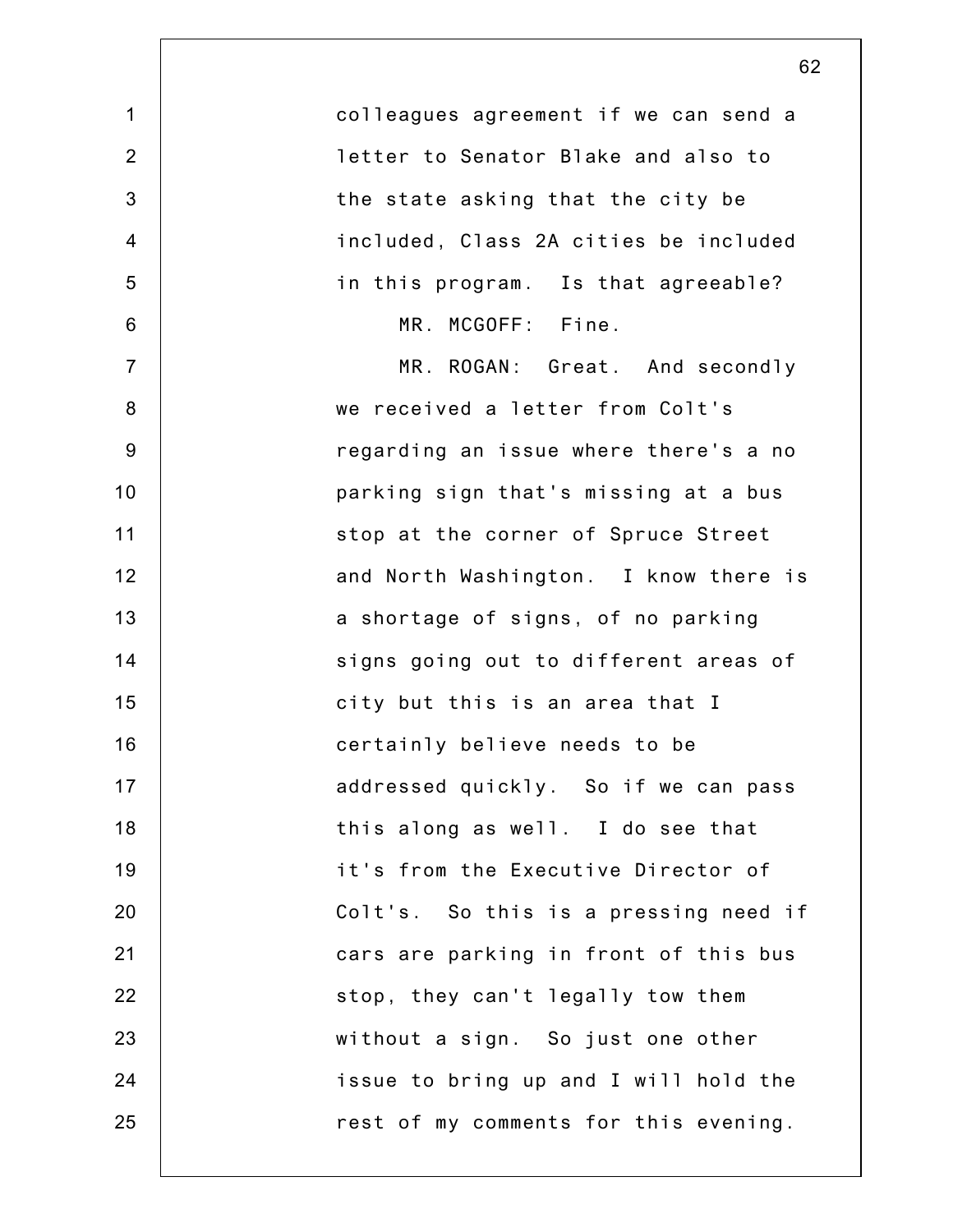| $\mathbf 1$    | colleagues agreement if we can send a |
|----------------|---------------------------------------|
| $\overline{2}$ | letter to Senator Blake and also to   |
| 3              | the state asking that the city be     |
| $\overline{4}$ | included, Class 2A cities be included |
| 5              | in this program. Is that agreeable?   |
| 6              | MR. MCGOFF: Fine.                     |
| $\overline{7}$ | MR. ROGAN: Great. And secondly        |
| 8              | we received a letter from Colt's      |
| $9\,$          | regarding an issue where there's a no |
| 10             | parking sign that's missing at a bus  |
| 11             | stop at the corner of Spruce Street   |
| 12             | and North Washington. I know there is |
| 13             | a shortage of signs, of no parking    |
| 14             | signs going out to different areas of |
| 15             | city but this is an area that I       |
| 16             | certainly believe needs to be         |
| 17             | addressed quickly. So if we can pass  |
| 18             | this along as well. I do see that     |
| 19             | it's from the Executive Director of   |
| 20             | Colt's. So this is a pressing need if |
| 21             | cars are parking in front of this bus |
| 22             | stop, they can't legally tow them     |
| 23             | without a sign. So just one other     |
| 24             | issue to bring up and I will hold the |
| 25             | rest of my comments for this evening. |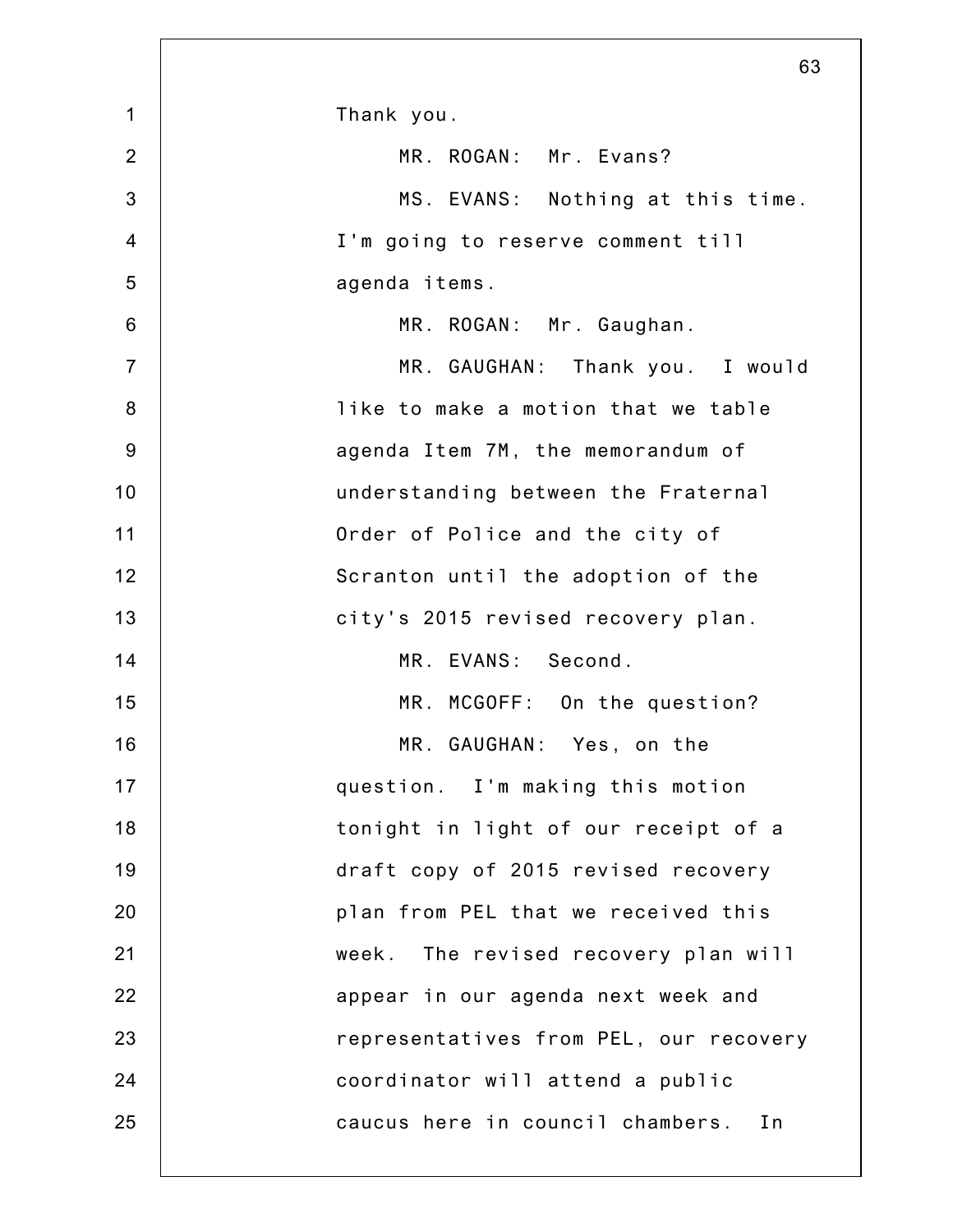| Thank you.                              |
|-----------------------------------------|
| MR. ROGAN: Mr. Evans?                   |
| MS. EVANS: Nothing at this time.        |
| I'm going to reserve comment till       |
| agenda items.                           |
| MR. ROGAN: Mr. Gaughan.                 |
| MR. GAUGHAN: Thank you. I would         |
| like to make a motion that we table     |
| agenda Item 7M, the memorandum of       |
| understanding between the Fraternal     |
| Order of Police and the city of         |
| Scranton until the adoption of the      |
| city's 2015 revised recovery plan.      |
| MR. EVANS: Second.                      |
| MR. MCGOFF: On the question?            |
| MR. GAUGHAN: Yes, on the                |
| question. I'm making this motion        |
| tonight in light of our receipt of a    |
| draft copy of 2015 revised recovery     |
| plan from PEL that we received this     |
| The revised recovery plan will<br>week. |
| appear in our agenda next week and      |
| representatives from PEL, our recovery  |
| coordinator will attend a public        |
| caucus here in council chambers.<br>In  |
|                                         |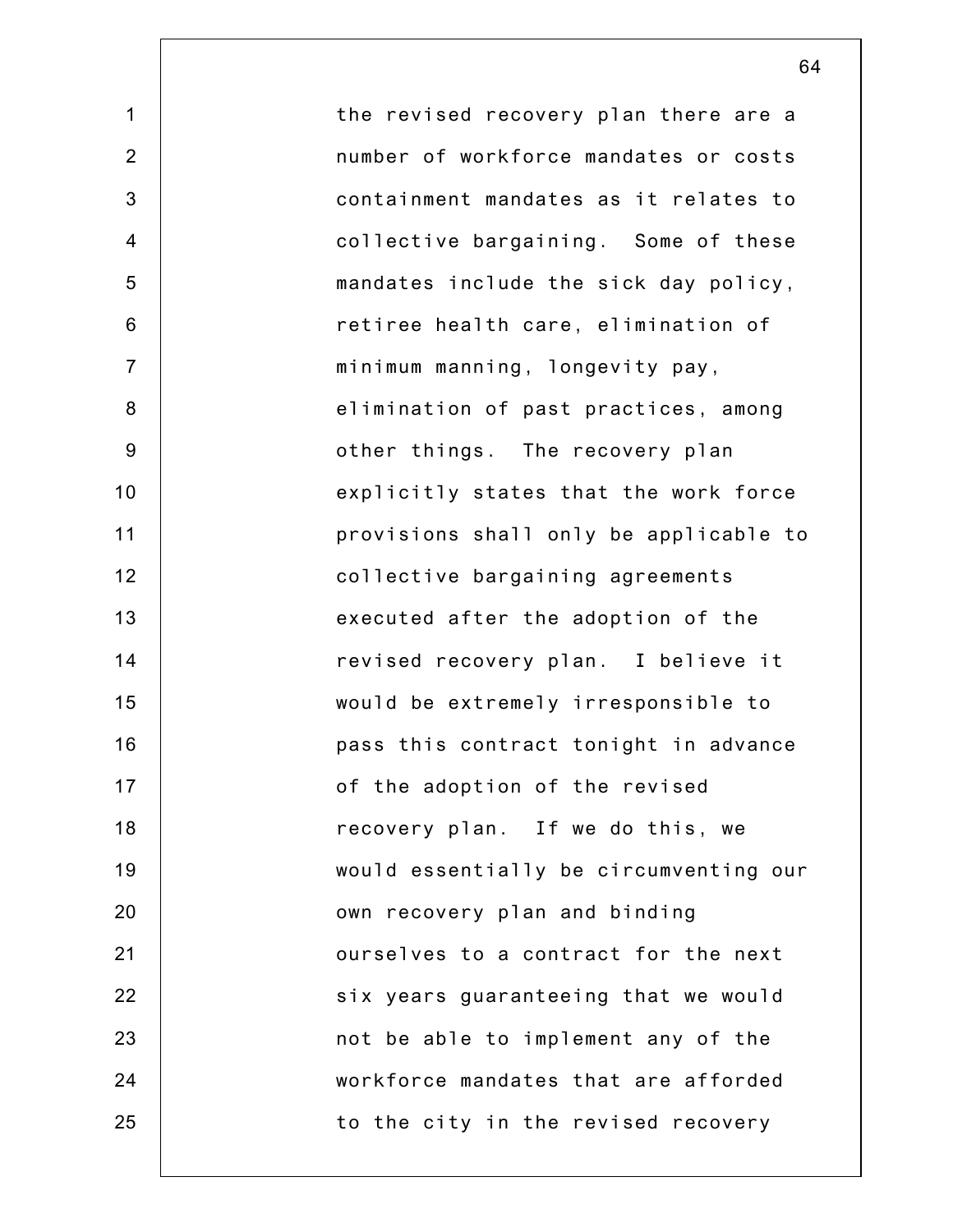1 2 3 4 5 6 7 8 9 10 11 12 13 14 15 16 17 18 19 20 21 22 23 24 25 the revised recovery plan there are a number of workforce mandates or costs containment mandates as it relates to collective bargaining. Some of these mandates include the sick day policy, retiree health care, elimination of minimum manning, longevity pay, elimination of past practices, among other things. The recovery plan explicitly states that the work force provisions shall only be applicable to collective bargaining agreements executed after the adoption of the revised recovery plan. I believe it would be extremely irresponsible to pass this contract tonight in advance of the adoption of the revised recovery plan. If we do this, we would essentially be circumventing our own recovery plan and binding ourselves to a contract for the next six years guaranteeing that we would not be able to implement any of the workforce mandates that are afforded to the city in the revised recovery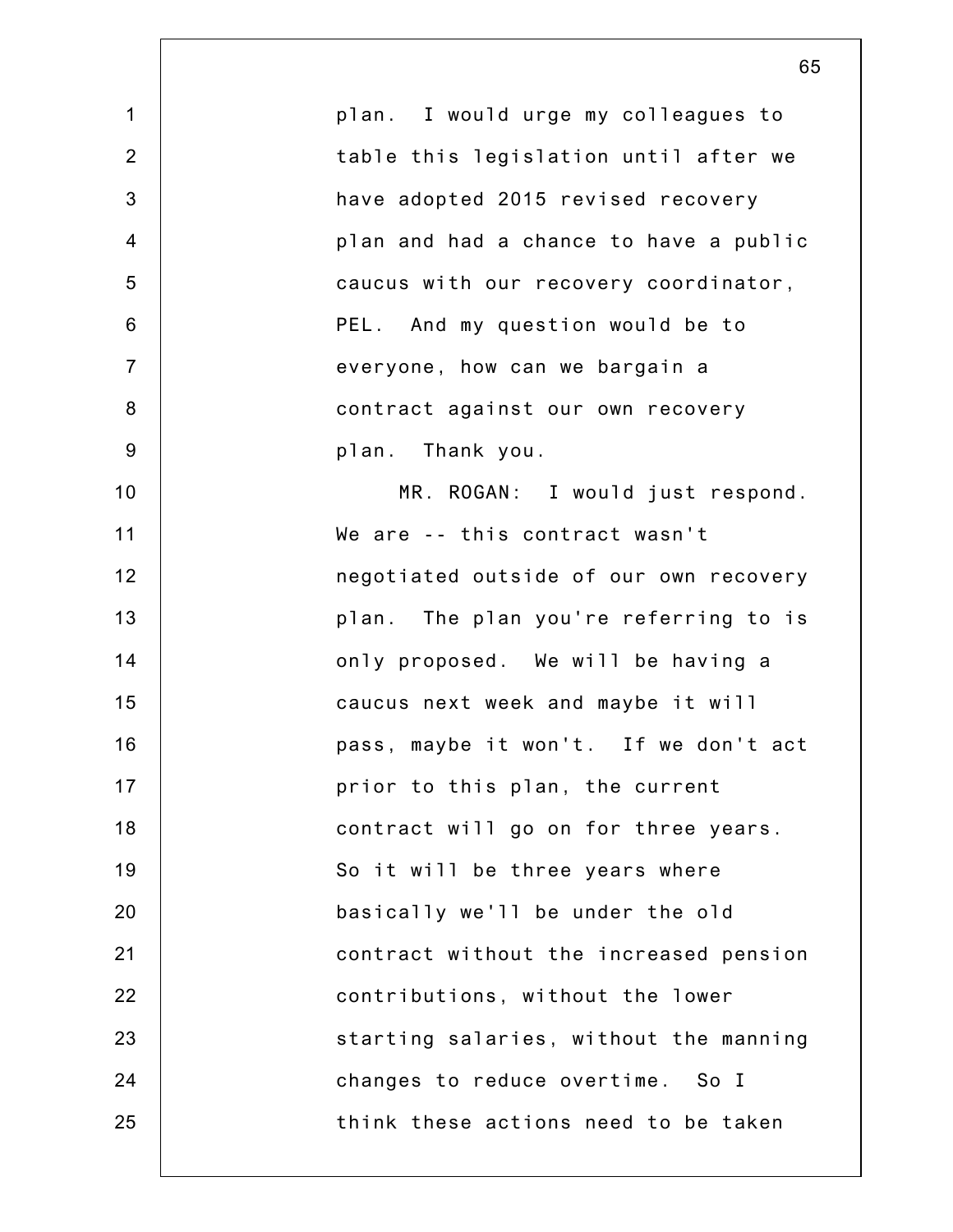|                | 65                                     |
|----------------|----------------------------------------|
| $\mathbf 1$    | plan. I would urge my colleagues to    |
| $\overline{2}$ | table this legislation until after we  |
| 3              | have adopted 2015 revised recovery     |
| $\overline{4}$ | plan and had a chance to have a public |
| 5              | caucus with our recovery coordinator,  |
| 6              | PEL. And my question would be to       |
| $\overline{7}$ | everyone, how can we bargain a         |
| $\bf 8$        | contract against our own recovery      |
| $9\,$          | plan. Thank you.                       |
| 10             | MR. ROGAN: I would just respond.       |
| 11             | We are -- this contract wasn't         |
| 12             | negotiated outside of our own recovery |
| 13             | plan. The plan you're referring to is  |
| 14             | only proposed. We will be having a     |
| 15             | caucus next week and maybe it will     |
| 16             | pass, maybe it won't. If we don't act  |
| 17             | prior to this plan, the current        |
| 18             | contract will go on for three years.   |
| 19             | So it will be three years where        |
| 20             | basically we'll be under the old       |
| 21             | contract without the increased pension |
| 22             | contributions, without the lower       |
| 23             | starting salaries, without the manning |
| 24             | changes to reduce overtime. So I       |
| 25             | think these actions need to be taken   |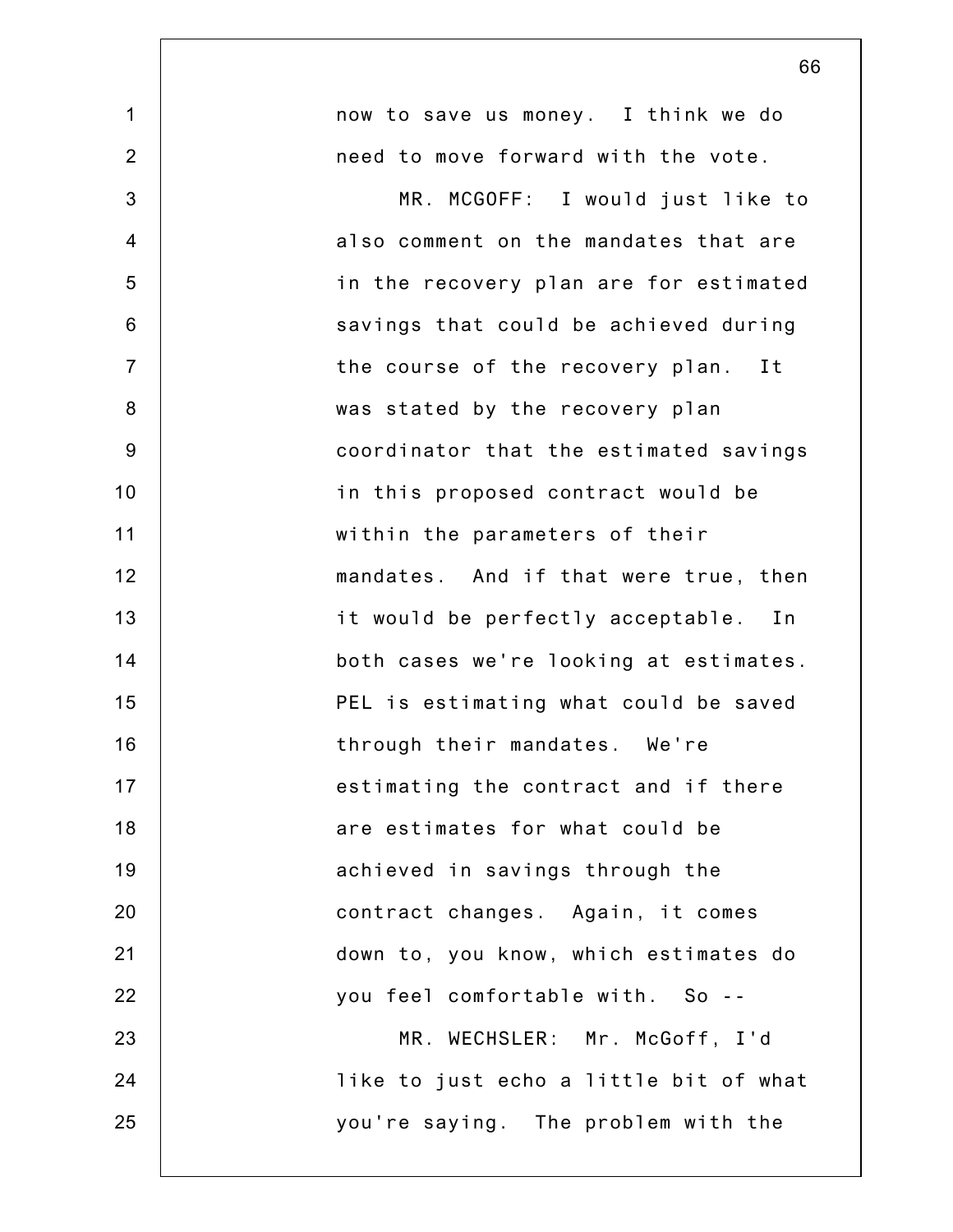|                | 66                                     |
|----------------|----------------------------------------|
| $\mathbf 1$    | now to save us money. I think we do    |
| $\overline{2}$ | need to move forward with the vote.    |
| 3              | MR. MCGOFF: I would just like to       |
| $\overline{4}$ | also comment on the mandates that are  |
| 5              | in the recovery plan are for estimated |
| 6              | savings that could be achieved during  |
| $\overline{7}$ | the course of the recovery plan. It    |
| 8              | was stated by the recovery plan        |
| $9\,$          | coordinator that the estimated savings |
| 10             | in this proposed contract would be     |
| 11             | within the parameters of their         |
| 12             | mandates. And if that were true, then  |
| 13             | it would be perfectly acceptable. In   |
| 14             | both cases we're looking at estimates. |
| 15             | PEL is estimating what could be saved  |
| 16             | through their mandates. We're          |
| 17             | estimating the contract and if there   |
| 18             | are estimates for what could be        |
| 19             | achieved in savings through the        |
| 20             | contract changes. Again, it comes      |
| 21             | down to, you know, which estimates do  |
| 22             | you feel comfortable with. So --       |
| 23             | MR. WECHSLER: Mr. McGoff, I'd          |
| 24             | like to just echo a little bit of what |
| 25             | you're saying. The problem with the    |
|                |                                        |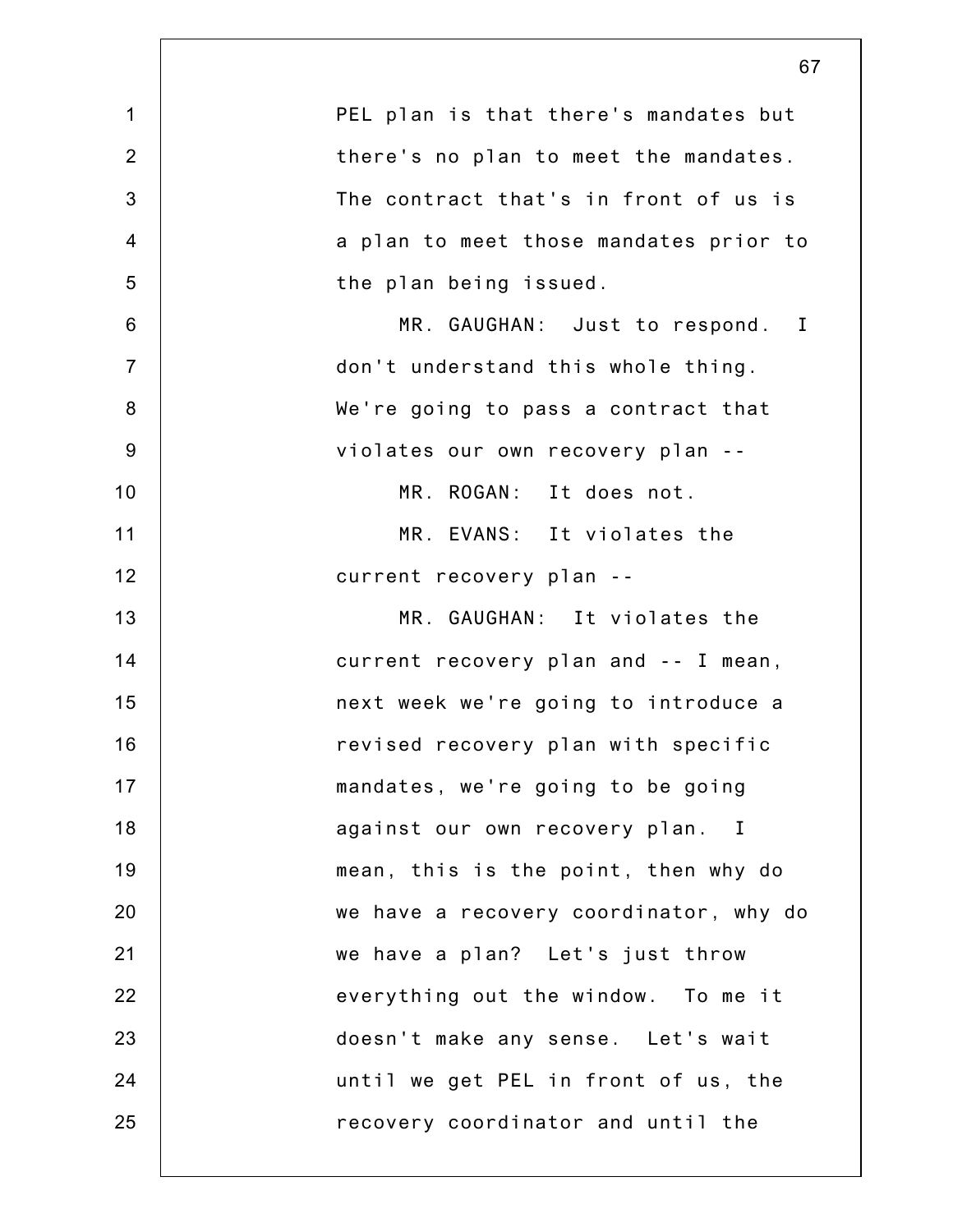|                 | 67                                     |
|-----------------|----------------------------------------|
| $\mathbf 1$     | PEL plan is that there's mandates but  |
| $\overline{2}$  | there's no plan to meet the mandates.  |
| 3               | The contract that's in front of us is  |
| $\overline{4}$  | a plan to meet those mandates prior to |
| 5               | the plan being issued.                 |
| $6\phantom{1}6$ | MR. GAUGHAN: Just to respond. I        |
| $\overline{7}$  | don't understand this whole thing.     |
| 8               | We're going to pass a contract that    |
| $9\,$           | violates our own recovery plan --      |
| 10              | MR. ROGAN: It does not.                |
| 11              | MR. EVANS: It violates the             |
| 12              | current recovery plan --               |
| 13              | MR. GAUGHAN: It violates the           |
| 14              | current recovery plan and -- I mean,   |
| 15              | next week we're going to introduce a   |
| 16              | revised recovery plan with specific    |
| 17              | mandates, we're going to be going      |
| 18              | against our own recovery plan. I       |
| 19              | mean, this is the point, then why do   |
| 20              | we have a recovery coordinator, why do |
| 21              | we have a plan? Let's just throw       |
| 22              | everything out the window. To me it    |
| 23              | doesn't make any sense. Let's wait     |
| 24              | until we get PEL in front of us, the   |
| 25              | recovery coordinator and until the     |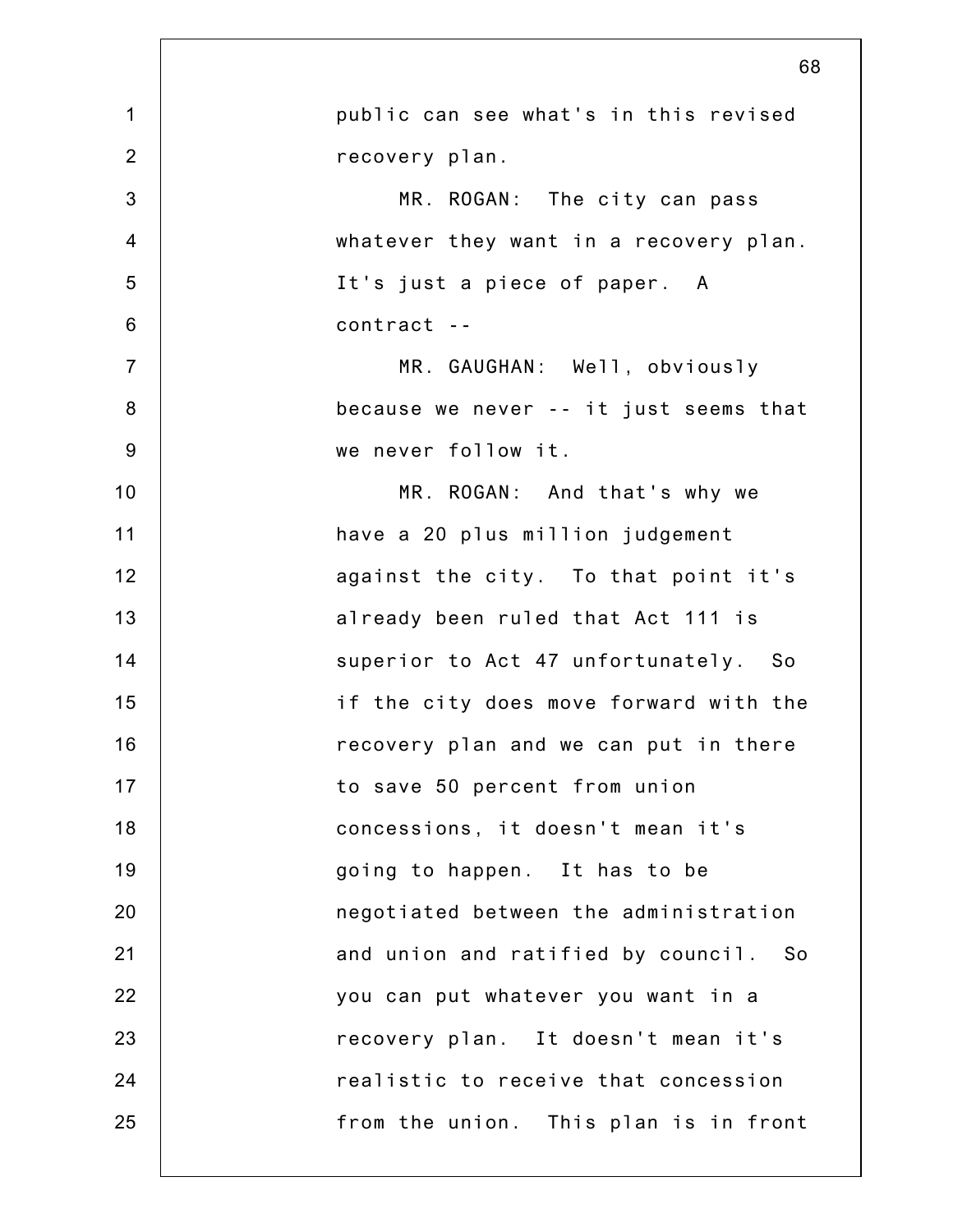|                | 68                                     |
|----------------|----------------------------------------|
| $\mathbf 1$    | public can see what's in this revised  |
| $\overline{2}$ | recovery plan.                         |
| 3              | MR. ROGAN: The city can pass           |
| $\overline{4}$ | whatever they want in a recovery plan. |
| 5              | It's just a piece of paper. A          |
| $6\,$          | contract --                            |
| $\overline{7}$ | MR. GAUGHAN: Well, obviously           |
| $\bf 8$        | because we never -- it just seems that |
| $9\,$          | we never follow it.                    |
| 10             | MR. ROGAN: And that's why we           |
| 11             | have a 20 plus million judgement       |
| 12             | against the city. To that point it's   |
| 13             | already been ruled that Act 111 is     |
| 14             | superior to Act 47 unfortunately. So   |
| 15             | if the city does move forward with the |
| 16             | recovery plan and we can put in there  |
| 17             | to save 50 percent from union          |
| 18             | concessions, it doesn't mean it's      |
| 19             | going to happen. It has to be          |
| 20             | negotiated between the administration  |
| 21             | and union and ratified by council. So  |
| 22             | you can put whatever you want in a     |
| 23             | recovery plan. It doesn't mean it's    |
| 24             | realistic to receive that concession   |
| 25             | from the union. This plan is in front  |
|                |                                        |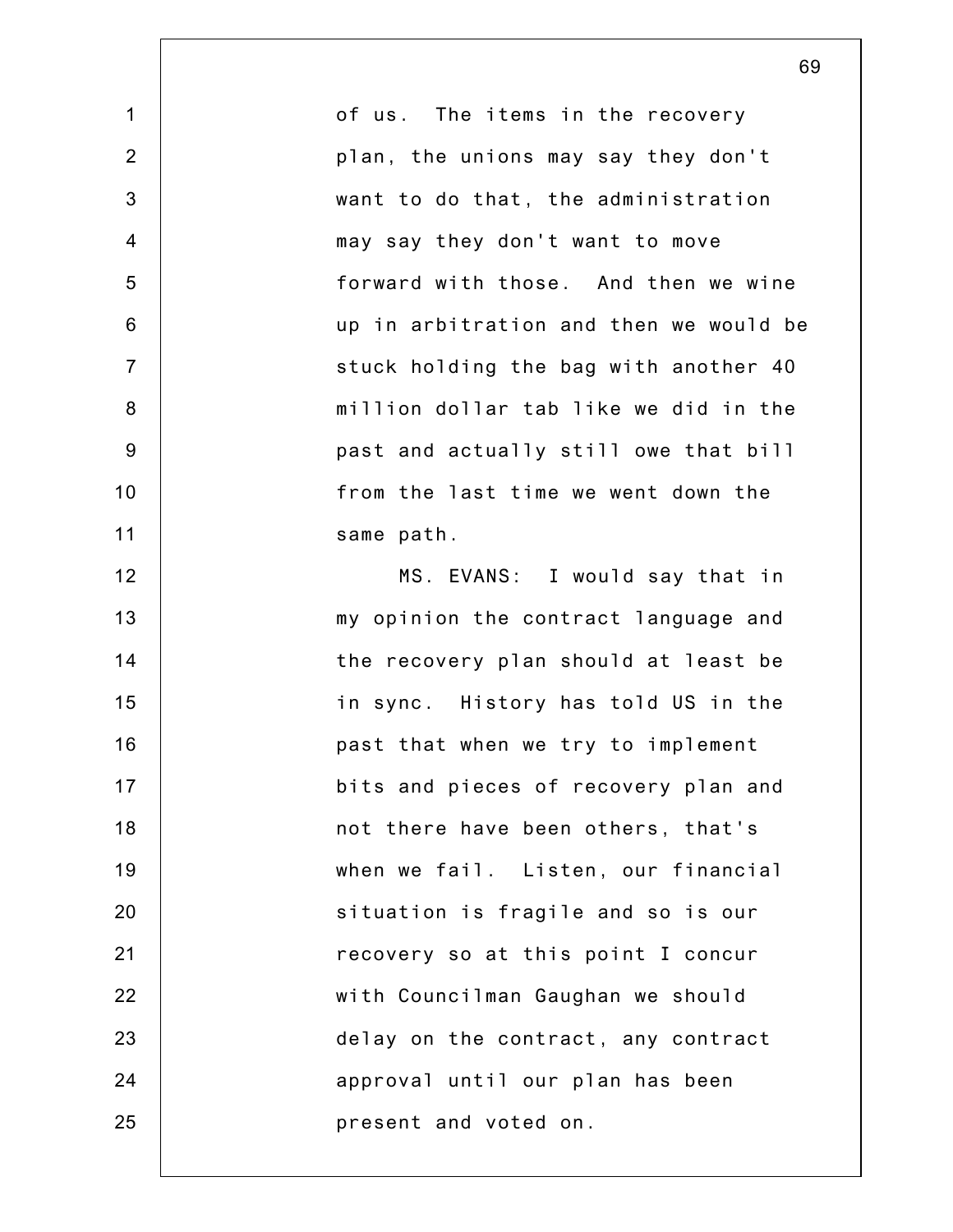1 2 3 4 5 6 7 8 9 10 11 12 13 14 15 16 17 18 19 20 21 22 23 24 25 of us. The items in the recovery plan, the unions may say they don't want to do that, the administration may say they don't want to move forward with those. And then we wine up in arbitration and then we would be stuck holding the bag with another 40 million dollar tab like we did in the past and actually still owe that bill from the last time we went down the same path. MS. EVANS: I would say that in my opinion the contract language and the recovery plan should at least be in sync. History has told US in the past that when we try to implement bits and pieces of recovery plan and not there have been others, that's when we fail. Listen, our financial situation is fragile and so is our recovery so at this point I concur with Councilman Gaughan we should delay on the contract, any contract approval until our plan has been present and voted on.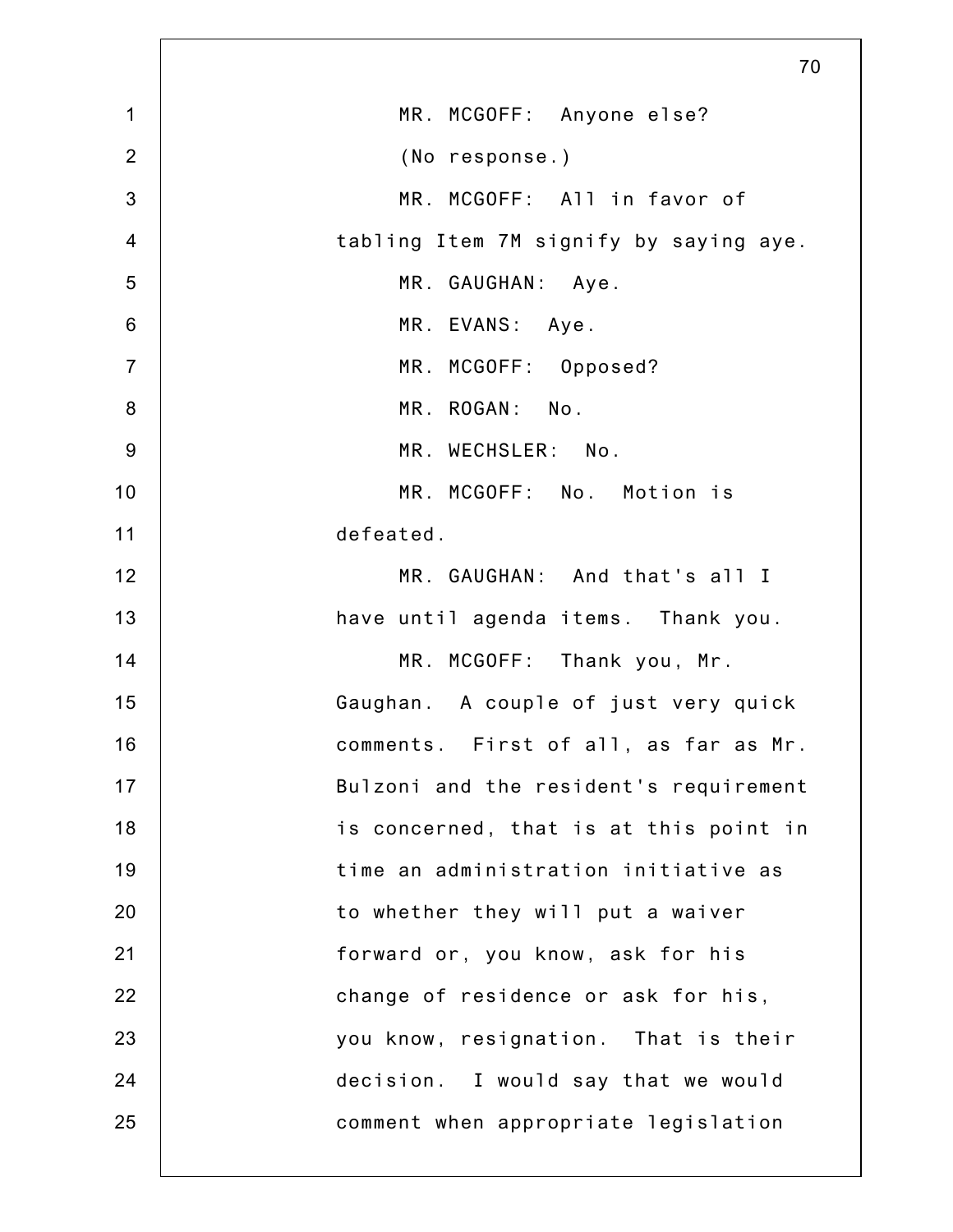|                | 70                                     |
|----------------|----------------------------------------|
| $\mathbf 1$    | MR. MCGOFF: Anyone else?               |
| $\overline{2}$ | (No response.)                         |
| 3              | MR. MCGOFF: All in favor of            |
| $\overline{4}$ | tabling Item 7M signify by saying aye. |
| 5              | MR. GAUGHAN: Aye.                      |
| $6\,$          | MR. EVANS: Aye.                        |
| $\overline{7}$ | MR. MCGOFF: Opposed?                   |
| $\bf 8$        | MR. ROGAN: No.                         |
| $9$            | MR. WECHSLER: No.                      |
| 10             | MR. MCGOFF: No. Motion is              |
| 11             | defeated.                              |
| 12             | MR. GAUGHAN: And that's all I          |
| 13             | have until agenda items. Thank you.    |
| 14             | MR. MCGOFF: Thank you, Mr.             |
| 15             | Gaughan. A couple of just very quick   |
| 16             | comments. First of all, as far as Mr.  |
| 17             | Bulzoni and the resident's requirement |
| 18             | is concerned, that is at this point in |
| 19             | time an administration initiative as   |
| 20             | to whether they will put a waiver      |
| 21             | forward or, you know, ask for his      |
| 22             | change of residence or ask for his,    |
| 23             | you know, resignation. That is their   |
| 24             | decision. I would say that we would    |
| 25             | comment when appropriate legislation   |
|                |                                        |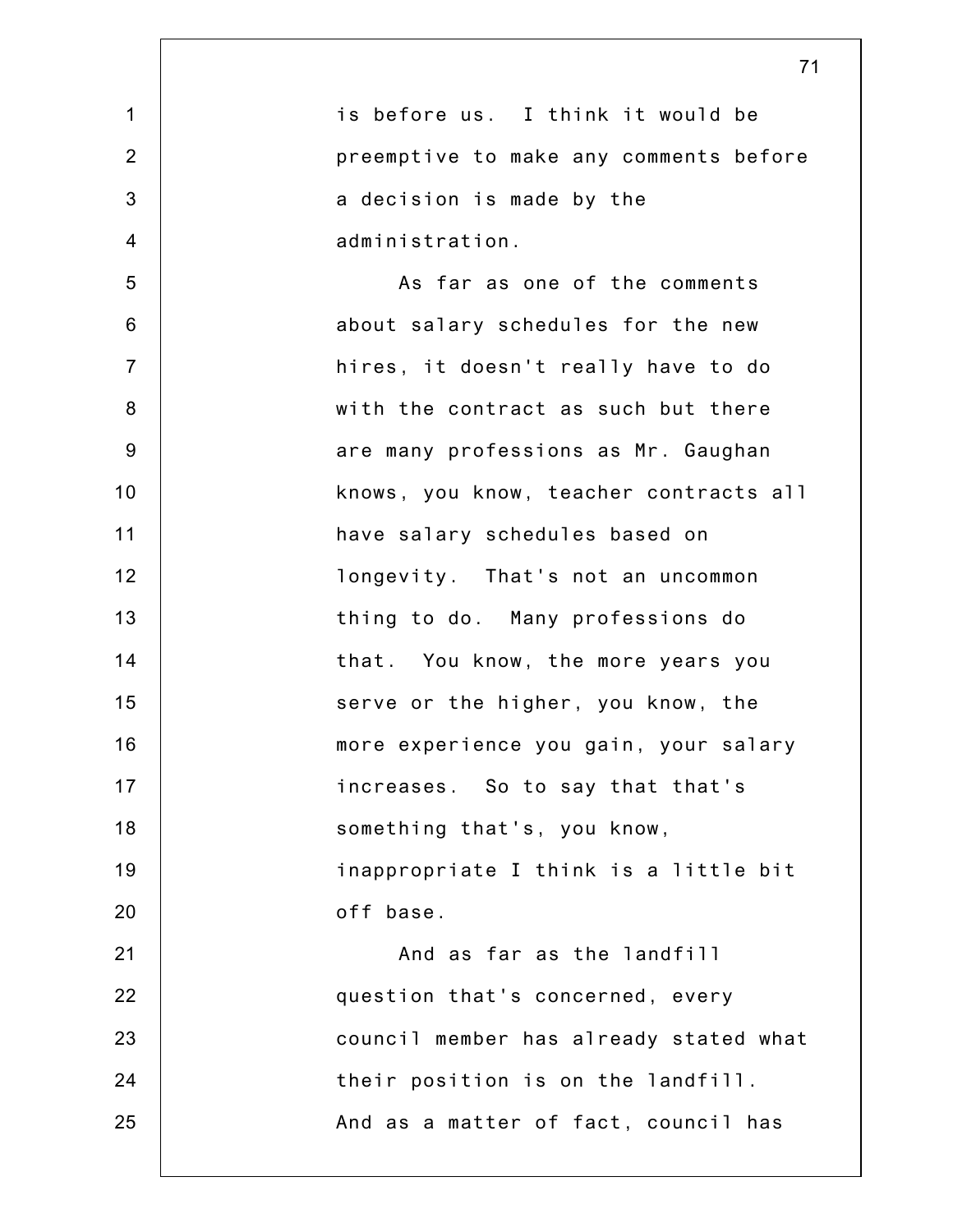1 2 3 4 5 6 7 8 9 10 11 12 13 14 15 16 17 18 19 20 21 22 23 24 25 71 is before us. I think it would be preemptive to make any comments before a decision is made by the administration. As far as one of the comments about salary schedules for the new hires, it doesn't really have to do with the contract as such but there are many professions as Mr. Gaughan knows, you know, teacher contracts all have salary schedules based on longevity. That's not an uncommon thing to do. Many professions do that. You know, the more years you serve or the higher, you know, the more experience you gain, your salary increases. So to say that that's something that's, you know, inappropriate I think is a little bit off base. And as far as the landfill question that's concerned, every council member has already stated what their position is on the landfill. And as a matter of fact, council has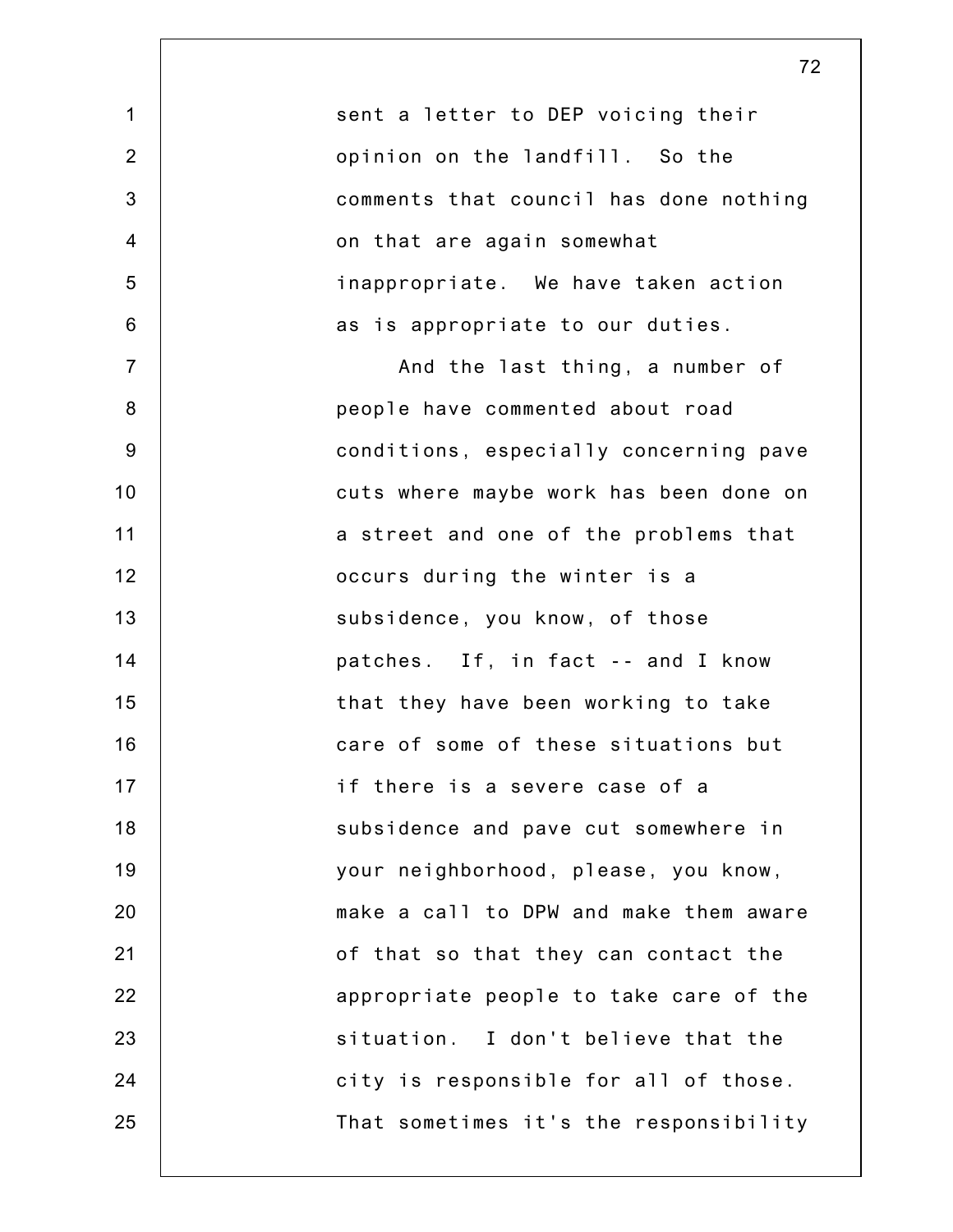| 1              | sent a letter to DEP voicing their     |
|----------------|----------------------------------------|
| $\overline{2}$ | opinion on the landfill. So the        |
| 3              | comments that council has done nothing |
| $\overline{4}$ | on that are again somewhat             |
| 5              | inappropriate. We have taken action    |
| 6              | as is appropriate to our duties.       |
| $\overline{7}$ | And the last thing, a number of        |
| 8              | people have commented about road       |
| 9              | conditions, especially concerning pave |
| 10             | cuts where maybe work has been done on |
| 11             | a street and one of the problems that  |
| 12             | occurs during the winter is a          |
| 13             | subsidence, you know, of those         |
| 14             | patches. If, in fact -- and I know     |
| 15             | that they have been working to take    |
| 16             | care of some of these situations but   |
| 17             | if there is a severe case of a         |
| 18             | subsidence and pave cut somewhere in   |
| 19             | your neighborhood, please, you know,   |
| 20             | make a call to DPW and make them aware |
| 21             | of that so that they can contact the   |
| 22             | appropriate people to take care of the |
| 23             | situation. I don't believe that the    |
| 24             | city is responsible for all of those.  |
| 25             | That sometimes it's the responsibility |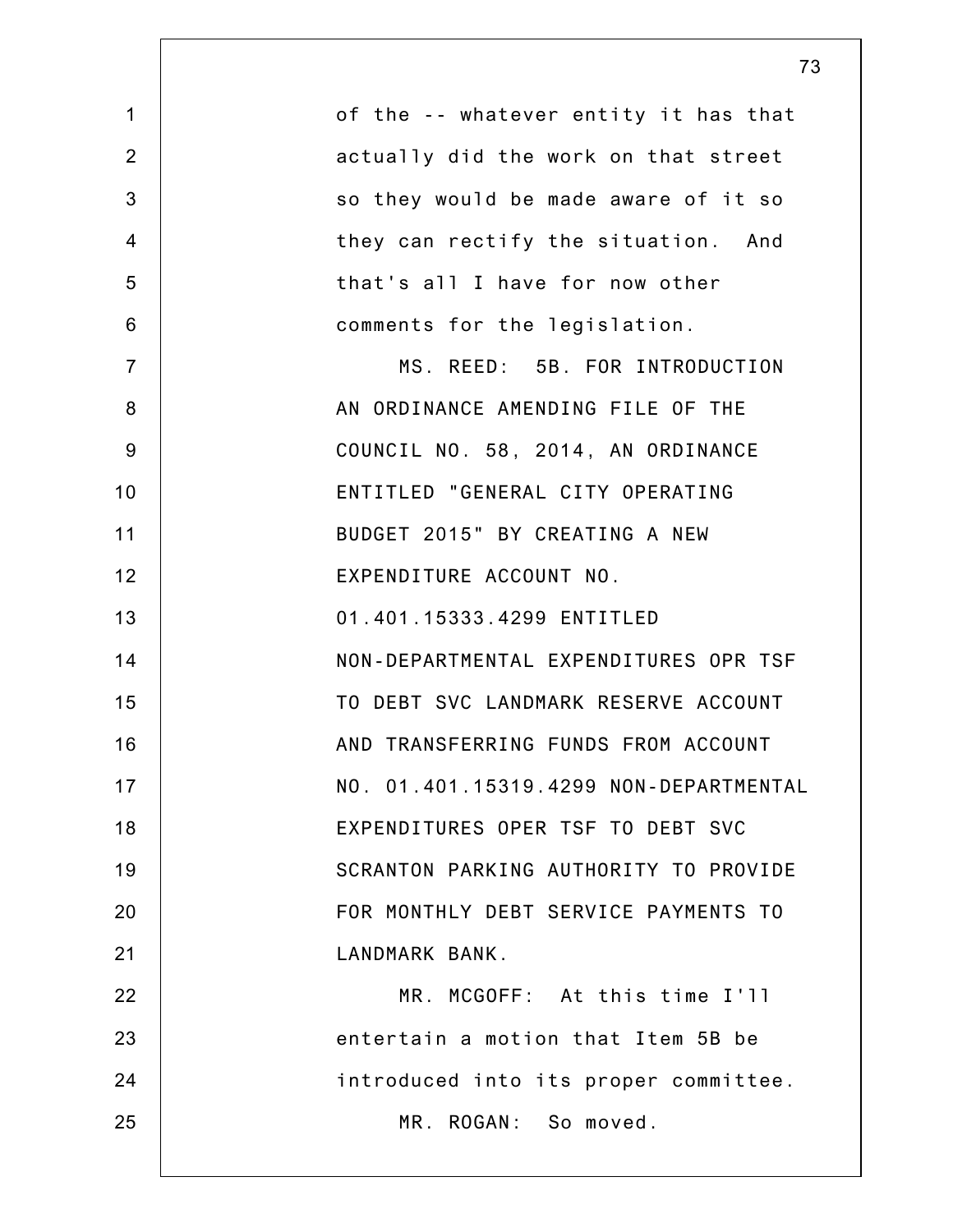| $\mathbf{1}$   | of the -- whatever entity it has that  |
|----------------|----------------------------------------|
| $\overline{2}$ | actually did the work on that street   |
| 3              | so they would be made aware of it so   |
| $\overline{4}$ | they can rectify the situation. And    |
| 5              | that's all I have for now other        |
| 6              | comments for the legislation.          |
| $\overline{7}$ | MS. REED: 5B. FOR INTRODUCTION         |
| 8              | AN ORDINANCE AMENDING FILE OF THE      |
| 9              | COUNCIL NO. 58, 2014, AN ORDINANCE     |
| 10             | ENTITLED "GENERAL CITY OPERATING       |
| 11             | BUDGET 2015" BY CREATING A NEW         |
| 12             | EXPENDITURE ACCOUNT NO.                |
| 13             | 01.401.15333.4299 ENTITLED             |
| 14             | NON-DEPARTMENTAL EXPENDITURES OPR TSF  |
| 15             | TO DEBT SVC LANDMARK RESERVE ACCOUNT   |
| 16             | AND TRANSFERRING FUNDS FROM ACCOUNT    |
| 17             | NO. 01.401.15319.4299 NON-DEPARTMENTAL |
| 18             | EXPENDITURES OPER TSF TO DEBT SVC      |
| 19             | SCRANTON PARKING AUTHORITY TO PROVIDE  |
| 20             | FOR MONTHLY DEBT SERVICE PAYMENTS TO   |
| 21             | LANDMARK BANK.                         |
| 22             | MR. MCGOFF: At this time I'll          |
| 23             | entertain a motion that Item 5B be     |
| 24             | introduced into its proper committee.  |
| 25             | MR. ROGAN: So moved.                   |
|                |                                        |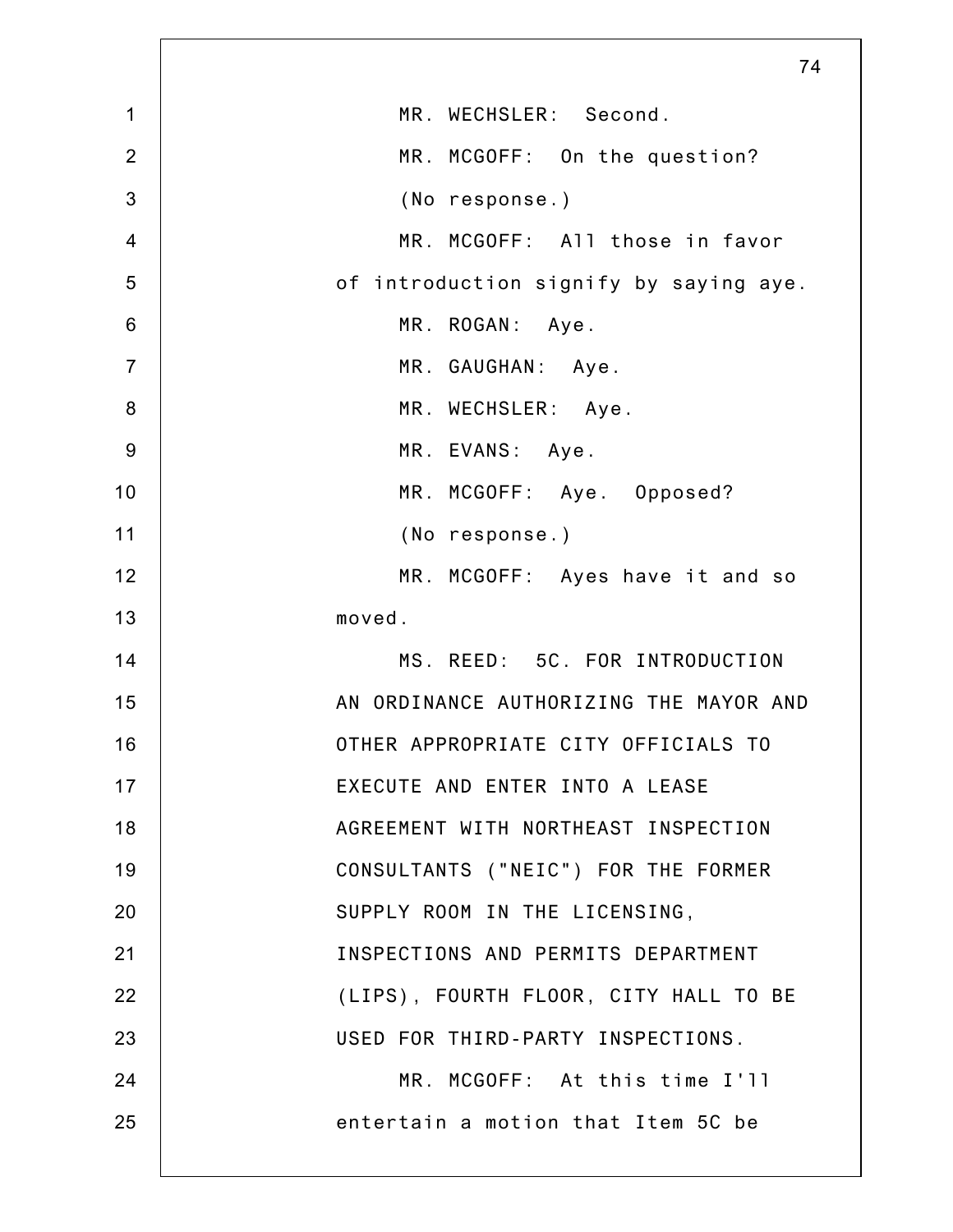|                 | 74                                     |
|-----------------|----------------------------------------|
| $\mathbf 1$     | MR. WECHSLER: Second.                  |
| $\overline{2}$  | MR. MCGOFF: On the question?           |
| 3               | (No response.)                         |
| $\overline{4}$  | MR. MCGOFF: All those in favor         |
| 5               | of introduction signify by saying aye. |
| $6\phantom{1}6$ | MR. ROGAN: Aye.                        |
| $\overline{7}$  | MR. GAUGHAN: Aye.                      |
| $\bf 8$         | MR. WECHSLER: Aye.                     |
| $9$             | MR. EVANS: Aye.                        |
| 10              | MR. MCGOFF: Aye. Opposed?              |
| 11              | (No response.)                         |
| 12              | MR. MCGOFF: Ayes have it and so        |
| 13              | moved.                                 |
| 14              | MS. REED: 5C. FOR INTRODUCTION         |
| 15              | AN ORDINANCE AUTHORIZING THE MAYOR AND |
| 16              | OTHER APPROPRIATE CITY OFFICIALS TO    |
| 17              | EXECUTE AND ENTER INTO A LEASE         |
| 18              | AGREEMENT WITH NORTHEAST INSPECTION    |
| 19              | CONSULTANTS ("NEIC") FOR THE FORMER    |
| 20              | SUPPLY ROOM IN THE LICENSING,          |
| 21              | INSPECTIONS AND PERMITS DEPARTMENT     |
| 22              | (LIPS), FOURTH FLOOR, CITY HALL TO BE  |
| 23              | USED FOR THIRD-PARTY INSPECTIONS.      |
| 24              | MR. MCGOFF: At this time I'll          |
| 25              | entertain a motion that Item 5C be     |
|                 |                                        |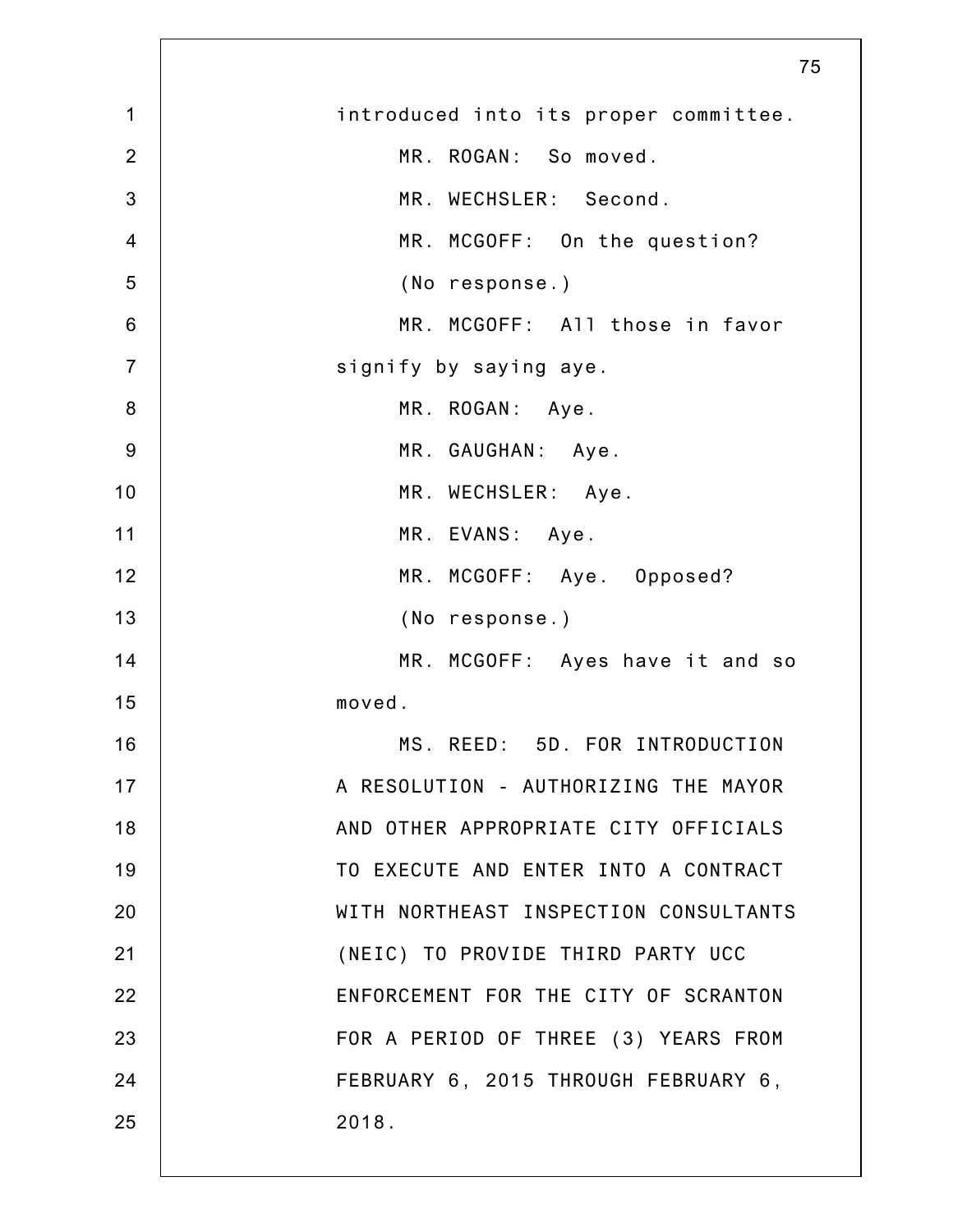|                | 75                                    |
|----------------|---------------------------------------|
| $\mathbf 1$    | introduced into its proper committee. |
| $\overline{2}$ | MR. ROGAN: So moved.                  |
| $\mathbf{3}$   | MR. WECHSLER: Second.                 |
| $\overline{4}$ | MR. MCGOFF: On the question?          |
| 5              | (No response.)                        |
| $\,6$          | MR. MCGOFF: All those in favor        |
| $\overline{7}$ | signify by saying aye.                |
| $\bf 8$        | MR. ROGAN: Aye.                       |
| $9\,$          | MR. GAUGHAN: Aye.                     |
| 10             | MR. WECHSLER: Aye.                    |
| 11             | MR. EVANS: Aye.                       |
| 12             | MR. MCGOFF: Aye. Opposed?             |
| 13             | (No response.)                        |
| 14             | MR. MCGOFF: Ayes have it and so       |
| 15             | moved.                                |
| 16             | MS. REED: 5D. FOR INTRODUCTION        |
| 17             | A RESOLUTION - AUTHORIZING THE MAYOR  |
| 18             | AND OTHER APPROPRIATE CITY OFFICIALS  |
| 19             | TO EXECUTE AND ENTER INTO A CONTRACT  |
| 20             | WITH NORTHEAST INSPECTION CONSULTANTS |
| 21             | (NEIC) TO PROVIDE THIRD PARTY UCC     |
| 22             | ENFORCEMENT FOR THE CITY OF SCRANTON  |
| 23             | FOR A PERIOD OF THREE (3) YEARS FROM  |
| 24             | FEBRUARY 6, 2015 THROUGH FEBRUARY 6,  |
| 25             | 2018.                                 |
|                |                                       |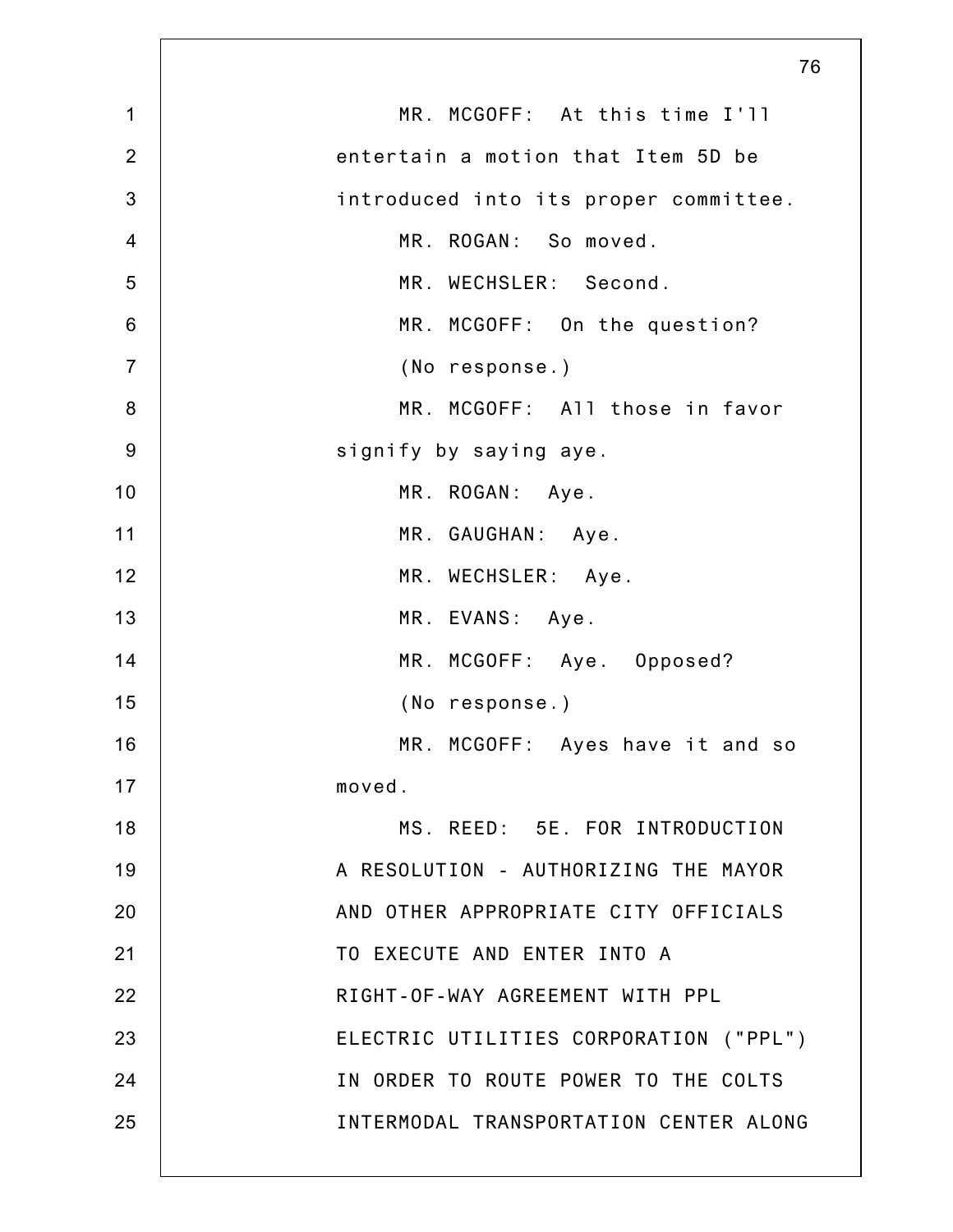|                | 76                                     |
|----------------|----------------------------------------|
| $\mathbf 1$    | MR. MCGOFF: At this time I'll          |
| $\overline{2}$ | entertain a motion that Item 5D be     |
| $\mathbf{3}$   | introduced into its proper committee.  |
| $\overline{4}$ | MR. ROGAN: So moved.                   |
| 5              | MR. WECHSLER: Second.                  |
| $6\,$          | MR. MCGOFF: On the question?           |
| $\overline{7}$ | (No response.)                         |
| $\bf 8$        | MR. MCGOFF: All those in favor         |
| $9\,$          | signify by saying aye.                 |
| 10             | MR. ROGAN: Aye.                        |
| 11             | MR. GAUGHAN: Aye.                      |
| 12             | MR. WECHSLER: Aye.                     |
| 13             | MR. EVANS: Aye.                        |
| 14             | MR. MCGOFF: Aye. Opposed?              |
| 15             | (No response.)                         |
| 16             | MR. MCGOFF: Ayes have it and so        |
| 17             | moved.                                 |
| 18             | MS. REED: 5E. FOR INTRODUCTION         |
| 19             | A RESOLUTION - AUTHORIZING THE MAYOR   |
| 20             | AND OTHER APPROPRIATE CITY OFFICIALS   |
| 21             | TO EXECUTE AND ENTER INTO A            |
| 22             | RIGHT-OF-WAY AGREEMENT WITH PPL        |
| 23             | ELECTRIC UTILITIES CORPORATION ("PPL") |
| 24             | IN ORDER TO ROUTE POWER TO THE COLTS   |
| 25             | INTERMODAL TRANSPORTATION CENTER ALONG |
|                |                                        |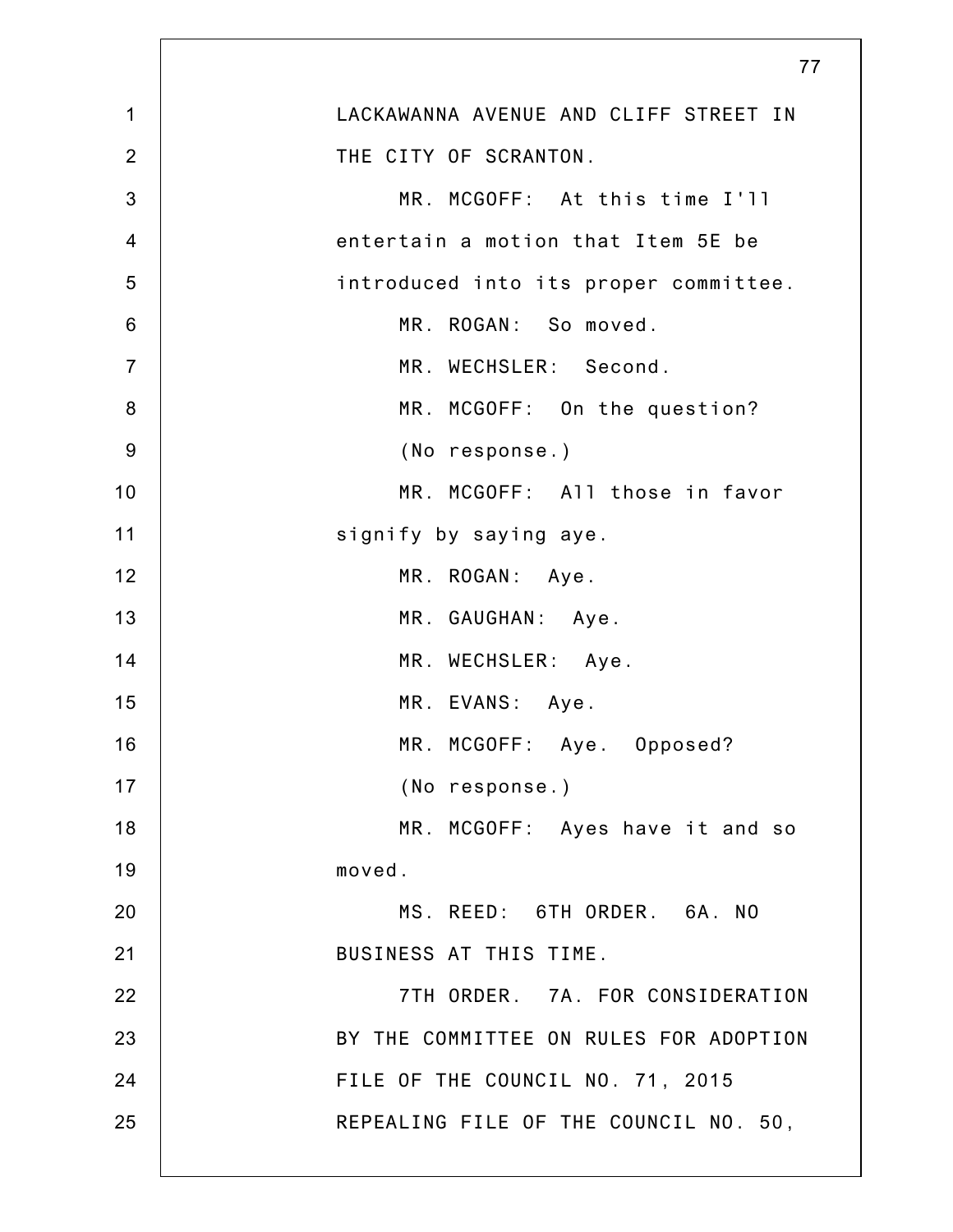|                  | $\prime\prime$                         |
|------------------|----------------------------------------|
| $\mathbf 1$      | LACKAWANNA AVENUE AND CLIFF STREET IN  |
| $\overline{2}$   | THE CITY OF SCRANTON.                  |
| 3                | MR. MCGOFF: At this time I'll          |
| $\overline{4}$   | entertain a motion that Item 5E be     |
| 5                | introduced into its proper committee.  |
| $6\phantom{1}6$  | MR. ROGAN: So moved.                   |
| $\overline{7}$   | MR. WECHSLER: Second.                  |
| $\boldsymbol{8}$ | MR. MCGOFF: On the question?           |
| 9                | (No response.)                         |
| 10               | MR. MCGOFF: All those in favor         |
| 11               | signify by saying aye.                 |
| 12               | MR. ROGAN: Aye.                        |
| 13               | MR. GAUGHAN: Aye.                      |
| 14               | MR. WECHSLER: Aye.                     |
| 15               | MR. EVANS: Aye.                        |
| 16               | MR. MCGOFF: Aye. Opposed?              |
| 17               | (No response.)                         |
| 18               | MR. MCGOFF: Ayes have it and so        |
| 19               | moved.                                 |
| 20               | MS. REED: 6TH ORDER. 6A. NO            |
| 21               | BUSINESS AT THIS TIME.                 |
| 22               | 7TH ORDER. 7A. FOR CONSIDERATION       |
| 23               | BY THE COMMITTEE ON RULES FOR ADOPTION |
| 24               | FILE OF THE COUNCIL NO. 71, 2015       |
| 25               | REPEALING FILE OF THE COUNCIL NO. 50,  |
|                  |                                        |

 $\rightarrow$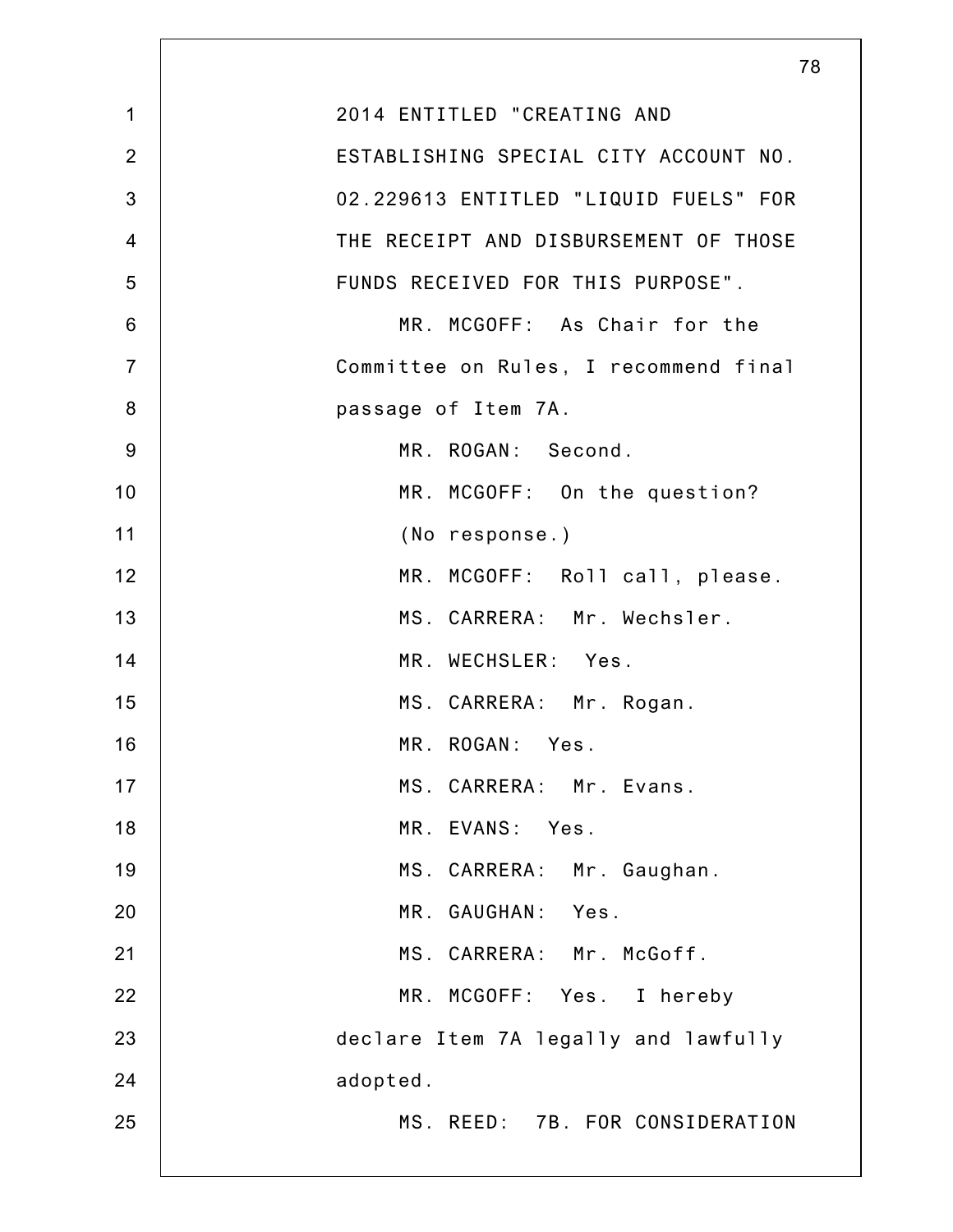|                | 78                                    |
|----------------|---------------------------------------|
| $\mathbf 1$    | 2014 ENTITLED "CREATING AND           |
| $\overline{2}$ | ESTABLISHING SPECIAL CITY ACCOUNT NO. |
| 3              | 02.229613 ENTITLED "LIQUID FUELS" FOR |
| $\overline{4}$ | THE RECEIPT AND DISBURSEMENT OF THOSE |
| 5              | FUNDS RECEIVED FOR THIS PURPOSE".     |
| 6              | MR. MCGOFF: As Chair for the          |
| $\overline{7}$ | Committee on Rules, I recommend final |
| 8              | passage of Item 7A.                   |
| 9              | MR. ROGAN: Second.                    |
| 10             | MR. MCGOFF: On the question?          |
| 11             | (No response.)                        |
| 12             | MR. MCGOFF: Roll call, please.        |
| 13             | MS. CARRERA: Mr. Wechsler.            |
| 14             | MR. WECHSLER: Yes.                    |
| 15             | MS. CARRERA: Mr. Rogan.               |
| 16             | MR. ROGAN: Yes.                       |
| 17             | MS. CARRERA: Mr. Evans.               |
| 18             | MR. EVANS: Yes.                       |
| 19             | MS. CARRERA: Mr. Gaughan.             |
| 20             | MR. GAUGHAN: Yes.                     |
| 21             | MS. CARRERA: Mr. McGoff.              |
| 22             | MR. MCGOFF: Yes. I hereby             |
| 23             | declare Item 7A legally and lawfully  |
| 24             | adopted.                              |
| 25             | MS. REED: 7B. FOR CONSIDERATION       |
|                |                                       |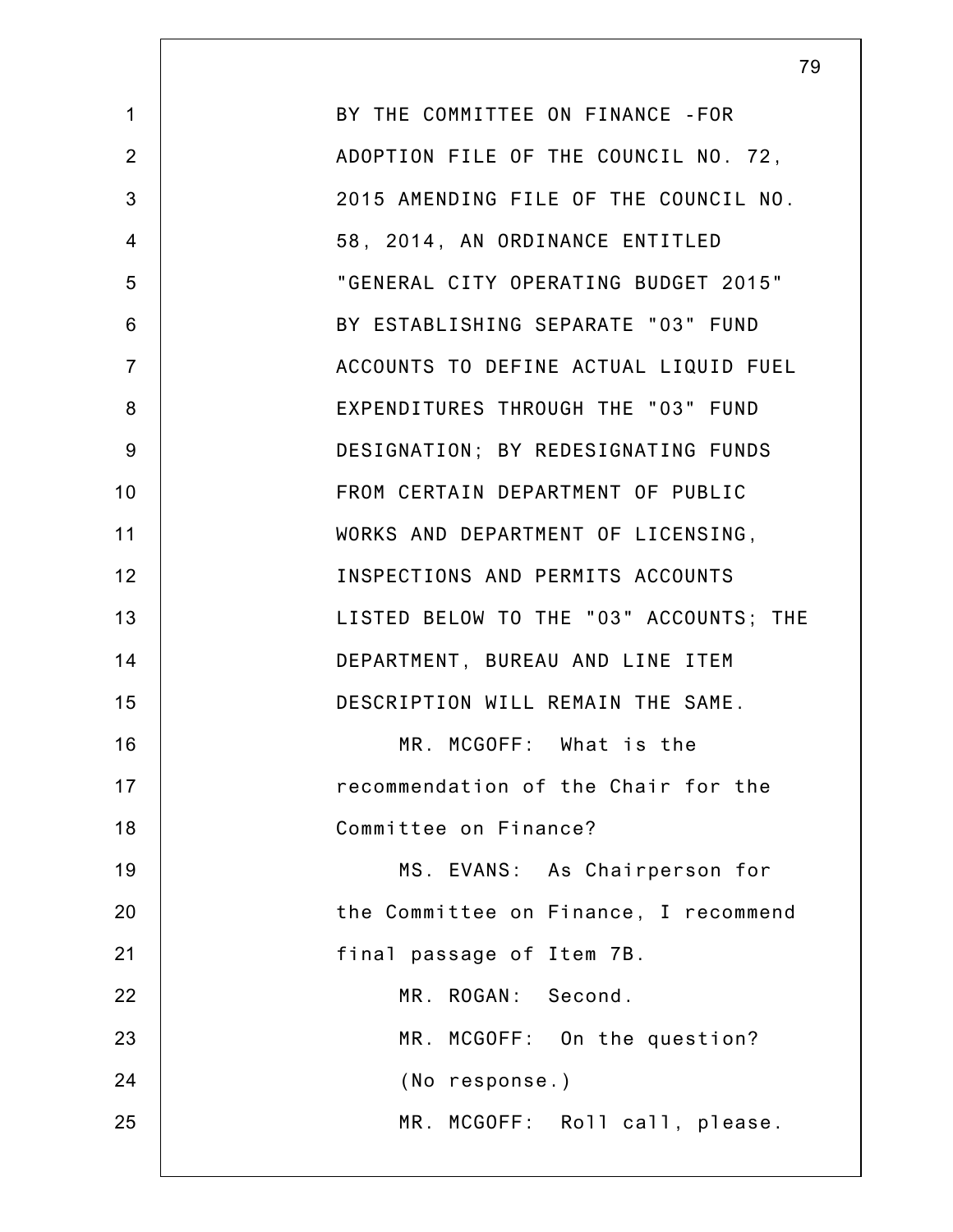|                | 79                                     |
|----------------|----------------------------------------|
| $\mathbf{1}$   | BY THE COMMITTEE ON FINANCE - FOR      |
| $\overline{2}$ | ADOPTION FILE OF THE COUNCIL NO. 72,   |
| 3              | 2015 AMENDING FILE OF THE COUNCIL NO.  |
| $\overline{4}$ | 58, 2014, AN ORDINANCE ENTITLED        |
| 5              | "GENERAL CITY OPERATING BUDGET 2015"   |
| 6              | BY ESTABLISHING SEPARATE "03" FUND     |
| $\overline{7}$ | ACCOUNTS TO DEFINE ACTUAL LIQUID FUEL  |
| 8              | EXPENDITURES THROUGH THE "03" FUND     |
| 9              | DESIGNATION; BY REDESIGNATING FUNDS    |
| 10             | FROM CERTAIN DEPARTMENT OF PUBLIC      |
| 11             | WORKS AND DEPARTMENT OF LICENSING,     |
| 12             | INSPECTIONS AND PERMITS ACCOUNTS       |
| 13             | LISTED BELOW TO THE "03" ACCOUNTS; THE |
| 14             | DEPARTMENT, BUREAU AND LINE ITEM       |
| 15             | DESCRIPTION WILL REMAIN THE SAME.      |
| 16             | MR. MCGOFF: What is the                |
| 17             | recommendation of the Chair for the    |
| 18             | Committee on Finance?                  |
| 19             | MS. EVANS: As Chairperson for          |
| 20             | the Committee on Finance, I recommend  |
| 21             | final passage of Item 7B.              |
| 22             | MR. ROGAN: Second.                     |
| 23             | MR. MCGOFF: On the question?           |
| 24             | (No response.)                         |
| 25             | MR. MCGOFF: Roll call, please.         |
|                |                                        |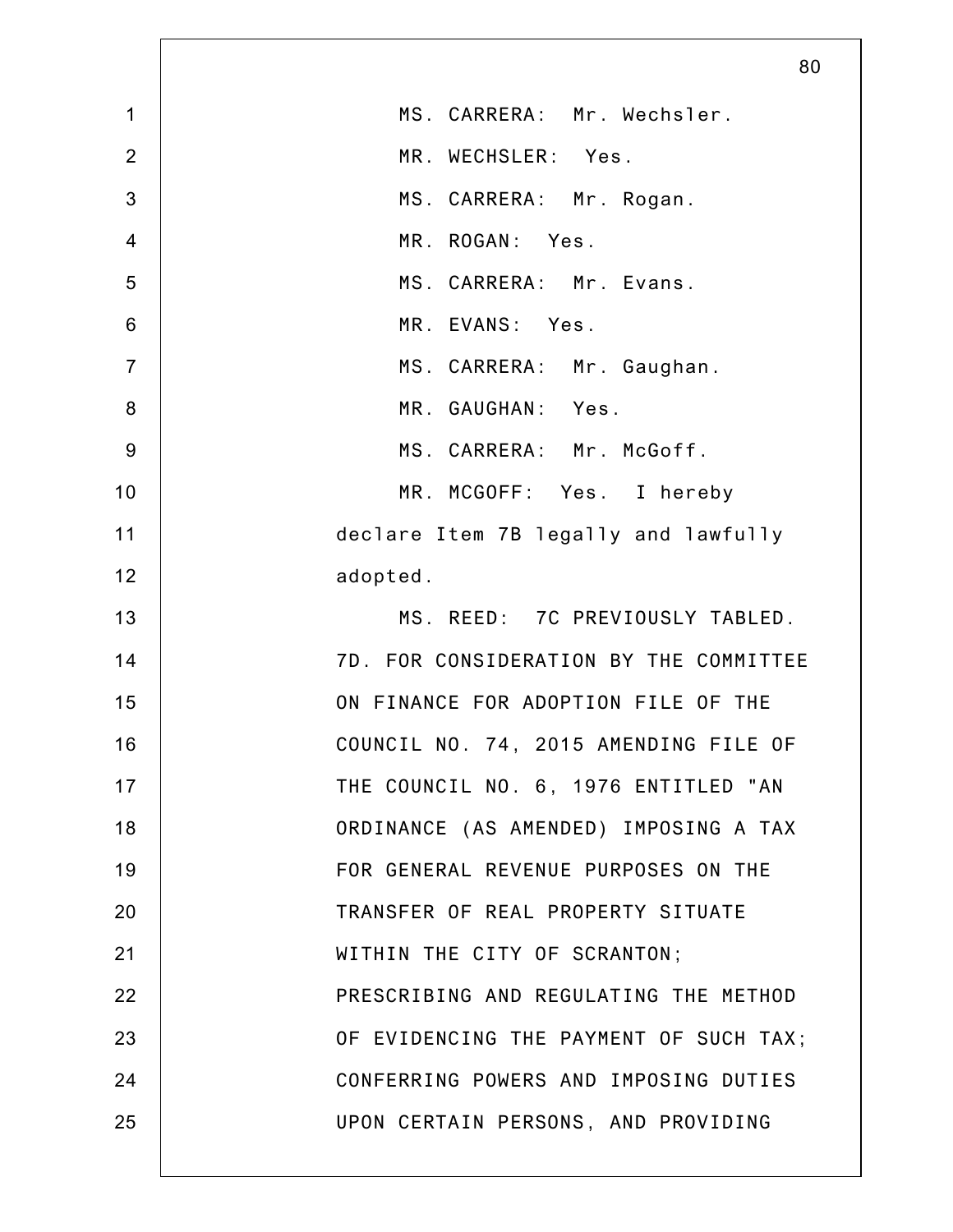|                 | 80                                     |
|-----------------|----------------------------------------|
| $\mathbf 1$     | MS. CARRERA: Mr. Wechsler.             |
| $\overline{2}$  | MR. WECHSLER: Yes.                     |
| 3               | MS. CARRERA: Mr. Rogan.                |
| $\overline{4}$  | MR. ROGAN: Yes.                        |
| 5               | MS. CARRERA: Mr. Evans.                |
| $6\phantom{1}6$ | MR. EVANS: Yes.                        |
| $\overline{7}$  | MS. CARRERA: Mr. Gaughan.              |
| $\bf 8$         | MR. GAUGHAN: Yes.                      |
| $9$             | MS. CARRERA: Mr. McGoff.               |
| 10              | MR. MCGOFF: Yes. I hereby              |
| 11              | declare Item 7B legally and lawfully   |
| 12              | adopted.                               |
| 13              | MS. REED: 7C PREVIOUSLY TABLED.        |
| 14              | 7D. FOR CONSIDERATION BY THE COMMITTEE |
| 15              | ON FINANCE FOR ADOPTION FILE OF THE    |
| 16              | COUNCIL NO. 74, 2015 AMENDING FILE OF  |
| 17              | THE COUNCIL NO. 6, 1976 ENTITLED "AN   |
| 18              | ORDINANCE (AS AMENDED) IMPOSING A TAX  |
| 19              | FOR GENERAL REVENUE PURPOSES ON THE    |
| 20              | TRANSFER OF REAL PROPERTY SITUATE      |
| 21              | WITHIN THE CITY OF SCRANTON;           |
| 22              | PRESCRIBING AND REGULATING THE METHOD  |
| 23              | OF EVIDENCING THE PAYMENT OF SUCH TAX; |
| 24              | CONFERRING POWERS AND IMPOSING DUTIES  |
| 25              | UPON CERTAIN PERSONS, AND PROVIDING    |
|                 |                                        |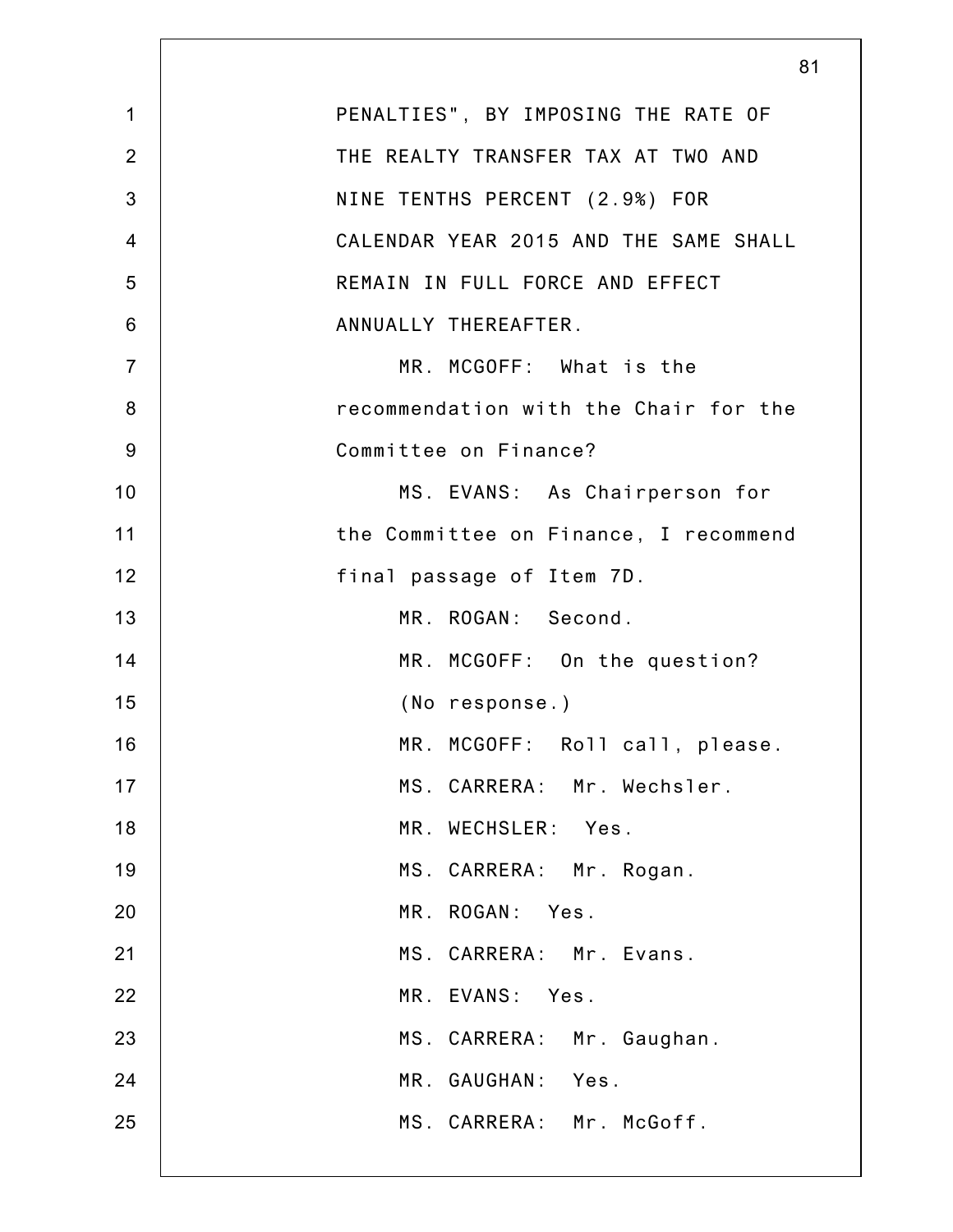|                | 81                                    |
|----------------|---------------------------------------|
| $\mathbf 1$    | PENALTIES", BY IMPOSING THE RATE OF   |
| $\overline{2}$ | THE REALTY TRANSFER TAX AT TWO AND    |
| 3              | NINE TENTHS PERCENT (2.9%) FOR        |
| $\overline{4}$ | CALENDAR YEAR 2015 AND THE SAME SHALL |
| 5              | REMAIN IN FULL FORCE AND EFFECT       |
| 6              | ANNUALLY THEREAFTER.                  |
| $\overline{7}$ | MR. MCGOFF: What is the               |
| 8              | recommendation with the Chair for the |
| 9              | Committee on Finance?                 |
| 10             | MS. EVANS: As Chairperson for         |
| 11             | the Committee on Finance, I recommend |
| 12             | final passage of Item 7D.             |
| 13             | MR. ROGAN: Second.                    |
| 14             | MR. MCGOFF: On the question?          |
| 15             | (No response.)                        |
| 16             | MR. MCGOFF: Roll call, please.        |
| 17             | MS. CARRERA: Mr. Wechsler.            |
| 18             | MR. WECHSLER: Yes.                    |
| 19             | MS. CARRERA: Mr. Rogan.               |
| 20             | MR. ROGAN: Yes.                       |
| 21             | MS. CARRERA: Mr. Evans.               |
| 22             | MR. EVANS: Yes.                       |
| 23             | MS. CARRERA: Mr. Gaughan.             |
| 24             | MR. GAUGHAN: Yes.                     |
| 25             | MS. CARRERA: Mr. McGoff.              |
|                |                                       |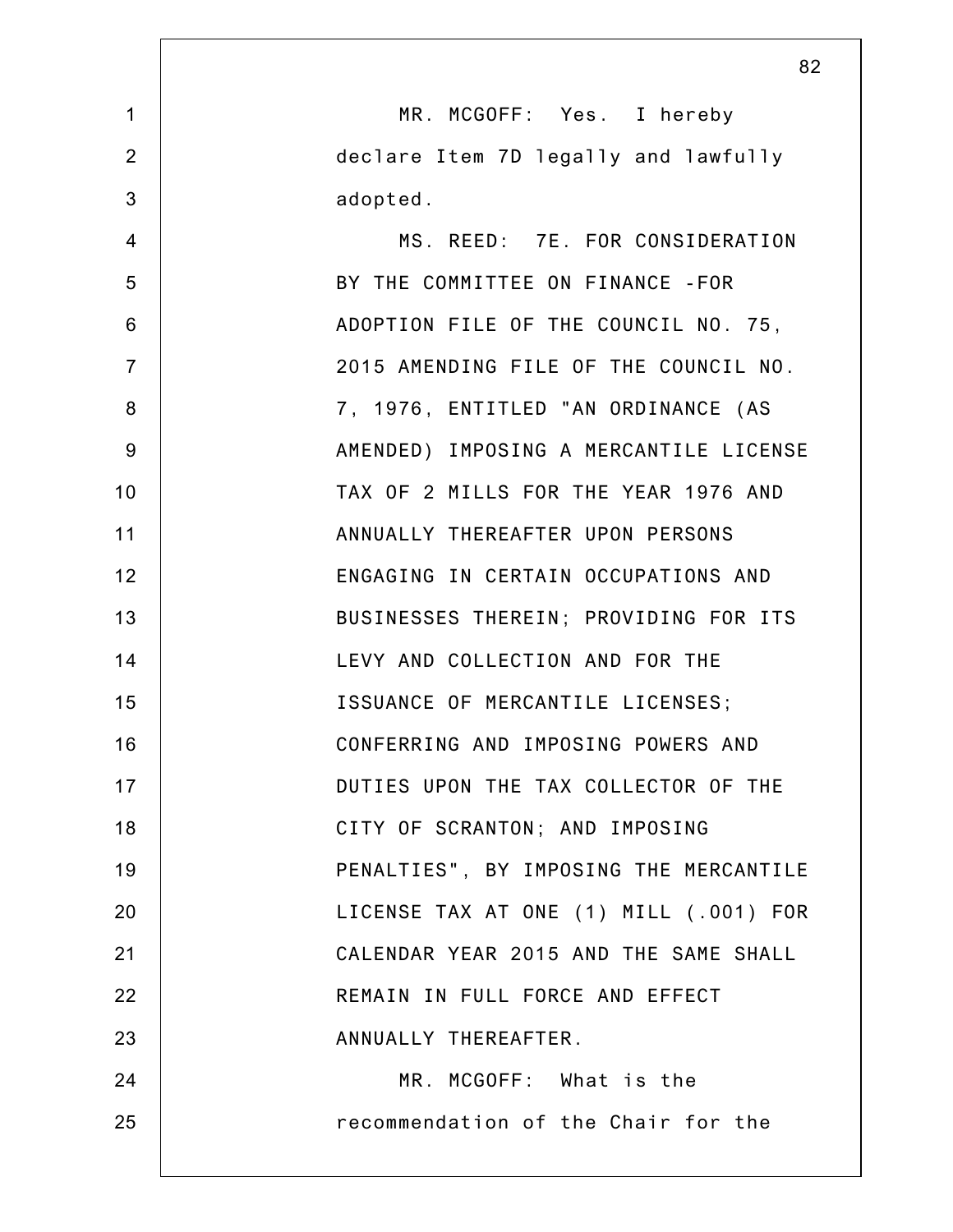|                | 82                                     |
|----------------|----------------------------------------|
| $\mathbf 1$    | MR. MCGOFF: Yes. I hereby              |
| $\overline{2}$ | declare Item 7D legally and lawfully   |
| 3              | adopted.                               |
| $\overline{4}$ | MS. REED: 7E. FOR CONSIDERATION        |
| 5              | BY THE COMMITTEE ON FINANCE - FOR      |
| 6              | ADOPTION FILE OF THE COUNCIL NO. 75,   |
| $\overline{7}$ | 2015 AMENDING FILE OF THE COUNCIL NO.  |
| 8              | 7, 1976, ENTITLED "AN ORDINANCE (AS    |
| $9$            | AMENDED) IMPOSING A MERCANTILE LICENSE |
| 10             | TAX OF 2 MILLS FOR THE YEAR 1976 AND   |
| 11             | ANNUALLY THEREAFTER UPON PERSONS       |
| 12             | ENGAGING IN CERTAIN OCCUPATIONS AND    |
| 13             | BUSINESSES THEREIN; PROVIDING FOR ITS  |
| 14             | LEVY AND COLLECTION AND FOR THE        |
| 15             | ISSUANCE OF MERCANTILE LICENSES;       |
| 16             | CONFERRING AND IMPOSING POWERS AND     |
| 17             | DUTIES UPON THE TAX COLLECTOR OF THE   |
| 18             | CITY OF SCRANTON; AND IMPOSING         |
| 19             | PENALTIES", BY IMPOSING THE MERCANTILE |
| 20             | LICENSE TAX AT ONE (1) MILL (.001) FOR |
| 21             | CALENDAR YEAR 2015 AND THE SAME SHALL  |
| 22             | REMAIN IN FULL FORCE AND EFFECT        |
| 23             | ANNUALLY THEREAFTER.                   |
| 24             | MR. MCGOFF: What is the                |
| 25             | recommendation of the Chair for the    |
|                |                                        |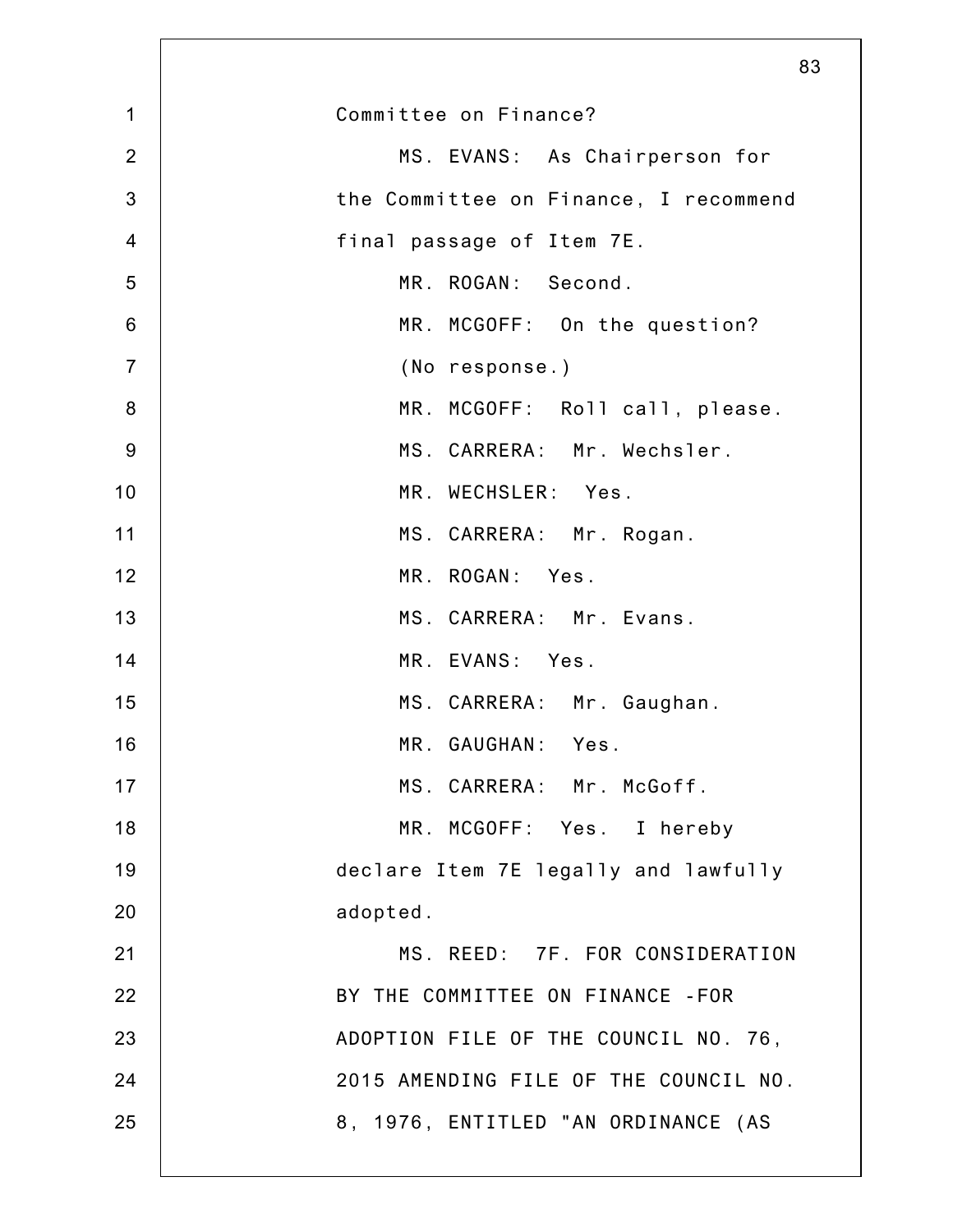|                | 83                                    |
|----------------|---------------------------------------|
| $\mathbf 1$    | Committee on Finance?                 |
| $\overline{2}$ | MS. EVANS: As Chairperson for         |
| 3              | the Committee on Finance, I recommend |
| $\overline{4}$ | final passage of Item 7E.             |
| 5              | MR. ROGAN: Second.                    |
| 6              | MR. MCGOFF: On the question?          |
| $\overline{7}$ | (No response.)                        |
| 8              | MR. MCGOFF: Roll call, please.        |
| 9              | MS. CARRERA: Mr. Wechsler.            |
| 10             | MR. WECHSLER: Yes.                    |
| 11             | MS. CARRERA: Mr. Rogan.               |
| 12             | MR. ROGAN: Yes.                       |
| 13             | MS. CARRERA: Mr. Evans.               |
| 14             | MR. EVANS: Yes.                       |
| 15             | MS. CARRERA: Mr. Gaughan.             |
| 16             | MR. GAUGHAN: Yes.                     |
| 17             | MS. CARRERA: Mr. McGoff.              |
| 18             | MR. MCGOFF: Yes. I hereby             |
| 19             | declare Item 7E legally and lawfully  |
| 20             | adopted.                              |
| 21             | MS. REED: 7F. FOR CONSIDERATION       |
| 22             | BY THE COMMITTEE ON FINANCE -FOR      |
| 23             | ADOPTION FILE OF THE COUNCIL NO. 76,  |
| 24             | 2015 AMENDING FILE OF THE COUNCIL NO. |
| 25             | 8, 1976, ENTITLED "AN ORDINANCE (AS   |
|                |                                       |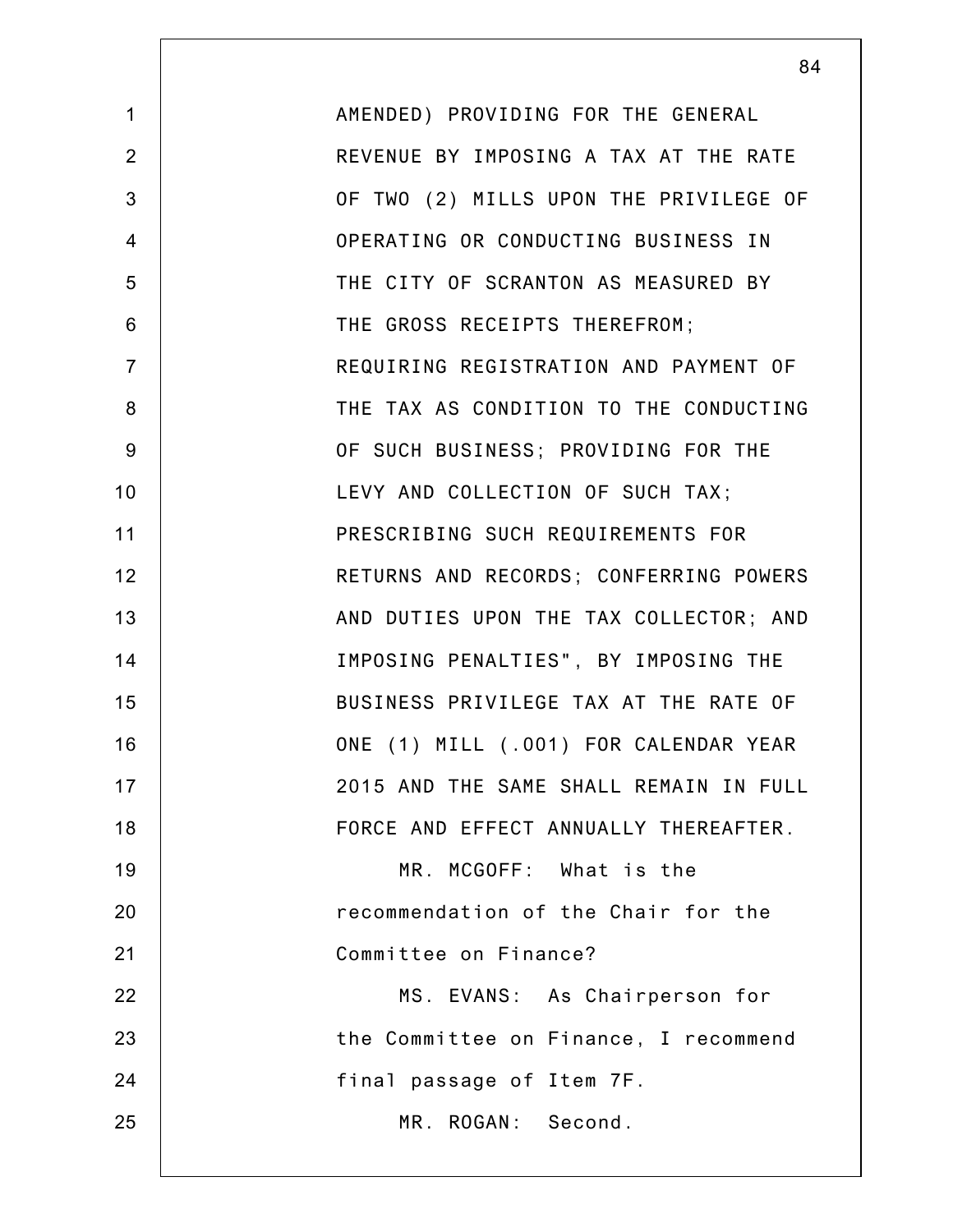|                | 84                                     |
|----------------|----------------------------------------|
| $\mathbf{1}$   | AMENDED) PROVIDING FOR THE GENERAL     |
| $\overline{2}$ | REVENUE BY IMPOSING A TAX AT THE RATE  |
| 3              | OF TWO (2) MILLS UPON THE PRIVILEGE OF |
| $\overline{4}$ | OPERATING OR CONDUCTING BUSINESS IN    |
| 5              | THE CITY OF SCRANTON AS MEASURED BY    |
| 6              | THE GROSS RECEIPTS THEREFROM;          |
| $\overline{7}$ | REQUIRING REGISTRATION AND PAYMENT OF  |
| 8              | THE TAX AS CONDITION TO THE CONDUCTING |
| 9              | OF SUCH BUSINESS; PROVIDING FOR THE    |
| 10             | LEVY AND COLLECTION OF SUCH TAX;       |
| 11             | PRESCRIBING SUCH REQUIREMENTS FOR      |
| 12             | RETURNS AND RECORDS; CONFERRING POWERS |
| 13             | AND DUTIES UPON THE TAX COLLECTOR; AND |
| 14             | IMPOSING PENALTIES", BY IMPOSING THE   |
| 15             | BUSINESS PRIVILEGE TAX AT THE RATE OF  |
| 16             | ONE (1) MILL (.001) FOR CALENDAR YEAR  |
| 17             | 2015 AND THE SAME SHALL REMAIN IN FULL |
| 18             | FORCE AND EFFECT ANNUALLY THEREAFTER.  |
| 19             | MR. MCGOFF: What is the                |
| 20             | recommendation of the Chair for the    |
| 21             | Committee on Finance?                  |
| 22             | MS. EVANS: As Chairperson for          |
| 23             | the Committee on Finance, I recommend  |
| 24             | final passage of Item 7F.              |
| 25             | MR. ROGAN: Second.                     |
|                |                                        |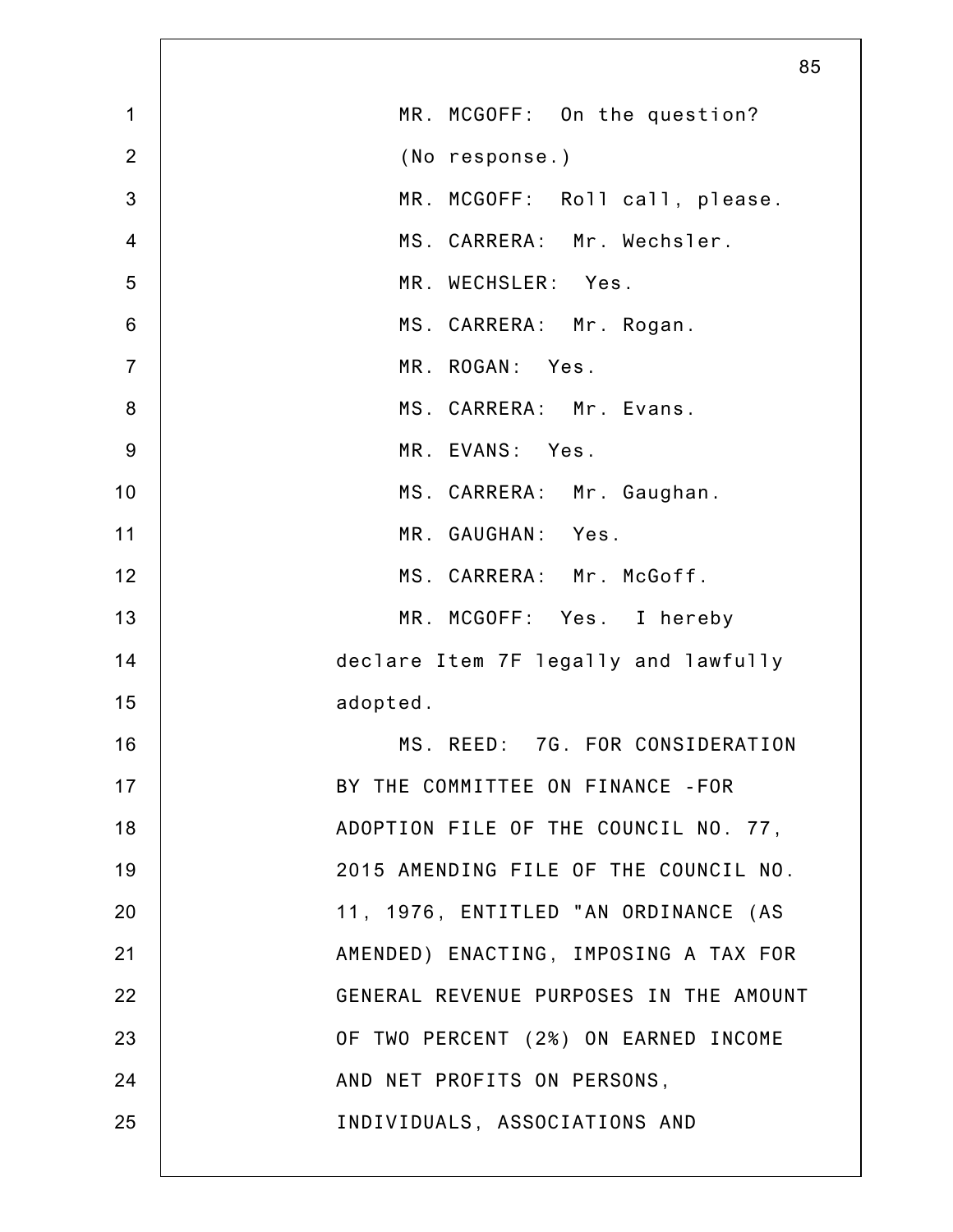|                | 85                                     |
|----------------|----------------------------------------|
| $\mathbf{1}$   | MR. MCGOFF: On the question?           |
| $\overline{2}$ | (No response.)                         |
| $\mathbf{3}$   | MR. MCGOFF: Roll call, please.         |
| $\overline{4}$ | MS. CARRERA: Mr. Wechsler.             |
| 5              | MR. WECHSLER: Yes.                     |
| $\,6$          | MS. CARRERA: Mr. Rogan.                |
| $\overline{7}$ | MR. ROGAN: Yes.                        |
| $\bf 8$        | MS. CARRERA: Mr. Evans.                |
| $9\,$          | MR. EVANS: Yes.                        |
| 10             | MS. CARRERA: Mr. Gaughan.              |
| 11             | MR. GAUGHAN: Yes.                      |
| 12             | MS. CARRERA: Mr. McGoff.               |
| 13             | MR. MCGOFF: Yes. I hereby              |
| 14             | declare Item 7F legally and lawfully   |
| 15             | adopted.                               |
| 16             | MS. REED: 7G. FOR CONSIDERATION        |
| 17             | BY THE COMMITTEE ON FINANCE - FOR      |
| 18             | ADOPTION FILE OF THE COUNCIL NO. 77,   |
| 19             | 2015 AMENDING FILE OF THE COUNCIL NO.  |
| 20             | 11, 1976, ENTITLED "AN ORDINANCE (AS   |
| 21             | AMENDED) ENACTING, IMPOSING A TAX FOR  |
| 22             | GENERAL REVENUE PURPOSES IN THE AMOUNT |
| 23             | OF TWO PERCENT (2%) ON EARNED INCOME   |
| 24             | AND NET PROFITS ON PERSONS,            |
| 25             | INDIVIDUALS, ASSOCIATIONS AND          |
|                |                                        |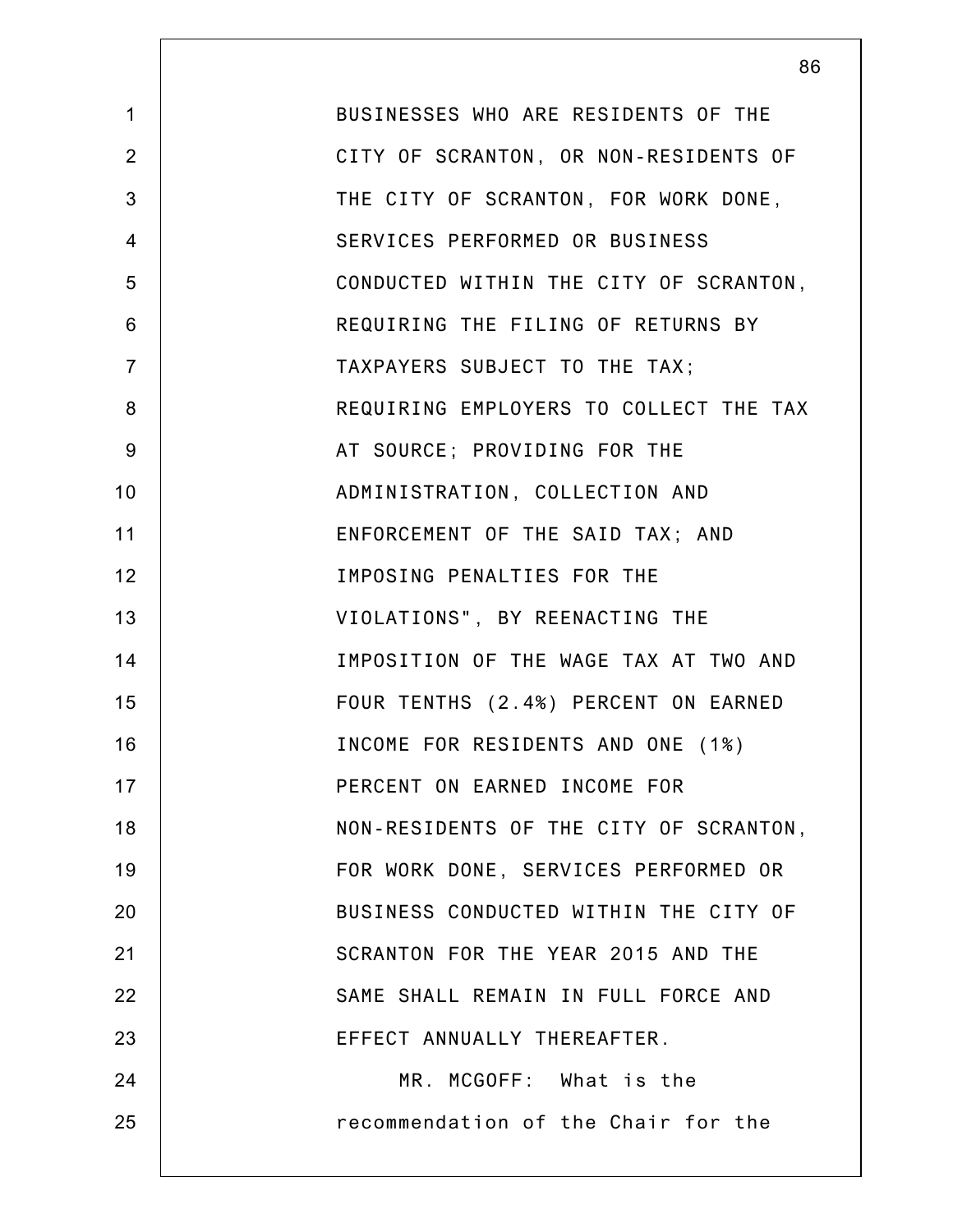|                | 86                                     |
|----------------|----------------------------------------|
| $\mathbf{1}$   | BUSINESSES WHO ARE RESIDENTS OF THE    |
| $\overline{2}$ | CITY OF SCRANTON, OR NON-RESIDENTS OF  |
| 3              | THE CITY OF SCRANTON, FOR WORK DONE,   |
| $\overline{4}$ | SERVICES PERFORMED OR BUSINESS         |
| 5              | CONDUCTED WITHIN THE CITY OF SCRANTON, |
| 6              | REQUIRING THE FILING OF RETURNS BY     |
| $\overline{7}$ | TAXPAYERS SUBJECT TO THE TAX;          |
| 8              | REQUIRING EMPLOYERS TO COLLECT THE TAX |
| 9              | AT SOURCE; PROVIDING FOR THE           |
| 10             | ADMINISTRATION, COLLECTION AND         |
| 11             | ENFORCEMENT OF THE SAID TAX; AND       |
| 12             | IMPOSING PENALTIES FOR THE             |
| 13             | VIOLATIONS", BY REENACTING THE         |
| 14             | IMPOSITION OF THE WAGE TAX AT TWO AND  |
| 15             | FOUR TENTHS (2.4%) PERCENT ON EARNED   |
| 16             | INCOME FOR RESIDENTS AND ONE (1%)      |
| 17             | PERCENT ON EARNED INCOME FOR           |
| 18             | NON-RESIDENTS OF THE CITY OF SCRANTON, |
| 19             | FOR WORK DONE, SERVICES PERFORMED OR   |
| 20             | BUSINESS CONDUCTED WITHIN THE CITY OF  |
| 21             | SCRANTON FOR THE YEAR 2015 AND THE     |
| 22             | SAME SHALL REMAIN IN FULL FORCE AND    |
| 23             | EFFECT ANNUALLY THEREAFTER.            |
| 24             | MR. MCGOFF: What is the                |
| 25             | recommendation of the Chair for the    |
|                |                                        |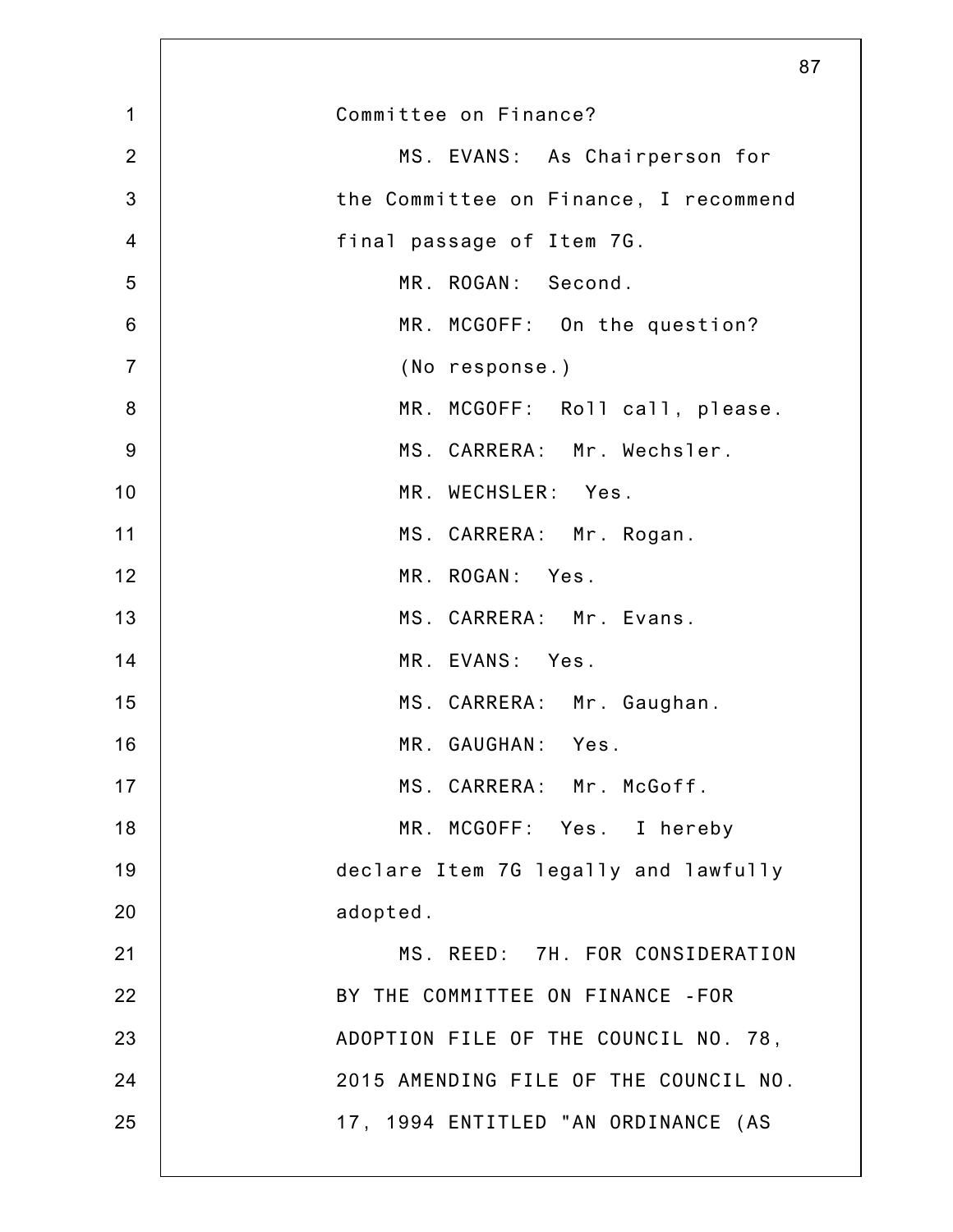|                | 87                                    |
|----------------|---------------------------------------|
| $\mathbf 1$    | Committee on Finance?                 |
| $\overline{2}$ | MS. EVANS: As Chairperson for         |
| $\mathbf{3}$   | the Committee on Finance, I recommend |
| $\overline{4}$ | final passage of Item 7G.             |
| 5              | MR. ROGAN: Second.                    |
| 6              | MR. MCGOFF: On the question?          |
| $\overline{7}$ | (No response.)                        |
| 8              | MR. MCGOFF: Roll call, please.        |
| 9              | MS. CARRERA: Mr. Wechsler.            |
| 10             | MR. WECHSLER: Yes.                    |
| 11             | MS. CARRERA: Mr. Rogan.               |
| 12             | MR. ROGAN: Yes.                       |
| 13             | MS. CARRERA: Mr. Evans.               |
| 14             | MR. EVANS: Yes.                       |
| 15             | MS. CARRERA: Mr. Gaughan.             |
| 16             | MR. GAUGHAN: Yes.                     |
| 17             | MS. CARRERA: Mr. McGoff.              |
| 18             | MR. MCGOFF: Yes. I hereby             |
| 19             | declare Item 7G legally and lawfully  |
| 20             | adopted.                              |
| 21             | MS. REED: 7H. FOR CONSIDERATION       |
| 22             | BY THE COMMITTEE ON FINANCE -FOR      |
| 23             | ADOPTION FILE OF THE COUNCIL NO. 78,  |
| 24             | 2015 AMENDING FILE OF THE COUNCIL NO. |
| 25             | 17, 1994 ENTITLED "AN ORDINANCE (AS   |
|                |                                       |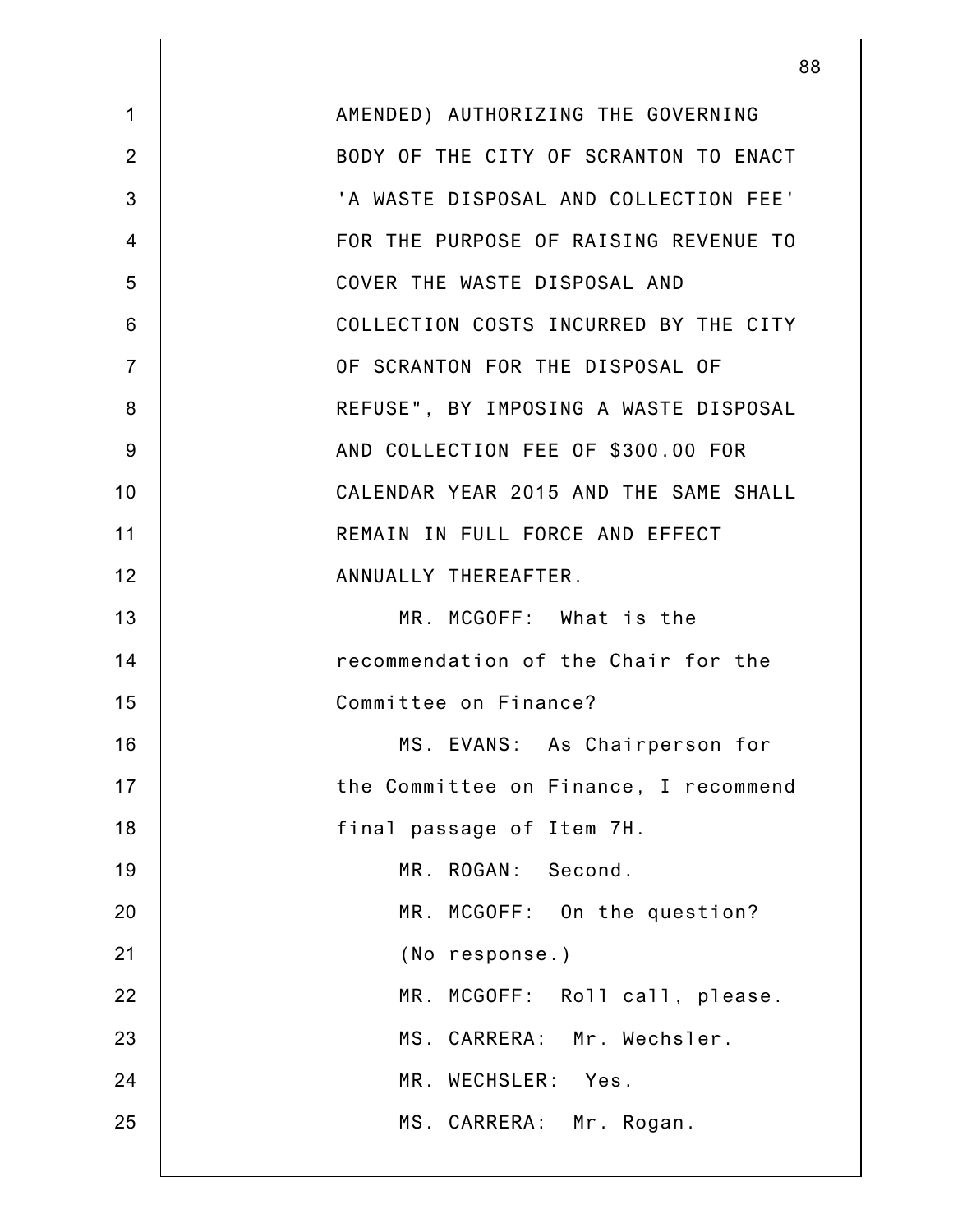|                | 88                                    |
|----------------|---------------------------------------|
| $\mathbf 1$    | AMENDED) AUTHORIZING THE GOVERNING    |
| $\overline{2}$ | BODY OF THE CITY OF SCRANTON TO ENACT |
| 3              | 'A WASTE DISPOSAL AND COLLECTION FEE' |
| 4              | FOR THE PURPOSE OF RAISING REVENUE TO |
| 5              | COVER THE WASTE DISPOSAL AND          |
| 6              | COLLECTION COSTS INCURRED BY THE CITY |
| $\overline{7}$ | OF SCRANTON FOR THE DISPOSAL OF       |
| 8              | REFUSE", BY IMPOSING A WASTE DISPOSAL |
| 9              | AND COLLECTION FEE OF \$300.00 FOR    |
| 10             | CALENDAR YEAR 2015 AND THE SAME SHALL |
| 11             | REMAIN IN FULL FORCE AND EFFECT       |
| 12             | ANNUALLY THEREAFTER.                  |
| 13             | MR. MCGOFF: What is the               |
| 14             | recommendation of the Chair for the   |
| 15             | Committee on Finance?                 |
| 16             | MS. EVANS: As Chairperson for         |
| 17             | the Committee on Finance, I recommend |
| 18             | final passage of Item 7H.             |
| 19             | MR. ROGAN: Second.                    |
| 20             | MR. MCGOFF: On the question?          |
| 21             | (No response.)                        |
| 22             | MR. MCGOFF: Roll call, please.        |
| 23             | MS. CARRERA: Mr. Wechsler.            |
| 24             | MR. WECHSLER: Yes.                    |
| 25             | MS. CARRERA: Mr. Rogan.               |
|                |                                       |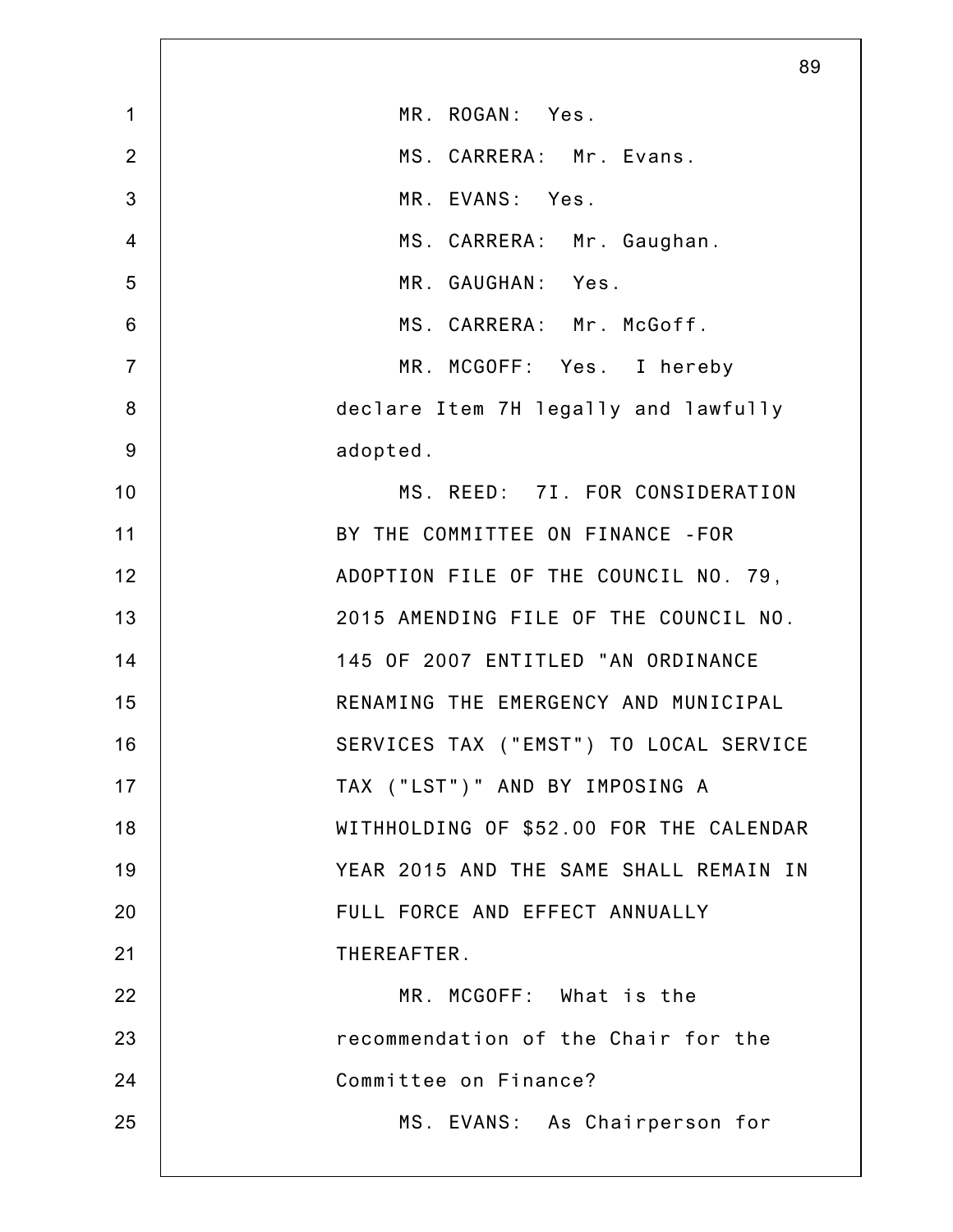|                | 89                                      |
|----------------|-----------------------------------------|
| $\mathbf 1$    | MR. ROGAN: Yes.                         |
| $\overline{2}$ | MS. CARRERA: Mr. Evans.                 |
| 3              | MR. EVANS: Yes.                         |
| $\overline{4}$ | MS. CARRERA: Mr. Gaughan.               |
| 5              | MR. GAUGHAN: Yes.                       |
| 6              | MS. CARRERA: Mr. McGoff.                |
| $\overline{7}$ | MR. MCGOFF: Yes. I hereby               |
| 8              | declare Item 7H legally and lawfully    |
| $9\,$          | adopted.                                |
| 10             | MS. REED: 7I. FOR CONSIDERATION         |
| 11             | BY THE COMMITTEE ON FINANCE - FOR       |
| 12             | ADOPTION FILE OF THE COUNCIL NO. 79,    |
| 13             | 2015 AMENDING FILE OF THE COUNCIL NO.   |
| 14             | 145 OF 2007 ENTITLED "AN ORDINANCE      |
| 15             | RENAMING THE EMERGENCY AND MUNICIPAL    |
| 16             | SERVICES TAX ("EMST") TO LOCAL SERVICE  |
| 17             | TAX ("LST")" AND BY IMPOSING A          |
| 18             | WITHHOLDING OF \$52.00 FOR THE CALENDAR |
| 19             | YEAR 2015 AND THE SAME SHALL REMAIN IN  |
| 20             | FULL FORCE AND EFFECT ANNUALLY          |
| 21             | THEREAFTER.                             |
| 22             | MR. MCGOFF: What is the                 |
| 23             | recommendation of the Chair for the     |
| 24             | Committee on Finance?                   |
| 25             | MS. EVANS: As Chairperson for           |
|                |                                         |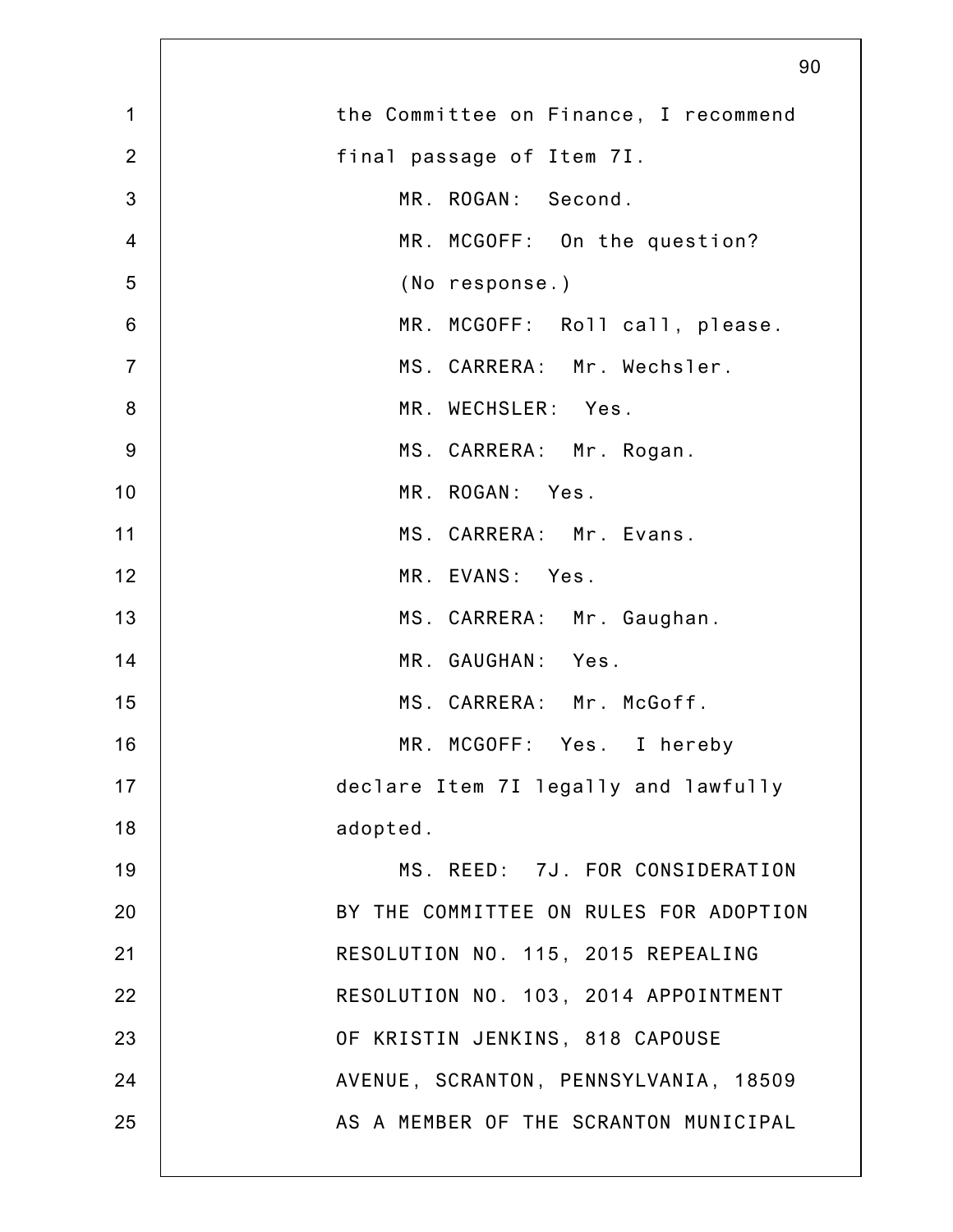|                | 90                                     |
|----------------|----------------------------------------|
| $\mathbf 1$    | the Committee on Finance, I recommend  |
| $\overline{2}$ | final passage of Item 7I.              |
| 3              | MR. ROGAN: Second.                     |
| $\overline{4}$ | MR. MCGOFF: On the question?           |
| 5              | (No response.)                         |
| $\,6$          | MR. MCGOFF: Roll call, please.         |
| $\overline{7}$ | MS. CARRERA: Mr. Wechsler.             |
| $\bf 8$        | MR. WECHSLER: Yes.                     |
| $9$            | MS. CARRERA: Mr. Rogan.                |
| 10             | MR. ROGAN: Yes.                        |
| 11             | MS. CARRERA: Mr. Evans.                |
| 12             | MR. EVANS: Yes.                        |
| 13             | MS. CARRERA: Mr. Gaughan.              |
| 14             | MR. GAUGHAN: Yes.                      |
| 15             | MS. CARRERA: Mr. McGoff.               |
| 16             | MR. MCGOFF: Yes. I hereby              |
| 17             | declare Item 7I legally and lawfully   |
| 18             | adopted.                               |
| 19             | MS. REED: 7J. FOR CONSIDERATION        |
| 20             | BY THE COMMITTEE ON RULES FOR ADOPTION |
| 21             | RESOLUTION NO. 115, 2015 REPEALING     |
| 22             | RESOLUTION NO. 103, 2014 APPOINTMENT   |
| 23             | OF KRISTIN JENKINS, 818 CAPOUSE        |
| 24             | AVENUE, SCRANTON, PENNSYLVANIA, 18509  |
| 25             | AS A MEMBER OF THE SCRANTON MUNICIPAL  |
|                |                                        |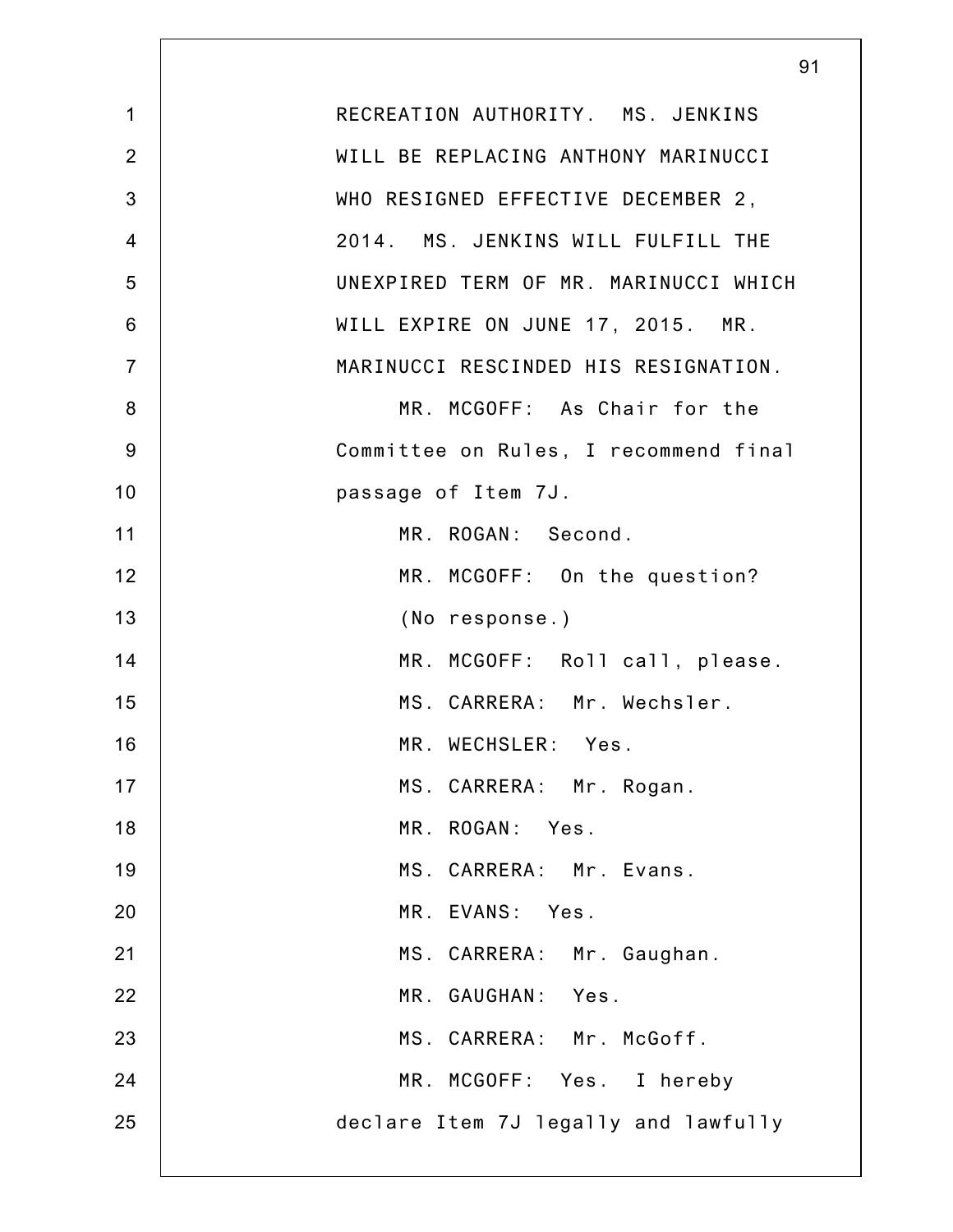|                | 91                                    |
|----------------|---------------------------------------|
| $\mathbf 1$    | RECREATION AUTHORITY. MS. JENKINS     |
| $\overline{2}$ | WILL BE REPLACING ANTHONY MARINUCCI   |
| 3              | WHO RESIGNED EFFECTIVE DECEMBER 2,    |
| $\overline{4}$ | 2014. MS. JENKINS WILL FULFILL THE    |
| 5              | UNEXPIRED TERM OF MR. MARINUCCI WHICH |
| 6              | WILL EXPIRE ON JUNE 17, 2015. MR.     |
| $\overline{7}$ | MARINUCCI RESCINDED HIS RESIGNATION.  |
| 8              | MR. MCGOFF: As Chair for the          |
| 9              | Committee on Rules, I recommend final |
| 10             | passage of Item 7J.                   |
| 11             | MR. ROGAN: Second.                    |
| 12             | MR. MCGOFF: On the question?          |
| 13             | (No response.)                        |
| 14             | MR. MCGOFF: Roll call, please.        |
| 15             | MS. CARRERA: Mr. Wechsler.            |
| 16             | MR. WECHSLER: Yes.                    |
| 17             | MS. CARRERA: Mr. Rogan.               |
| 18             | MR. ROGAN: Yes.                       |
| 19             | MS. CARRERA: Mr. Evans.               |
| 20             | MR. EVANS: Yes.                       |
| 21             | MS. CARRERA: Mr. Gaughan.             |
| 22             | MR. GAUGHAN: Yes.                     |
| 23             | MS. CARRERA: Mr. McGoff.              |
| 24             | MR. MCGOFF: Yes. I hereby             |
| 25             | declare Item 7J legally and lawfully  |
|                |                                       |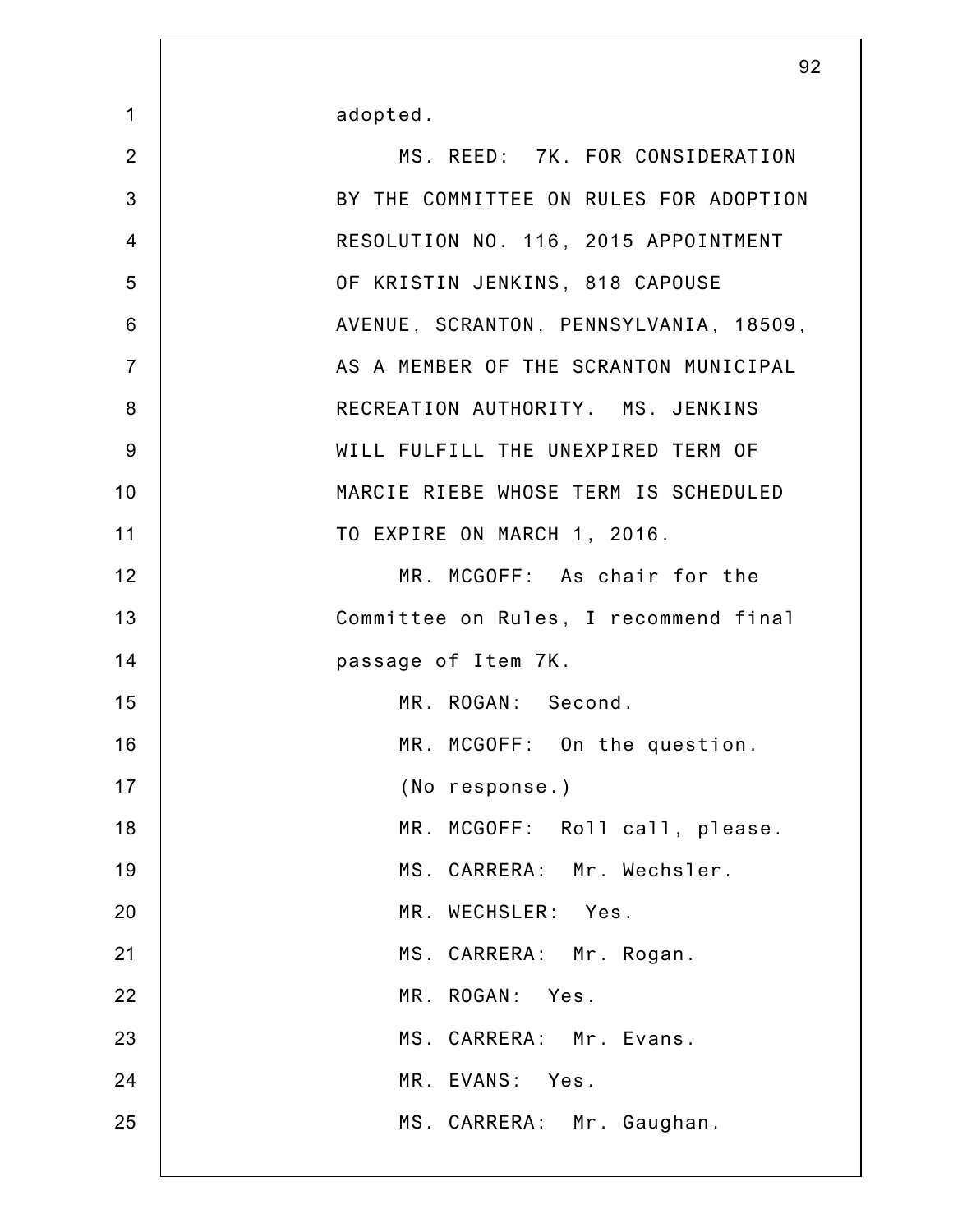| $\mathbf 1$    | adopted.                               |
|----------------|----------------------------------------|
| $\overline{2}$ | MS. REED: 7K. FOR CONSIDERATION        |
| 3              | BY THE COMMITTEE ON RULES FOR ADOPTION |
| $\overline{4}$ | RESOLUTION NO. 116, 2015 APPOINTMENT   |
| 5              | OF KRISTIN JENKINS, 818 CAPOUSE        |
| 6              | AVENUE, SCRANTON, PENNSYLVANIA, 18509, |
| $\overline{7}$ | AS A MEMBER OF THE SCRANTON MUNICIPAL  |
| 8              | RECREATION AUTHORITY. MS. JENKINS      |
| 9              | WILL FULFILL THE UNEXPIRED TERM OF     |
| 10             | MARCIE RIEBE WHOSE TERM IS SCHEDULED   |
| 11             | TO EXPIRE ON MARCH 1, 2016.            |
| 12             | MR. MCGOFF: As chair for the           |
| 13             | Committee on Rules, I recommend final  |
| 14             | passage of Item 7K.                    |
| 15             | MR. ROGAN: Second.                     |
| 16             | MR. MCGOFF: On the question.           |
| 17             | (No response.)                         |
| 18             | MR. MCGOFF: Roll call, please.         |
| 19             | MS. CARRERA: Mr. Wechsler.             |
| 20             | MR. WECHSLER: Yes.                     |
| 21             | MS. CARRERA: Mr. Rogan.                |
| 22             | MR. ROGAN: Yes.                        |
| 23             | MS. CARRERA: Mr. Evans.                |
| 24             | MR. EVANS: Yes.                        |
| 25             | MS. CARRERA: Mr. Gaughan.              |
|                |                                        |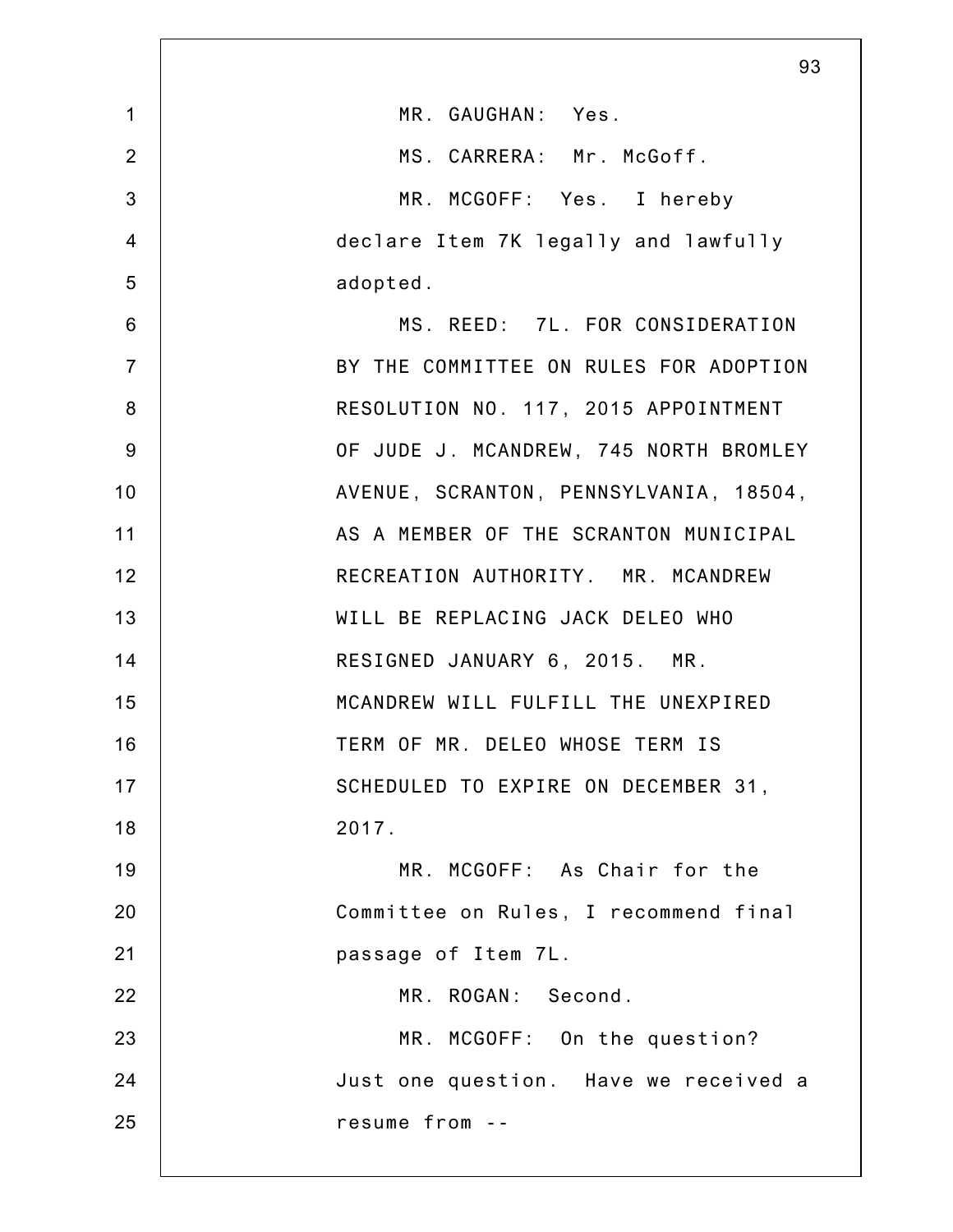|                | 93                                     |
|----------------|----------------------------------------|
| $\mathbf 1$    | MR. GAUGHAN: Yes.                      |
| $\overline{2}$ | MS. CARRERA: Mr. McGoff.               |
| 3              | MR. MCGOFF: Yes. I hereby              |
| $\overline{4}$ | declare Item 7K legally and lawfully   |
| 5              | adopted.                               |
| 6              | MS. REED: 7L. FOR CONSIDERATION        |
| $\overline{7}$ | BY THE COMMITTEE ON RULES FOR ADOPTION |
| 8              | RESOLUTION NO. 117, 2015 APPOINTMENT   |
| 9              | OF JUDE J. MCANDREW, 745 NORTH BROMLEY |
| 10             | AVENUE, SCRANTON, PENNSYLVANIA, 18504, |
| 11             | AS A MEMBER OF THE SCRANTON MUNICIPAL  |
| 12             | RECREATION AUTHORITY. MR. MCANDREW     |
| 13             | WILL BE REPLACING JACK DELEO WHO       |
| 14             | RESIGNED JANUARY 6, 2015. MR.          |
| 15             | MCANDREW WILL FULFILL THE UNEXPIRED    |
| 16             | TERM OF MR. DELEO WHOSE TERM IS        |
| 17             | SCHEDULED TO EXPIRE ON DECEMBER 31,    |
| 18             | 2017.                                  |
| 19             | MR. MCGOFF: As Chair for the           |
| 20             | Committee on Rules, I recommend final  |
| 21             | passage of Item 7L.                    |
| 22             | MR. ROGAN: Second.                     |
| 23             | MR. MCGOFF: On the question?           |
| 24             | Just one question. Have we received a  |
| 25             | resume from --                         |
|                |                                        |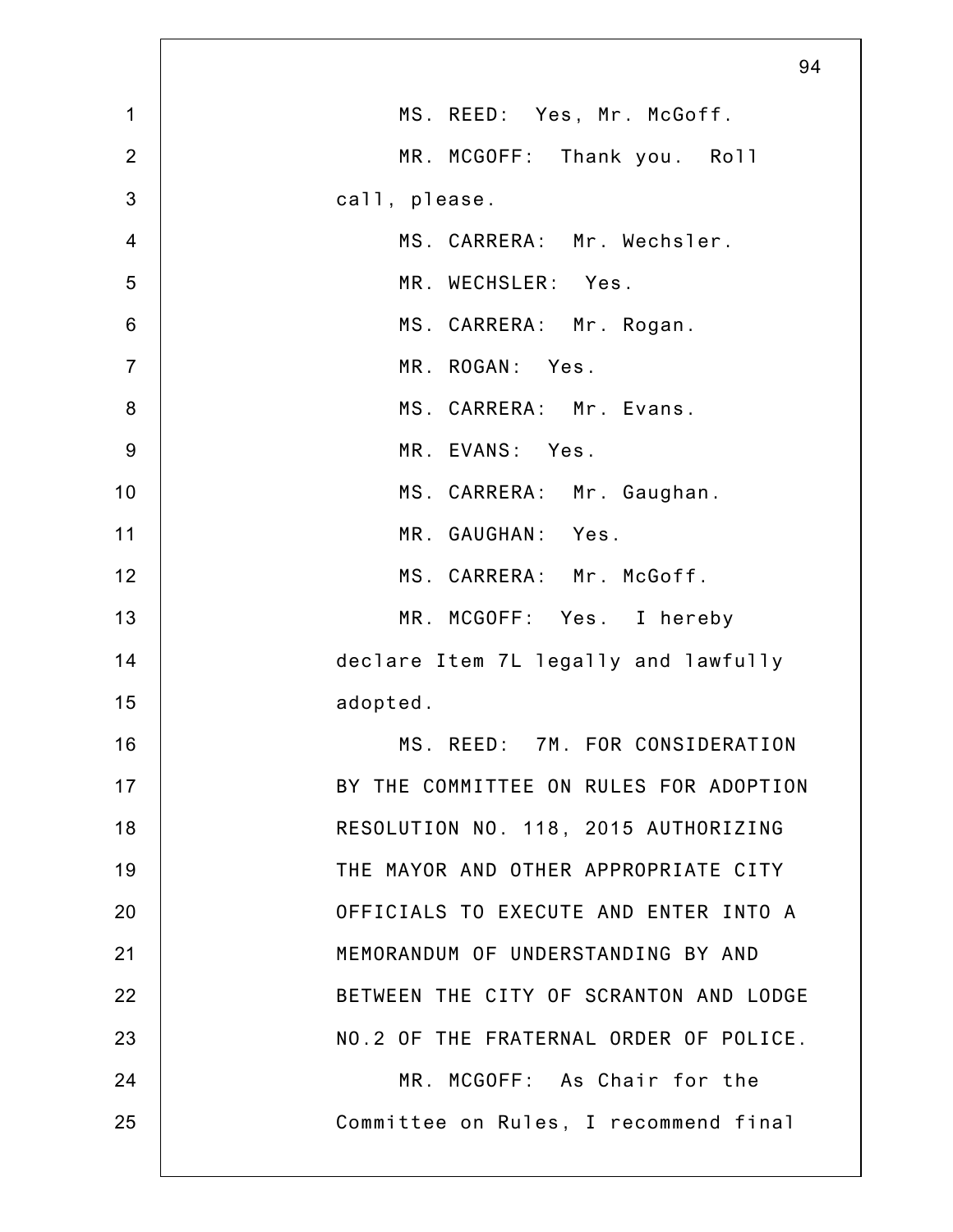|                | 94                                     |
|----------------|----------------------------------------|
| $\mathbf 1$    | MS. REED: Yes, Mr. McGoff.             |
| $\overline{2}$ | MR. MCGOFF:<br>Thank you. Roll         |
| 3              | call, please.                          |
| $\overline{4}$ | MS. CARRERA: Mr. Wechsler.             |
| 5              | MR. WECHSLER: Yes.                     |
| $6\phantom{1}$ | MS. CARRERA: Mr. Rogan.                |
| $\overline{7}$ | MR. ROGAN: Yes.                        |
| $\bf 8$        | MS. CARRERA: Mr. Evans.                |
| $9\,$          | MR. EVANS: Yes.                        |
| 10             | MS. CARRERA: Mr. Gaughan.              |
| 11             | MR. GAUGHAN: Yes.                      |
| 12             | MS. CARRERA: Mr. McGoff.               |
| 13             | MR. MCGOFF: Yes. I hereby              |
| 14             | declare Item 7L legally and lawfully   |
| 15             | adopted.                               |
| 16             | MS. REED:<br>7M. FOR CONSIDERATION     |
| 17             | BY THE COMMITTEE ON RULES FOR ADOPTION |
| 18             | RESOLUTION NO. 118, 2015 AUTHORIZING   |
| 19             | THE MAYOR AND OTHER APPROPRIATE CITY   |
| 20             | OFFICIALS TO EXECUTE AND ENTER INTO A  |
| 21             | MEMORANDUM OF UNDERSTANDING BY AND     |
| 22             | BETWEEN THE CITY OF SCRANTON AND LODGE |
| 23             | NO.2 OF THE FRATERNAL ORDER OF POLICE. |
| 24             | MR. MCGOFF: As Chair for the           |
| 25             | Committee on Rules, I recommend final  |
|                |                                        |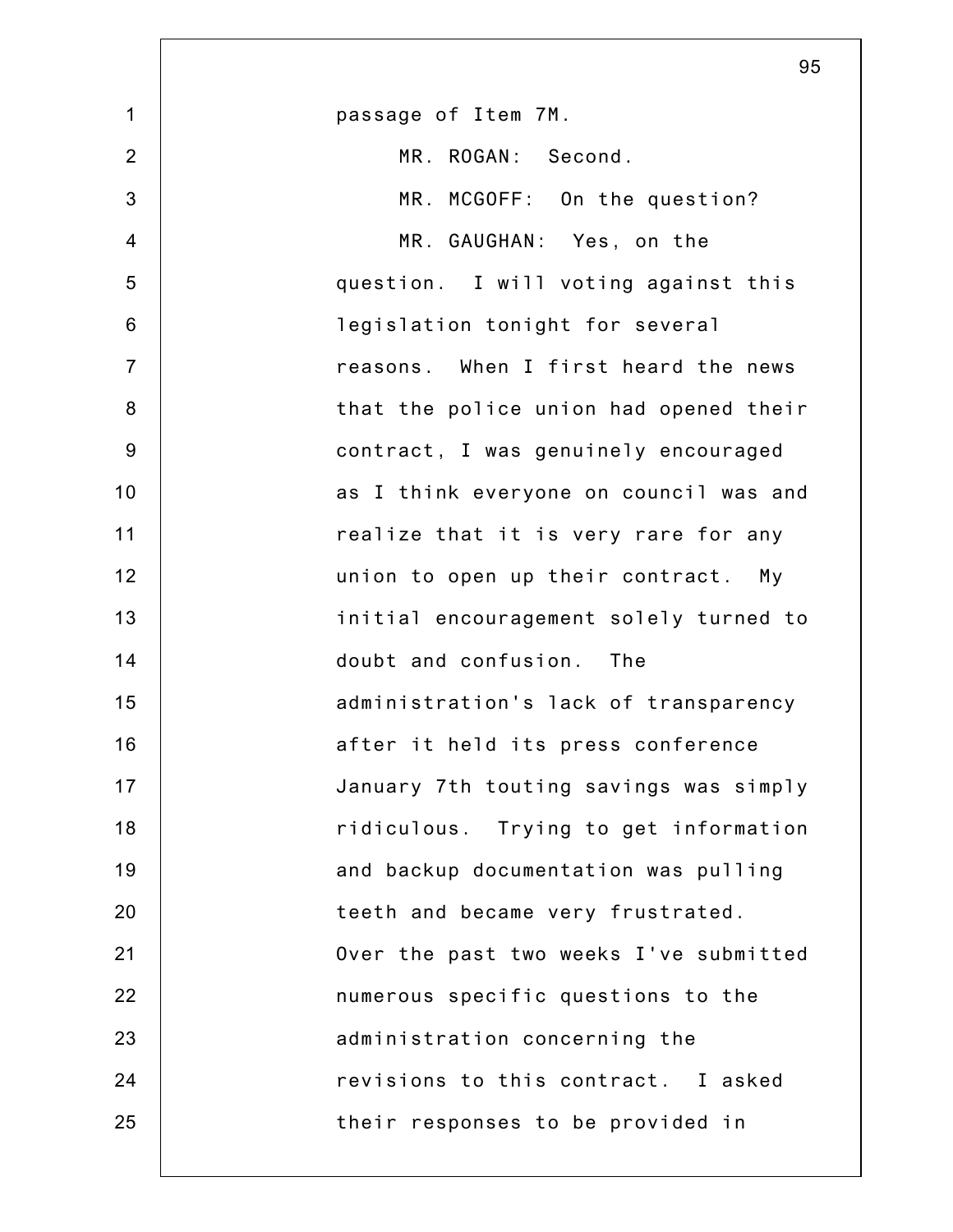|                | 95                                     |
|----------------|----------------------------------------|
| $\mathbf 1$    | passage of Item 7M.                    |
| $\overline{2}$ | MR. ROGAN: Second.                     |
| 3              | MR. MCGOFF: On the question?           |
| $\overline{4}$ | MR. GAUGHAN: Yes, on the               |
| 5              | question. I will voting against this   |
| $6\,$          | legislation tonight for several        |
| $\overline{7}$ | reasons. When I first heard the news   |
| $\bf 8$        | that the police union had opened their |
| $9\,$          | contract, I was genuinely encouraged   |
| 10             | as I think everyone on council was and |
| 11             | realize that it is very rare for any   |
| 12             | union to open up their contract. My    |
| 13             | initial encouragement solely turned to |
| 14             | doubt and confusion. The               |
| 15             | administration's lack of transparency  |
| 16             | after it held its press conference     |
| 17             | January 7th touting savings was simply |
| 18             | ridiculous. Trying to get information  |
| 19             | and backup documentation was pulling   |
| 20             | teeth and became very frustrated.      |
| 21             | Over the past two weeks I've submitted |
| 22             | numerous specific questions to the     |
| 23             | administration concerning the          |
| 24             | revisions to this contract. I asked    |
| 25             | their responses to be provided in      |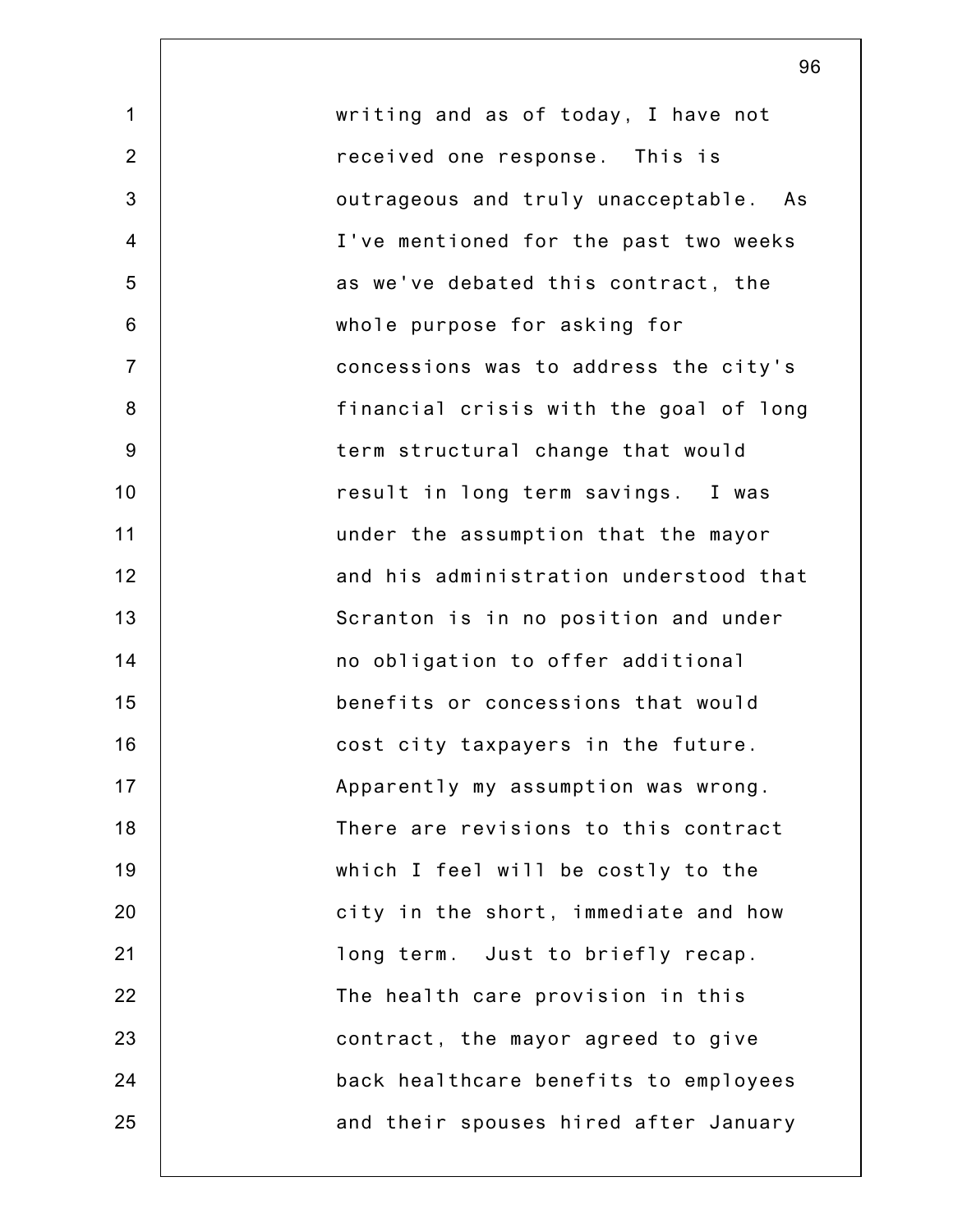1 2 3 4 5 6 7 8 9 10 11 12 13 14 15 16 17 18 19 20 21 22 23 24 25 writing and as of today, I have not received one response. This is outrageous and truly unacceptable. As I've mentioned for the past two weeks as we've debated this contract, the whole purpose for asking for concessions was to address the city's financial crisis with the goal of long term structural change that would result in long term savings. I was under the assumption that the mayor and his administration understood that Scranton is in no position and under no obligation to offer additional benefits or concessions that would cost city taxpayers in the future. Apparently my assumption was wrong. There are revisions to this contract which I feel will be costly to the city in the short, immediate and how long term. Just to briefly recap. The health care provision in this contract, the mayor agreed to give back healthcare benefits to employees and their spouses hired after January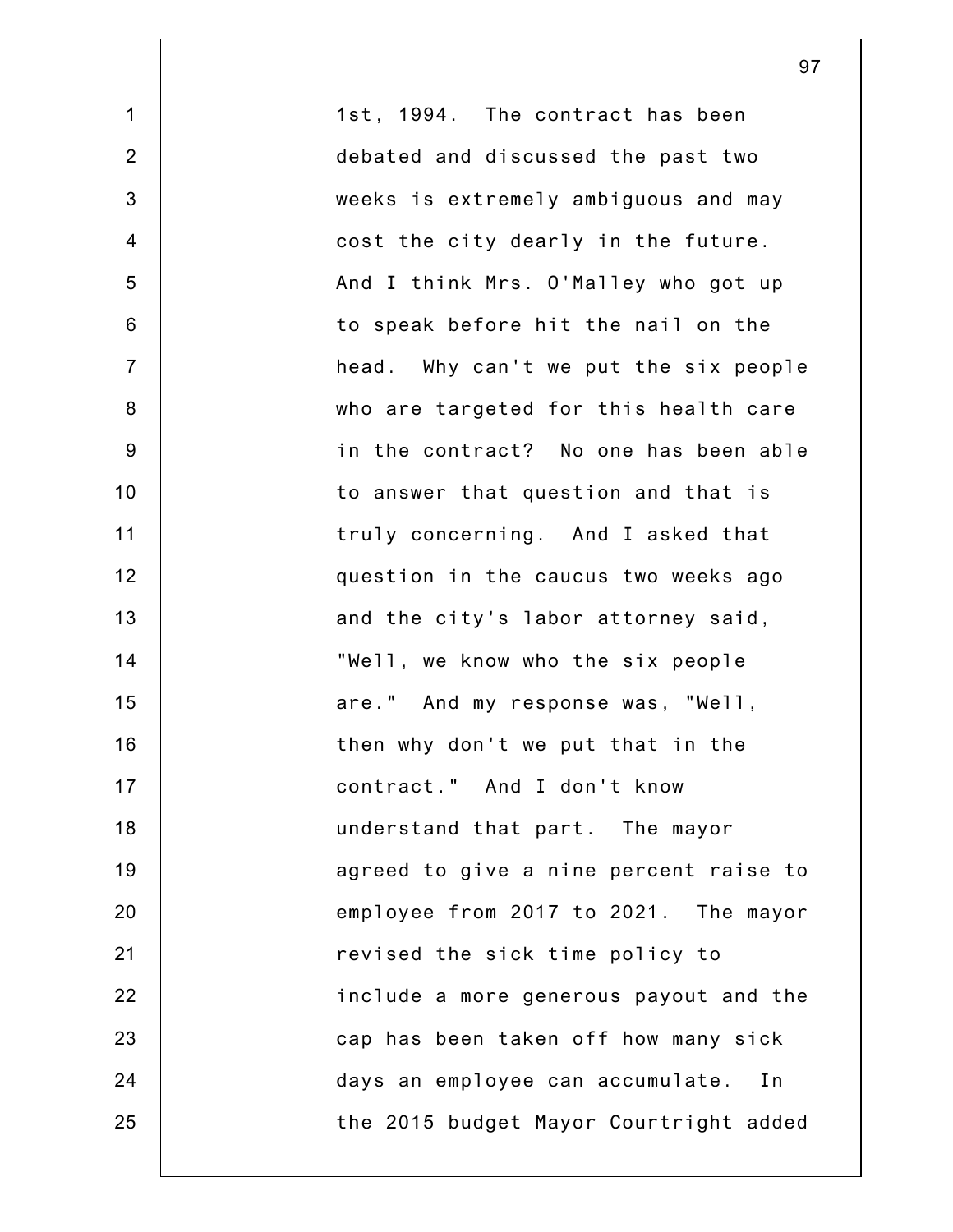1 2 3 4 5 6 7 8 9 10 11 12 13 14 15 16 17 18 19 20 21 22 23 24 25 1st, 1994. The contract has been debated and discussed the past two weeks is extremely ambiguous and may cost the city dearly in the future. And I think Mrs. O'Malley who got up to speak before hit the nail on the head. Why can't we put the six people who are targeted for this health care in the contract? No one has been able to answer that question and that is truly concerning. And I asked that question in the caucus two weeks ago and the city's labor attorney said, "Well, we know who the six people are." And my response was, "Well, then why don't we put that in the contract." And I don't know understand that part. The mayor agreed to give a nine percent raise to employee from 2017 to 2021. The mayor revised the sick time policy to include a more generous payout and the cap has been taken off how many sick days an employee can accumulate. In the 2015 budget Mayor Courtright added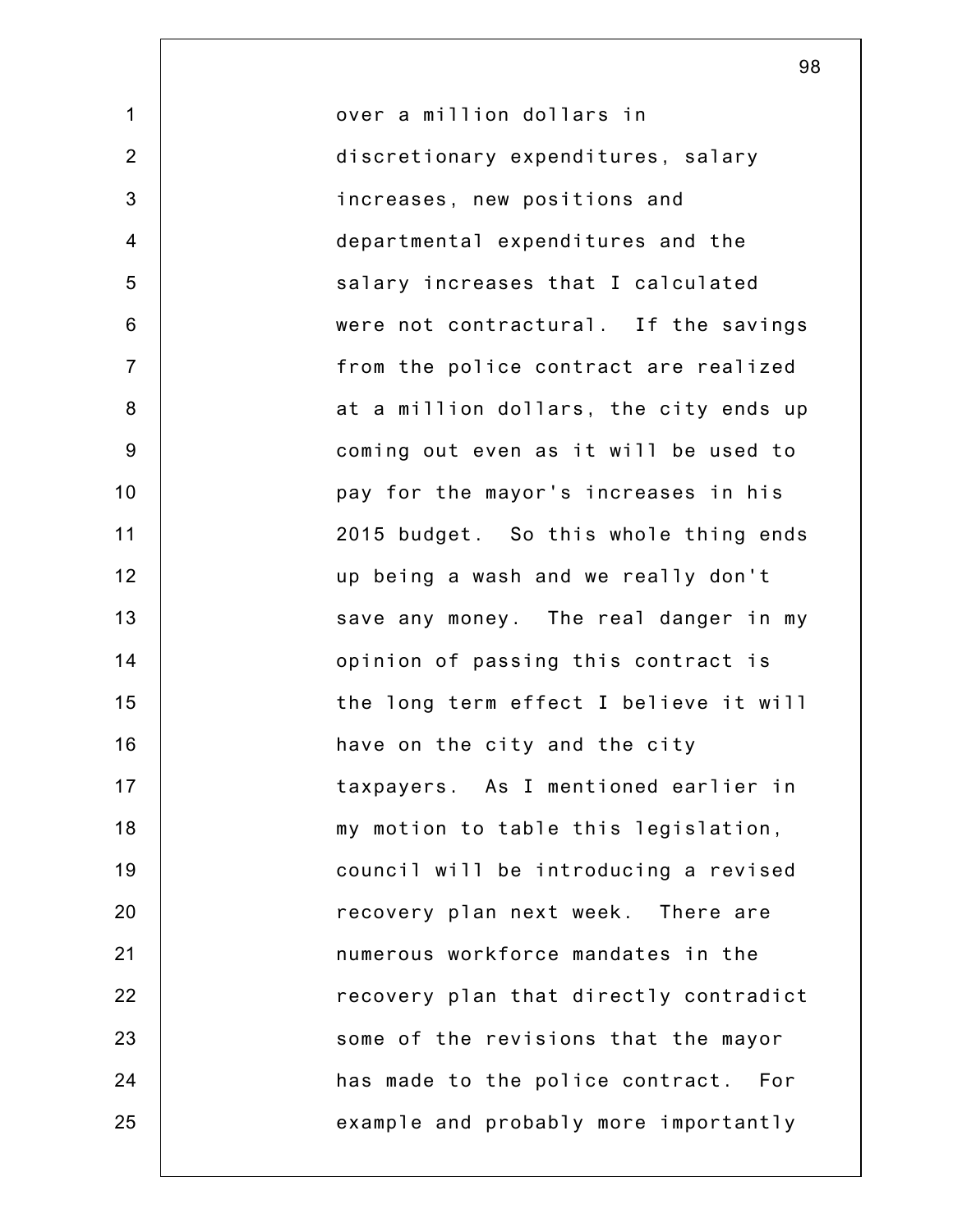1 2 3 4 5 6 7 8 9 10 11 12 13 14 15 16 17 18 19 20 21 22 23 24 25 over a million dollars in discretionary expenditures, salary increases, new positions and departmental expenditures and the salary increases that I calculated were not contractural. If the savings from the police contract are realized at a million dollars, the city ends up coming out even as it will be used to pay for the mayor's increases in his 2015 budget. So this whole thing ends up being a wash and we really don't save any money. The real danger in my opinion of passing this contract is the long term effect I believe it will have on the city and the city taxpayers. As I mentioned earlier in my motion to table this legislation, council will be introducing a revised recovery plan next week. There are numerous workforce mandates in the recovery plan that directly contradict some of the revisions that the mayor has made to the police contract. For example and probably more importantly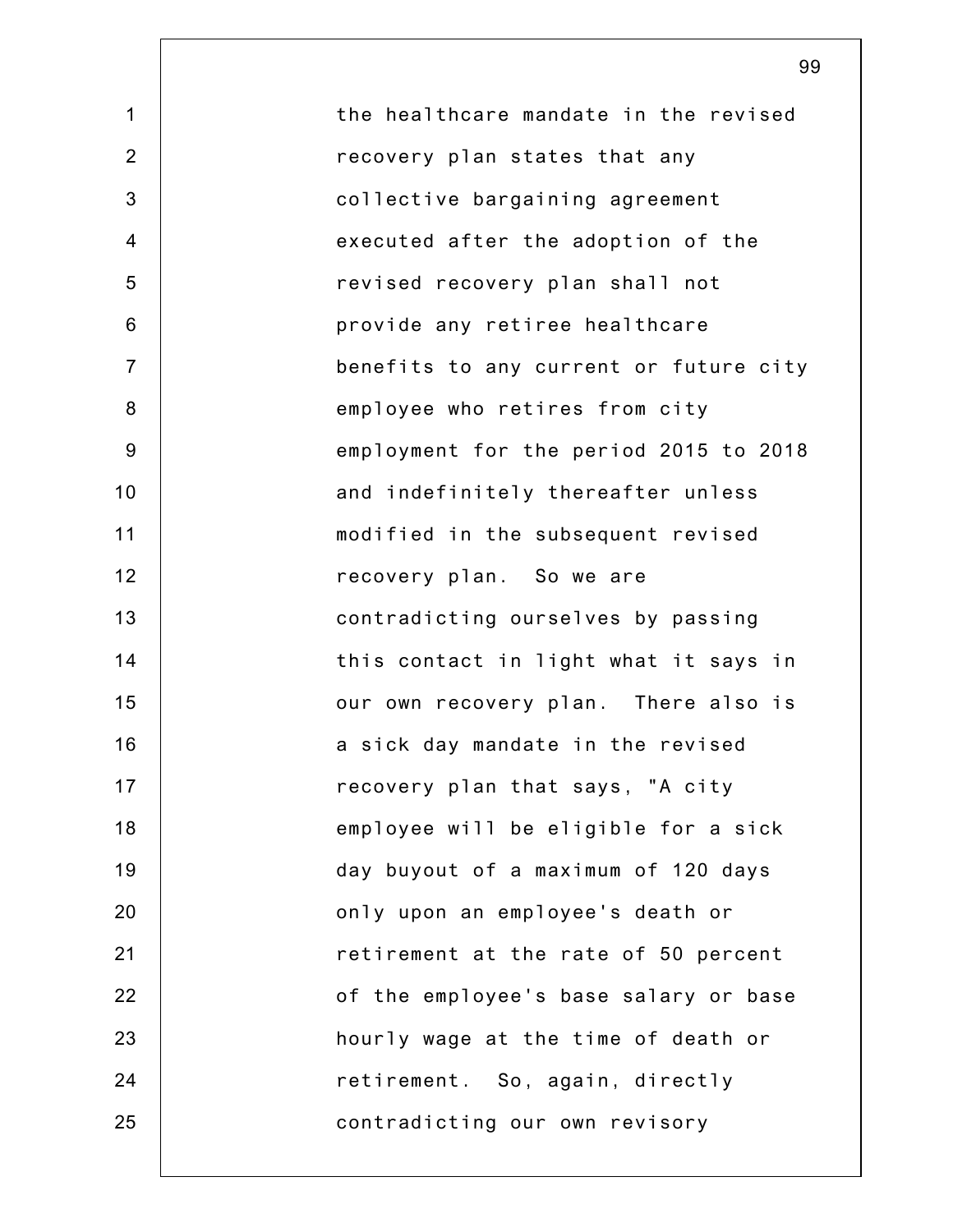1 2 3 4 5 6 7 8 9 10 11 12 13 14 15 16 17 18 19 20 21 22 23 24 25 the healthcare mandate in the revised recovery plan states that any collective bargaining agreement executed after the adoption of the revised recovery plan shall not provide any retiree healthcare benefits to any current or future city employee who retires from city employment for the period 2015 to 2018 and indefinitely thereafter unless modified in the subsequent revised recovery plan. So we are contradicting ourselves by passing this contact in light what it says in our own recovery plan. There also is a sick day mandate in the revised recovery plan that says, "A city employee will be eligible for a sick day buyout of a maximum of 120 days only upon an employee's death or retirement at the rate of 50 percent of the employee's base salary or base hourly wage at the time of death or retirement. So, again, directly contradicting our own revisory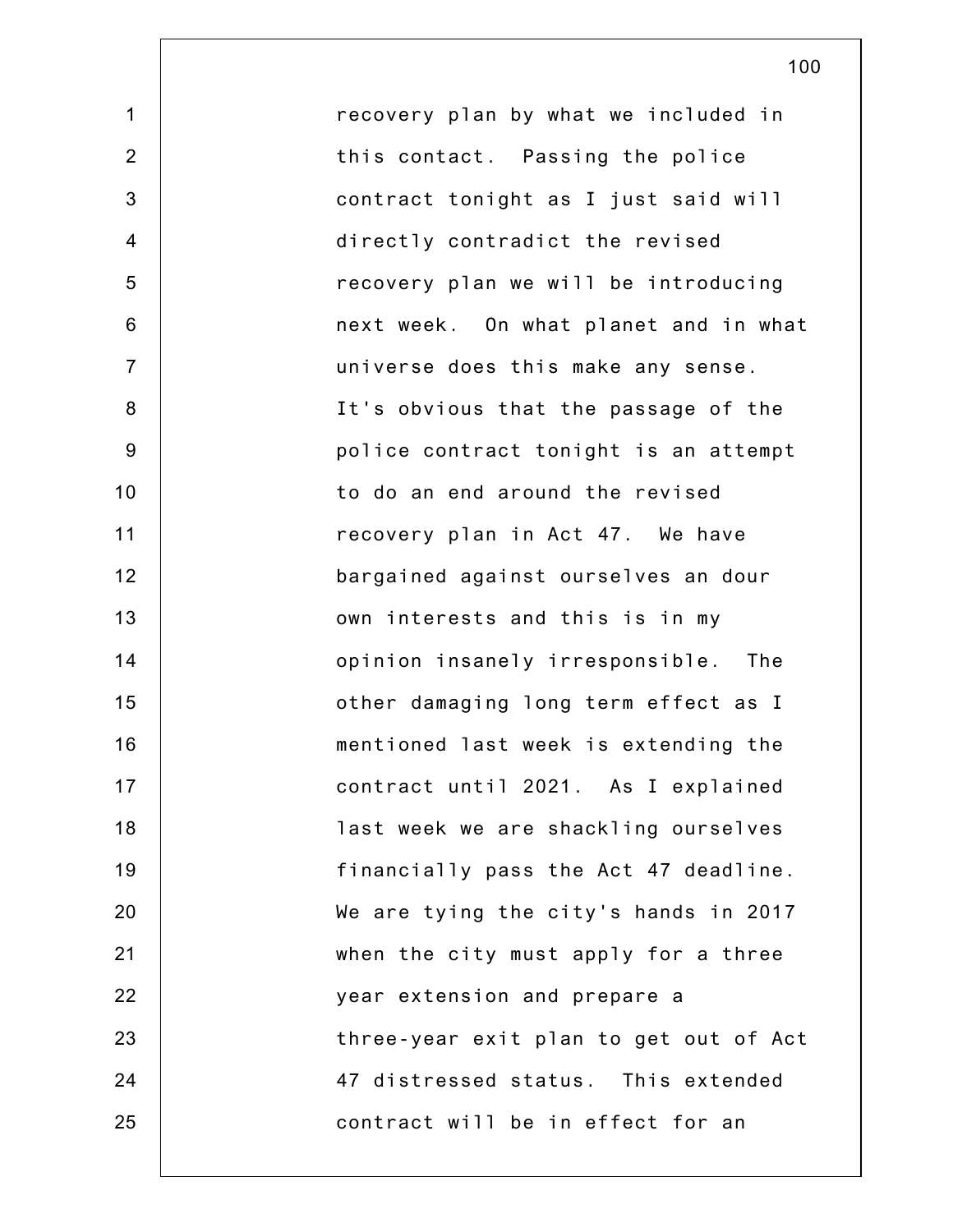1 2 3 4 5 6 7 8 9 10 11 12 13 14 15 16 17 18 19 20 21 22 23 24 25 recovery plan by what we included in this contact. Passing the police contract tonight as I just said will directly contradict the revised recovery plan we will be introducing next week. On what planet and in what universe does this make any sense. It's obvious that the passage of the police contract tonight is an attempt to do an end around the revised recovery plan in Act 47. We have bargained against ourselves an dour own interests and this is in my opinion insanely irresponsible. The other damaging long term effect as I mentioned last week is extending the contract until 2021. As I explained last week we are shackling ourselves financially pass the Act 47 deadline. We are tying the city's hands in 2017 when the city must apply for a three year extension and prepare a three-year exit plan to get out of Act 47 distressed status. This extended contract will be in effect for an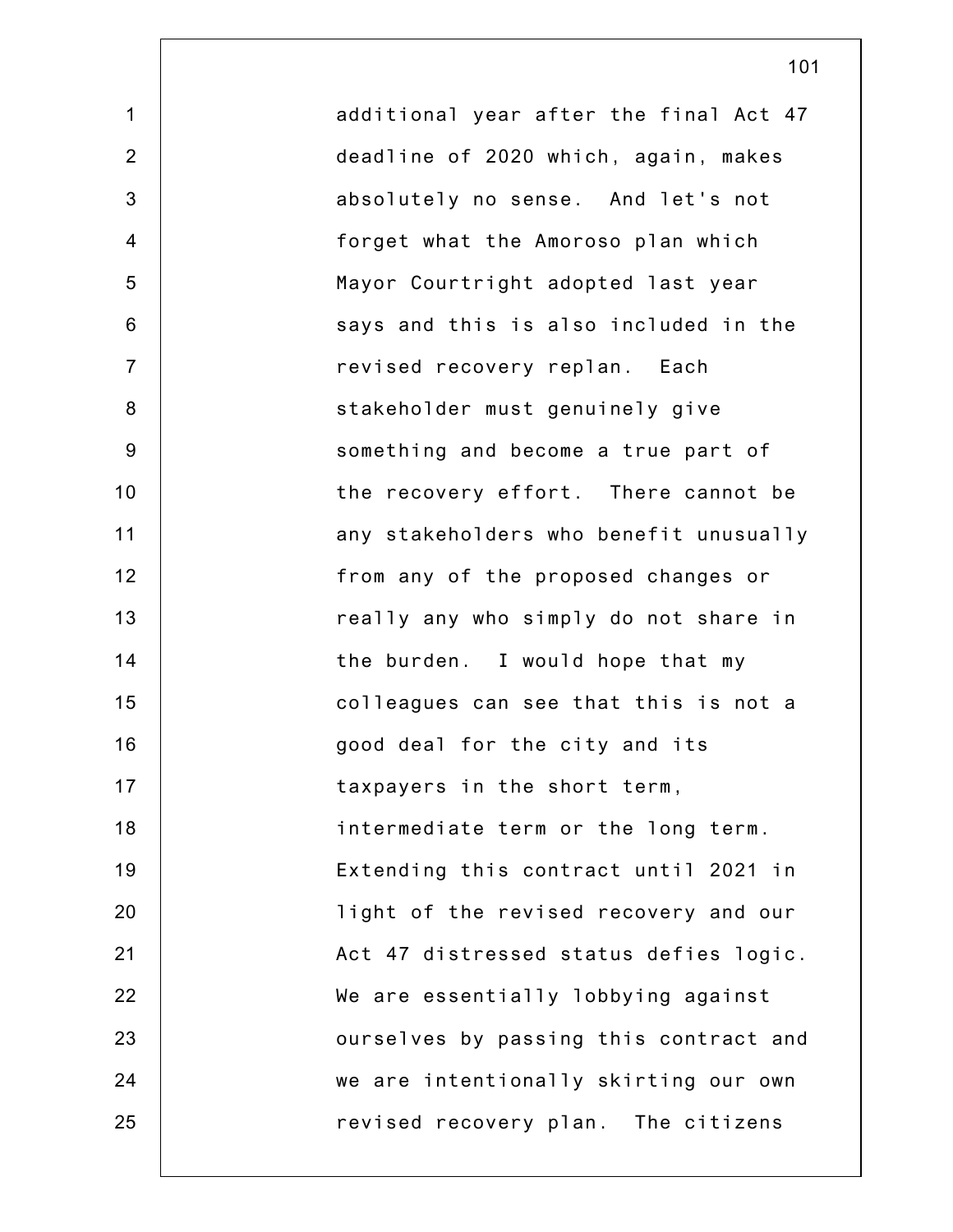1 2 3 4 5 6 7 8 9 10 11 12 13 14 15 16 17 18 19 20 21 22 23 24 25 additional year after the final Act 47 deadline of 2020 which, again, makes absolutely no sense. And let's not forget what the Amoroso plan which Mayor Courtright adopted last year says and this is also included in the revised recovery replan. Each stakeholder must genuinely give something and become a true part of the recovery effort. There cannot be any stakeholders who benefit unusually from any of the proposed changes or really any who simply do not share in the burden. I would hope that my colleagues can see that this is not a good deal for the city and its taxpayers in the short term, intermediate term or the long term. Extending this contract until 2021 in light of the revised recovery and our Act 47 distressed status defies logic. We are essentially lobbying against ourselves by passing this contract and we are intentionally skirting our own revised recovery plan. The citizens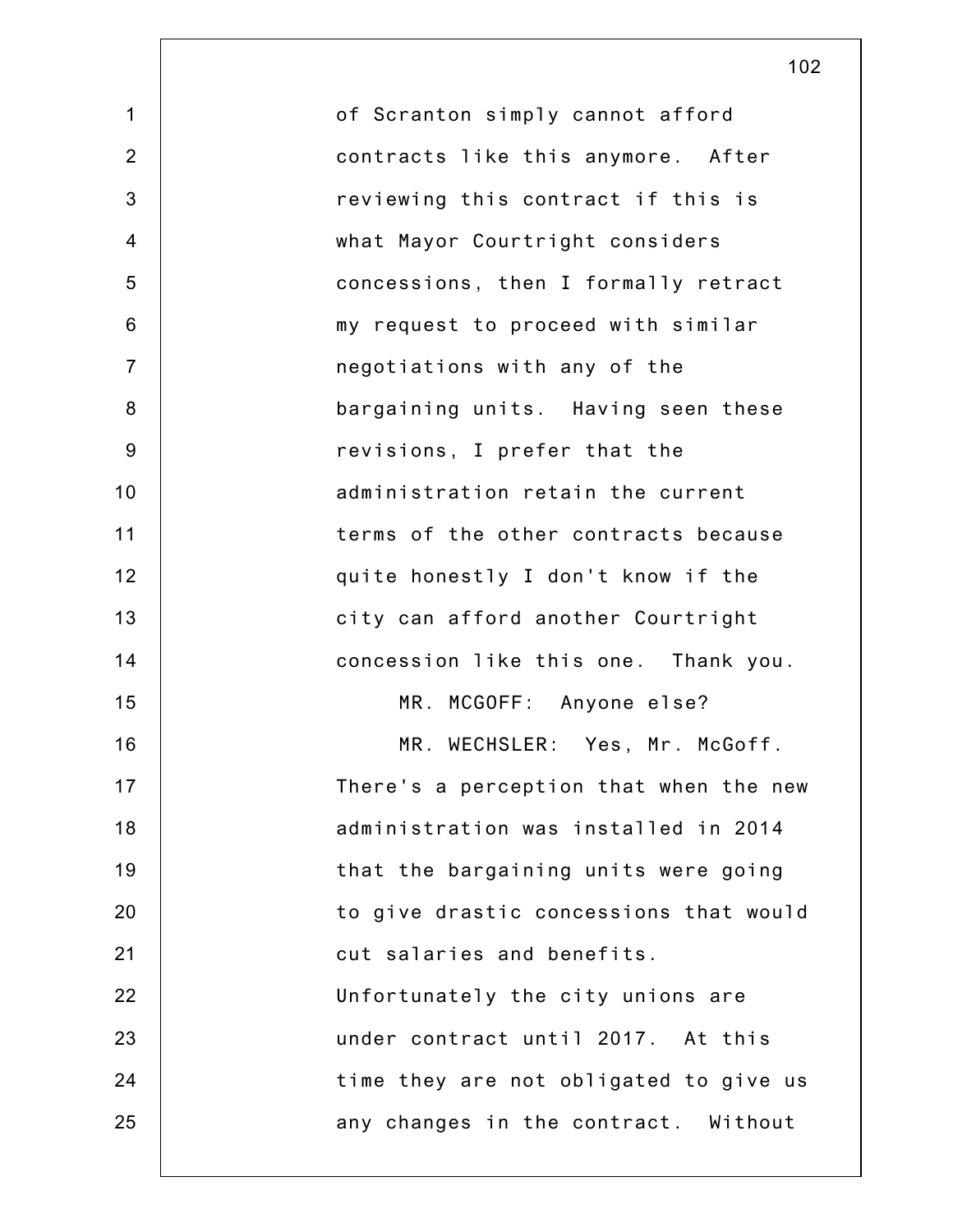1 2 3 4 5 6 7 8 9 10 11 12 13 14 15 16 17 18 19 20 21 22 23 24 25 of Scranton simply cannot afford contracts like this anymore. After reviewing this contract if this is what Mayor Courtright considers concessions, then I formally retract my request to proceed with similar negotiations with any of the bargaining units. Having seen these revisions, I prefer that the administration retain the current terms of the other contracts because quite honestly I don't know if the city can afford another Courtright concession like this one. Thank you. MR. MCGOFF: Anyone else? MR. WECHSLER: Yes, Mr. McGoff. There's a perception that when the new administration was installed in 2014 that the bargaining units were going to give drastic concessions that would cut salaries and benefits. Unfortunately the city unions are under contract until 2017. At this time they are not obligated to give us any changes in the contract. Without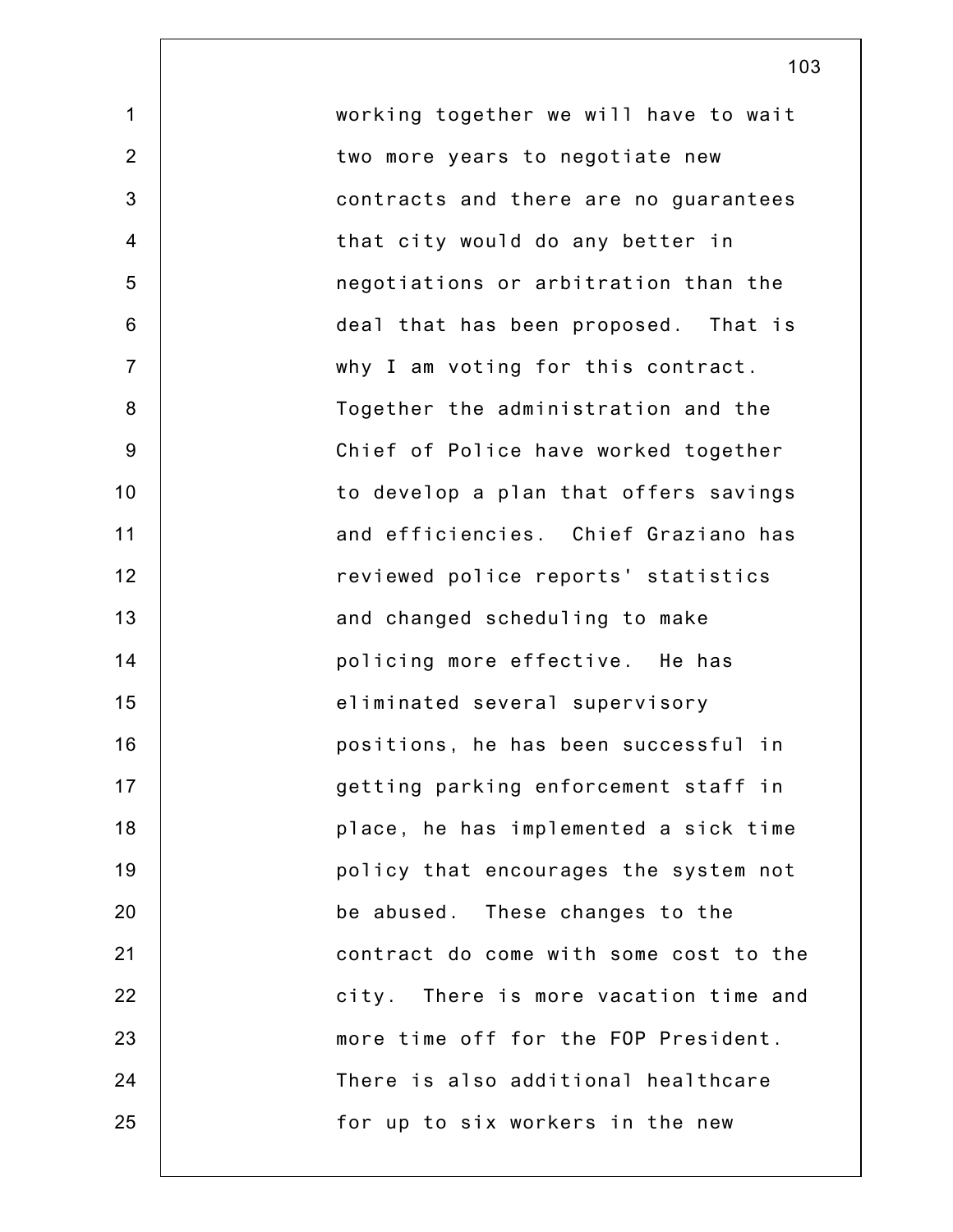2 4 7 10 12 13 14 15 16 17 18 19 20 22 23 24 working together we will have to wait two more years to negotiate new contracts and there are no guarantees that city would do any better in negotiations or arbitration than the deal that has been proposed. That is why I am voting for this contract. Together the administration and the Chief of Police have worked together to develop a plan that offers savings and efficiencies. Chief Graziano has reviewed police reports' statistics and changed scheduling to make policing more effective. He has eliminated several supervisory positions, he has been successful in getting parking enforcement staff in place, he has implemented a sick time policy that encourages the system not be abused. These changes to the contract do come with some cost to the city. There is more vacation time and more time off for the FOP President. There is also additional healthcare for up to six workers in the new

1

3

5

6

8

9

11

21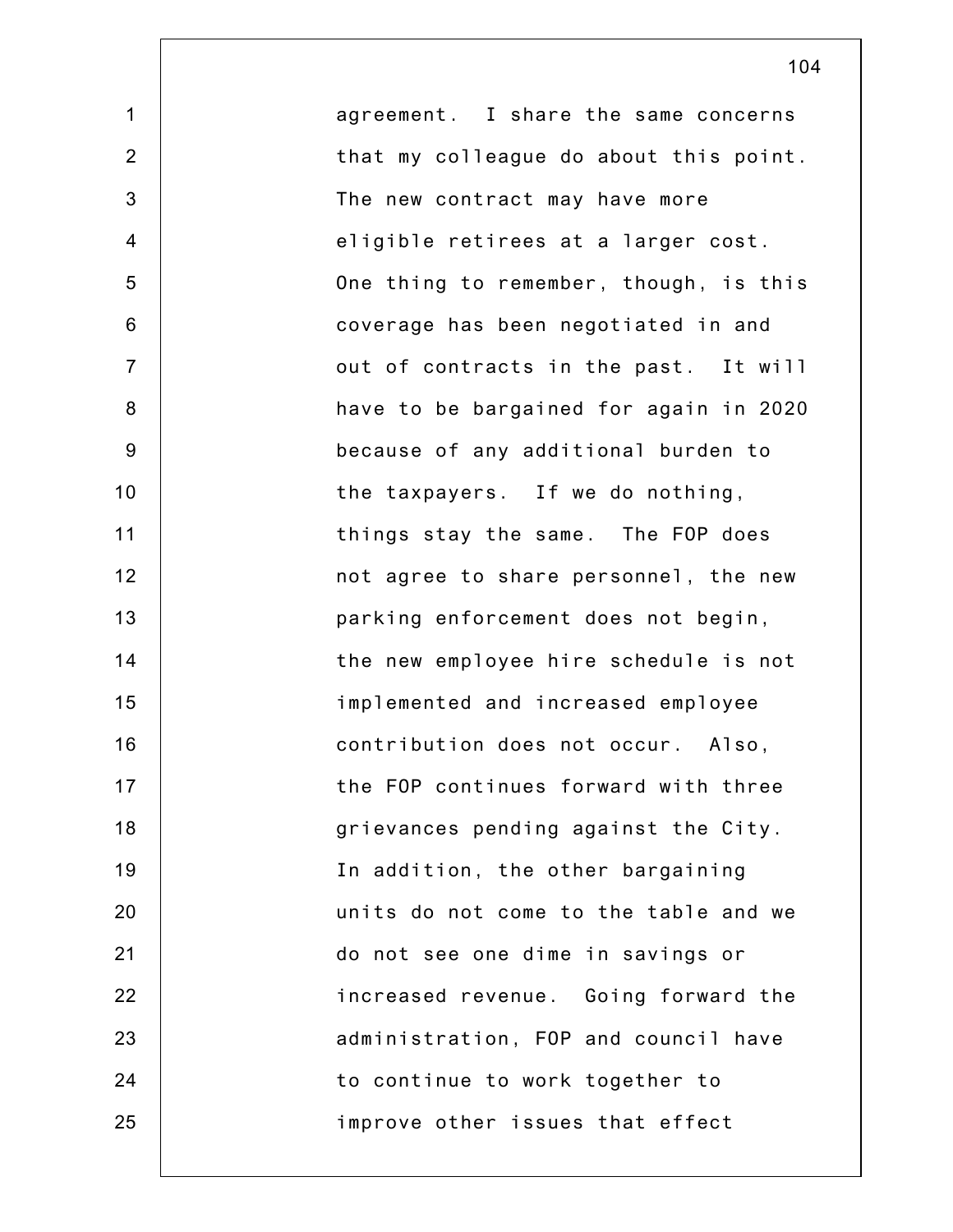1 2 3 4 5 6 7 8 9 10 11 12 13 14 15 16 17 18 19 20 21 22 23 24 25 agreement. I share the same concerns that my colleague do about this point. The new contract may have more eligible retirees at a larger cost. One thing to remember, though, is this coverage has been negotiated in and out of contracts in the past. It will have to be bargained for again in 2020 because of any additional burden to the taxpayers. If we do nothing, things stay the same. The FOP does not agree to share personnel, the new parking enforcement does not begin, the new employee hire schedule is not implemented and increased employee contribution does not occur. Also, the FOP continues forward with three grievances pending against the City. In addition, the other bargaining units do not come to the table and we do not see one dime in savings or increased revenue. Going forward the administration, FOP and council have to continue to work together to improve other issues that effect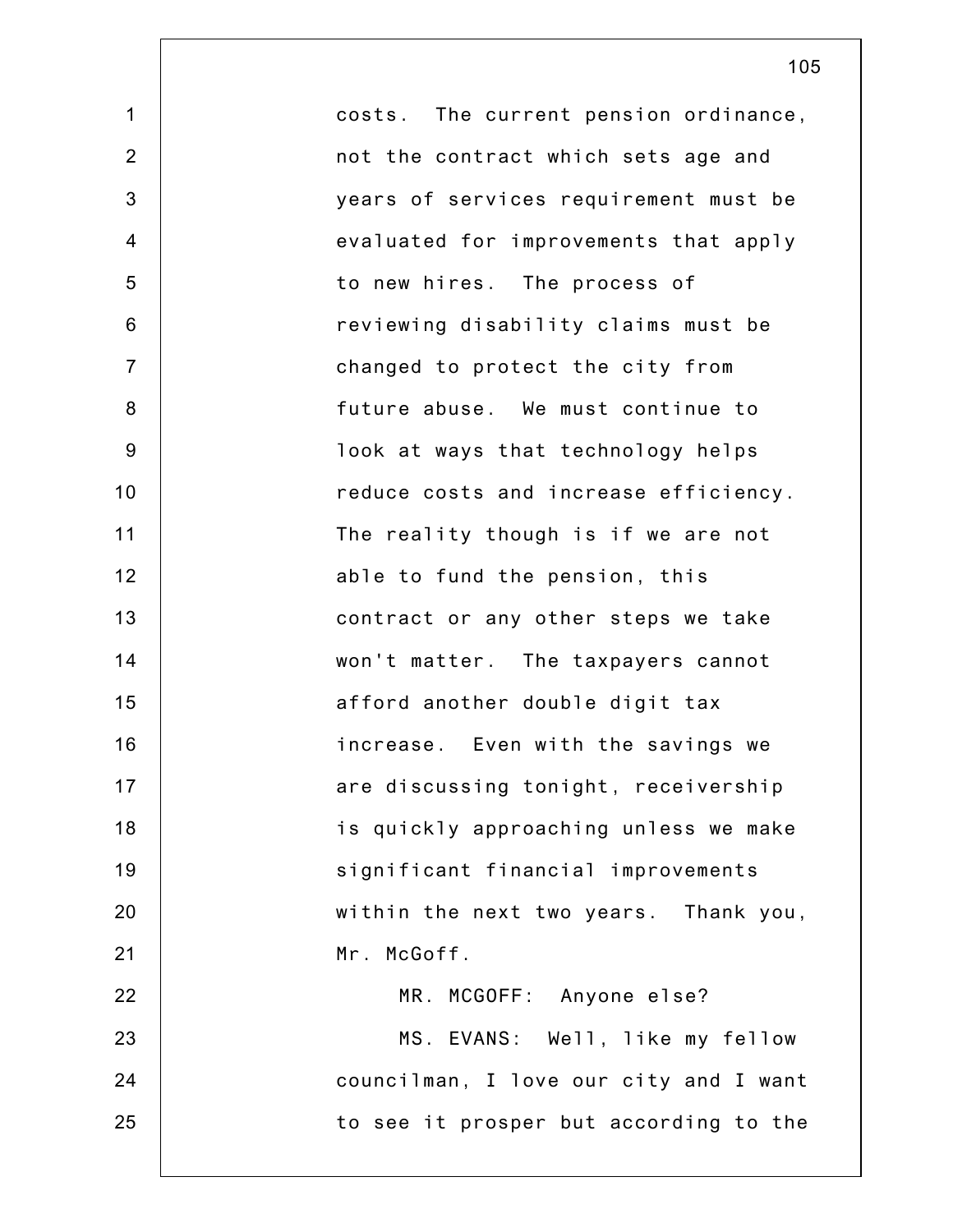| $\mathbf 1$    | costs. The current pension ordinance,  |
|----------------|----------------------------------------|
| $\overline{2}$ | not the contract which sets age and    |
| 3              | years of services requirement must be  |
| $\overline{4}$ | evaluated for improvements that apply  |
| 5              | to new hires. The process of           |
| $6\phantom{1}$ | reviewing disability claims must be    |
| $\overline{7}$ | changed to protect the city from       |
| 8              | future abuse. We must continue to      |
| $9\,$          | look at ways that technology helps     |
| 10             | reduce costs and increase efficiency.  |
| 11             | The reality though is if we are not    |
| 12             | able to fund the pension, this         |
| 13             | contract or any other steps we take    |
| 14             | won't matter. The taxpayers cannot     |
| 15             | afford another double digit tax        |
| 16             | increase. Even with the savings we     |
| 17             | are discussing tonight, receivership   |
| 18             | is quickly approaching unless we make  |
| 19             | significant financial improvements     |
| 20             | within the next two years. Thank you,  |
| 21             | Mr. McGoff.                            |
| 22             | MR. MCGOFF: Anyone else?               |
| 23             | MS. EVANS: Well, like my fellow        |
| 24             | councilman, I love our city and I want |
| 25             | to see it prosper but according to the |
|                |                                        |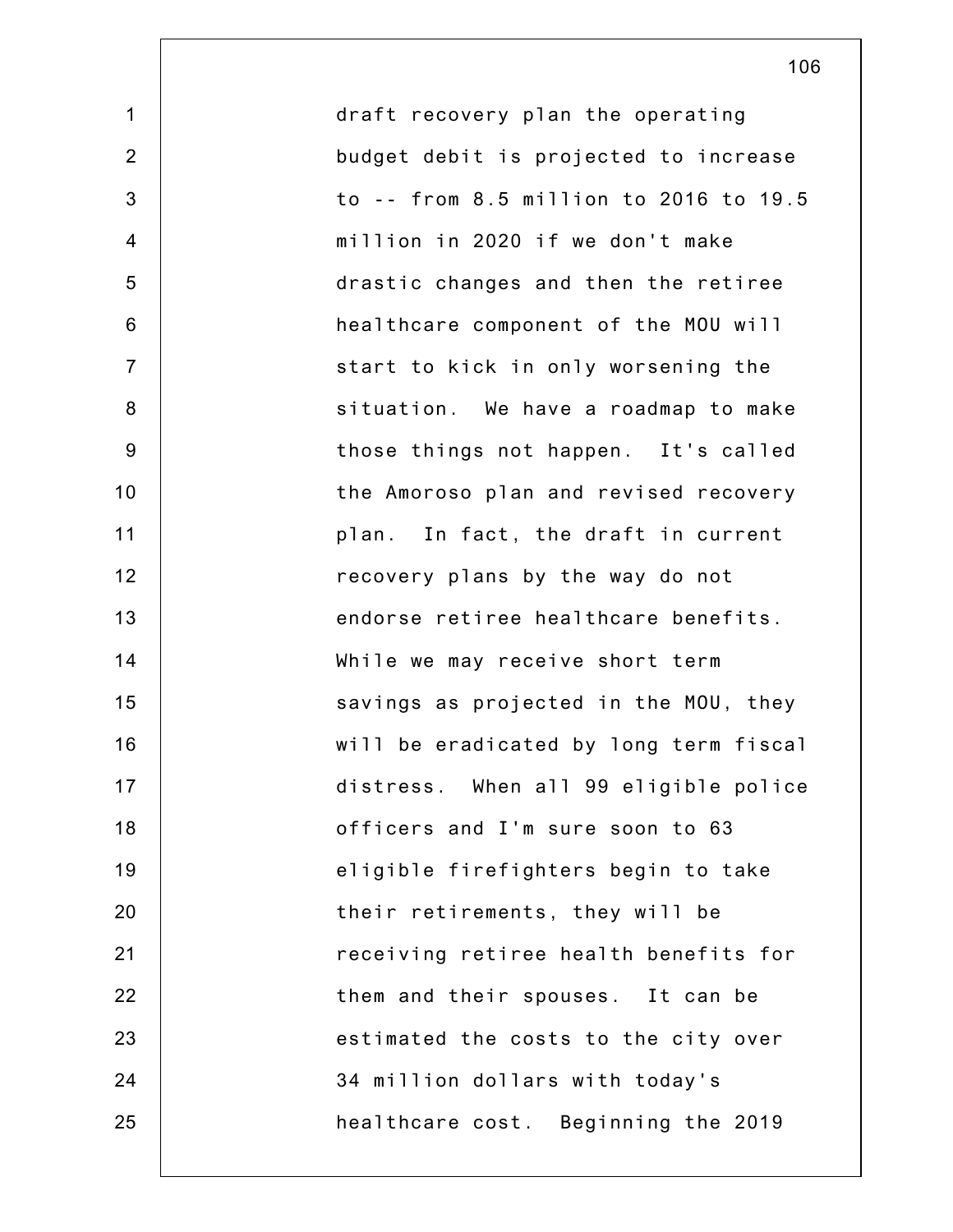1 2 3 4 5 6 7 8 9 10 11 12 13 14 15 16 17 18 19 20 21 22 23 24 25 draft recovery plan the operating budget debit is projected to increase to -- from 8.5 million to 2016 to 19.5 million in 2020 if we don't make drastic changes and then the retiree healthcare component of the MOU will start to kick in only worsening the situation. We have a roadmap to make those things not happen. It's called the Amoroso plan and revised recovery plan. In fact, the draft in current recovery plans by the way do not endorse retiree healthcare benefits. While we may receive short term savings as projected in the MOU, they will be eradicated by long term fiscal distress. When all 99 eligible police officers and I'm sure soon to 63 eligible firefighters begin to take their retirements, they will be receiving retiree health benefits for them and their spouses. It can be estimated the costs to the city over 34 million dollars with today's healthcare cost. Beginning the 2019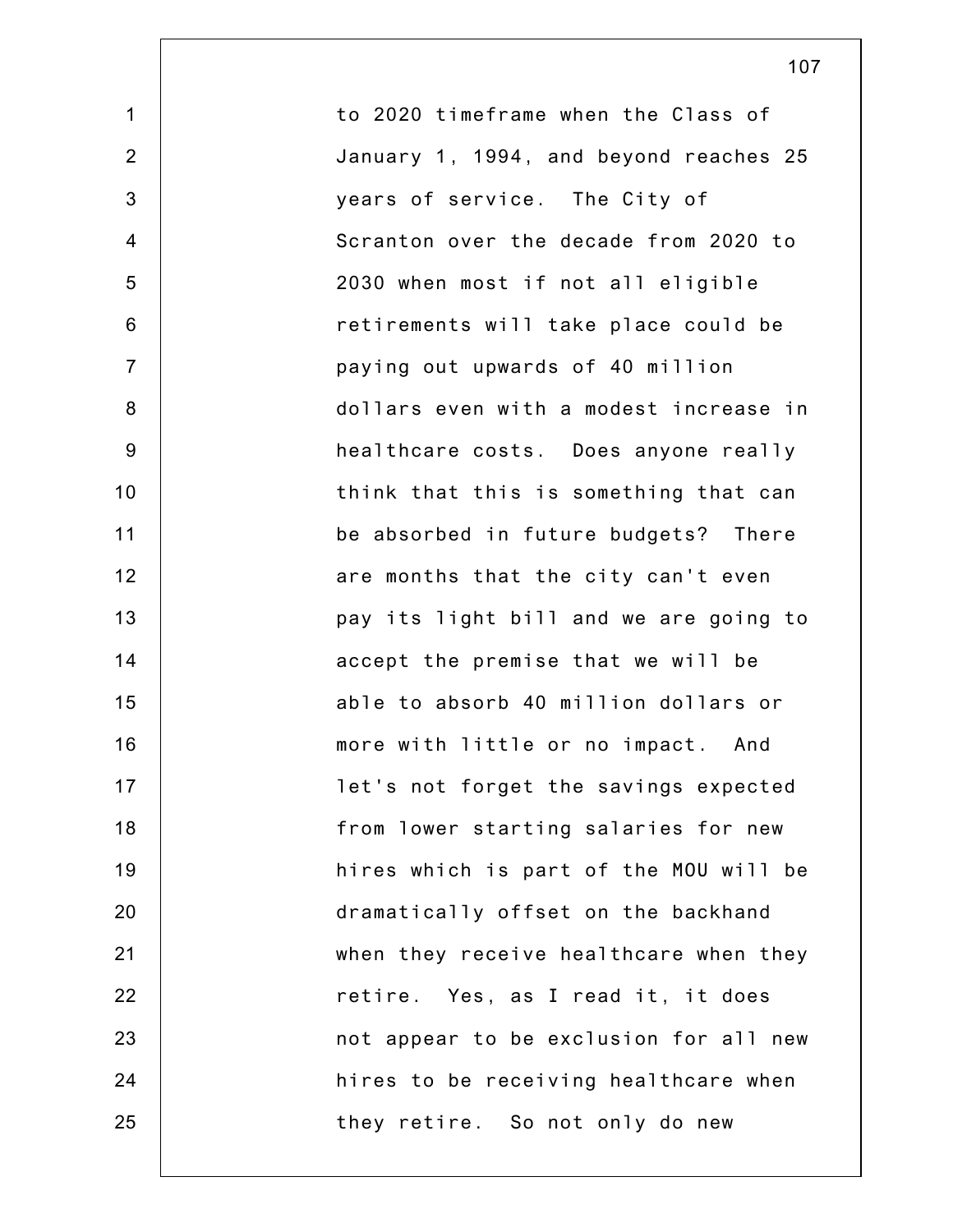1 2 3 4 5 6 7 8 9 10 11 12 13 14 15 16 17 18 19 20 21 22 23 24 25 to 2020 timeframe when the Class of January 1, 1994, and beyond reaches 25 years of service. The City of Scranton over the decade from 2020 to 2030 when most if not all eligible retirements will take place could be paying out upwards of 40 million dollars even with a modest increase in healthcare costs. Does anyone really think that this is something that can be absorbed in future budgets? There are months that the city can't even pay its light bill and we are going to accept the premise that we will be able to absorb 40 million dollars or more with little or no impact. And let's not forget the savings expected from lower starting salaries for new hires which is part of the MOU will be dramatically offset on the backhand when they receive healthcare when they retire. Yes, as I read it, it does not appear to be exclusion for all new hires to be receiving healthcare when they retire. So not only do new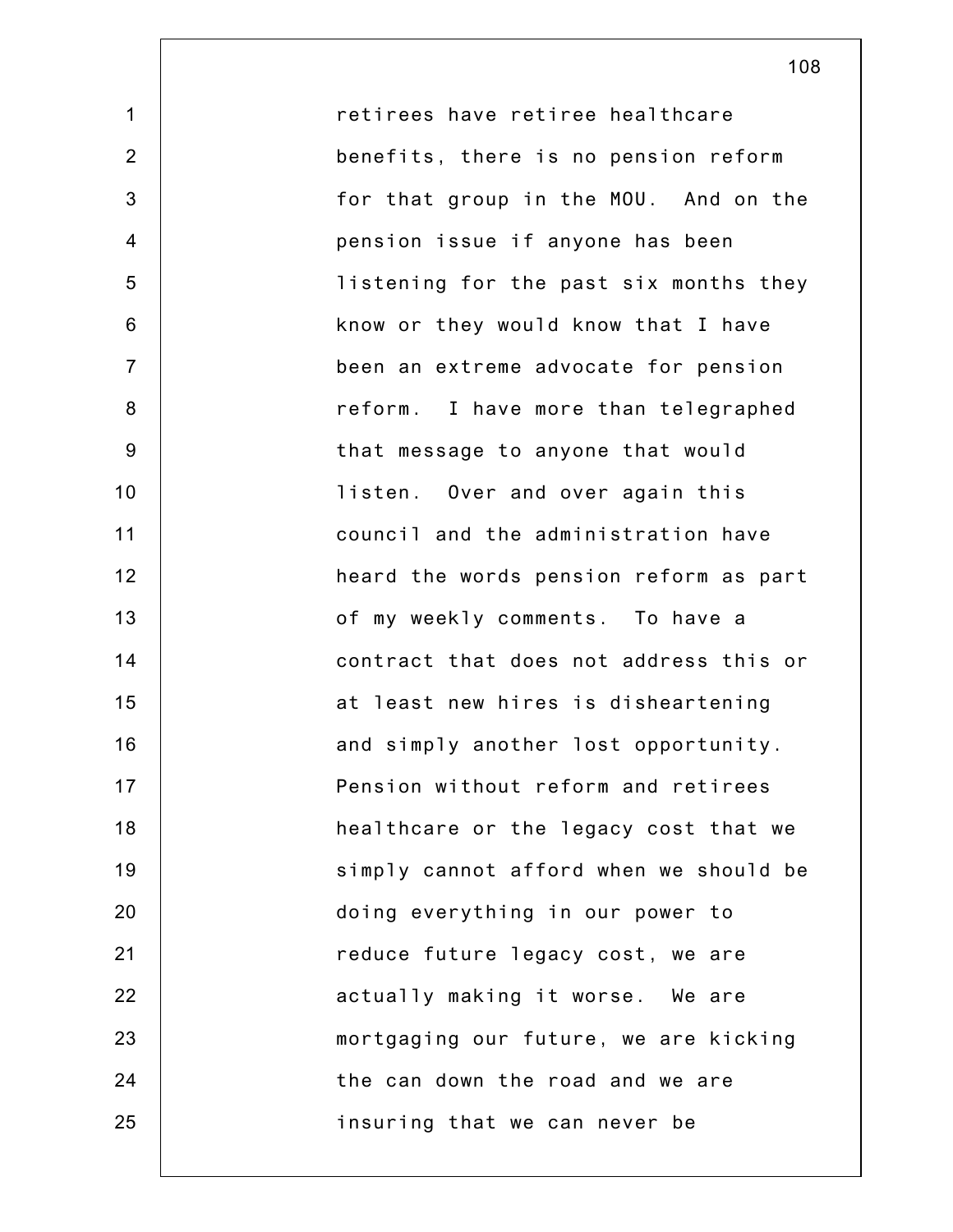retirees have retiree healthcare benefits, there is no pension reform for that group in the MOU. And on the pension issue if anyone has been listening for the past six months they know or they would know that I have been an extreme advocate for pension reform. I have more than telegraphed that message to anyone that would listen. Over and over again this council and the administration have heard the words pension reform as part of my weekly comments. To have a contract that does not address this or at least new hires is disheartening and simply another lost opportunity. Pension without reform and retirees healthcare or the legacy cost that we simply cannot afford when we should be doing everything in our power to reduce future legacy cost, we are actually making it worse. We are mortgaging our future, we are kicking the can down the road and we are insuring that we can never be

108

1

2

3

4

5

6

7

8

9

10

11

12

13

14

15

16

17

18

19

20

21

22

23

24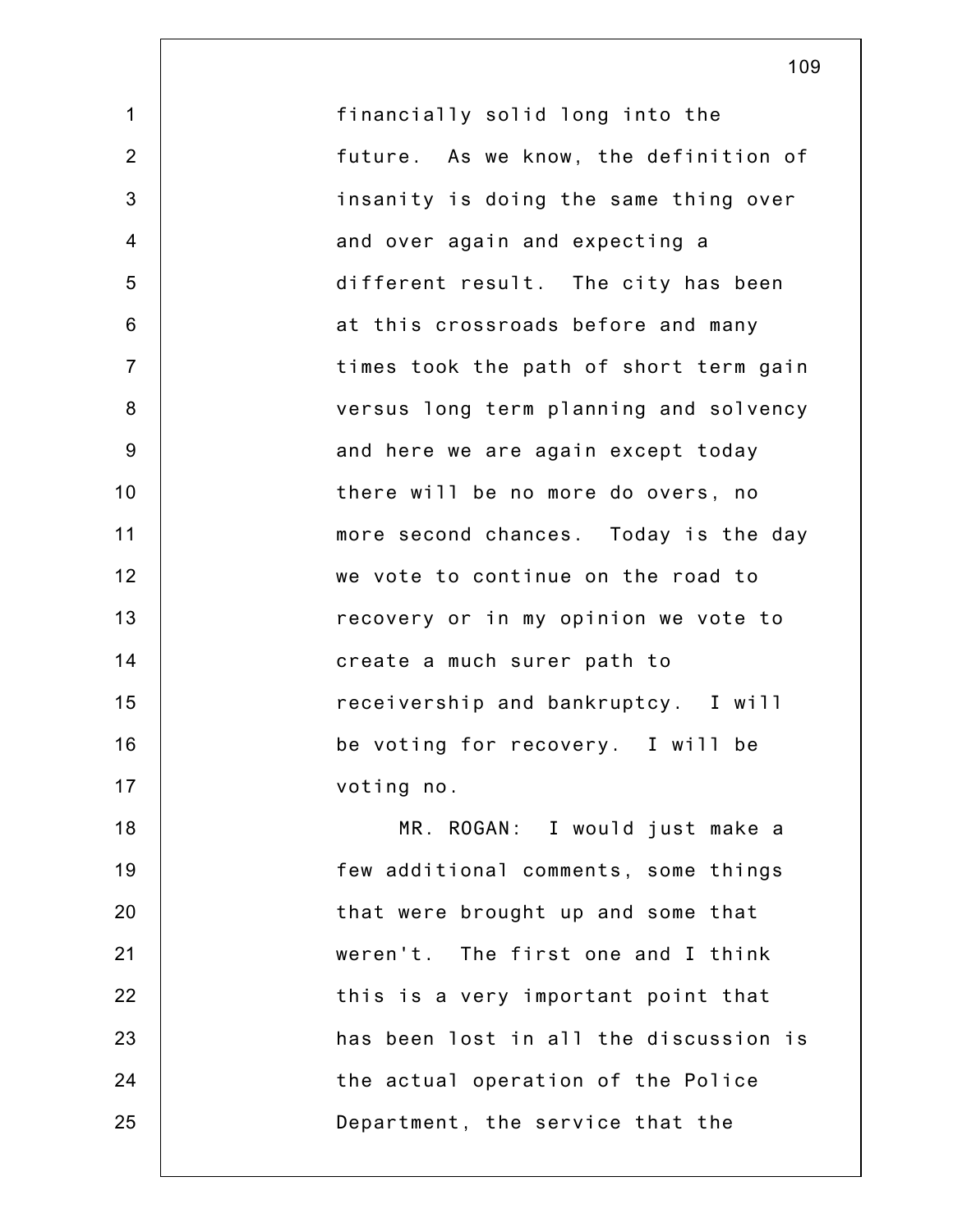1 2 3 4 5 6 7 8 9 10 11 12 13 14 15 16 17 18 19 20 21 22 23 24 25 financially solid long into the future. As we know, the definition of insanity is doing the same thing over and over again and expecting a different result. The city has been at this crossroads before and many times took the path of short term gain versus long term planning and solvency and here we are again except today there will be no more do overs, no more second chances. Today is the day we vote to continue on the road to recovery or in my opinion we vote to create a much surer path to receivership and bankruptcy. I will be voting for recovery. I will be voting no. MR. ROGAN: I would just make a few additional comments, some things that were brought up and some that weren't. The first one and I think this is a very important point that has been lost in all the discussion is the actual operation of the Police Department, the service that the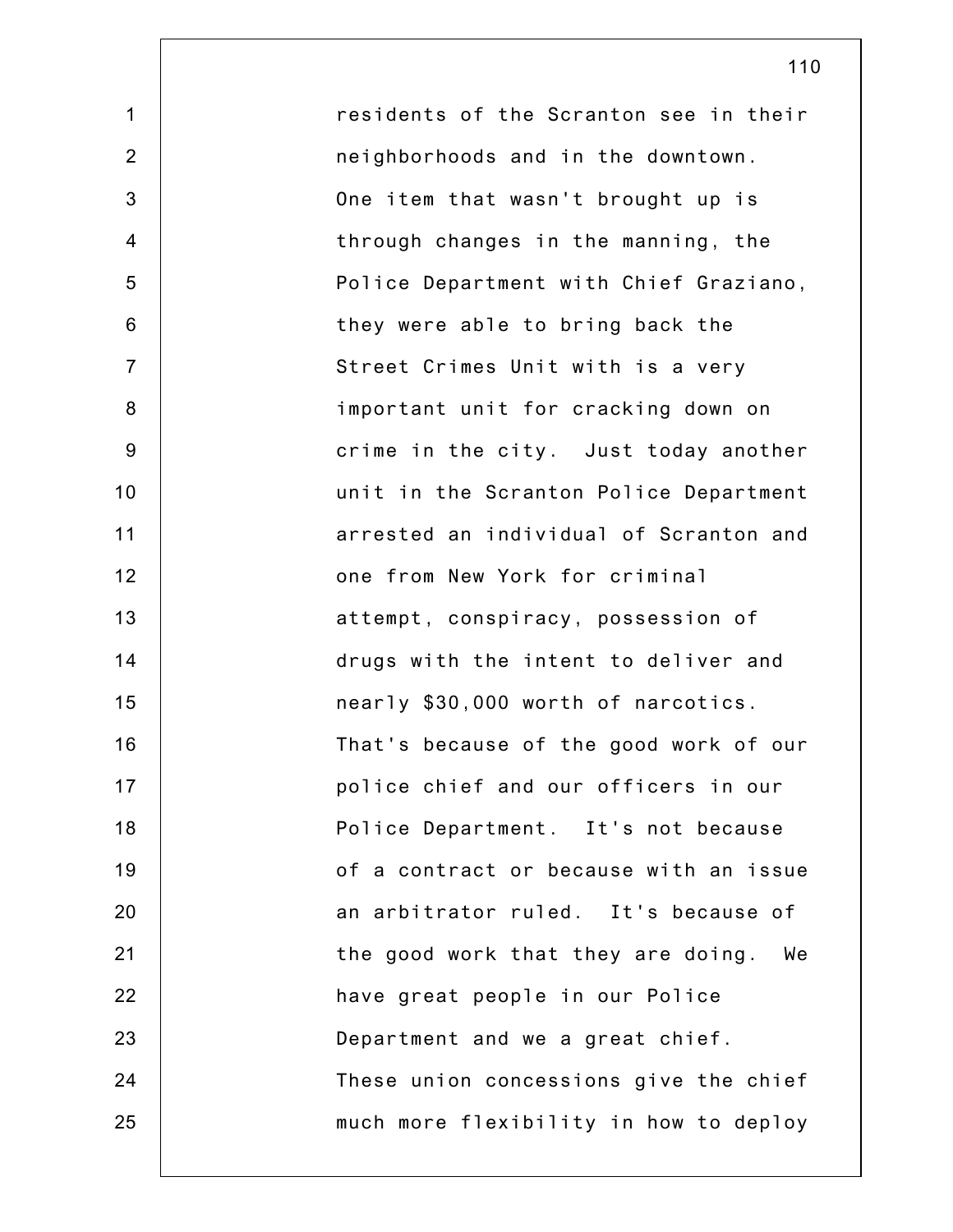1 2 3 4 5 6 7 8 9 10 11 12 13 14 15 16 17 18 19 20 21 22 23 24 25 residents of the Scranton see in their neighborhoods and in the downtown. One item that wasn't brought up is through changes in the manning, the Police Department with Chief Graziano, they were able to bring back the Street Crimes Unit with is a very important unit for cracking down on crime in the city. Just today another unit in the Scranton Police Department arrested an individual of Scranton and one from New York for criminal attempt, conspiracy, possession of drugs with the intent to deliver and nearly \$30,000 worth of narcotics. That's because of the good work of our police chief and our officers in our Police Department. It's not because of a contract or because with an issue an arbitrator ruled. It's because of the good work that they are doing. We have great people in our Police Department and we a great chief. These union concessions give the chief much more flexibility in how to deploy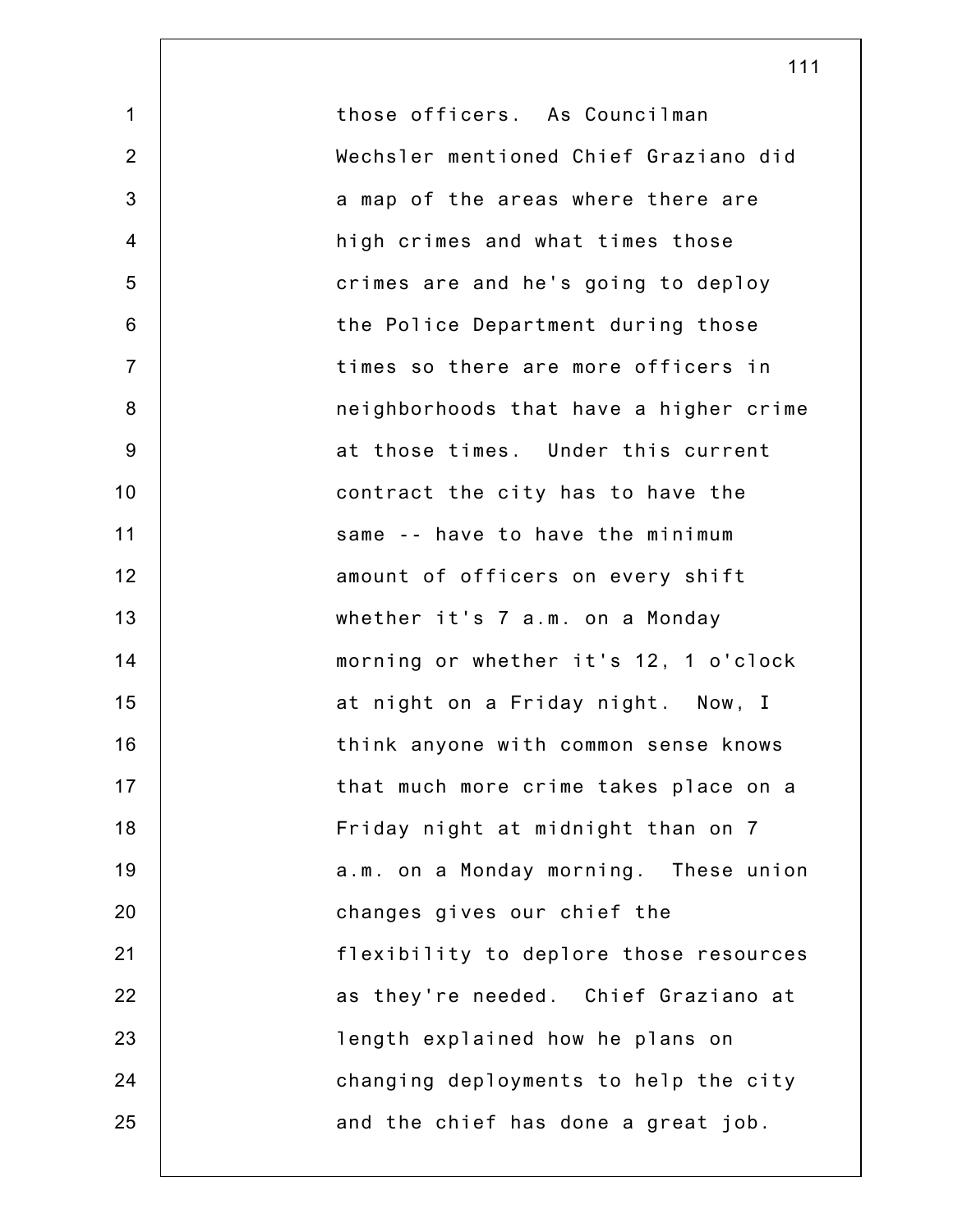1 2 3 4 5 6 7 8 9 10 11 12 13 14 15 16 17 18 19 20 21 22 23 24 25 those officers. As Councilman Wechsler mentioned Chief Graziano did a map of the areas where there are high crimes and what times those crimes are and he's going to deploy the Police Department during those times so there are more officers in neighborhoods that have a higher crime at those times. Under this current contract the city has to have the same -- have to have the minimum amount of officers on every shift whether it's 7 a.m. on a Monday morning or whether it's 12, 1 o'clock at night on a Friday night. Now, I think anyone with common sense knows that much more crime takes place on a Friday night at midnight than on 7 a.m. on a Monday morning. These union changes gives our chief the flexibility to deplore those resources as they're needed. Chief Graziano at length explained how he plans on changing deployments to help the city and the chief has done a great job.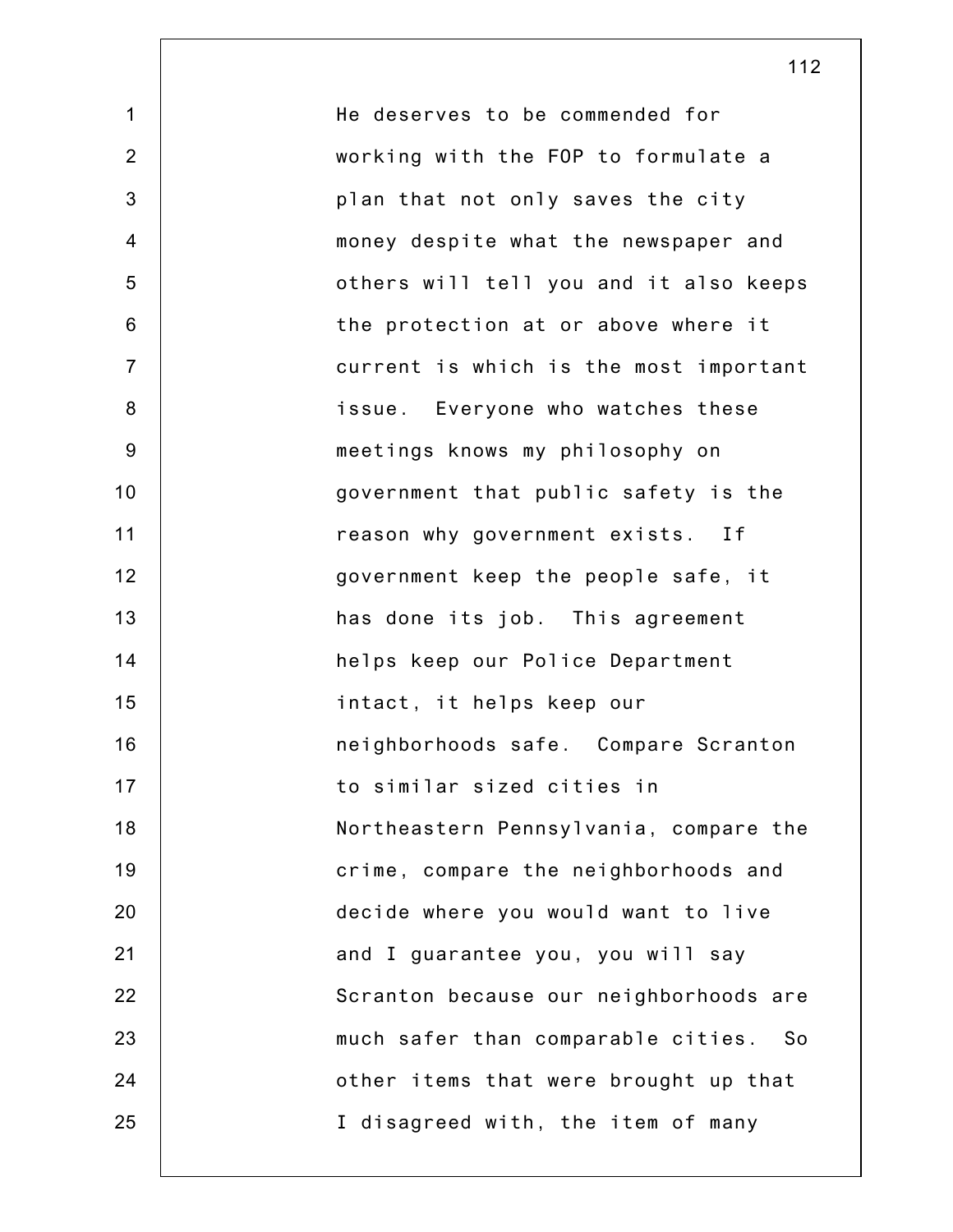1 2 3 4 5 6 7 8 9 10 11 12 13 14 15 16 17 18 19 20 21 22 23 24 25 He deserves to be commended for working with the FOP to formulate a plan that not only saves the city money despite what the newspaper and others will tell you and it also keeps the protection at or above where it current is which is the most important issue. Everyone who watches these meetings knows my philosophy on government that public safety is the reason why government exists. If government keep the people safe, it has done its job. This agreement helps keep our Police Department intact, it helps keep our neighborhoods safe. Compare Scranton to similar sized cities in Northeastern Pennsylvania, compare the crime, compare the neighborhoods and decide where you would want to live and I guarantee you, you will say Scranton because our neighborhoods are much safer than comparable cities. So other items that were brought up that I disagreed with, the item of many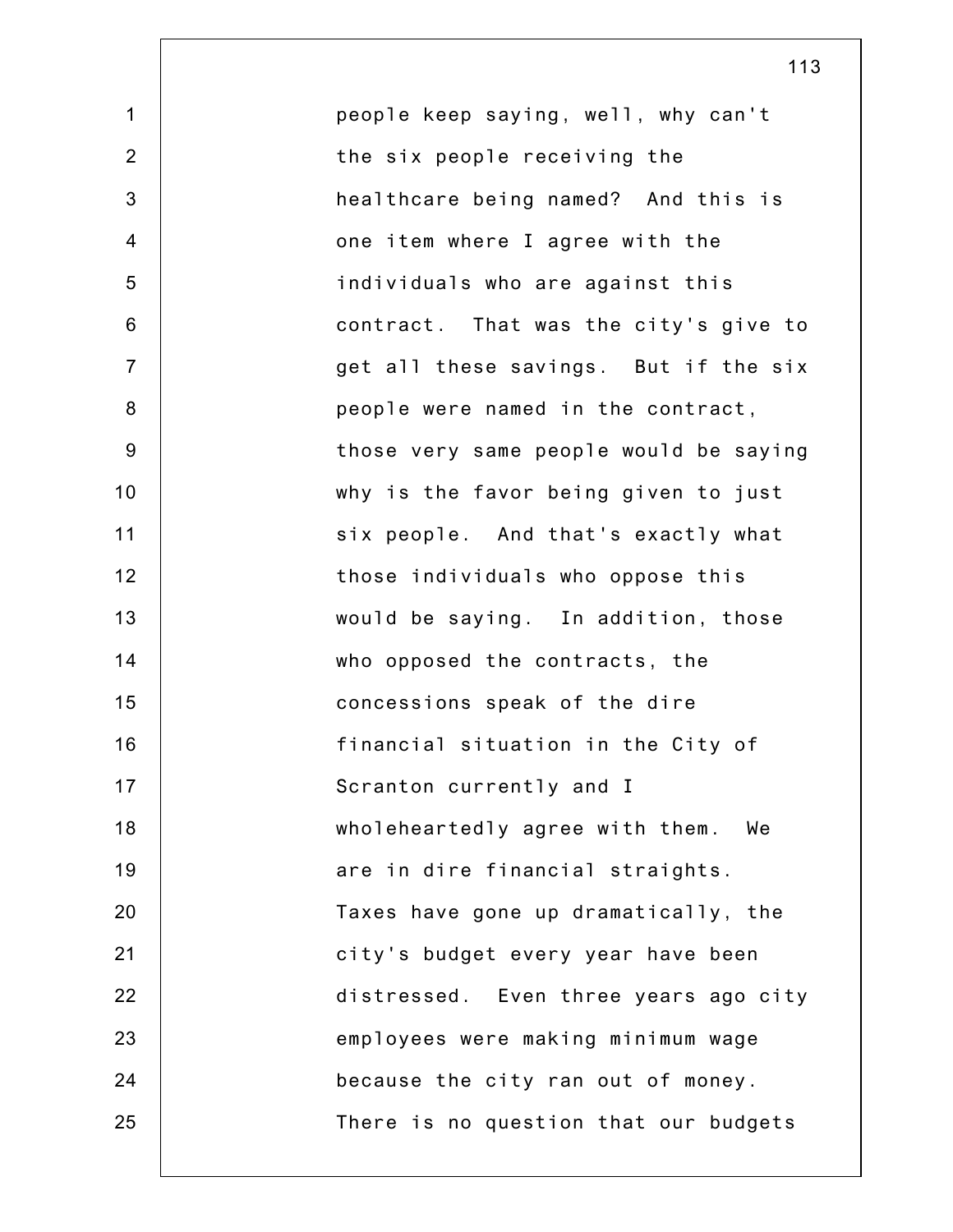1 2 3 4 5 6 7 8 9 10 11 12 13 14 15 16 17 18 19 20 21 22 23 24 25 people keep saying, well, why can't the six people receiving the healthcare being named? And this is one item where I agree with the individuals who are against this contract. That was the city's give to get all these savings. But if the six people were named in the contract, those very same people would be saying why is the favor being given to just six people. And that's exactly what those individuals who oppose this would be saying. In addition, those who opposed the contracts, the concessions speak of the dire financial situation in the City of Scranton currently and I wholeheartedly agree with them. We are in dire financial straights. Taxes have gone up dramatically, the city's budget every year have been distressed. Even three years ago city employees were making minimum wage because the city ran out of money. There is no question that our budgets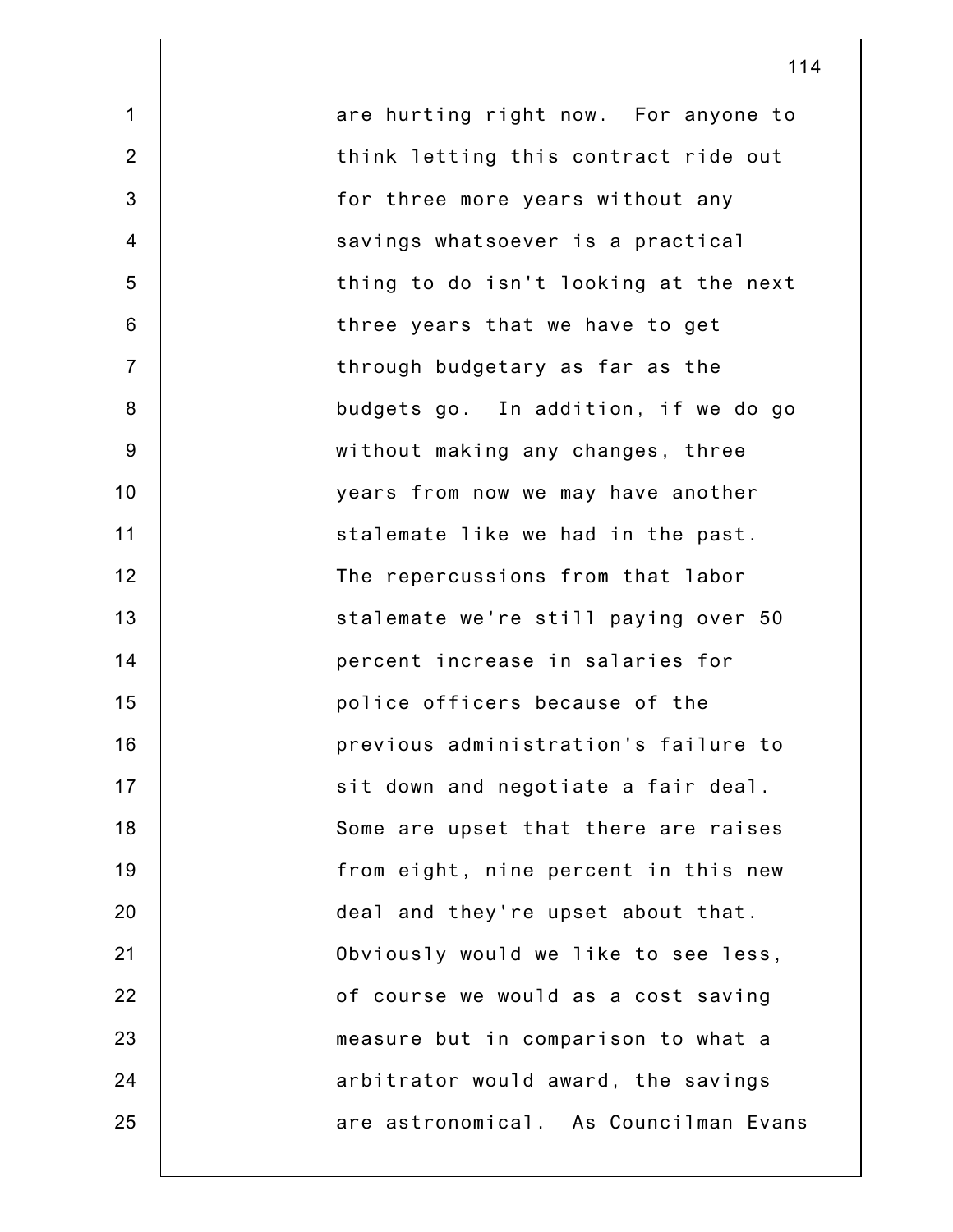1 2 3 4 5 6 7 8 9 10 11 12 13 14 15 16 17 18 19 20 21 22 23 24 25 are hurting right now. For anyone to think letting this contract ride out for three more years without any savings whatsoever is a practical thing to do isn't looking at the next three years that we have to get through budgetary as far as the budgets go. In addition, if we do go without making any changes, three years from now we may have another stalemate like we had in the past. The repercussions from that labor stalemate we're still paying over 50 percent increase in salaries for police officers because of the previous administration's failure to sit down and negotiate a fair deal. Some are upset that there are raises from eight, nine percent in this new deal and they're upset about that. Obviously would we like to see less, of course we would as a cost saving measure but in comparison to what a arbitrator would award, the savings are astronomical. As Councilman Evans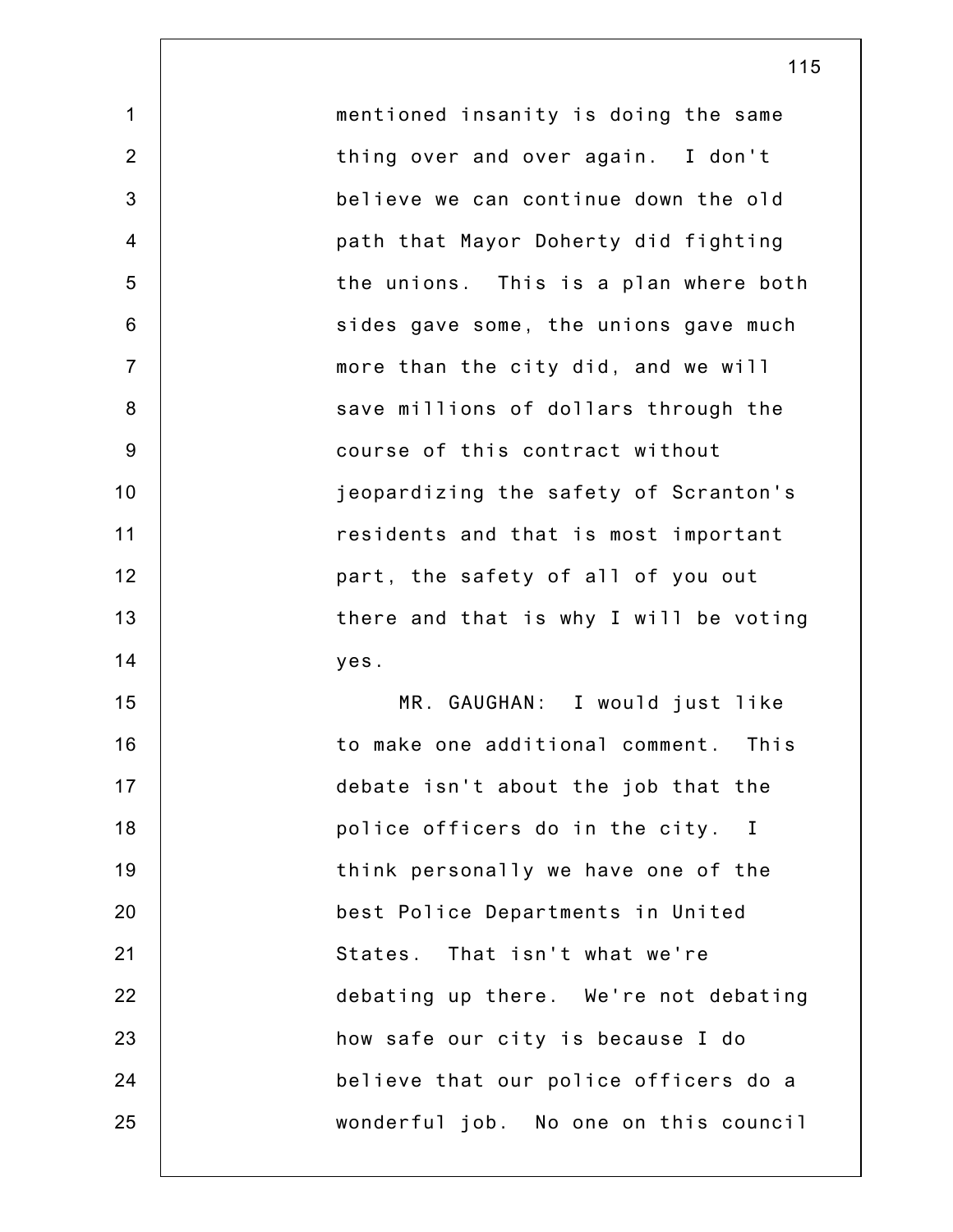mentioned insanity is doing the same thing over and over again. I don't believe we can continue down the old path that Mayor Doherty did fighting the unions. This is a plan where both sides gave some, the unions gave much more than the city did, and we will save millions of dollars through the course of this contract without jeopardizing the safety of Scranton's residents and that is most important part, the safety of all of you out there and that is why I will be voting yes. MR. GAUGHAN: I would just like to make one additional comment. This debate isn't about the job that the police officers do in the city. I think personally we have one of the best Police Departments in United States. That isn't what we're

1

2

3

4

5

6

7

8

9

10

11

12

13

14

15

16

17

18

19

20

21

22

23

24

25

debating up there. We're not debating how safe our city is because I do believe that our police officers do a wonderful job. No one on this council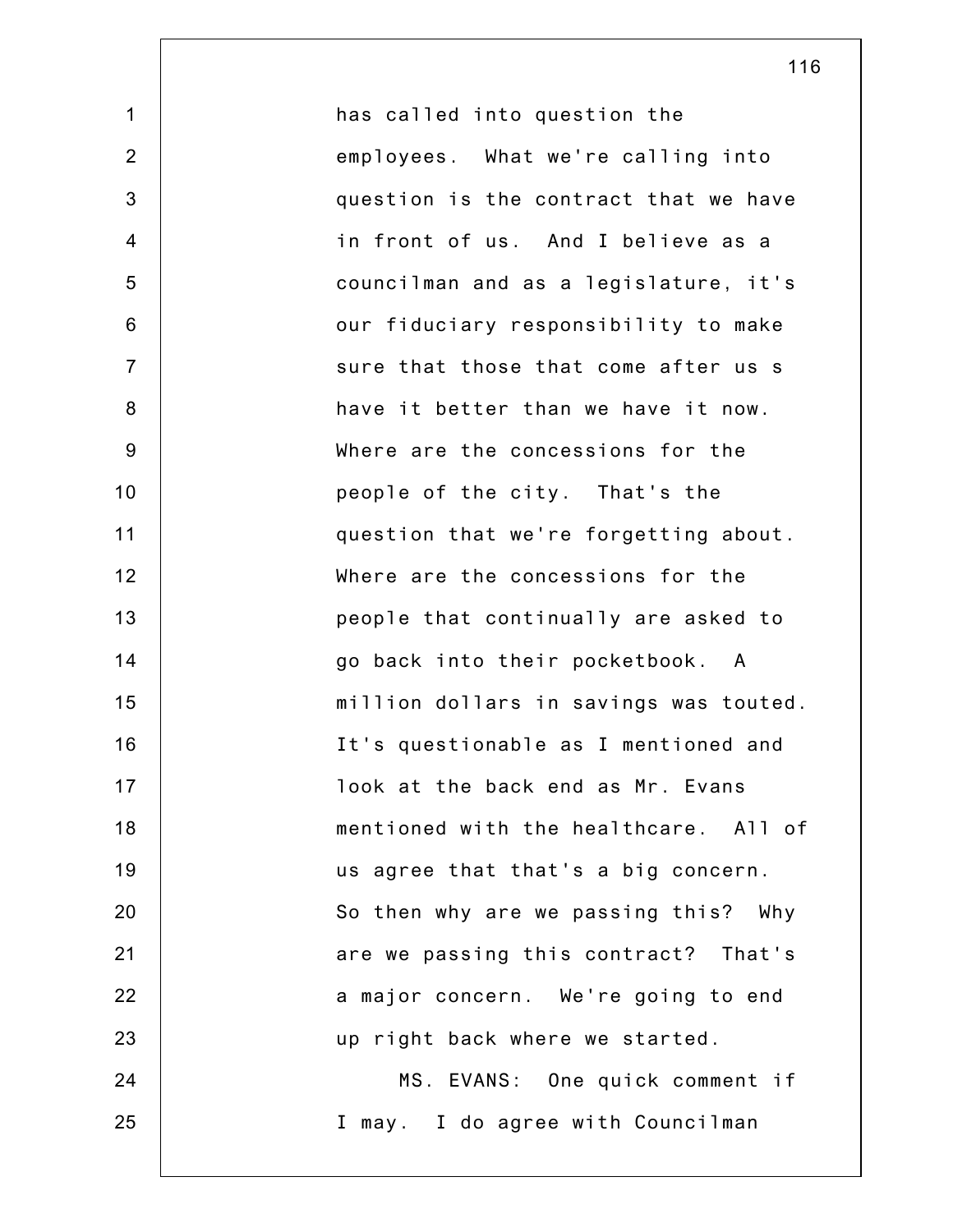| $\mathbf 1$    | has called into question the           |
|----------------|----------------------------------------|
| 2              | employees. What we're calling into     |
| 3              | question is the contract that we have  |
| $\overline{4}$ | in front of us. And I believe as a     |
| 5              | councilman and as a legislature, it's  |
| $\,6$          | our fiduciary responsibility to make   |
| $\overline{7}$ | sure that those that come after us s   |
| $\bf 8$        | have it better than we have it now.    |
| $9\,$          | Where are the concessions for the      |
| 10             | people of the city. That's the         |
| 11             | question that we're forgetting about.  |
| 12             | Where are the concessions for the      |
| 13             | people that continually are asked to   |
| 14             | go back into their pocketbook. A       |
| 15             | million dollars in savings was touted. |
| 16             | It's questionable as I mentioned and   |
| 17             | look at the back end as Mr. Evans      |
| 18             | mentioned with the healthcare. All of  |
| 19             | us agree that that's a big concern.    |
| 20             | So then why are we passing this? Why   |
| 21             | are we passing this contract? That's   |
| 22             | a major concern. We're going to end    |
| 23             | up right back where we started.        |
| 24             | MS. EVANS: One quick comment if        |
| 25             | I may. I do agree with Councilman      |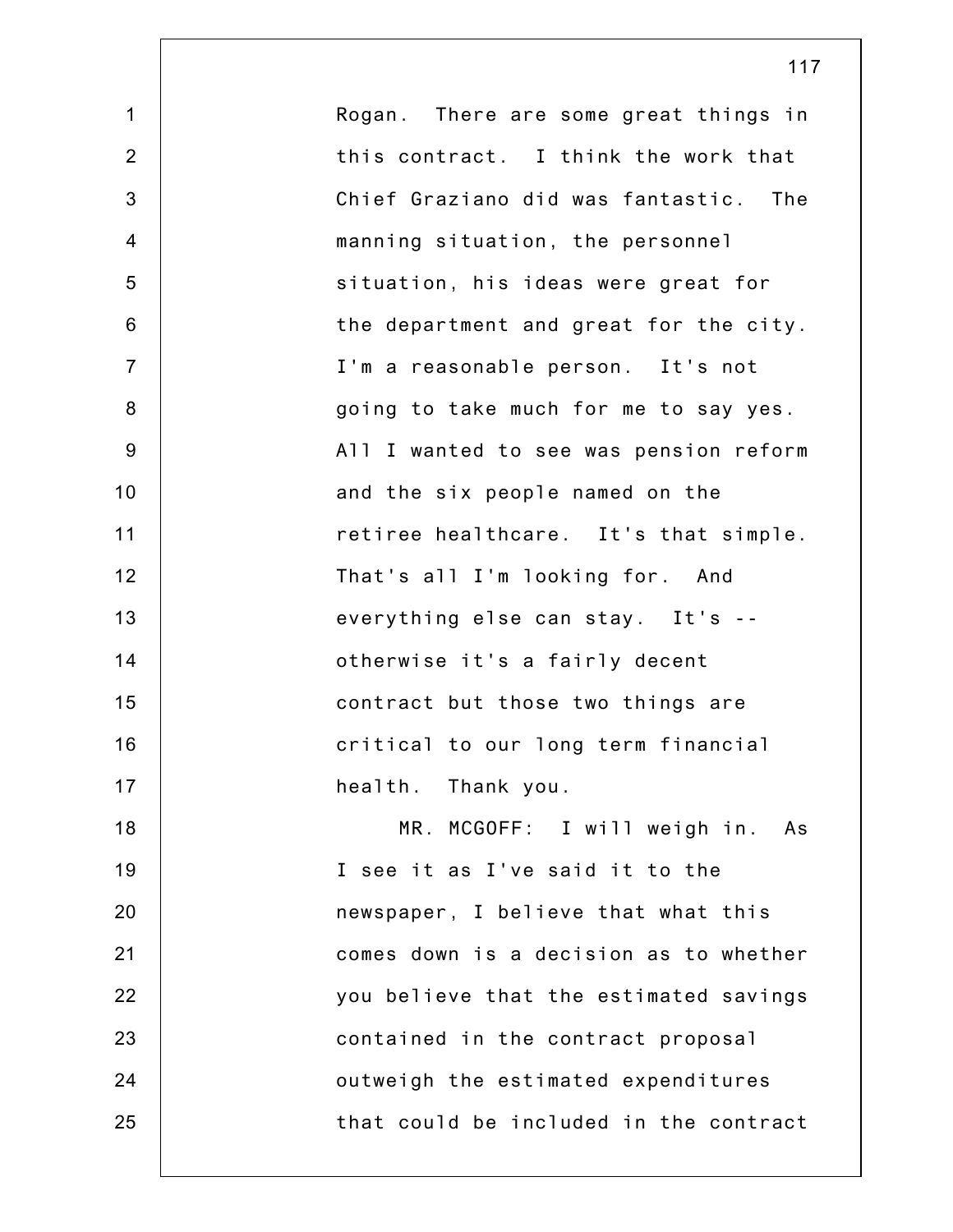| $\mathbf 1$    | Rogan. There are some great things in  |
|----------------|----------------------------------------|
| $\overline{2}$ | this contract. I think the work that   |
| 3              | Chief Graziano did was fantastic. The  |
| $\overline{4}$ | manning situation, the personnel       |
| 5              | situation, his ideas were great for    |
| 6              | the department and great for the city. |
| $\overline{7}$ | I'm a reasonable person. It's not      |
| 8              | going to take much for me to say yes.  |
| 9              | All I wanted to see was pension reform |
| 10             | and the six people named on the        |
| 11             | retiree healthcare. It's that simple.  |
| 12             | That's all I'm looking for. And        |
| 13             | everything else can stay. It's --      |
| 14             | otherwise it's a fairly decent         |
| 15             | contract but those two things are      |
| 16             | critical to our long term financial    |
| 17             | health. Thank you.                     |
| 18             | MR. MCGOFF: I will weigh in. As        |
| 19             | I see it as I've said it to the        |
| 20             | newspaper, I believe that what this    |
| 21             | comes down is a decision as to whether |
| 22             | you believe that the estimated savings |
| 23             | contained in the contract proposal     |
| 24             | outweigh the estimated expenditures    |
| 25             | that could be included in the contract |
|                |                                        |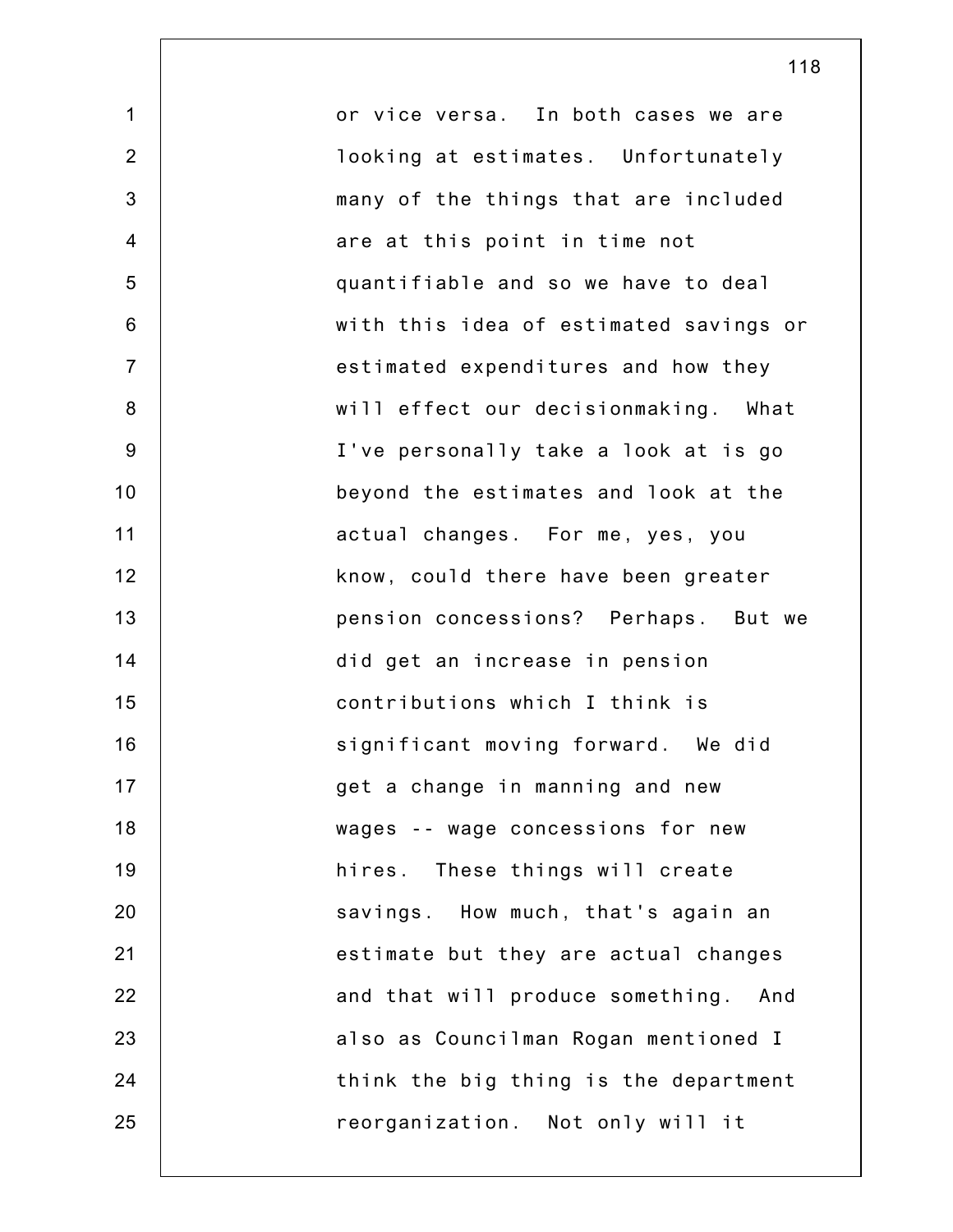1 2 3 4 5 6 7 8 9 10 11 12 13 14 15 16 17 18 19 20 21 22 23 24 25 or vice versa. In both cases we are looking at estimates. Unfortunately many of the things that are included are at this point in time not quantifiable and so we have to deal with this idea of estimated savings or estimated expenditures and how they will effect our decisionmaking. What I've personally take a look at is go beyond the estimates and look at the actual changes. For me, yes, you know, could there have been greater pension concessions? Perhaps. But we did get an increase in pension contributions which I think is significant moving forward. We did get a change in manning and new wages -- wage concessions for new hires. These things will create savings. How much, that's again an estimate but they are actual changes and that will produce something. And also as Councilman Rogan mentioned I think the big thing is the department reorganization. Not only will it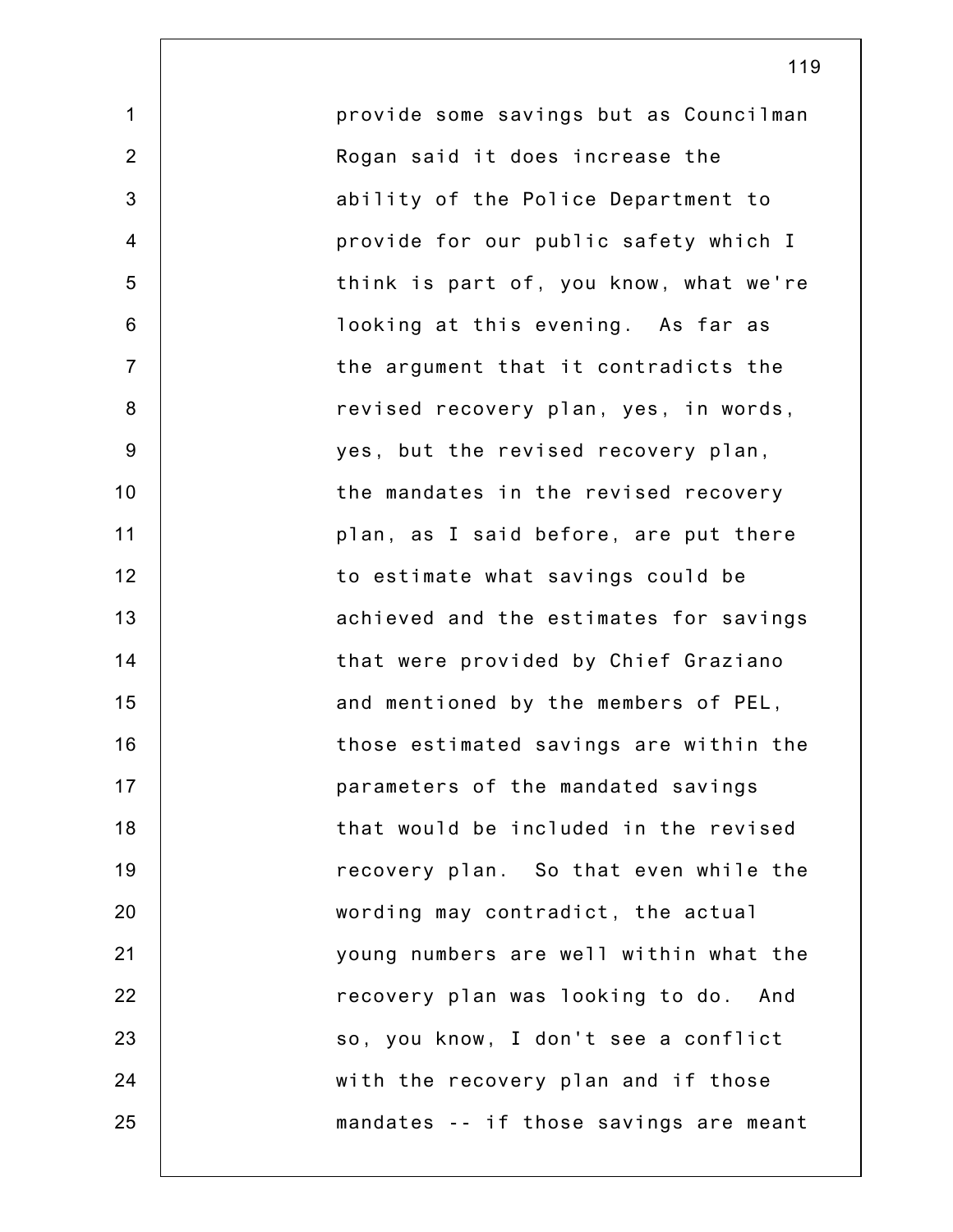1 2 3 4 5 6 7 8 9 10 11 12 13 14 15 16 17 18 19 20 21 22 23 24 25 provide some savings but as Councilman Rogan said it does increase the ability of the Police Department to provide for our public safety which I think is part of, you know, what we're looking at this evening. As far as the argument that it contradicts the revised recovery plan, yes, in words, yes, but the revised recovery plan, the mandates in the revised recovery plan, as I said before, are put there to estimate what savings could be achieved and the estimates for savings that were provided by Chief Graziano and mentioned by the members of PEL, those estimated savings are within the parameters of the mandated savings that would be included in the revised recovery plan. So that even while the wording may contradict, the actual young numbers are well within what the recovery plan was looking to do. And so, you know, I don't see a conflict with the recovery plan and if those mandates -- if those savings are meant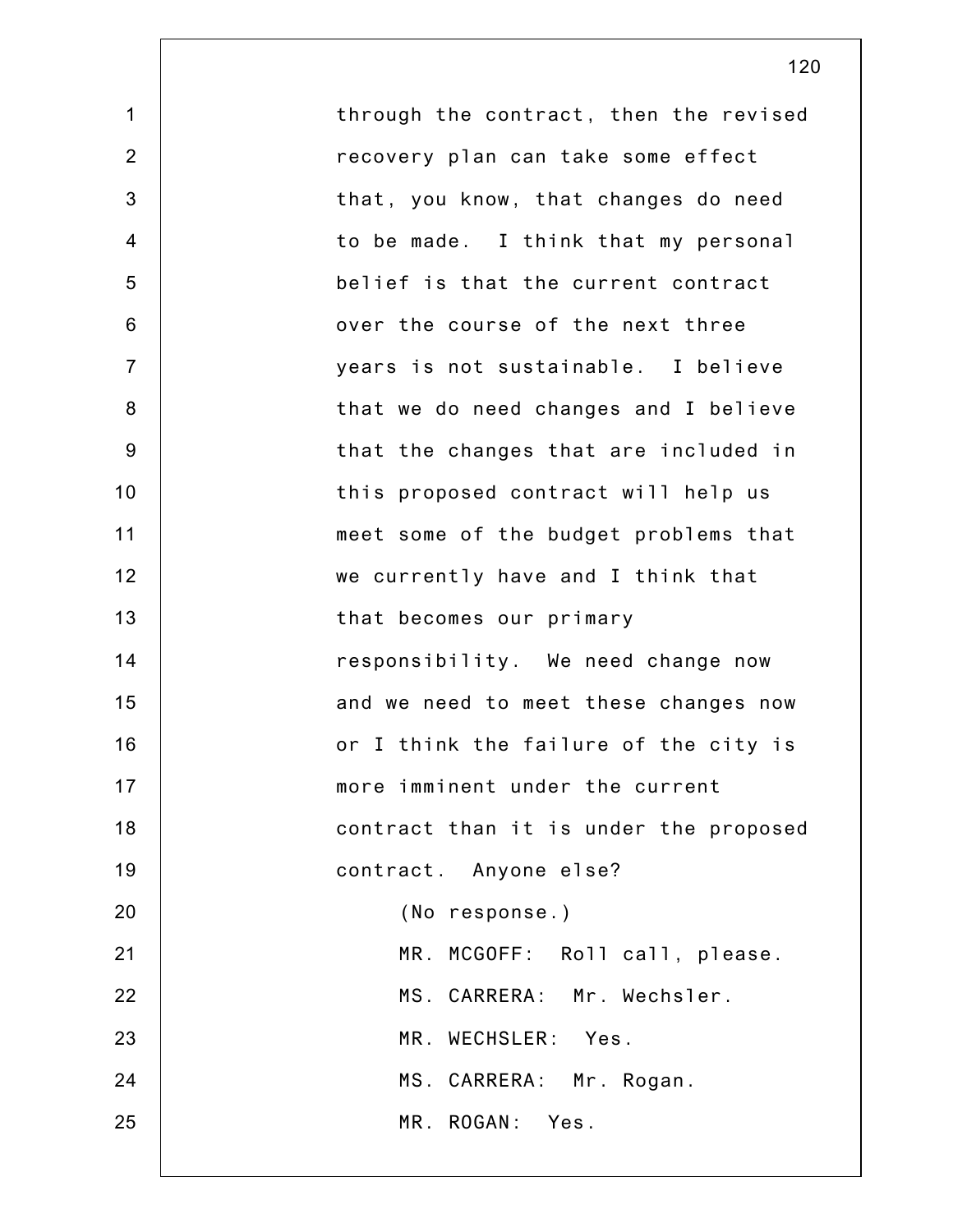1 2 3 4 5 6 7 8 9 10 11 12 13 14 15 16 17 18 19 20 21 22 23 24 25 through the contract, then the revised recovery plan can take some effect that, you know, that changes do need to be made. I think that my personal belief is that the current contract over the course of the next three years is not sustainable. I believe that we do need changes and I believe that the changes that are included in this proposed contract will help us meet some of the budget problems that we currently have and I think that that becomes our primary responsibility. We need change now and we need to meet these changes now or I think the failure of the city is more imminent under the current contract than it is under the proposed contract. Anyone else? (No response.) MR. MCGOFF: Roll call, please. MS. CARRERA: Mr. Wechsler. MR. WECHSLER: Yes. MS. CARRERA: Mr. Rogan. MR. ROGAN: Yes.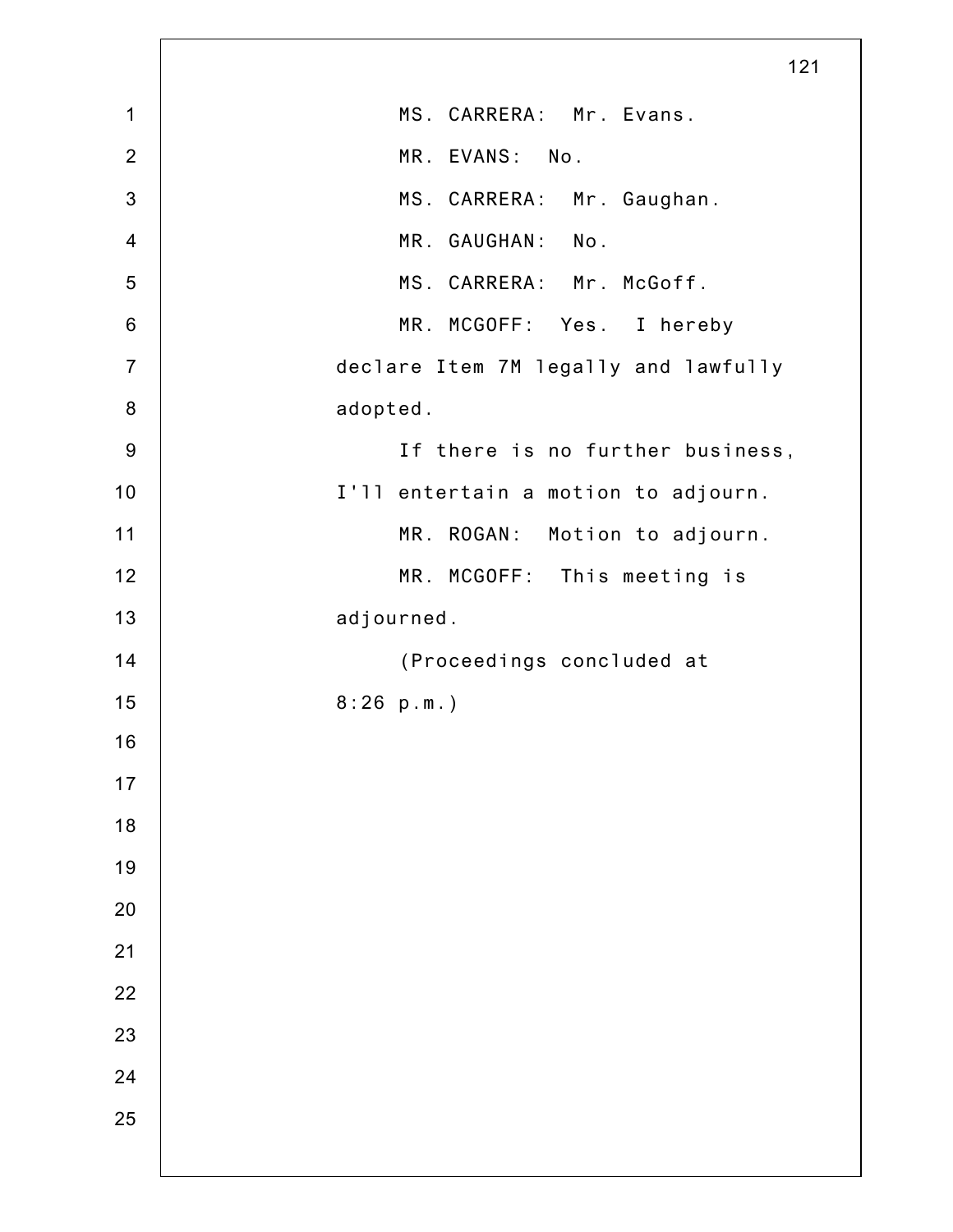|                  | 121                                  |
|------------------|--------------------------------------|
| 1                | MS. CARRERA: Mr. Evans.              |
| $\overline{2}$   | MR. EVANS: No.                       |
| $\mathbf{3}$     | MS. CARRERA: Mr. Gaughan.            |
| $\overline{4}$   | MR. GAUGHAN:<br>No.                  |
| $\sqrt{5}$       | MS. CARRERA: Mr. McGoff.             |
| $\,6$            | MR. MCGOFF: Yes. I hereby            |
| $\overline{7}$   | declare Item 7M legally and lawfully |
| 8                | adopted.                             |
| $\boldsymbol{9}$ | If there is no further business,     |
| 10               | I'll entertain a motion to adjourn.  |
| 11               | MR. ROGAN:<br>Motion to adjourn.     |
| 12               | MR. MCGOFF: This meeting is          |
| 13               | adjourned.                           |
| 14               | (Proceedings concluded at            |
| 15               | 8:26 p.m.                            |
| 16               |                                      |
| $17$             |                                      |
| 18               |                                      |
| 19               |                                      |
| 20               |                                      |
| 21               |                                      |
| 22               |                                      |
| 23               |                                      |
| 24               |                                      |
| 25               |                                      |
|                  |                                      |

 $\mathsf{L}$